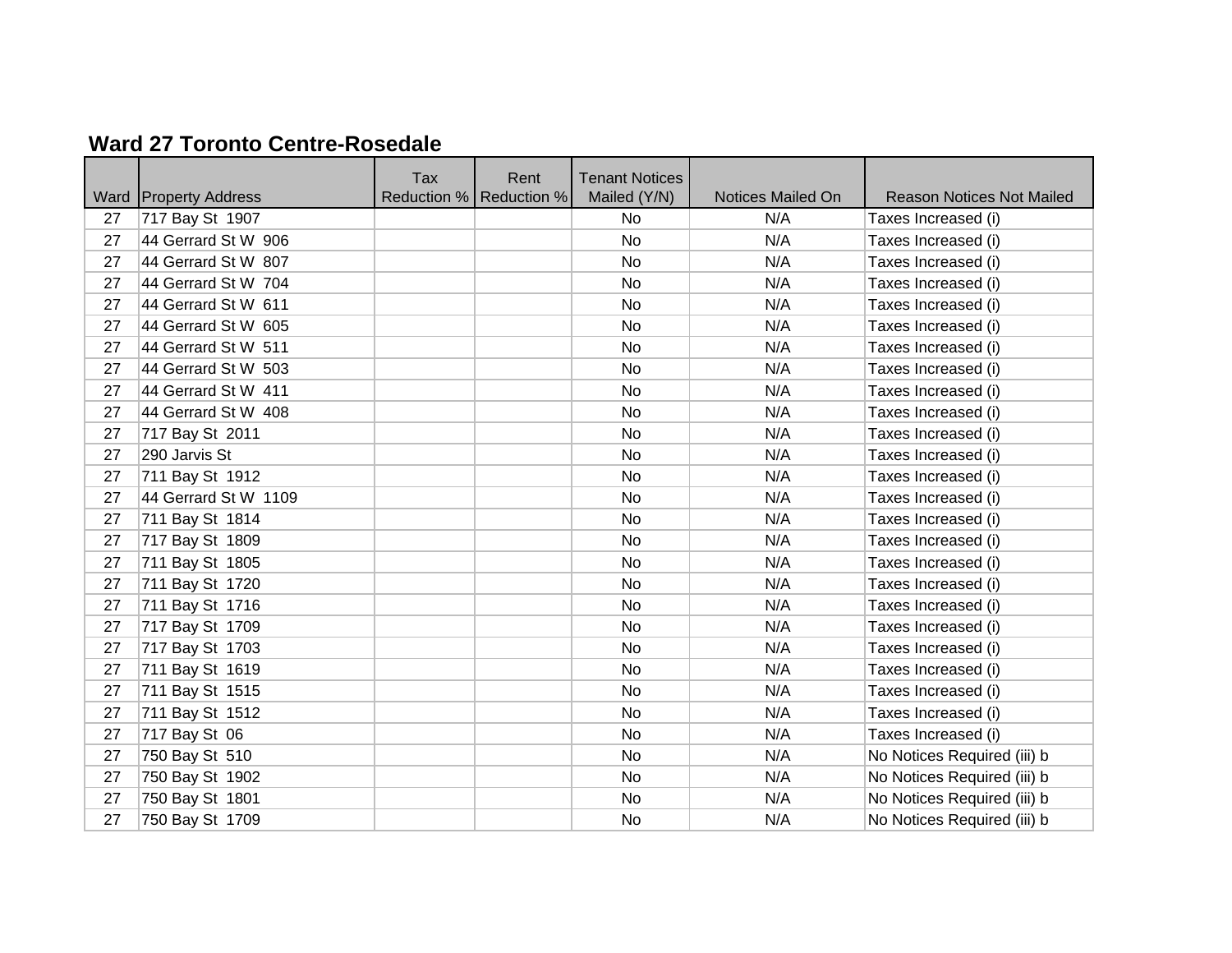## **Ward 27 Toronto Centre-Rosedale**

|      |                         | Tax | Rent                      | <b>Tenant Notices</b> |                   |                                  |
|------|-------------------------|-----|---------------------------|-----------------------|-------------------|----------------------------------|
| Ward | <b>Property Address</b> |     | Reduction %   Reduction % | Mailed (Y/N)          | Notices Mailed On | <b>Reason Notices Not Mailed</b> |
| 27   | 717 Bay St 1907         |     |                           | <b>No</b>             | N/A               | Taxes Increased (i)              |
| 27   | 44 Gerrard St W 906     |     |                           | No                    | N/A               | Taxes Increased (i)              |
| 27   | 44 Gerrard St W 807     |     |                           | No                    | N/A               | Taxes Increased (i)              |
| 27   | 44 Gerrard St W 704     |     |                           | No                    | N/A               | Taxes Increased (i)              |
| 27   | 44 Gerrard St W 611     |     |                           | No                    | N/A               | Taxes Increased (i)              |
| 27   | 44 Gerrard St W 605     |     |                           | No                    | N/A               | Taxes Increased (i)              |
| 27   | 44 Gerrard St W 511     |     |                           | No                    | N/A               | Taxes Increased (i)              |
| 27   | 44 Gerrard St W 503     |     |                           | No                    | N/A               | Taxes Increased (i)              |
| 27   | 44 Gerrard St W 411     |     |                           | No                    | N/A               | Taxes Increased (i)              |
| 27   | 44 Gerrard St W 408     |     |                           | No                    | N/A               | Taxes Increased (i)              |
| 27   | 717 Bay St 2011         |     |                           | No                    | N/A               | Taxes Increased (i)              |
| 27   | 290 Jarvis St           |     |                           | No                    | N/A               | Taxes Increased (i)              |
| 27   | 711 Bay St 1912         |     |                           | No                    | N/A               | Taxes Increased (i)              |
| 27   | 44 Gerrard St W 1109    |     |                           | No                    | N/A               | Taxes Increased (i)              |
| 27   | 711 Bay St 1814         |     |                           | No                    | N/A               | Taxes Increased (i)              |
| 27   | 717 Bay St 1809         |     |                           | No                    | N/A               | Taxes Increased (i)              |
| 27   | 711 Bay St 1805         |     |                           | No                    | N/A               | Taxes Increased (i)              |
| 27   | 711 Bay St 1720         |     |                           | No                    | N/A               | Taxes Increased (i)              |
| 27   | 711 Bay St 1716         |     |                           | No                    | N/A               | Taxes Increased (i)              |
| 27   | 717 Bay St 1709         |     |                           | No                    | N/A               | Taxes Increased (i)              |
| 27   | 717 Bay St 1703         |     |                           | No                    | N/A               | Taxes Increased (i)              |
| 27   | 711 Bay St 1619         |     |                           | No                    | N/A               | Taxes Increased (i)              |
| 27   | 711 Bay St 1515         |     |                           | No                    | N/A               | Taxes Increased (i)              |
| 27   | 711 Bay St 1512         |     |                           | No                    | N/A               | Taxes Increased (i)              |
| 27   | 717 Bay St 06           |     |                           | No                    | N/A               | Taxes Increased (i)              |
| 27   | 750 Bay St 510          |     |                           | No                    | N/A               | No Notices Required (iii) b      |
| 27   | 750 Bay St 1902         |     |                           | No                    | N/A               | No Notices Required (iii) b      |
| 27   | 750 Bay St 1801         |     |                           | No                    | N/A               | No Notices Required (iii) b      |
| 27   | 750 Bay St 1709         |     |                           | No                    | N/A               | No Notices Required (iii) b      |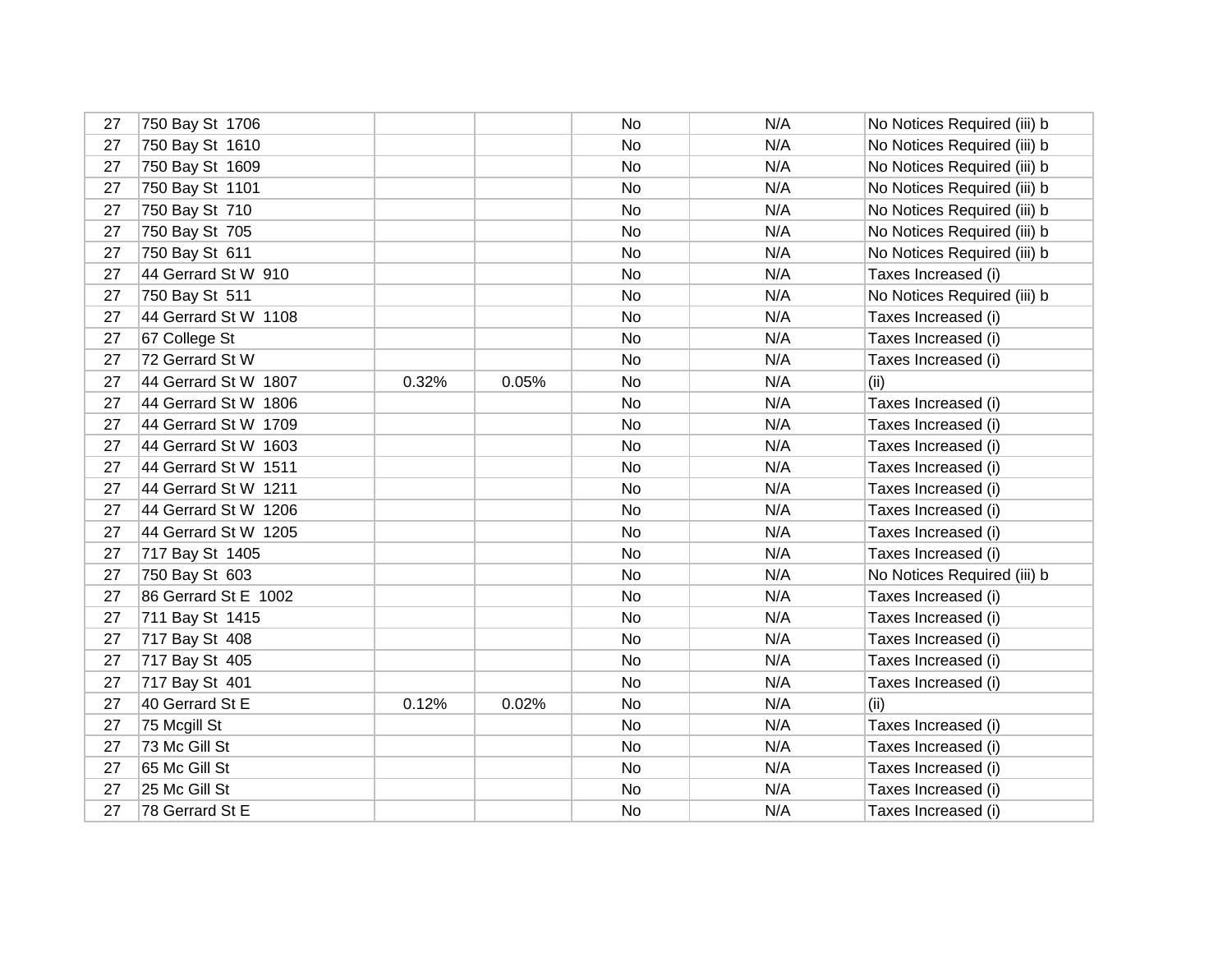| 27 | 750 Bay St 1706      |       |       | No | N/A | No Notices Required (iii) b |
|----|----------------------|-------|-------|----|-----|-----------------------------|
| 27 | 750 Bay St 1610      |       |       | No | N/A | No Notices Required (iii) b |
| 27 | 750 Bay St 1609      |       |       | No | N/A | No Notices Required (iii) b |
| 27 | 750 Bay St 1101      |       |       | No | N/A | No Notices Required (iii) b |
| 27 | 750 Bay St 710       |       |       | No | N/A | No Notices Required (iii) b |
| 27 | 750 Bay St 705       |       |       | No | N/A | No Notices Required (iii) b |
| 27 | 750 Bay St 611       |       |       | No | N/A | No Notices Required (iii) b |
| 27 | 44 Gerrard St W 910  |       |       | No | N/A | Taxes Increased (i)         |
| 27 | 750 Bay St 511       |       |       | No | N/A | No Notices Required (iii) b |
| 27 | 44 Gerrard St W 1108 |       |       | No | N/A | Taxes Increased (i)         |
| 27 | 67 College St        |       |       | No | N/A | Taxes Increased (i)         |
| 27 | 72 Gerrard St W      |       |       | No | N/A | Taxes Increased (i)         |
| 27 | 44 Gerrard St W 1807 | 0.32% | 0.05% | No | N/A | (ii)                        |
| 27 | 44 Gerrard St W 1806 |       |       | No | N/A | Taxes Increased (i)         |
| 27 | 44 Gerrard St W 1709 |       |       | No | N/A | Taxes Increased (i)         |
| 27 | 44 Gerrard St W 1603 |       |       | No | N/A | Taxes Increased (i)         |
| 27 | 44 Gerrard St W 1511 |       |       | No | N/A | Taxes Increased (i)         |
| 27 | 44 Gerrard St W 1211 |       |       | No | N/A | Taxes Increased (i)         |
| 27 | 44 Gerrard St W 1206 |       |       | No | N/A | Taxes Increased (i)         |
| 27 | 44 Gerrard St W 1205 |       |       | No | N/A | Taxes Increased (i)         |
| 27 | 717 Bay St 1405      |       |       | No | N/A | Taxes Increased (i)         |
| 27 | 750 Bay St 603       |       |       | No | N/A | No Notices Required (iii) b |
| 27 | 86 Gerrard St E 1002 |       |       | No | N/A | Taxes Increased (i)         |
| 27 | 711 Bay St 1415      |       |       | No | N/A | Taxes Increased (i)         |
| 27 | 717 Bay St 408       |       |       | No | N/A | Taxes Increased (i)         |
| 27 | 717 Bay St 405       |       |       | No | N/A | Taxes Increased (i)         |
| 27 | 717 Bay St 401       |       |       | No | N/A | Taxes Increased (i)         |
| 27 | 40 Gerrard St E      | 0.12% | 0.02% | No | N/A | (ii)                        |
| 27 | 75 Mcgill St         |       |       | No | N/A | Taxes Increased (i)         |
| 27 | 73 Mc Gill St        |       |       | No | N/A | Taxes Increased (i)         |
| 27 | 65 Mc Gill St        |       |       | No | N/A | Taxes Increased (i)         |
| 27 | 25 Mc Gill St        |       |       | No | N/A | Taxes Increased (i)         |
| 27 | 78 Gerrard St E      |       |       | No | N/A | Taxes Increased (i)         |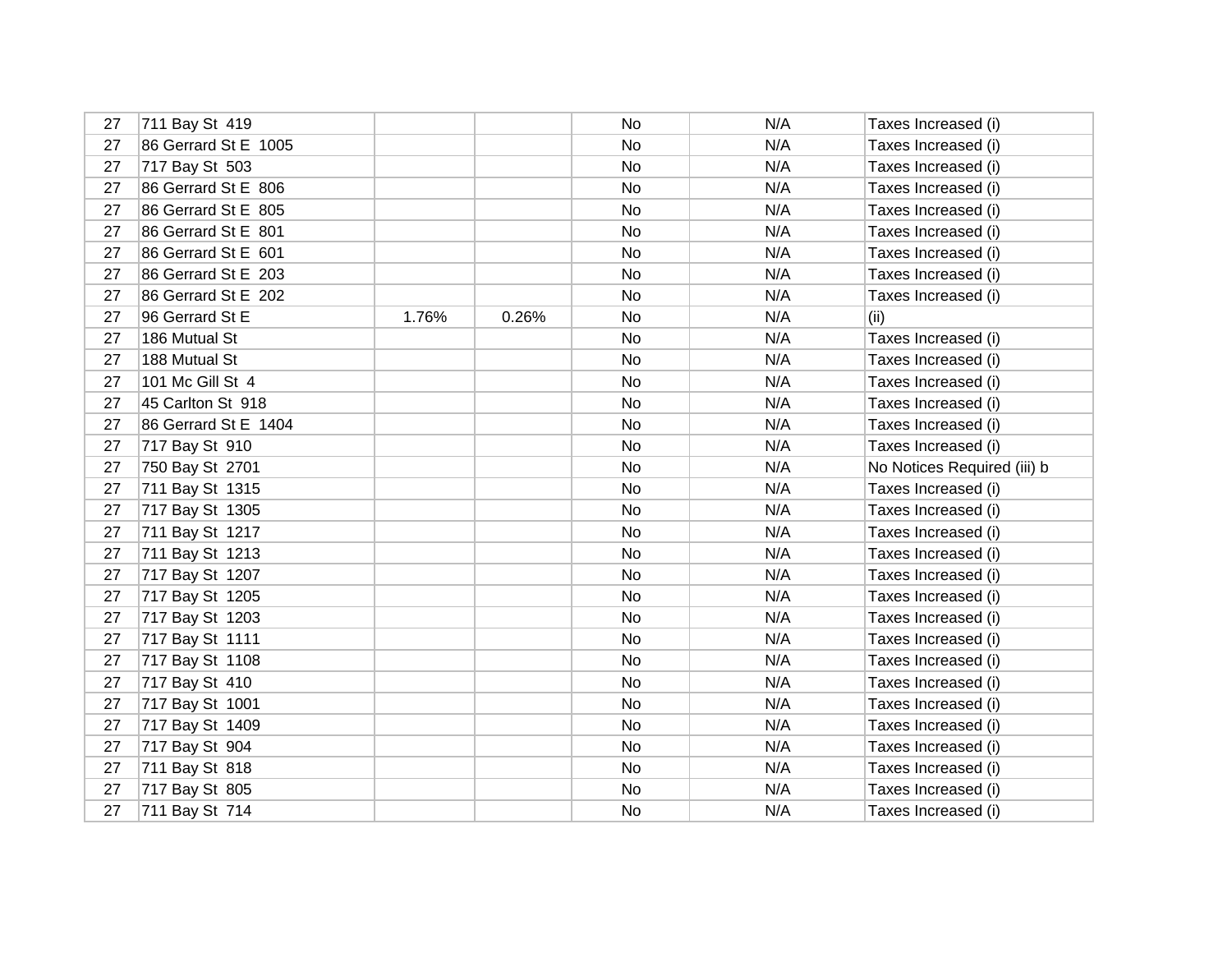| 27 | 711 Bay St 419       |       |       | No | N/A | Taxes Increased (i)         |
|----|----------------------|-------|-------|----|-----|-----------------------------|
| 27 | 86 Gerrard St E 1005 |       |       | No | N/A | Taxes Increased (i)         |
| 27 | 717 Bay St 503       |       |       | No | N/A | Taxes Increased (i)         |
| 27 | 86 Gerrard St E 806  |       |       | No | N/A | Taxes Increased (i)         |
| 27 | 86 Gerrard St E 805  |       |       | No | N/A | Taxes Increased (i)         |
| 27 | 86 Gerrard St E 801  |       |       | No | N/A | Taxes Increased (i)         |
| 27 | 86 Gerrard St E 601  |       |       | No | N/A | Taxes Increased (i)         |
| 27 | 86 Gerrard St E 203  |       |       | No | N/A | Taxes Increased (i)         |
| 27 | 86 Gerrard St E 202  |       |       | No | N/A | Taxes Increased (i)         |
| 27 | 96 Gerrard St E      | 1.76% | 0.26% | No | N/A | (ii)                        |
| 27 | 186 Mutual St        |       |       | No | N/A | Taxes Increased (i)         |
| 27 | 188 Mutual St        |       |       | No | N/A | Taxes Increased (i)         |
| 27 | 101 Mc Gill St 4     |       |       | No | N/A | Taxes Increased (i)         |
| 27 | 45 Carlton St 918    |       |       | No | N/A | Taxes Increased (i)         |
| 27 | 86 Gerrard St E 1404 |       |       | No | N/A | Taxes Increased (i)         |
| 27 | 717 Bay St 910       |       |       | No | N/A | Taxes Increased (i)         |
| 27 | 750 Bay St 2701      |       |       | No | N/A | No Notices Required (iii) b |
| 27 | 711 Bay St 1315      |       |       | No | N/A | Taxes Increased (i)         |
| 27 | 717 Bay St 1305      |       |       | No | N/A | Taxes Increased (i)         |
| 27 | 711 Bay St 1217      |       |       | No | N/A | Taxes Increased (i)         |
| 27 | 711 Bay St 1213      |       |       | No | N/A | Taxes Increased (i)         |
| 27 | 717 Bay St 1207      |       |       | No | N/A | Taxes Increased (i)         |
| 27 | 717 Bay St 1205      |       |       | No | N/A | Taxes Increased (i)         |
| 27 | 717 Bay St 1203      |       |       | No | N/A | Taxes Increased (i)         |
| 27 | 717 Bay St 1111      |       |       | No | N/A | Taxes Increased (i)         |
| 27 | 717 Bay St 1108      |       |       | No | N/A | Taxes Increased (i)         |
| 27 | 717 Bay St 410       |       |       | No | N/A | Taxes Increased (i)         |
| 27 | 717 Bay St 1001      |       |       | No | N/A | Taxes Increased (i)         |
| 27 | 717 Bay St 1409      |       |       | No | N/A | Taxes Increased (i)         |
| 27 | 717 Bay St 904       |       |       | No | N/A | Taxes Increased (i)         |
| 27 | 711 Bay St 818       |       |       | No | N/A | Taxes Increased (i)         |
| 27 | 717 Bay St 805       |       |       | No | N/A | Taxes Increased (i)         |
| 27 | 711 Bay St 714       |       |       | No | N/A | Taxes Increased (i)         |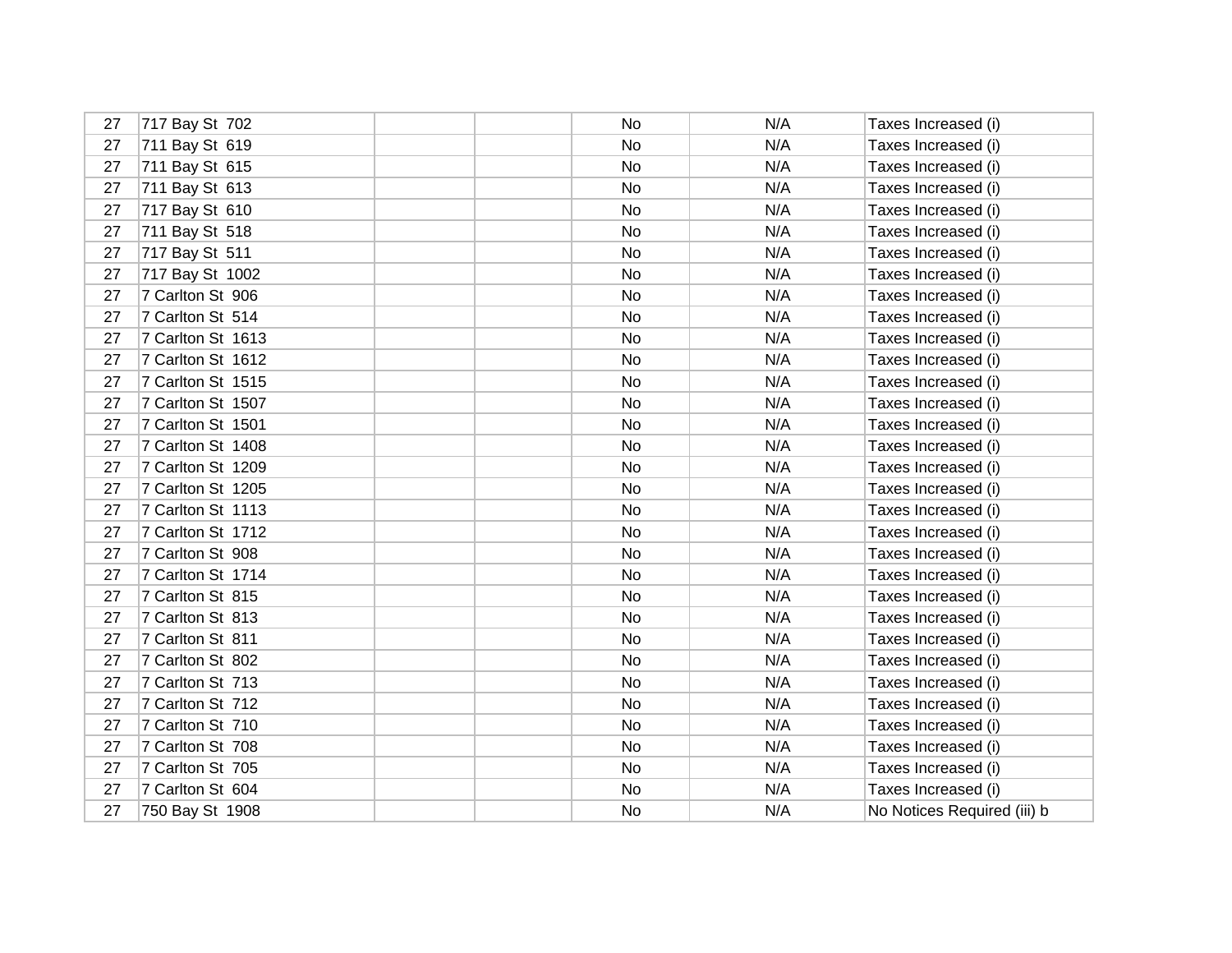| 27 | 717 Bay St 702    | No | N/A | Taxes Increased (i)         |
|----|-------------------|----|-----|-----------------------------|
| 27 | 711 Bay St 619    | No | N/A | Taxes Increased (i)         |
| 27 | 711 Bay St 615    | No | N/A | Taxes Increased (i)         |
| 27 | 711 Bay St 613    | No | N/A | Taxes Increased (i)         |
| 27 | 717 Bay St 610    | No | N/A | Taxes Increased (i)         |
| 27 | 711 Bay St 518    | No | N/A | Taxes Increased (i)         |
| 27 | 717 Bay St 511    | No | N/A | Taxes Increased (i)         |
| 27 | 717 Bay St 1002   | No | N/A | Taxes Increased (i)         |
| 27 | 7 Carlton St 906  | No | N/A | Taxes Increased (i)         |
| 27 | 7 Carlton St 514  | No | N/A | Taxes Increased (i)         |
| 27 | 7 Carlton St 1613 | No | N/A | Taxes Increased (i)         |
| 27 | 7 Carlton St 1612 | No | N/A | Taxes Increased (i)         |
| 27 | 7 Carlton St 1515 | No | N/A | Taxes Increased (i)         |
| 27 | 7 Carlton St 1507 | No | N/A | Taxes Increased (i)         |
| 27 | 7 Carlton St 1501 | No | N/A | Taxes Increased (i)         |
| 27 | 7 Carlton St 1408 | No | N/A | Taxes Increased (i)         |
| 27 | 7 Carlton St 1209 | No | N/A | Taxes Increased (i)         |
| 27 | 7 Carlton St 1205 | No | N/A | Taxes Increased (i)         |
| 27 | 7 Carlton St 1113 | No | N/A | Taxes Increased (i)         |
| 27 | 7 Carlton St 1712 | No | N/A | Taxes Increased (i)         |
| 27 | 7 Carlton St 908  | No | N/A | Taxes Increased (i)         |
| 27 | 7 Carlton St 1714 | No | N/A | Taxes Increased (i)         |
| 27 | 7 Carlton St 815  | No | N/A | Taxes Increased (i)         |
| 27 | 7 Carlton St 813  | No | N/A | Taxes Increased (i)         |
| 27 | 7 Carlton St 811  | No | N/A | Taxes Increased (i)         |
| 27 | 7 Carlton St 802  | No | N/A | Taxes Increased (i)         |
| 27 | 7 Carlton St 713  | No | N/A | Taxes Increased (i)         |
| 27 | 7 Carlton St 712  | No | N/A | Taxes Increased (i)         |
| 27 | 7 Carlton St 710  | No | N/A | Taxes Increased (i)         |
| 27 | 7 Carlton St 708  | No | N/A | Taxes Increased (i)         |
| 27 | 7 Carlton St 705  | No | N/A | Taxes Increased (i)         |
| 27 | 7 Carlton St 604  | No | N/A | Taxes Increased (i)         |
| 27 | 750 Bay St 1908   | No | N/A | No Notices Required (iii) b |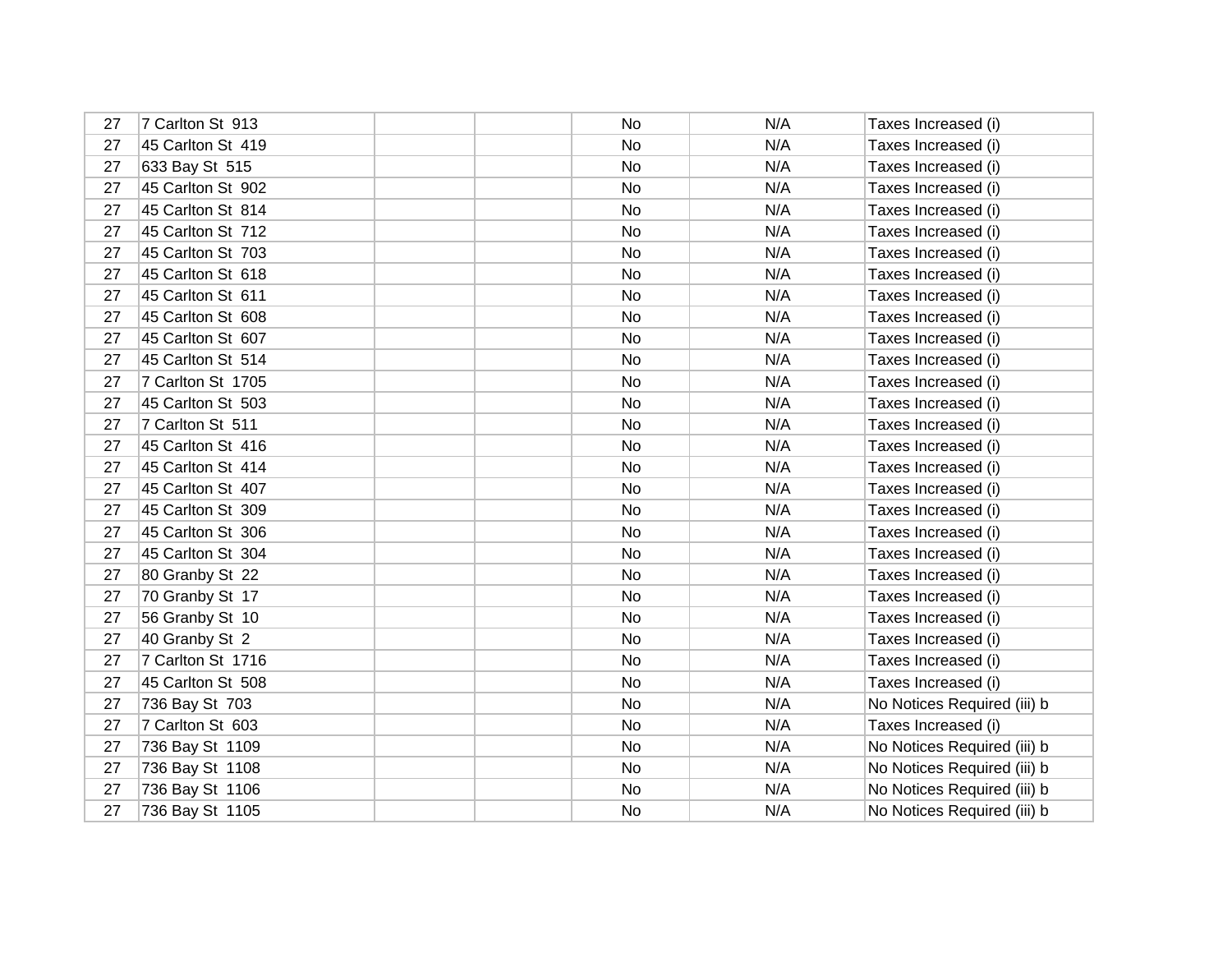| 27 | 7 Carlton St 913  | No | N/A | Taxes Increased (i)         |
|----|-------------------|----|-----|-----------------------------|
| 27 | 45 Carlton St 419 | No | N/A | Taxes Increased (i)         |
| 27 | 633 Bay St 515    | No | N/A | Taxes Increased (i)         |
| 27 | 45 Carlton St 902 | No | N/A | Taxes Increased (i)         |
| 27 | 45 Carlton St 814 | No | N/A | Taxes Increased (i)         |
| 27 | 45 Carlton St 712 | No | N/A | Taxes Increased (i)         |
| 27 | 45 Carlton St 703 | No | N/A | Taxes Increased (i)         |
| 27 | 45 Carlton St 618 | No | N/A | Taxes Increased (i)         |
| 27 | 45 Carlton St 611 | No | N/A | Taxes Increased (i)         |
| 27 | 45 Carlton St 608 | No | N/A | Taxes Increased (i)         |
| 27 | 45 Carlton St 607 | No | N/A | Taxes Increased (i)         |
| 27 | 45 Carlton St 514 | No | N/A | Taxes Increased (i)         |
| 27 | 7 Carlton St 1705 | No | N/A | Taxes Increased (i)         |
| 27 | 45 Carlton St 503 | No | N/A | Taxes Increased (i)         |
| 27 | 7 Carlton St 511  | No | N/A | Taxes Increased (i)         |
| 27 | 45 Carlton St 416 | No | N/A | Taxes Increased (i)         |
| 27 | 45 Carlton St 414 | No | N/A | Taxes Increased (i)         |
| 27 | 45 Carlton St 407 | No | N/A | Taxes Increased (i)         |
| 27 | 45 Carlton St 309 | No | N/A | Taxes Increased (i)         |
| 27 | 45 Carlton St 306 | No | N/A | Taxes Increased (i)         |
| 27 | 45 Carlton St 304 | No | N/A | Taxes Increased (i)         |
| 27 | 80 Granby St 22   | No | N/A | Taxes Increased (i)         |
| 27 | 70 Granby St 17   | No | N/A | Taxes Increased (i)         |
| 27 | 56 Granby St 10   | No | N/A | Taxes Increased (i)         |
| 27 | 40 Granby St 2    | No | N/A | Taxes Increased (i)         |
| 27 | 7 Carlton St 1716 | No | N/A | Taxes Increased (i)         |
| 27 | 45 Carlton St 508 | No | N/A | Taxes Increased (i)         |
| 27 | 736 Bay St 703    | No | N/A | No Notices Required (iii) b |
| 27 | 7 Carlton St 603  | No | N/A | Taxes Increased (i)         |
| 27 | 736 Bay St 1109   | No | N/A | No Notices Required (iii) b |
| 27 | 736 Bay St 1108   | No | N/A | No Notices Required (iii) b |
| 27 | 736 Bay St 1106   | No | N/A | No Notices Required (iii) b |
| 27 | 736 Bay St 1105   | No | N/A | No Notices Required (iii) b |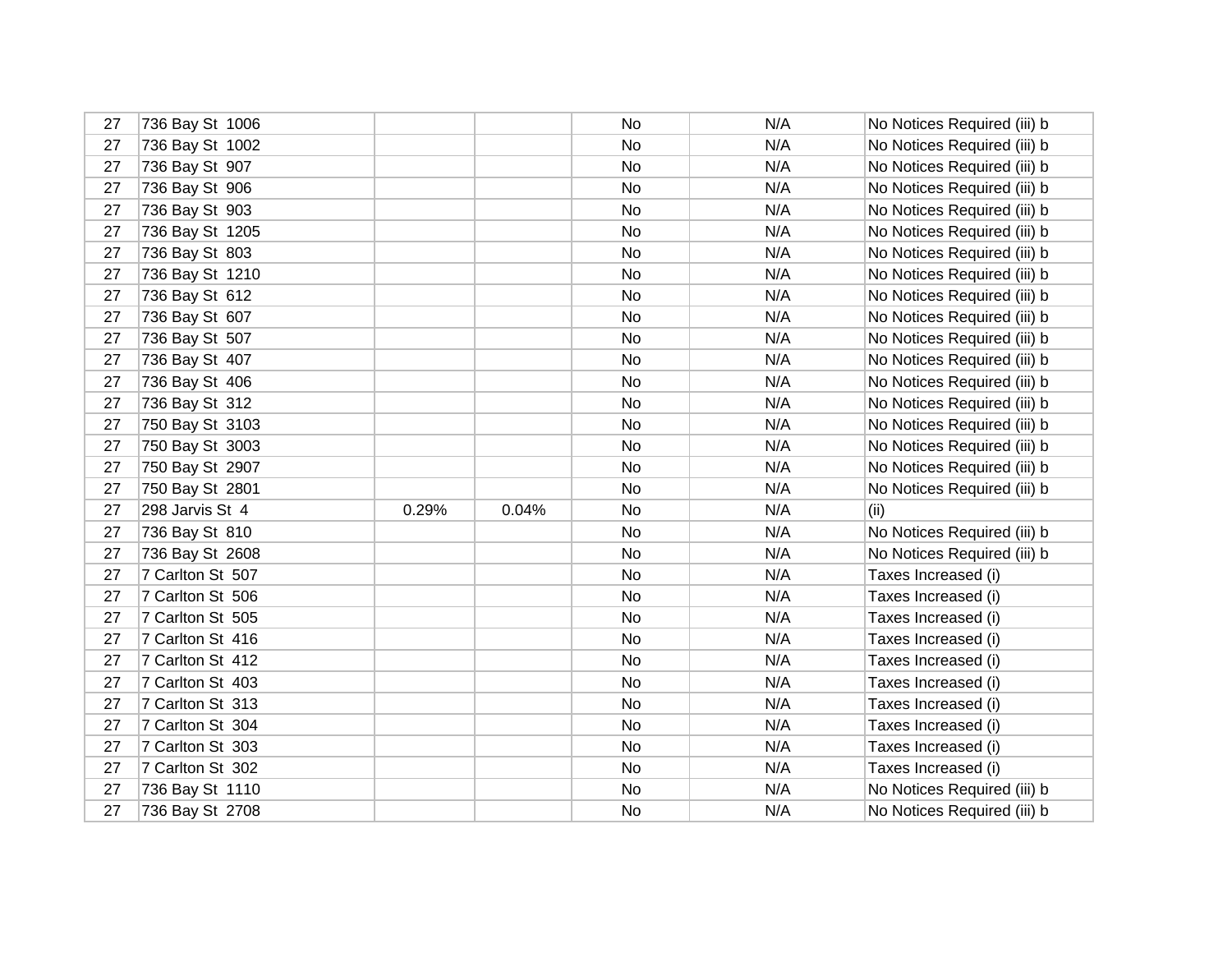| 27 | 736 Bay St 1006  |       |       | No.       | N/A | No Notices Required (iii) b |
|----|------------------|-------|-------|-----------|-----|-----------------------------|
| 27 | 736 Bay St 1002  |       |       | <b>No</b> | N/A | No Notices Required (iii) b |
| 27 | 736 Bay St 907   |       |       | No        | N/A | No Notices Required (iii) b |
| 27 | 736 Bay St 906   |       |       | <b>No</b> | N/A | No Notices Required (iii) b |
| 27 | 736 Bay St 903   |       |       | No.       | N/A | No Notices Required (iii) b |
| 27 | 736 Bay St 1205  |       |       | No        | N/A | No Notices Required (iii) b |
| 27 | 736 Bay St 803   |       |       | <b>No</b> | N/A | No Notices Required (iii) b |
| 27 | 736 Bay St 1210  |       |       | No        | N/A | No Notices Required (iii) b |
| 27 | 736 Bay St 612   |       |       | No.       | N/A | No Notices Required (iii) b |
| 27 | 736 Bay St 607   |       |       | No        | N/A | No Notices Required (iii) b |
| 27 | 736 Bay St 507   |       |       | No        | N/A | No Notices Required (iii) b |
| 27 | 736 Bay St 407   |       |       | No        | N/A | No Notices Required (iii) b |
| 27 | 736 Bay St 406   |       |       | No        | N/A | No Notices Required (iii) b |
| 27 | 736 Bay St 312   |       |       | No        | N/A | No Notices Required (iii) b |
| 27 | 750 Bay St 3103  |       |       | No        | N/A | No Notices Required (iii) b |
| 27 | 750 Bay St 3003  |       |       | No        | N/A | No Notices Required (iii) b |
| 27 | 750 Bay St 2907  |       |       | No        | N/A | No Notices Required (iii) b |
| 27 | 750 Bay St 2801  |       |       | No        | N/A | No Notices Required (iii) b |
| 27 | 298 Jarvis St 4  | 0.29% | 0.04% | No        | N/A | (ii)                        |
| 27 | 736 Bay St 810   |       |       | No        | N/A | No Notices Required (iii) b |
| 27 | 736 Bay St 2608  |       |       | No        | N/A | No Notices Required (iii) b |
| 27 | 7 Carlton St 507 |       |       | No        | N/A | Taxes Increased (i)         |
| 27 | 7 Carlton St 506 |       |       | No        | N/A | Taxes Increased (i)         |
| 27 | 7 Carlton St 505 |       |       | No        | N/A | Taxes Increased (i)         |
| 27 | 7 Carlton St 416 |       |       | No        | N/A | Taxes Increased (i)         |
| 27 | 7 Carlton St 412 |       |       | No        | N/A | Taxes Increased (i)         |
| 27 | 7 Carlton St 403 |       |       | No        | N/A | Taxes Increased (i)         |
| 27 | 7 Carlton St 313 |       |       | No        | N/A | Taxes Increased (i)         |
| 27 | 7 Carlton St 304 |       |       | <b>No</b> | N/A | Taxes Increased (i)         |
| 27 | 7 Carlton St 303 |       |       | No        | N/A | Taxes Increased (i)         |
| 27 | 7 Carlton St 302 |       |       | <b>No</b> | N/A | Taxes Increased (i)         |
| 27 | 736 Bay St 1110  |       |       | No        | N/A | No Notices Required (iii) b |
| 27 | 736 Bay St 2708  |       |       | No        | N/A | No Notices Required (iii) b |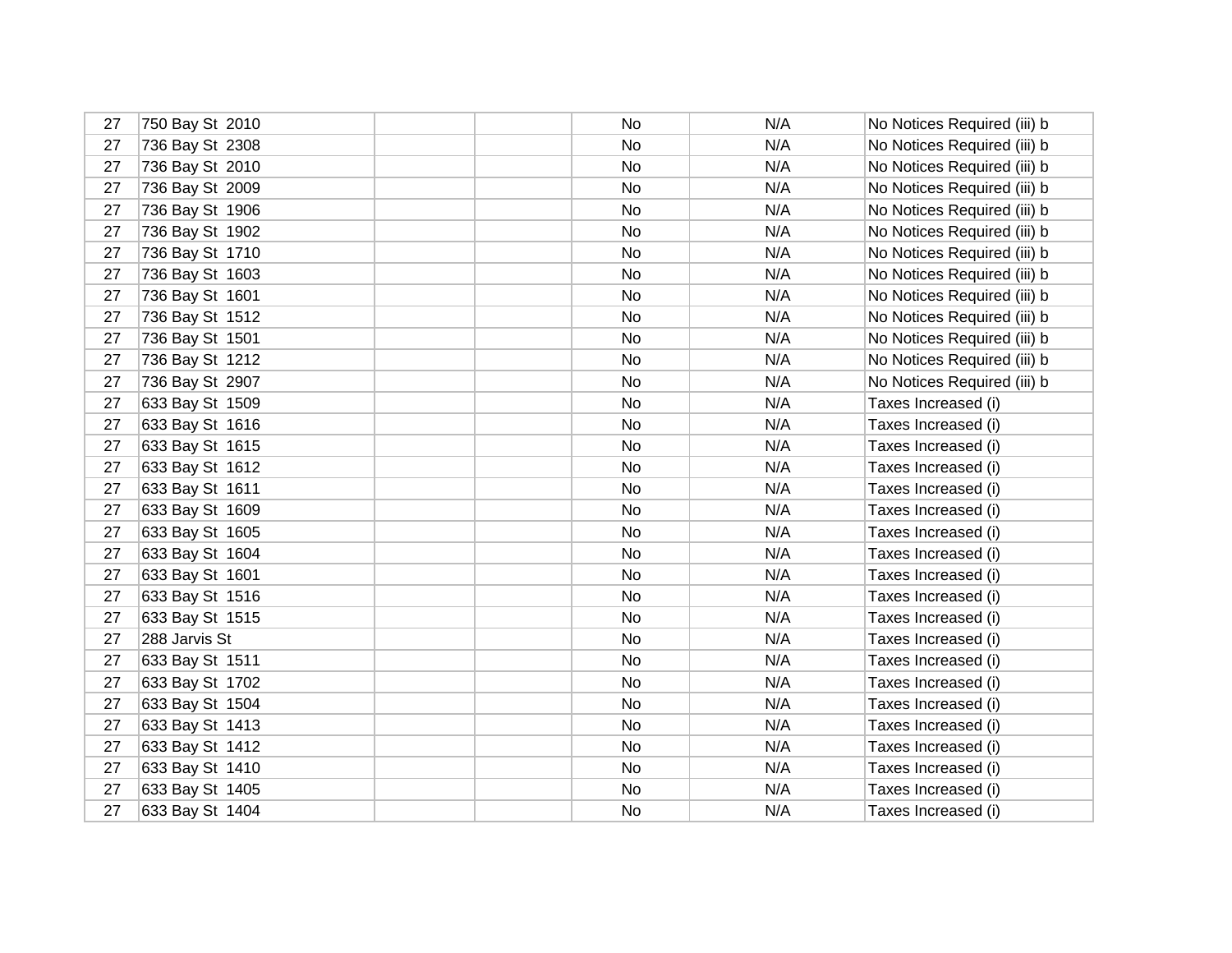| 27 | 750 Bay St 2010 | No | N/A | No Notices Required (iii) b |
|----|-----------------|----|-----|-----------------------------|
| 27 | 736 Bay St 2308 | No | N/A | No Notices Required (iii) b |
| 27 | 736 Bay St 2010 | No | N/A | No Notices Required (iii) b |
| 27 | 736 Bay St 2009 | No | N/A | No Notices Required (iii) b |
| 27 | 736 Bay St 1906 | No | N/A | No Notices Required (iii) b |
| 27 | 736 Bay St 1902 | No | N/A | No Notices Required (iii) b |
| 27 | 736 Bay St 1710 | No | N/A | No Notices Required (iii) b |
| 27 | 736 Bay St 1603 | No | N/A | No Notices Required (iii) b |
| 27 | 736 Bay St 1601 | No | N/A | No Notices Required (iii) b |
| 27 | 736 Bay St 1512 | No | N/A | No Notices Required (iii) b |
| 27 | 736 Bay St 1501 | No | N/A | No Notices Required (iii) b |
| 27 | 736 Bay St 1212 | No | N/A | No Notices Required (iii) b |
| 27 | 736 Bay St 2907 | No | N/A | No Notices Required (iii) b |
| 27 | 633 Bay St 1509 | No | N/A | Taxes Increased (i)         |
| 27 | 633 Bay St 1616 | No | N/A | Taxes Increased (i)         |
| 27 | 633 Bay St 1615 | No | N/A | Taxes Increased (i)         |
| 27 | 633 Bay St 1612 | No | N/A | Taxes Increased (i)         |
| 27 | 633 Bay St 1611 | No | N/A | Taxes Increased (i)         |
| 27 | 633 Bay St 1609 | No | N/A | Taxes Increased (i)         |
| 27 | 633 Bay St 1605 | No | N/A | Taxes Increased (i)         |
| 27 | 633 Bay St 1604 | No | N/A | Taxes Increased (i)         |
| 27 | 633 Bay St 1601 | No | N/A | Taxes Increased (i)         |
| 27 | 633 Bay St 1516 | No | N/A | Taxes Increased (i)         |
| 27 | 633 Bay St 1515 | No | N/A | Taxes Increased (i)         |
| 27 | 288 Jarvis St   | No | N/A | Taxes Increased (i)         |
| 27 | 633 Bay St 1511 | No | N/A | Taxes Increased (i)         |
| 27 | 633 Bay St 1702 | No | N/A | Taxes Increased (i)         |
| 27 | 633 Bay St 1504 | No | N/A | Taxes Increased (i)         |
| 27 | 633 Bay St 1413 | No | N/A | Taxes Increased (i)         |
| 27 | 633 Bay St 1412 | No | N/A | Taxes Increased (i)         |
| 27 | 633 Bay St 1410 | No | N/A | Taxes Increased (i)         |
| 27 | 633 Bay St 1405 | No | N/A | Taxes Increased (i)         |
| 27 | 633 Bay St 1404 | No | N/A | Taxes Increased (i)         |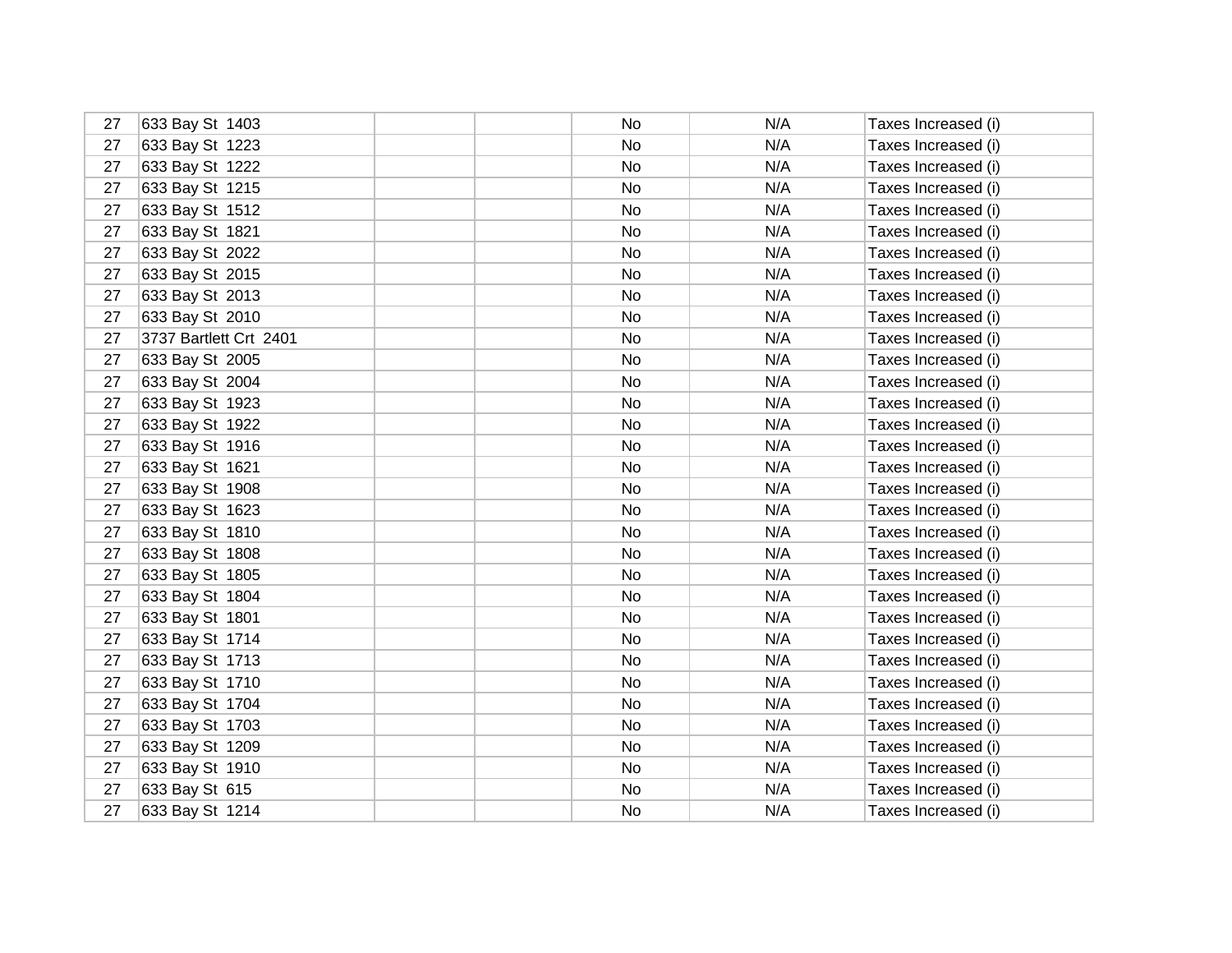| 27 | 633 Bay St 1403        | No | N/A | Taxes Increased (i) |
|----|------------------------|----|-----|---------------------|
| 27 | 633 Bay St 1223        | No | N/A | Taxes Increased (i) |
| 27 | 633 Bay St 1222        | No | N/A | Taxes Increased (i) |
| 27 | 633 Bay St 1215        | No | N/A | Taxes Increased (i) |
| 27 | 633 Bay St 1512        | No | N/A | Taxes Increased (i) |
| 27 | 633 Bay St 1821        | No | N/A | Taxes Increased (i) |
| 27 | 633 Bay St 2022        | No | N/A | Taxes Increased (i) |
| 27 | 633 Bay St 2015        | No | N/A | Taxes Increased (i) |
| 27 | 633 Bay St 2013        | No | N/A | Taxes Increased (i) |
| 27 | 633 Bay St 2010        | No | N/A | Taxes Increased (i) |
| 27 | 3737 Bartlett Crt 2401 | No | N/A | Taxes Increased (i) |
| 27 | 633 Bay St 2005        | No | N/A | Taxes Increased (i) |
| 27 | 633 Bay St 2004        | No | N/A | Taxes Increased (i) |
| 27 | 633 Bay St 1923        | No | N/A | Taxes Increased (i) |
| 27 | 633 Bay St 1922        | No | N/A | Taxes Increased (i) |
| 27 | 633 Bay St 1916        | No | N/A | Taxes Increased (i) |
| 27 | 633 Bay St 1621        | No | N/A | Taxes Increased (i) |
| 27 | 633 Bay St 1908        | No | N/A | Taxes Increased (i) |
| 27 | 633 Bay St 1623        | No | N/A | Taxes Increased (i) |
| 27 | 633 Bay St 1810        | No | N/A | Taxes Increased (i) |
| 27 | 633 Bay St 1808        | No | N/A | Taxes Increased (i) |
| 27 | 633 Bay St 1805        | No | N/A | Taxes Increased (i) |
| 27 | 633 Bay St 1804        | No | N/A | Taxes Increased (i) |
| 27 | 633 Bay St 1801        | No | N/A | Taxes Increased (i) |
| 27 | 633 Bay St 1714        | No | N/A | Taxes Increased (i) |
| 27 | 633 Bay St 1713        | No | N/A | Taxes Increased (i) |
| 27 | 633 Bay St 1710        | No | N/A | Taxes Increased (i) |
| 27 | 633 Bay St 1704        | No | N/A | Taxes Increased (i) |
| 27 | 633 Bay St 1703        | No | N/A | Taxes Increased (i) |
| 27 | 633 Bay St 1209        | No | N/A | Taxes Increased (i) |
| 27 | 633 Bay St 1910        | No | N/A | Taxes Increased (i) |
| 27 | 633 Bay St 615         | No | N/A | Taxes Increased (i) |
| 27 | 633 Bay St 1214        | No | N/A | Taxes Increased (i) |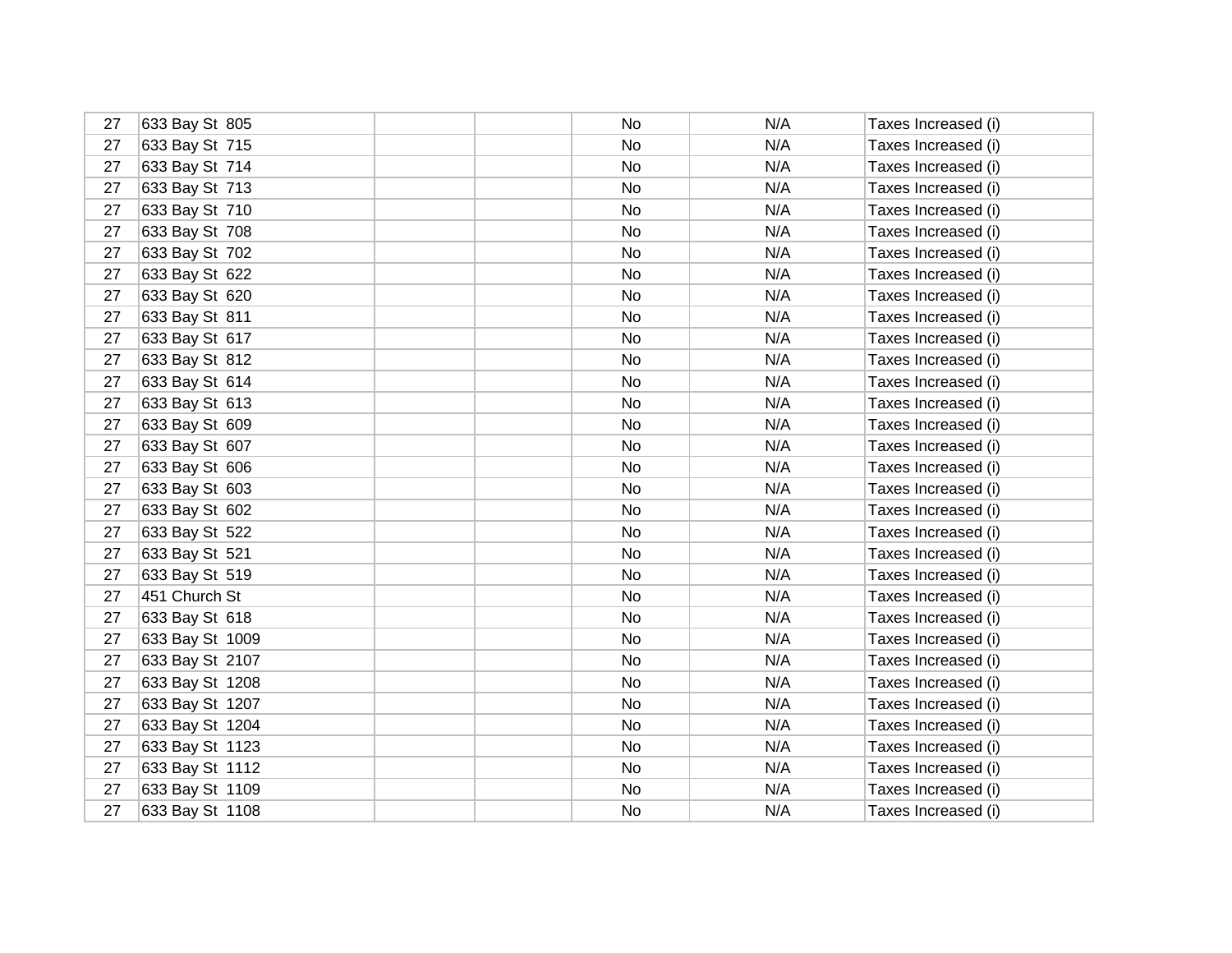| 27 | 633 Bay St 805  | No.       | N/A | Taxes Increased (i) |
|----|-----------------|-----------|-----|---------------------|
| 27 | 633 Bay St 715  | <b>No</b> | N/A | Taxes Increased (i) |
| 27 | 633 Bay St 714  | No.       | N/A | Taxes Increased (i) |
| 27 | 633 Bay St 713  | <b>No</b> | N/A | Taxes Increased (i) |
| 27 | 633 Bay St 710  | No        | N/A | Taxes Increased (i) |
| 27 | 633 Bay St 708  | No        | N/A | Taxes Increased (i) |
| 27 | 633 Bay St 702  | No        | N/A | Taxes Increased (i) |
| 27 | 633 Bay St 622  | No        | N/A | Taxes Increased (i) |
| 27 | 633 Bay St 620  | No.       | N/A | Taxes Increased (i) |
| 27 | 633 Bay St 811  | No        | N/A | Taxes Increased (i) |
| 27 | 633 Bay St 617  | No        | N/A | Taxes Increased (i) |
| 27 | 633 Bay St 812  | No        | N/A | Taxes Increased (i) |
| 27 | 633 Bay St 614  | No        | N/A | Taxes Increased (i) |
| 27 | 633 Bay St 613  | No        | N/A | Taxes Increased (i) |
| 27 | 633 Bay St 609  | No        | N/A | Taxes Increased (i) |
| 27 | 633 Bay St 607  | No        | N/A | Taxes Increased (i) |
| 27 | 633 Bay St 606  | No        | N/A | Taxes Increased (i) |
| 27 | 633 Bay St 603  | No        | N/A | Taxes Increased (i) |
| 27 | 633 Bay St 602  | No.       | N/A | Taxes Increased (i) |
| 27 | 633 Bay St 522  | No        | N/A | Taxes Increased (i) |
| 27 | 633 Bay St 521  | No        | N/A | Taxes Increased (i) |
| 27 | 633 Bay St 519  | No        | N/A | Taxes Increased (i) |
| 27 | 451 Church St   | No        | N/A | Taxes Increased (i) |
| 27 | 633 Bay St 618  | No        | N/A | Taxes Increased (i) |
| 27 | 633 Bay St 1009 | No.       | N/A | Taxes Increased (i) |
| 27 | 633 Bay St 2107 | No        | N/A | Taxes Increased (i) |
| 27 | 633 Bay St 1208 | <b>No</b> | N/A | Taxes Increased (i) |
| 27 | 633 Bay St 1207 | No        | N/A | Taxes Increased (i) |
| 27 | 633 Bay St 1204 | <b>No</b> | N/A | Taxes Increased (i) |
| 27 | 633 Bay St 1123 | No        | N/A | Taxes Increased (i) |
| 27 | 633 Bay St 1112 | <b>No</b> | N/A | Taxes Increased (i) |
| 27 | 633 Bay St 1109 | No        | N/A | Taxes Increased (i) |
| 27 | 633 Bay St 1108 | No        | N/A | Taxes Increased (i) |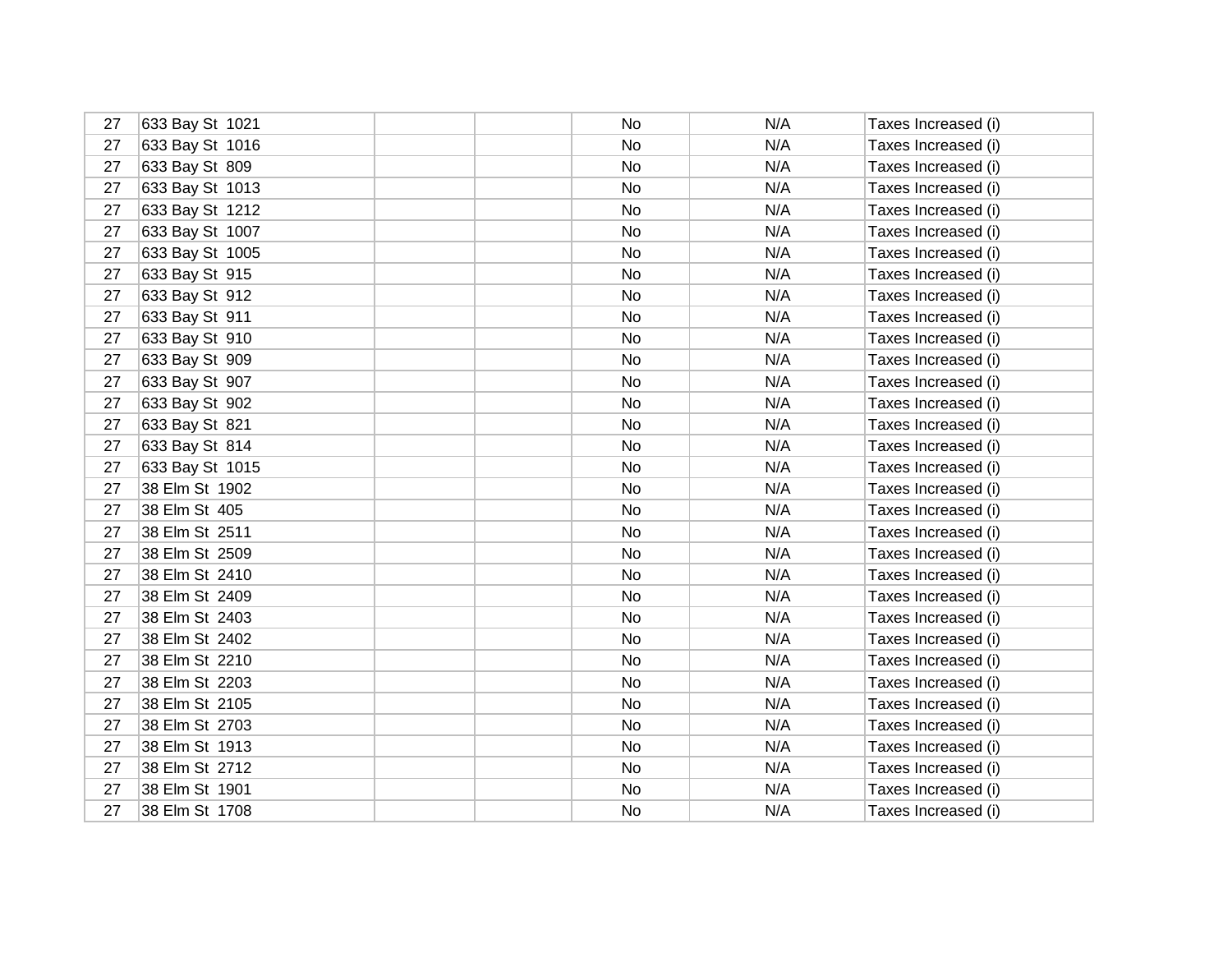| 27 | 633 Bay St 1021 | No | N/A | Taxes Increased (i) |
|----|-----------------|----|-----|---------------------|
| 27 | 633 Bay St 1016 | No | N/A | Taxes Increased (i) |
| 27 | 633 Bay St 809  | No | N/A | Taxes Increased (i) |
| 27 | 633 Bay St 1013 | No | N/A | Taxes Increased (i) |
| 27 | 633 Bay St 1212 | No | N/A | Taxes Increased (i) |
| 27 | 633 Bay St 1007 | No | N/A | Taxes Increased (i) |
| 27 | 633 Bay St 1005 | No | N/A | Taxes Increased (i) |
| 27 | 633 Bay St 915  | No | N/A | Taxes Increased (i) |
| 27 | 633 Bay St 912  | No | N/A | Taxes Increased (i) |
| 27 | 633 Bay St 911  | No | N/A | Taxes Increased (i) |
| 27 | 633 Bay St 910  | No | N/A | Taxes Increased (i) |
| 27 | 633 Bay St 909  | No | N/A | Taxes Increased (i) |
| 27 | 633 Bay St 907  | No | N/A | Taxes Increased (i) |
| 27 | 633 Bay St 902  | No | N/A | Taxes Increased (i) |
| 27 | 633 Bay St 821  | No | N/A | Taxes Increased (i) |
| 27 | 633 Bay St 814  | No | N/A | Taxes Increased (i) |
| 27 | 633 Bay St 1015 | No | N/A | Taxes Increased (i) |
| 27 | 38 Elm St 1902  | No | N/A | Taxes Increased (i) |
| 27 | 38 Elm St 405   | No | N/A | Taxes Increased (i) |
| 27 | 38 Elm St 2511  | No | N/A | Taxes Increased (i) |
| 27 | 38 Elm St 2509  | No | N/A | Taxes Increased (i) |
| 27 | 38 Elm St 2410  | No | N/A | Taxes Increased (i) |
| 27 | 38 Elm St 2409  | No | N/A | Taxes Increased (i) |
| 27 | 38 Elm St 2403  | No | N/A | Taxes Increased (i) |
| 27 | 38 Elm St 2402  | No | N/A | Taxes Increased (i) |
| 27 | 38 Elm St 2210  | No | N/A | Taxes Increased (i) |
| 27 | 38 Elm St 2203  | No | N/A | Taxes Increased (i) |
| 27 | 38 Elm St 2105  | No | N/A | Taxes Increased (i) |
| 27 | 38 Elm St 2703  | No | N/A | Taxes Increased (i) |
| 27 | 38 Elm St 1913  | No | N/A | Taxes Increased (i) |
| 27 | 38 Elm St 2712  | No | N/A | Taxes Increased (i) |
| 27 | 38 Elm St 1901  | No | N/A | Taxes Increased (i) |
| 27 | 38 Elm St 1708  | No | N/A | Taxes Increased (i) |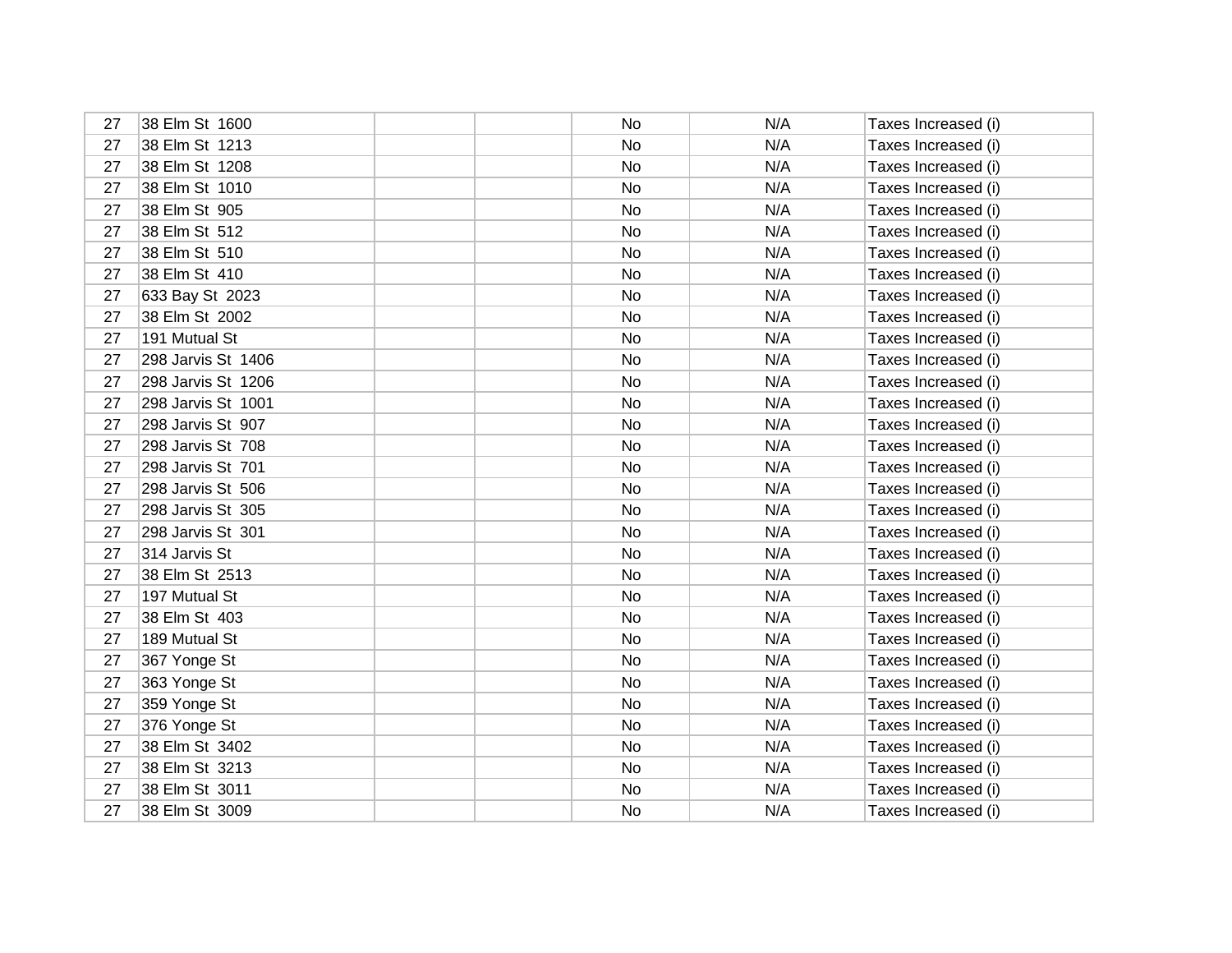| 27 | 38 Elm St 1600     | No | N/A | Taxes Increased (i) |
|----|--------------------|----|-----|---------------------|
| 27 | 38 Elm St 1213     | No | N/A | Taxes Increased (i) |
| 27 | 38 Elm St 1208     | No | N/A | Taxes Increased (i) |
| 27 | 38 Elm St 1010     | No | N/A | Taxes Increased (i) |
| 27 | 38 Elm St 905      | No | N/A | Taxes Increased (i) |
| 27 | 38 Elm St 512      | No | N/A | Taxes Increased (i) |
| 27 | 38 Elm St 510      | No | N/A | Taxes Increased (i) |
| 27 | 38 Elm St 410      | No | N/A | Taxes Increased (i) |
| 27 | 633 Bay St 2023    | No | N/A | Taxes Increased (i) |
| 27 | 38 Elm St 2002     | No | N/A | Taxes Increased (i) |
| 27 | 191 Mutual St      | No | N/A | Taxes Increased (i) |
| 27 | 298 Jarvis St 1406 | No | N/A | Taxes Increased (i) |
| 27 | 298 Jarvis St 1206 | No | N/A | Taxes Increased (i) |
| 27 | 298 Jarvis St 1001 | No | N/A | Taxes Increased (i) |
| 27 | 298 Jarvis St 907  | No | N/A | Taxes Increased (i) |
| 27 | 298 Jarvis St 708  | No | N/A | Taxes Increased (i) |
| 27 | 298 Jarvis St 701  | No | N/A | Taxes Increased (i) |
| 27 | 298 Jarvis St 506  | No | N/A | Taxes Increased (i) |
| 27 | 298 Jarvis St 305  | No | N/A | Taxes Increased (i) |
| 27 | 298 Jarvis St 301  | No | N/A | Taxes Increased (i) |
| 27 | 314 Jarvis St      | No | N/A | Taxes Increased (i) |
| 27 | 38 Elm St 2513     | No | N/A | Taxes Increased (i) |
| 27 | 197 Mutual St      | No | N/A | Taxes Increased (i) |
| 27 | 38 Elm St 403      | No | N/A | Taxes Increased (i) |
| 27 | 189 Mutual St      | No | N/A | Taxes Increased (i) |
| 27 | 367 Yonge St       | No | N/A | Taxes Increased (i) |
| 27 | 363 Yonge St       | No | N/A | Taxes Increased (i) |
| 27 | 359 Yonge St       | No | N/A | Taxes Increased (i) |
| 27 | 376 Yonge St       | No | N/A | Taxes Increased (i) |
| 27 | 38 Elm St 3402     | No | N/A | Taxes Increased (i) |
| 27 | 38 Elm St 3213     | No | N/A | Taxes Increased (i) |
| 27 | 38 Elm St 3011     | No | N/A | Taxes Increased (i) |
| 27 | 38 Elm St 3009     | No | N/A | Taxes Increased (i) |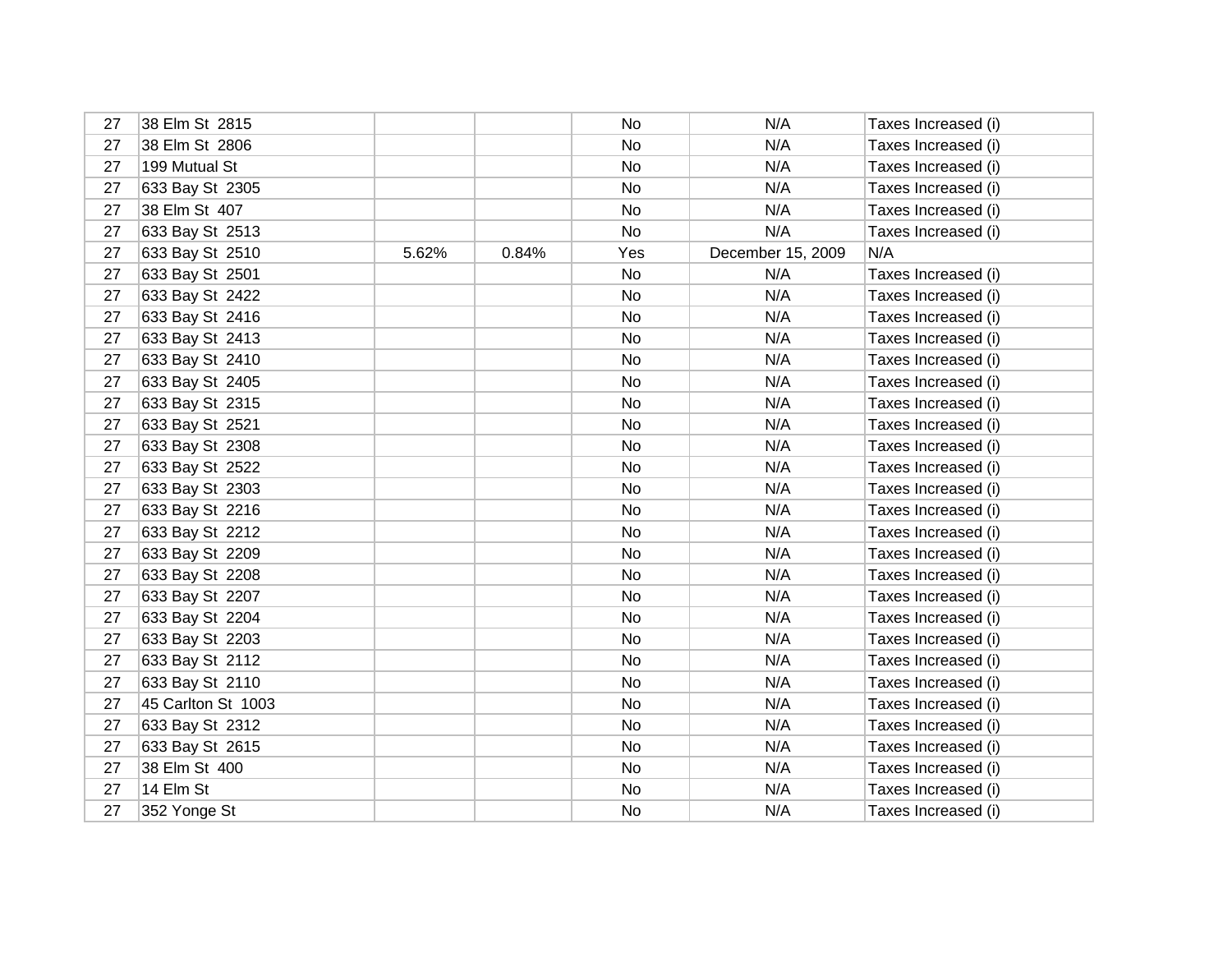| 27 | 38 Elm St 2815     |       |       | No  | N/A               | Taxes Increased (i) |
|----|--------------------|-------|-------|-----|-------------------|---------------------|
| 27 | 38 Elm St 2806     |       |       | No  | N/A               | Taxes Increased (i) |
| 27 | 199 Mutual St      |       |       | No  | N/A               | Taxes Increased (i) |
| 27 | 633 Bay St 2305    |       |       | No  | N/A               | Taxes Increased (i) |
| 27 | 38 Elm St 407      |       |       | No  | N/A               | Taxes Increased (i) |
| 27 | 633 Bay St 2513    |       |       | No  | N/A               | Taxes Increased (i) |
| 27 | 633 Bay St 2510    | 5.62% | 0.84% | Yes | December 15, 2009 | N/A                 |
| 27 | 633 Bay St 2501    |       |       | No  | N/A               | Taxes Increased (i) |
| 27 | 633 Bay St 2422    |       |       | No  | N/A               | Taxes Increased (i) |
| 27 | 633 Bay St 2416    |       |       | No  | N/A               | Taxes Increased (i) |
| 27 | 633 Bay St 2413    |       |       | No  | N/A               | Taxes Increased (i) |
| 27 | 633 Bay St 2410    |       |       | No  | N/A               | Taxes Increased (i) |
| 27 | 633 Bay St 2405    |       |       | No  | N/A               | Taxes Increased (i) |
| 27 | 633 Bay St 2315    |       |       | No  | N/A               | Taxes Increased (i) |
| 27 | 633 Bay St 2521    |       |       | No  | N/A               | Taxes Increased (i) |
| 27 | 633 Bay St 2308    |       |       | No  | N/A               | Taxes Increased (i) |
| 27 | 633 Bay St 2522    |       |       | No  | N/A               | Taxes Increased (i) |
| 27 | 633 Bay St 2303    |       |       | No  | N/A               | Taxes Increased (i) |
| 27 | 633 Bay St 2216    |       |       | No  | N/A               | Taxes Increased (i) |
| 27 | 633 Bay St 2212    |       |       | No  | N/A               | Taxes Increased (i) |
| 27 | 633 Bay St 2209    |       |       | No  | N/A               | Taxes Increased (i) |
| 27 | 633 Bay St 2208    |       |       | No  | N/A               | Taxes Increased (i) |
| 27 | 633 Bay St 2207    |       |       | No  | N/A               | Taxes Increased (i) |
| 27 | 633 Bay St 2204    |       |       | No  | N/A               | Taxes Increased (i) |
| 27 | 633 Bay St 2203    |       |       | No  | N/A               | Taxes Increased (i) |
| 27 | 633 Bay St 2112    |       |       | No  | N/A               | Taxes Increased (i) |
| 27 | 633 Bay St 2110    |       |       | No  | N/A               | Taxes Increased (i) |
| 27 | 45 Carlton St 1003 |       |       | No  | N/A               | Taxes Increased (i) |
| 27 | 633 Bay St 2312    |       |       | No  | N/A               | Taxes Increased (i) |
| 27 | 633 Bay St 2615    |       |       | No  | N/A               | Taxes Increased (i) |
| 27 | 38 Elm St 400      |       |       | No  | N/A               | Taxes Increased (i) |
| 27 | 14 Elm St          |       |       | No  | N/A               | Taxes Increased (i) |
| 27 | 352 Yonge St       |       |       | No  | N/A               | Taxes Increased (i) |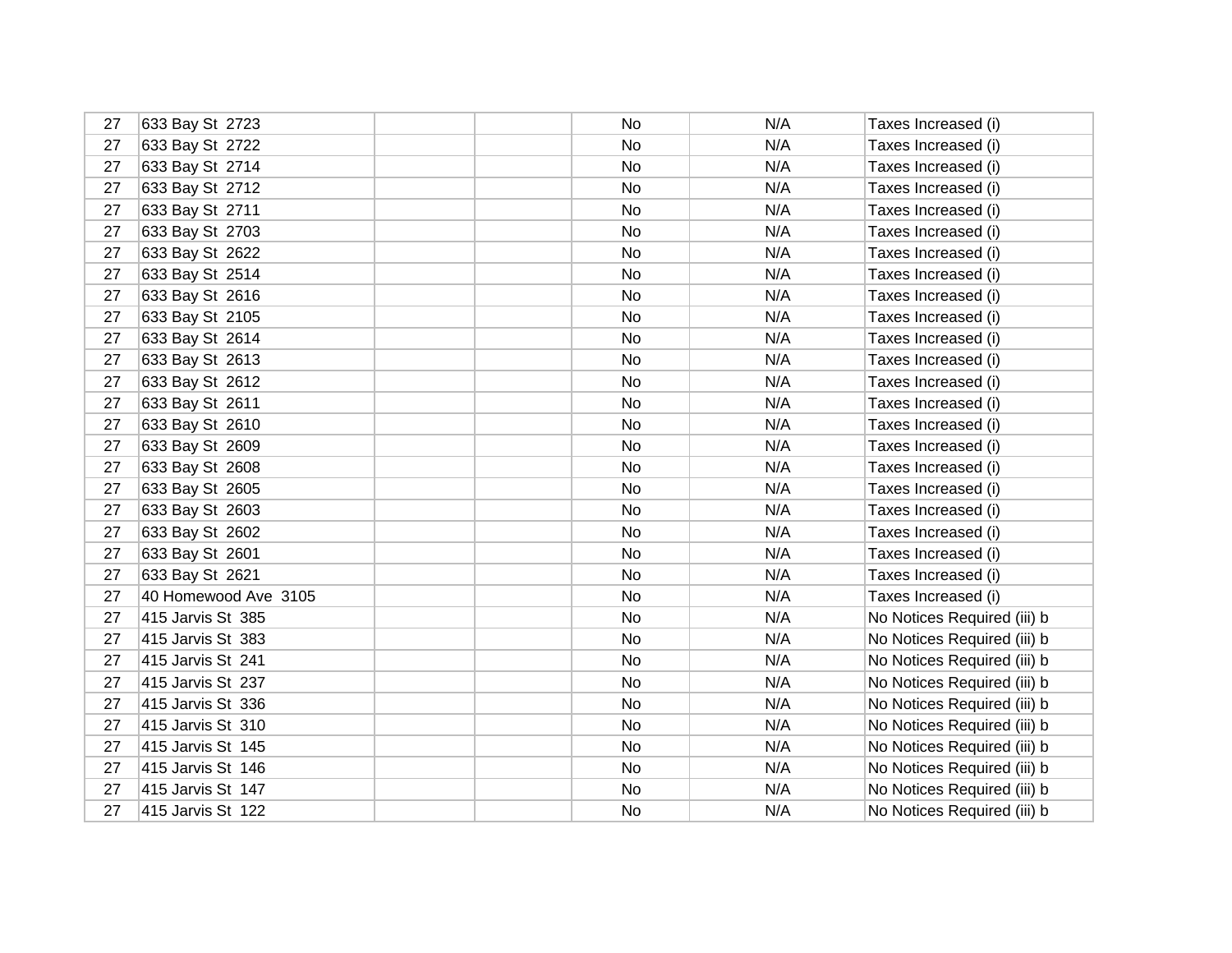| 27 | 633 Bay St 2723      | No.       | N/A | Taxes Increased (i)         |
|----|----------------------|-----------|-----|-----------------------------|
| 27 | 633 Bay St 2722      | No        | N/A | Taxes Increased (i)         |
| 27 | 633 Bay St 2714      | No.       | N/A | Taxes Increased (i)         |
| 27 | 633 Bay St 2712      | No        | N/A | Taxes Increased (i)         |
| 27 | 633 Bay St 2711      | No.       | N/A | Taxes Increased (i)         |
| 27 | 633 Bay St 2703      | No        | N/A | Taxes Increased (i)         |
| 27 | 633 Bay St 2622      | No        | N/A | Taxes Increased (i)         |
| 27 | 633 Bay St 2514      | No        | N/A | Taxes Increased (i)         |
| 27 | 633 Bay St 2616      | No.       | N/A | Taxes Increased (i)         |
| 27 | 633 Bay St 2105      | No        | N/A | Taxes Increased (i)         |
| 27 | 633 Bay St 2614      | No        | N/A | Taxes Increased (i)         |
| 27 | 633 Bay St 2613      | No        | N/A | Taxes Increased (i)         |
| 27 | 633 Bay St 2612      | No.       | N/A | Taxes Increased (i)         |
| 27 | 633 Bay St 2611      | No        | N/A | Taxes Increased (i)         |
| 27 | 633 Bay St 2610      | No        | N/A | Taxes Increased (i)         |
| 27 | 633 Bay St 2609      | No.       | N/A | Taxes Increased (i)         |
| 27 | 633 Bay St 2608      | No        | N/A | Taxes Increased (i)         |
| 27 | 633 Bay St 2605      | <b>No</b> | N/A | Taxes Increased (i)         |
| 27 | 633 Bay St 2603      | No        | N/A | Taxes Increased (i)         |
| 27 | 633 Bay St 2602      | <b>No</b> | N/A | Taxes Increased (i)         |
| 27 | 633 Bay St 2601      | No        | N/A | Taxes Increased (i)         |
| 27 | 633 Bay St 2621      | No.       | N/A | Taxes Increased (i)         |
| 27 | 40 Homewood Ave 3105 | No        | N/A | Taxes Increased (i)         |
| 27 | 415 Jarvis St 385    | No.       | N/A | No Notices Required (iii) b |
| 27 | 415 Jarvis St 383    | No        | N/A | No Notices Required (iii) b |
| 27 | 415 Jarvis St 241    | No        | N/A | No Notices Required (iii) b |
| 27 | 415 Jarvis St 237    | No        | N/A | No Notices Required (iii) b |
| 27 | 415 Jarvis St 336    | No        | N/A | No Notices Required (iii) b |
| 27 | 415 Jarvis St 310    | No        | N/A | No Notices Required (iii) b |
| 27 | 415 Jarvis St 145    | No        | N/A | No Notices Required (iii) b |
| 27 | 415 Jarvis St 146    | No        | N/A | No Notices Required (iii) b |
| 27 | 415 Jarvis St 147    | No        | N/A | No Notices Required (iii) b |
| 27 | 415 Jarvis St 122    | No        | N/A | No Notices Required (iii) b |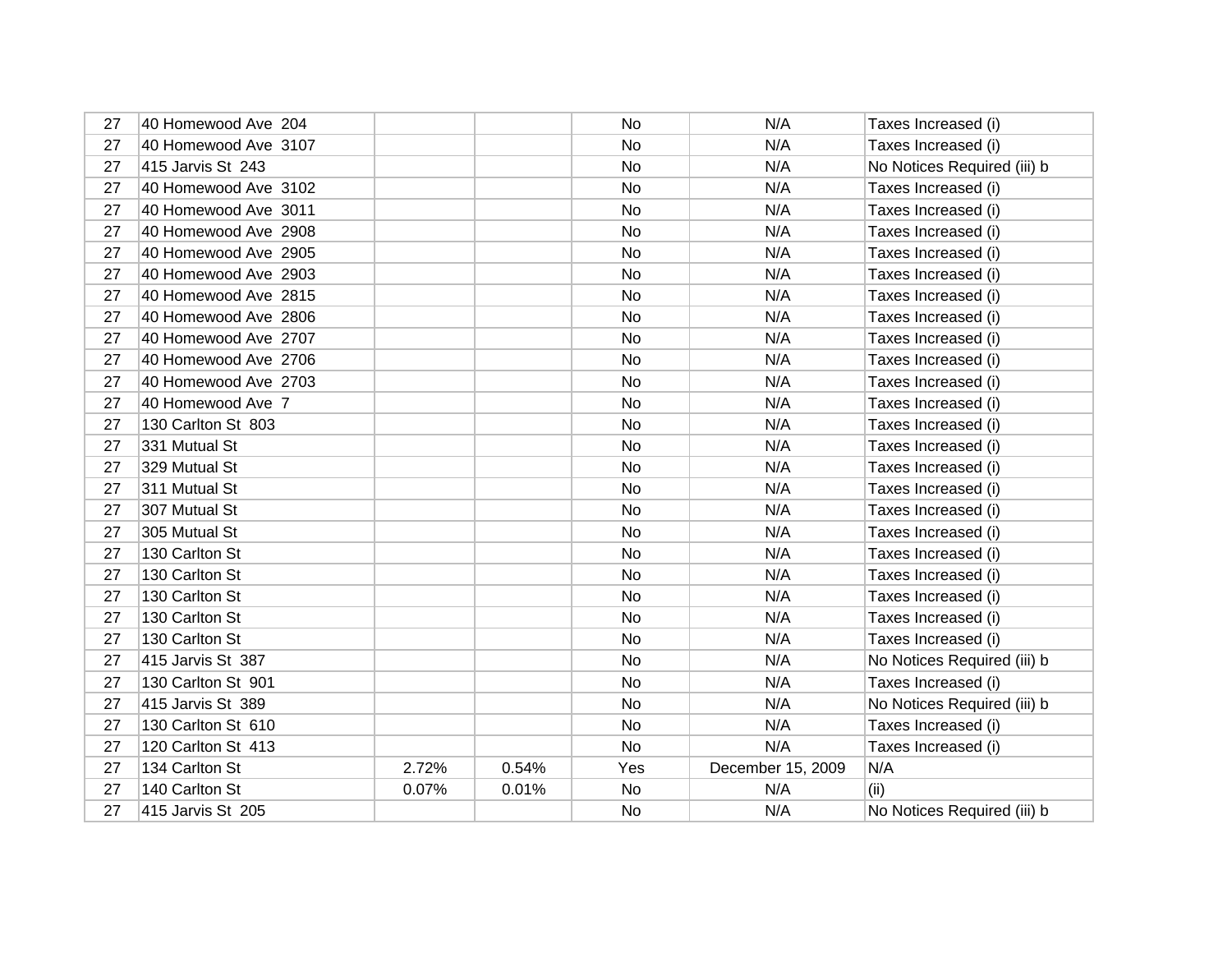| 27 | 40 Homewood Ave 204  |       |       | No        | N/A               | Taxes Increased (i)         |
|----|----------------------|-------|-------|-----------|-------------------|-----------------------------|
| 27 | 40 Homewood Ave 3107 |       |       | No        | N/A               | Taxes Increased (i)         |
| 27 | 415 Jarvis St 243    |       |       | No        | N/A               | No Notices Required (iii) b |
| 27 | 40 Homewood Ave 3102 |       |       | No        | N/A               | Taxes Increased (i)         |
| 27 | 40 Homewood Ave 3011 |       |       | No        | N/A               | Taxes Increased (i)         |
| 27 | 40 Homewood Ave 2908 |       |       | No        | N/A               | Taxes Increased (i)         |
| 27 | 40 Homewood Ave 2905 |       |       | No.       | N/A               | Taxes Increased (i)         |
| 27 | 40 Homewood Ave 2903 |       |       | No        | N/A               | Taxes Increased (i)         |
| 27 | 40 Homewood Ave 2815 |       |       | No.       | N/A               | Taxes Increased (i)         |
| 27 | 40 Homewood Ave 2806 |       |       | No        | N/A               | Taxes Increased (i)         |
| 27 | 40 Homewood Ave 2707 |       |       | No        | N/A               | Taxes Increased (i)         |
| 27 | 40 Homewood Ave 2706 |       |       | No        | N/A               | Taxes Increased (i)         |
| 27 | 40 Homewood Ave 2703 |       |       | No        | N/A               | Taxes Increased (i)         |
| 27 | 40 Homewood Ave 7    |       |       | No        | N/A               | Taxes Increased (i)         |
| 27 | 130 Carlton St 803   |       |       | No        | N/A               | Taxes Increased (i)         |
| 27 | 331 Mutual St        |       |       | <b>No</b> | N/A               | Taxes Increased (i)         |
| 27 | 329 Mutual St        |       |       | No        | N/A               | Taxes Increased (i)         |
| 27 | 311 Mutual St        |       |       | No        | N/A               | Taxes Increased (i)         |
| 27 | 307 Mutual St        |       |       | No        | N/A               | Taxes Increased (i)         |
| 27 | 305 Mutual St        |       |       | <b>No</b> | N/A               | Taxes Increased (i)         |
| 27 | 130 Carlton St       |       |       | No        | N/A               | Taxes Increased (i)         |
| 27 | 130 Carlton St       |       |       | No        | N/A               | Taxes Increased (i)         |
| 27 | 130 Carlton St       |       |       | No        | N/A               | Taxes Increased (i)         |
| 27 | 130 Carlton St       |       |       | No        | N/A               | Taxes Increased (i)         |
| 27 | 130 Carlton St       |       |       | No        | N/A               | Taxes Increased (i)         |
| 27 | 415 Jarvis St 387    |       |       | No        | N/A               | No Notices Required (iii) b |
| 27 | 130 Carlton St 901   |       |       | No        | N/A               | Taxes Increased (i)         |
| 27 | 415 Jarvis St 389    |       |       | No        | N/A               | No Notices Required (iii) b |
| 27 | 130 Carlton St 610   |       |       | <b>No</b> | N/A               | Taxes Increased (i)         |
| 27 | 120 Carlton St 413   |       |       | No        | N/A               | Taxes Increased (i)         |
| 27 | 134 Carlton St       | 2.72% | 0.54% | Yes       | December 15, 2009 | N/A                         |
| 27 | 140 Carlton St       | 0.07% | 0.01% | No        | N/A               | (ii)                        |
| 27 | 415 Jarvis St 205    |       |       | No        | N/A               | No Notices Required (iii) b |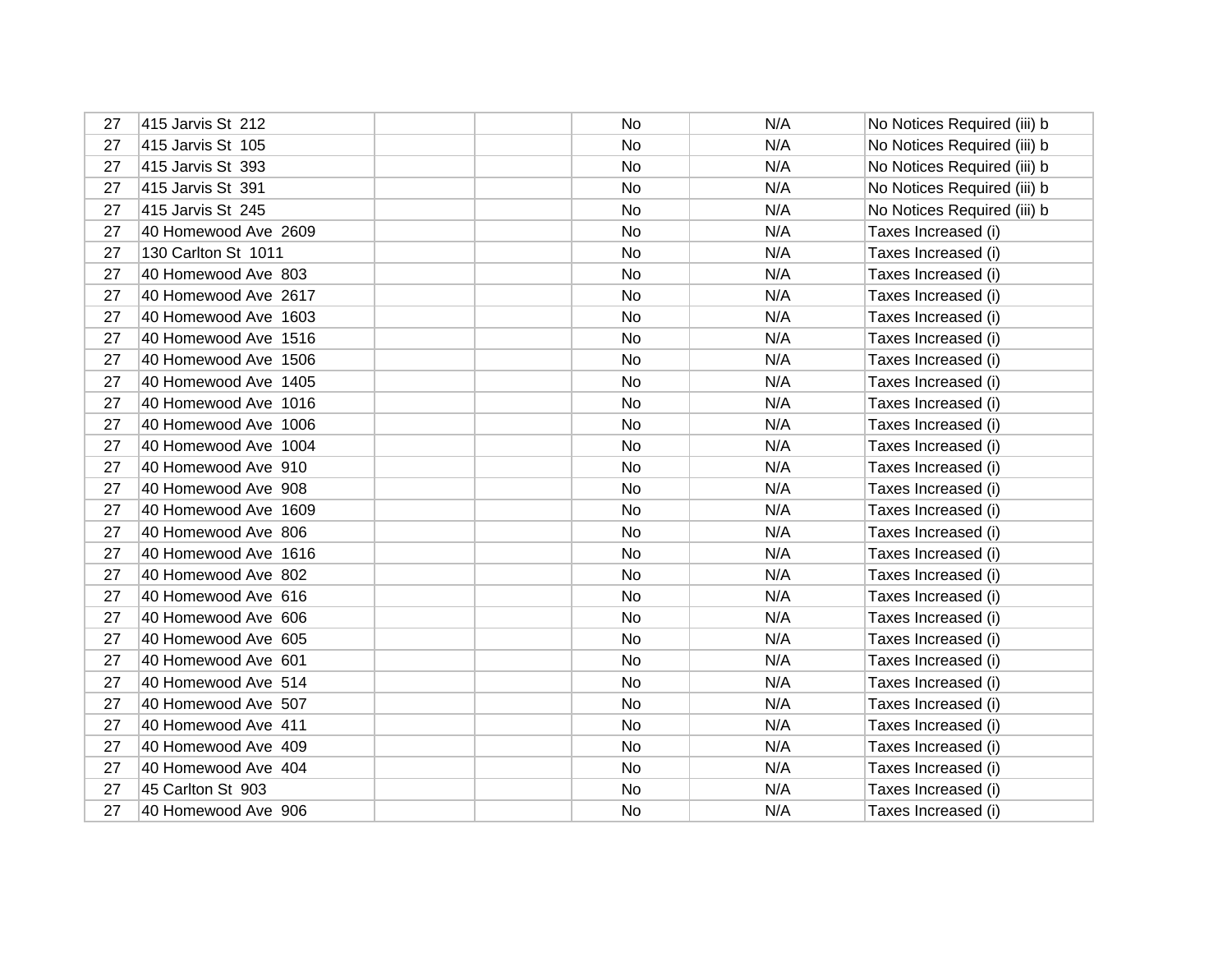| 27 | 415 Jarvis St 212    | No | N/A | No Notices Required (iii) b |
|----|----------------------|----|-----|-----------------------------|
| 27 | 415 Jarvis St 105    | No | N/A | No Notices Required (iii) b |
| 27 | 415 Jarvis St 393    | No | N/A | No Notices Required (iii) b |
| 27 | 415 Jarvis St 391    | No | N/A | No Notices Required (iii) b |
| 27 | 415 Jarvis St 245    | No | N/A | No Notices Required (iii) b |
| 27 | 40 Homewood Ave 2609 | No | N/A | Taxes Increased (i)         |
| 27 | 130 Carlton St 1011  | No | N/A | Taxes Increased (i)         |
| 27 | 40 Homewood Ave 803  | No | N/A | Taxes Increased (i)         |
| 27 | 40 Homewood Ave 2617 | No | N/A | Taxes Increased (i)         |
| 27 | 40 Homewood Ave 1603 | No | N/A | Taxes Increased (i)         |
| 27 | 40 Homewood Ave 1516 | No | N/A | Taxes Increased (i)         |
| 27 | 40 Homewood Ave 1506 | No | N/A | Taxes Increased (i)         |
| 27 | 40 Homewood Ave 1405 | No | N/A | Taxes Increased (i)         |
| 27 | 40 Homewood Ave 1016 | No | N/A | Taxes Increased (i)         |
| 27 | 40 Homewood Ave 1006 | No | N/A | Taxes Increased (i)         |
| 27 | 40 Homewood Ave 1004 | No | N/A | Taxes Increased (i)         |
| 27 | 40 Homewood Ave 910  | No | N/A | Taxes Increased (i)         |
| 27 | 40 Homewood Ave 908  | No | N/A | Taxes Increased (i)         |
| 27 | 40 Homewood Ave 1609 | No | N/A | Taxes Increased (i)         |
| 27 | 40 Homewood Ave 806  | No | N/A | Taxes Increased (i)         |
| 27 | 40 Homewood Ave 1616 | No | N/A | Taxes Increased (i)         |
| 27 | 40 Homewood Ave 802  | No | N/A | Taxes Increased (i)         |
| 27 | 40 Homewood Ave 616  | No | N/A | Taxes Increased (i)         |
| 27 | 40 Homewood Ave 606  | No | N/A | Taxes Increased (i)         |
| 27 | 40 Homewood Ave 605  | No | N/A | Taxes Increased (i)         |
| 27 | 40 Homewood Ave 601  | No | N/A | Taxes Increased (i)         |
| 27 | 40 Homewood Ave 514  | No | N/A | Taxes Increased (i)         |
| 27 | 40 Homewood Ave 507  | No | N/A | Taxes Increased (i)         |
| 27 | 40 Homewood Ave 411  | No | N/A | Taxes Increased (i)         |
| 27 | 40 Homewood Ave 409  | No | N/A | Taxes Increased (i)         |
| 27 | 40 Homewood Ave 404  | No | N/A | Taxes Increased (i)         |
| 27 | 45 Carlton St 903    | No | N/A | Taxes Increased (i)         |
| 27 | 40 Homewood Ave 906  | No | N/A | Taxes Increased (i)         |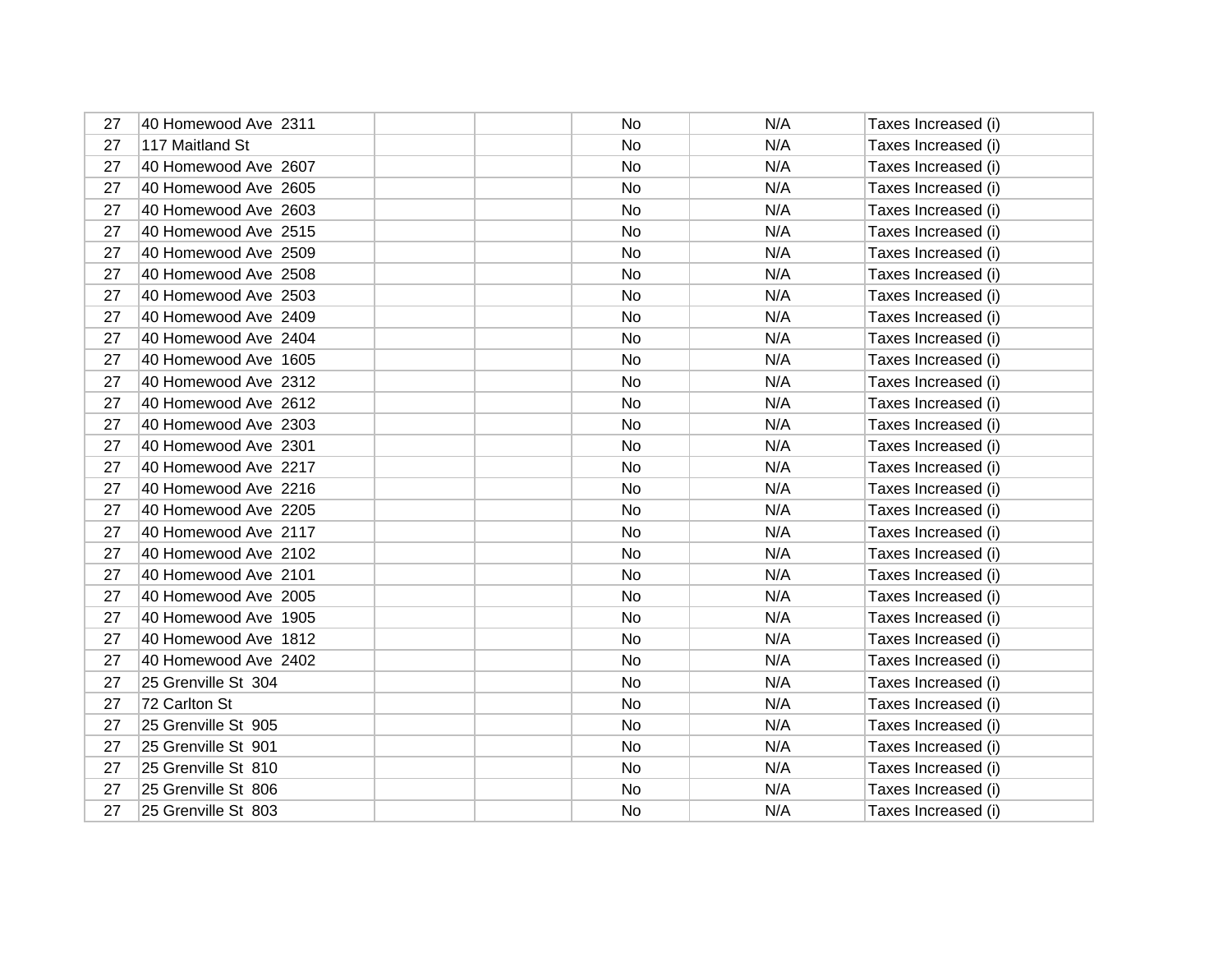| 27 | 40 Homewood Ave 2311 | No.       | N/A | Taxes Increased (i) |
|----|----------------------|-----------|-----|---------------------|
| 27 | 117 Maitland St      | No.       | N/A | Taxes Increased (i) |
| 27 | 40 Homewood Ave 2607 | No.       | N/A | Taxes Increased (i) |
| 27 | 40 Homewood Ave 2605 | No.       | N/A | Taxes Increased (i) |
| 27 | 40 Homewood Ave 2603 | No.       | N/A | Taxes Increased (i) |
| 27 | 40 Homewood Ave 2515 | No        | N/A | Taxes Increased (i) |
| 27 | 40 Homewood Ave 2509 | No.       | N/A | Taxes Increased (i) |
| 27 | 40 Homewood Ave 2508 | No        | N/A | Taxes Increased (i) |
| 27 | 40 Homewood Ave 2503 | No.       | N/A | Taxes Increased (i) |
| 27 | 40 Homewood Ave 2409 | No        | N/A | Taxes Increased (i) |
| 27 | 40 Homewood Ave 2404 | No        | N/A | Taxes Increased (i) |
| 27 | 40 Homewood Ave 1605 | No        | N/A | Taxes Increased (i) |
| 27 | 40 Homewood Ave 2312 | No        | N/A | Taxes Increased (i) |
| 27 | 40 Homewood Ave 2612 | No        | N/A | Taxes Increased (i) |
| 27 | 40 Homewood Ave 2303 | No        | N/A | Taxes Increased (i) |
| 27 | 40 Homewood Ave 2301 | No        | N/A | Taxes Increased (i) |
| 27 | 40 Homewood Ave 2217 | <b>No</b> | N/A | Taxes Increased (i) |
| 27 | 40 Homewood Ave 2216 | No        | N/A | Taxes Increased (i) |
| 27 | 40 Homewood Ave 2205 | <b>No</b> | N/A | Taxes Increased (i) |
| 27 | 40 Homewood Ave 2117 | No        | N/A | Taxes Increased (i) |
| 27 | 40 Homewood Ave 2102 | No        | N/A | Taxes Increased (i) |
| 27 | 40 Homewood Ave 2101 | No        | N/A | Taxes Increased (i) |
| 27 | 40 Homewood Ave 2005 | <b>No</b> | N/A | Taxes Increased (i) |
| 27 | 40 Homewood Ave 1905 | No        | N/A | Taxes Increased (i) |
| 27 | 40 Homewood Ave 1812 | <b>No</b> | N/A | Taxes Increased (i) |
| 27 | 40 Homewood Ave 2402 | No.       | N/A | Taxes Increased (i) |
| 27 | 25 Grenville St 304  | <b>No</b> | N/A | Taxes Increased (i) |
| 27 | 72 Carlton St        | No        | N/A | Taxes Increased (i) |
| 27 | 25 Grenville St 905  | No        | N/A | Taxes Increased (i) |
| 27 | 25 Grenville St 901  | No.       | N/A | Taxes Increased (i) |
| 27 | 25 Grenville St 810  | <b>No</b> | N/A | Taxes Increased (i) |
| 27 | 25 Grenville St 806  | No        | N/A | Taxes Increased (i) |
| 27 | 25 Grenville St 803  | <b>No</b> | N/A | Taxes Increased (i) |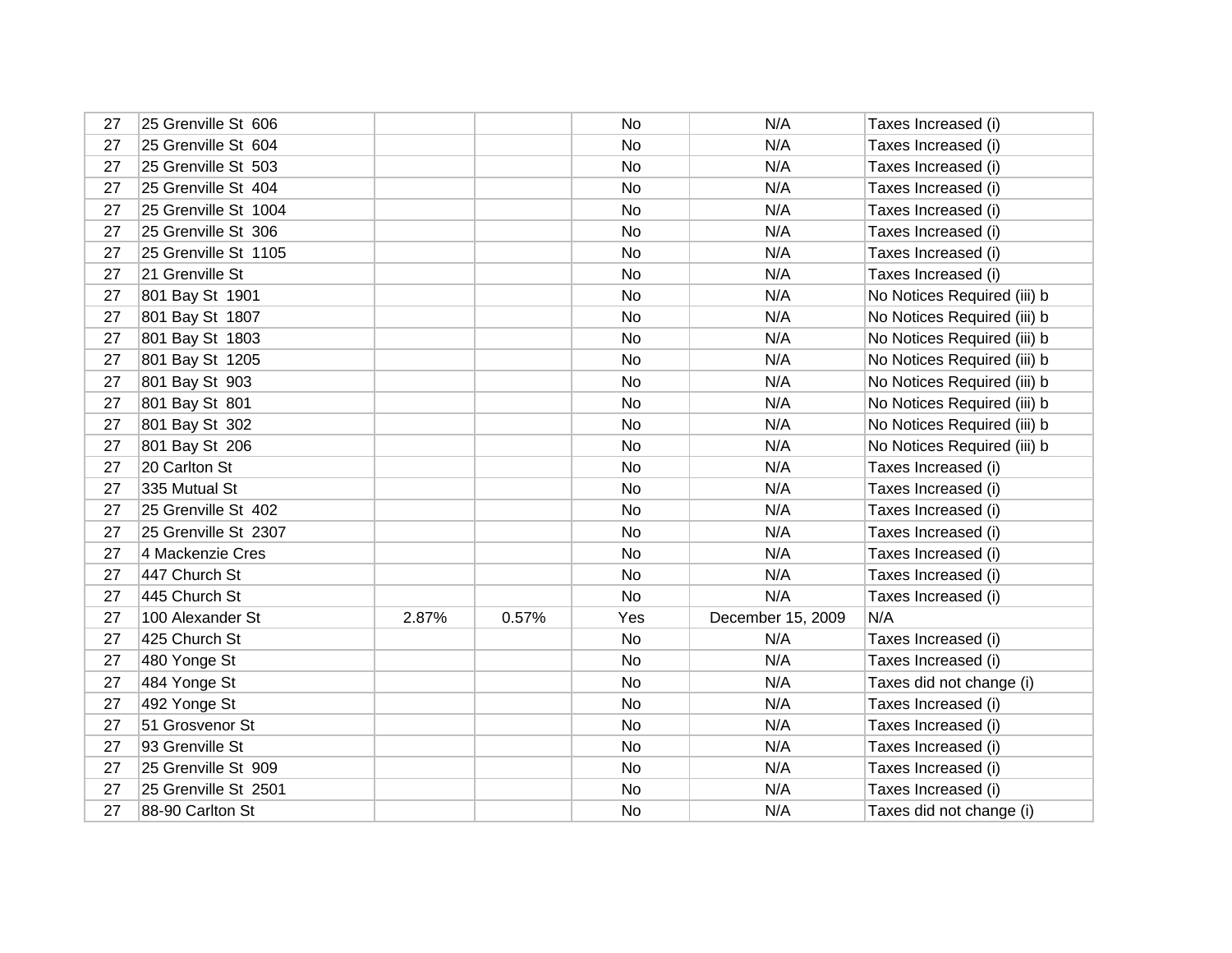| 27 | 25 Grenville St 606  |       |       | No  | N/A               | Taxes Increased (i)         |
|----|----------------------|-------|-------|-----|-------------------|-----------------------------|
| 27 | 25 Grenville St 604  |       |       | No  | N/A               | Taxes Increased (i)         |
| 27 | 25 Grenville St 503  |       |       | No  | N/A               | Taxes Increased (i)         |
| 27 | 25 Grenville St 404  |       |       | No  | N/A               | Taxes Increased (i)         |
| 27 | 25 Grenville St 1004 |       |       | No  | N/A               | Taxes Increased (i)         |
| 27 | 25 Grenville St 306  |       |       | No  | N/A               | Taxes Increased (i)         |
| 27 | 25 Grenville St 1105 |       |       | No  | N/A               | Taxes Increased (i)         |
| 27 | 21 Grenville St      |       |       | No  | N/A               | Taxes Increased (i)         |
| 27 | 801 Bay St 1901      |       |       | No  | N/A               | No Notices Required (iii) b |
| 27 | 801 Bay St 1807      |       |       | No  | N/A               | No Notices Required (iii) b |
| 27 | 801 Bay St 1803      |       |       | No  | N/A               | No Notices Required (iii) b |
| 27 | 801 Bay St 1205      |       |       | No  | N/A               | No Notices Required (iii) b |
| 27 | 801 Bay St 903       |       |       | No  | N/A               | No Notices Required (iii) b |
| 27 | 801 Bay St 801       |       |       | No  | N/A               | No Notices Required (iii) b |
| 27 | 801 Bay St 302       |       |       | No  | N/A               | No Notices Required (iii) b |
| 27 | 801 Bay St 206       |       |       | No  | N/A               | No Notices Required (iii) b |
| 27 | 20 Carlton St        |       |       | No  | N/A               | Taxes Increased (i)         |
| 27 | 335 Mutual St        |       |       | No  | N/A               | Taxes Increased (i)         |
| 27 | 25 Grenville St 402  |       |       | No  | N/A               | Taxes Increased (i)         |
| 27 | 25 Grenville St 2307 |       |       | No  | N/A               | Taxes Increased (i)         |
| 27 | 4 Mackenzie Cres     |       |       | No  | N/A               | Taxes Increased (i)         |
| 27 | 447 Church St        |       |       | No  | N/A               | Taxes Increased (i)         |
| 27 | 445 Church St        |       |       | No  | N/A               | Taxes Increased (i)         |
| 27 | 100 Alexander St     | 2.87% | 0.57% | Yes | December 15, 2009 | N/A                         |
| 27 | 425 Church St        |       |       | No  | N/A               | Taxes Increased (i)         |
| 27 | 480 Yonge St         |       |       | No  | N/A               | Taxes Increased (i)         |
| 27 | 484 Yonge St         |       |       | No  | N/A               | Taxes did not change (i)    |
| 27 | 492 Yonge St         |       |       | No  | N/A               | Taxes Increased (i)         |
| 27 | 51 Grosvenor St      |       |       | No  | N/A               | Taxes Increased (i)         |
| 27 | 93 Grenville St      |       |       | No  | N/A               | Taxes Increased (i)         |
| 27 | 25 Grenville St 909  |       |       | No  | N/A               | Taxes Increased (i)         |
| 27 | 25 Grenville St 2501 |       |       | No  | N/A               | Taxes Increased (i)         |
| 27 | 88-90 Carlton St     |       |       | No  | N/A               | Taxes did not change (i)    |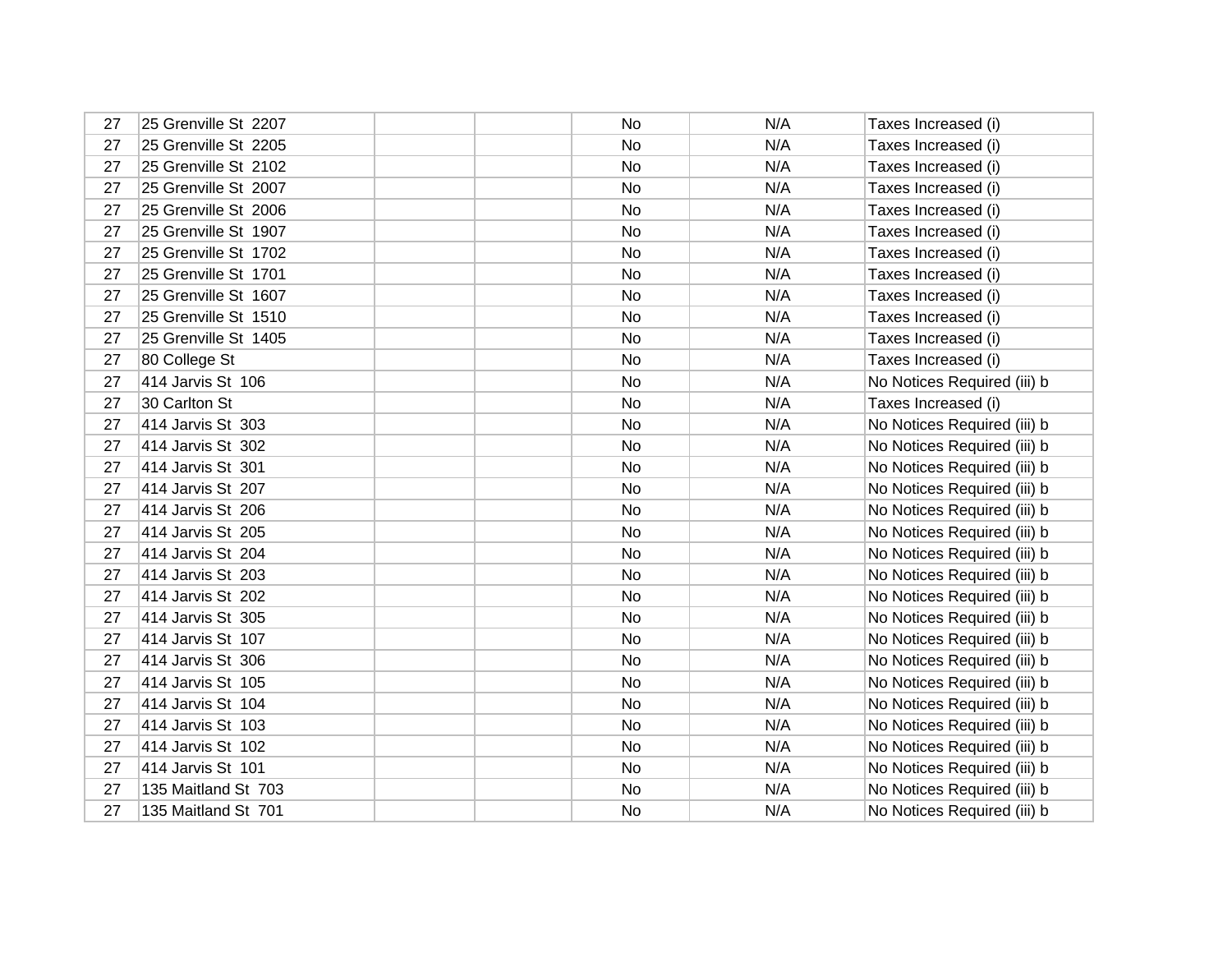| 27 | 25 Grenville St 2207 | No        | N/A | Taxes Increased (i)         |
|----|----------------------|-----------|-----|-----------------------------|
| 27 | 25 Grenville St 2205 | No        | N/A | Taxes Increased (i)         |
| 27 | 25 Grenville St 2102 | No        | N/A | Taxes Increased (i)         |
| 27 | 25 Grenville St 2007 | No        | N/A | Taxes Increased (i)         |
| 27 | 25 Grenville St 2006 | No.       | N/A | Taxes Increased (i)         |
| 27 | 25 Grenville St 1907 | No        | N/A | Taxes Increased (i)         |
| 27 | 25 Grenville St 1702 | No.       | N/A | Taxes Increased (i)         |
| 27 | 25 Grenville St 1701 | No        | N/A | Taxes Increased (i)         |
| 27 | 25 Grenville St 1607 | No.       | N/A | Taxes Increased (i)         |
| 27 | 25 Grenville St 1510 | No        | N/A | Taxes Increased (i)         |
| 27 | 25 Grenville St 1405 | No        | N/A | Taxes Increased (i)         |
| 27 | 80 College St        | No        | N/A | Taxes Increased (i)         |
| 27 | 414 Jarvis St 106    | No.       | N/A | No Notices Required (iii) b |
| 27 | 30 Carlton St        | No        | N/A | Taxes Increased (i)         |
| 27 | 414 Jarvis St 303    | No        | N/A | No Notices Required (iii) b |
| 27 | 414 Jarvis St 302    | No.       | N/A | No Notices Required (iii) b |
| 27 | 414 Jarvis St 301    | No        | N/A | No Notices Required (iii) b |
| 27 | 414 Jarvis St 207    | <b>No</b> | N/A | No Notices Required (iii) b |
| 27 | 414 Jarvis St 206    | No        | N/A | No Notices Required (iii) b |
| 27 | 414 Jarvis St 205    | <b>No</b> | N/A | No Notices Required (iii) b |
| 27 | 414 Jarvis St 204    | No        | N/A | No Notices Required (iii) b |
| 27 | 414 Jarvis St 203    | <b>No</b> | N/A | No Notices Required (iii) b |
| 27 | 414 Jarvis St 202    | No        | N/A | No Notices Required (iii) b |
| 27 | 414 Jarvis St 305    | <b>No</b> | N/A | No Notices Required (iii) b |
| 27 | 414 Jarvis St 107    | No        | N/A | No Notices Required (iii) b |
| 27 | 414 Jarvis St 306    | No        | N/A | No Notices Required (iii) b |
| 27 | 414 Jarvis St 105    | No        | N/A | No Notices Required (iii) b |
| 27 | 414 Jarvis St 104    | No        | N/A | No Notices Required (iii) b |
| 27 | 414 Jarvis St 103    | No.       | N/A | No Notices Required (iii) b |
| 27 | 414 Jarvis St 102    | No        | N/A | No Notices Required (iii) b |
| 27 | 414 Jarvis St 101    | <b>No</b> | N/A | No Notices Required (iii) b |
| 27 | 135 Maitland St 703  | No        | N/A | No Notices Required (iii) b |
| 27 | 135 Maitland St 701  | No        | N/A | No Notices Required (iii) b |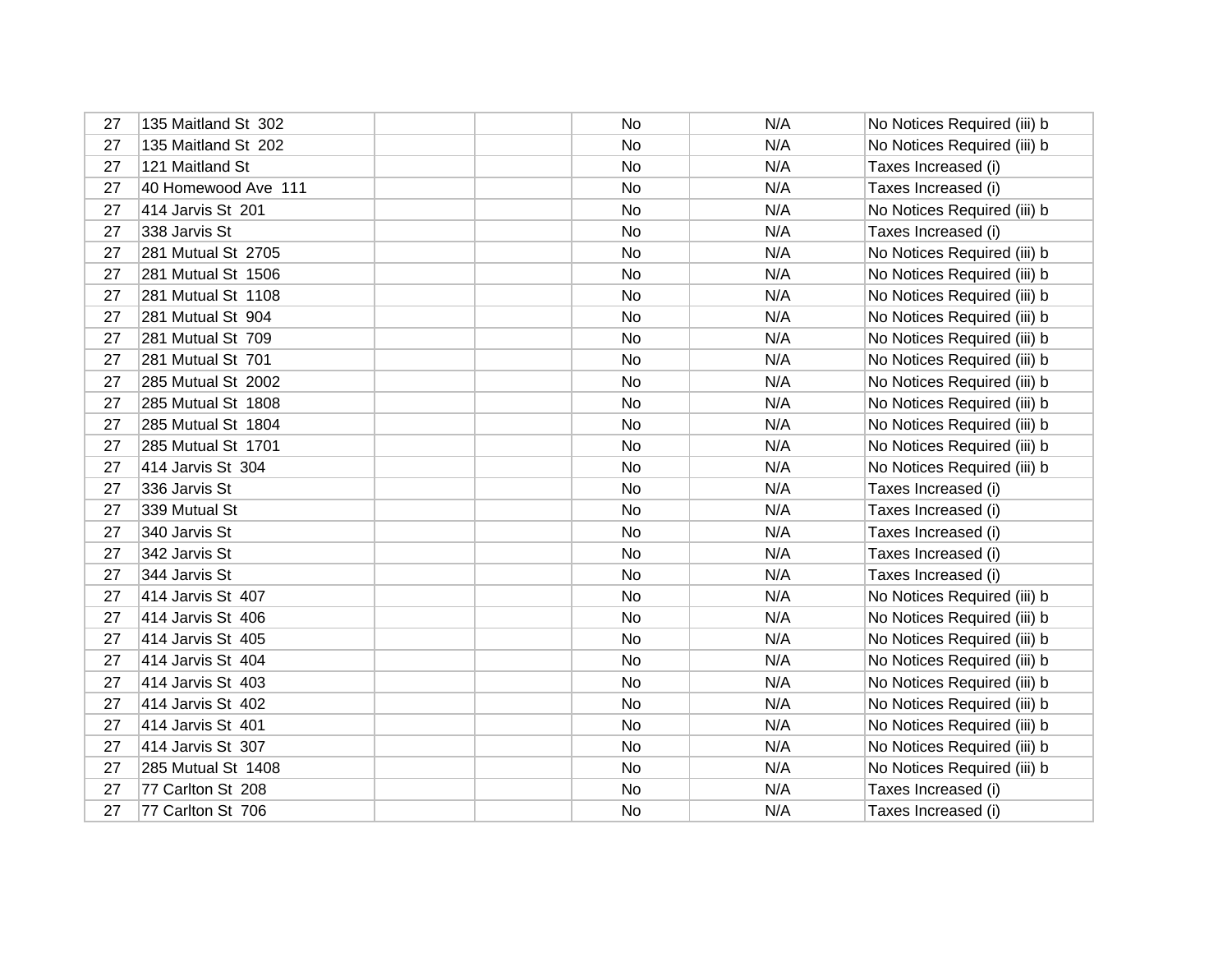| 27 | 135 Maitland St 302 | No | N/A | No Notices Required (iii) b |
|----|---------------------|----|-----|-----------------------------|
| 27 | 135 Maitland St 202 | No | N/A | No Notices Required (iii) b |
| 27 | 121 Maitland St     | No | N/A | Taxes Increased (i)         |
| 27 | 40 Homewood Ave 111 | No | N/A | Taxes Increased (i)         |
| 27 | 414 Jarvis St 201   | No | N/A | No Notices Required (iii) b |
| 27 | 338 Jarvis St       | No | N/A | Taxes Increased (i)         |
| 27 | 281 Mutual St 2705  | No | N/A | No Notices Required (iii) b |
| 27 | 281 Mutual St 1506  | No | N/A | No Notices Required (iii) b |
| 27 | 281 Mutual St 1108  | No | N/A | No Notices Required (iii) b |
| 27 | 281 Mutual St 904   | No | N/A | No Notices Required (iii) b |
| 27 | 281 Mutual St 709   | No | N/A | No Notices Required (iii) b |
| 27 | 281 Mutual St 701   | No | N/A | No Notices Required (iii) b |
| 27 | 285 Mutual St 2002  | No | N/A | No Notices Required (iii) b |
| 27 | 285 Mutual St 1808  | No | N/A | No Notices Required (iii) b |
| 27 | 285 Mutual St 1804  | No | N/A | No Notices Required (iii) b |
| 27 | 285 Mutual St 1701  | No | N/A | No Notices Required (iii) b |
| 27 | 414 Jarvis St 304   | No | N/A | No Notices Required (iii) b |
| 27 | 336 Jarvis St       | No | N/A | Taxes Increased (i)         |
| 27 | 339 Mutual St       | No | N/A | Taxes Increased (i)         |
| 27 | 340 Jarvis St       | No | N/A | Taxes Increased (i)         |
| 27 | 342 Jarvis St       | No | N/A | Taxes Increased (i)         |
| 27 | 344 Jarvis St       | No | N/A | Taxes Increased (i)         |
| 27 | 414 Jarvis St 407   | No | N/A | No Notices Required (iii) b |
| 27 | 414 Jarvis St 406   | No | N/A | No Notices Required (iii) b |
| 27 | 414 Jarvis St 405   | No | N/A | No Notices Required (iii) b |
| 27 | 414 Jarvis St 404   | No | N/A | No Notices Required (iii) b |
| 27 | 414 Jarvis St 403   | No | N/A | No Notices Required (iii) b |
| 27 | 414 Jarvis St 402   | No | N/A | No Notices Required (iii) b |
| 27 | 414 Jarvis St 401   | No | N/A | No Notices Required (iii) b |
| 27 | 414 Jarvis St 307   | No | N/A | No Notices Required (iii) b |
| 27 | 285 Mutual St 1408  | No | N/A | No Notices Required (iii) b |
| 27 | 77 Carlton St 208   | No | N/A | Taxes Increased (i)         |
| 27 | 77 Carlton St 706   | No | N/A | Taxes Increased (i)         |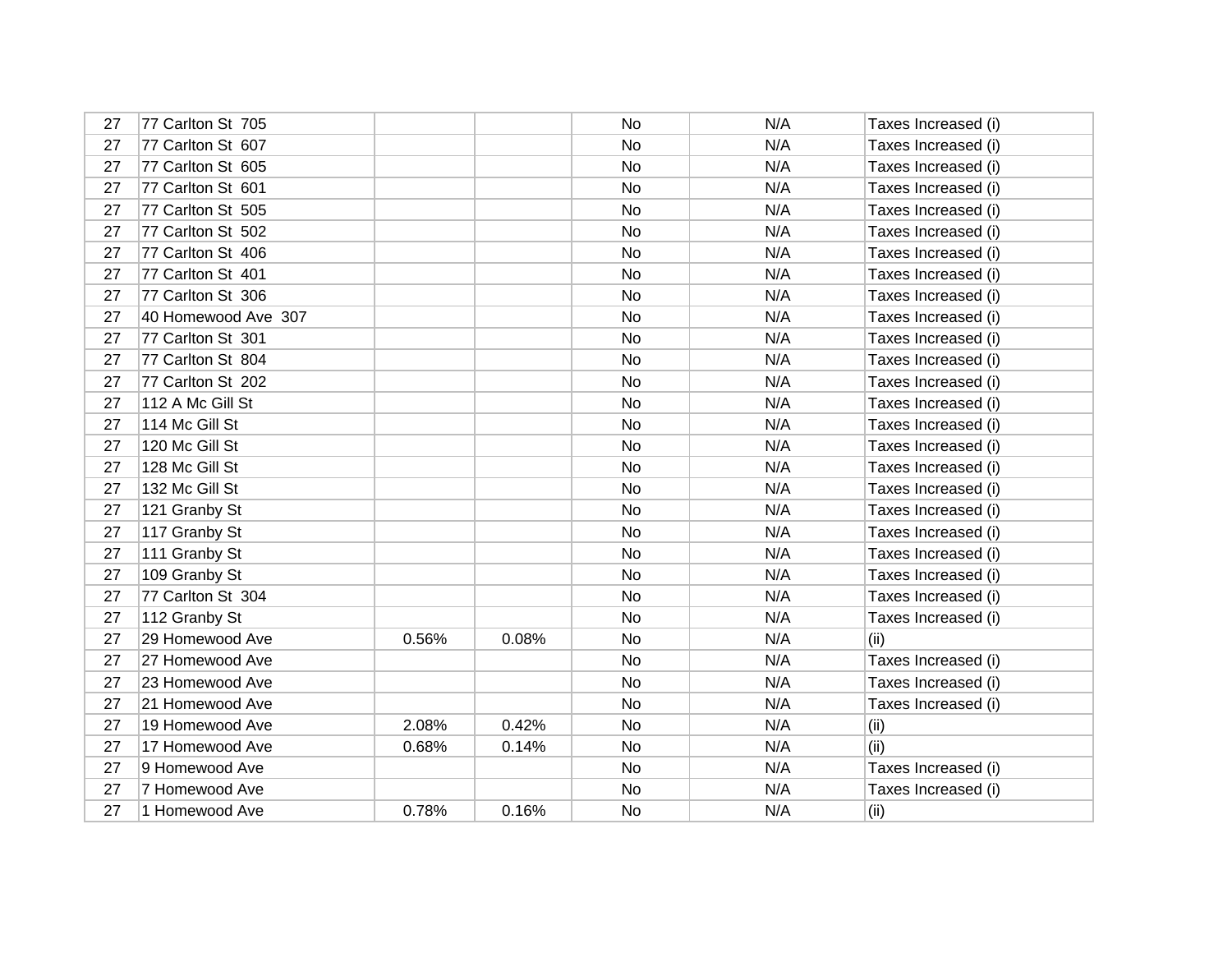| 27 | 77 Carlton St 705   |       |       | No | N/A | Taxes Increased (i) |
|----|---------------------|-------|-------|----|-----|---------------------|
| 27 | 77 Carlton St 607   |       |       | No | N/A | Taxes Increased (i) |
| 27 | 77 Carlton St 605   |       |       | No | N/A | Taxes Increased (i) |
| 27 | 77 Carlton St 601   |       |       | No | N/A | Taxes Increased (i) |
| 27 | 77 Carlton St 505   |       |       | No | N/A | Taxes Increased (i) |
| 27 | 77 Carlton St 502   |       |       | No | N/A | Taxes Increased (i) |
| 27 | 77 Carlton St 406   |       |       | No | N/A | Taxes Increased (i) |
| 27 | 77 Carlton St 401   |       |       | No | N/A | Taxes Increased (i) |
| 27 | 77 Carlton St 306   |       |       | No | N/A | Taxes Increased (i) |
| 27 | 40 Homewood Ave 307 |       |       | No | N/A | Taxes Increased (i) |
| 27 | 77 Carlton St 301   |       |       | No | N/A | Taxes Increased (i) |
| 27 | 77 Carlton St 804   |       |       | No | N/A | Taxes Increased (i) |
| 27 | 77 Carlton St 202   |       |       | No | N/A | Taxes Increased (i) |
| 27 | 112 A Mc Gill St    |       |       | No | N/A | Taxes Increased (i) |
| 27 | 114 Mc Gill St      |       |       | No | N/A | Taxes Increased (i) |
| 27 | 120 Mc Gill St      |       |       | No | N/A | Taxes Increased (i) |
| 27 | 128 Mc Gill St      |       |       | No | N/A | Taxes Increased (i) |
| 27 | 132 Mc Gill St      |       |       | No | N/A | Taxes Increased (i) |
| 27 | 121 Granby St       |       |       | No | N/A | Taxes Increased (i) |
| 27 | 117 Granby St       |       |       | No | N/A | Taxes Increased (i) |
| 27 | 111 Granby St       |       |       | No | N/A | Taxes Increased (i) |
| 27 | 109 Granby St       |       |       | No | N/A | Taxes Increased (i) |
| 27 | 77 Carlton St 304   |       |       | No | N/A | Taxes Increased (i) |
| 27 | 112 Granby St       |       |       | No | N/A | Taxes Increased (i) |
| 27 | 29 Homewood Ave     | 0.56% | 0.08% | No | N/A | (ii)                |
| 27 | 27 Homewood Ave     |       |       | No | N/A | Taxes Increased (i) |
| 27 | 23 Homewood Ave     |       |       | No | N/A | Taxes Increased (i) |
| 27 | 21 Homewood Ave     |       |       | No | N/A | Taxes Increased (i) |
| 27 | 19 Homewood Ave     | 2.08% | 0.42% | No | N/A | (ii)                |
| 27 | 17 Homewood Ave     | 0.68% | 0.14% | No | N/A | (ii)                |
| 27 | 9 Homewood Ave      |       |       | No | N/A | Taxes Increased (i) |
| 27 | 7 Homewood Ave      |       |       | No | N/A | Taxes Increased (i) |
| 27 | 1 Homewood Ave      | 0.78% | 0.16% | No | N/A | (ii)                |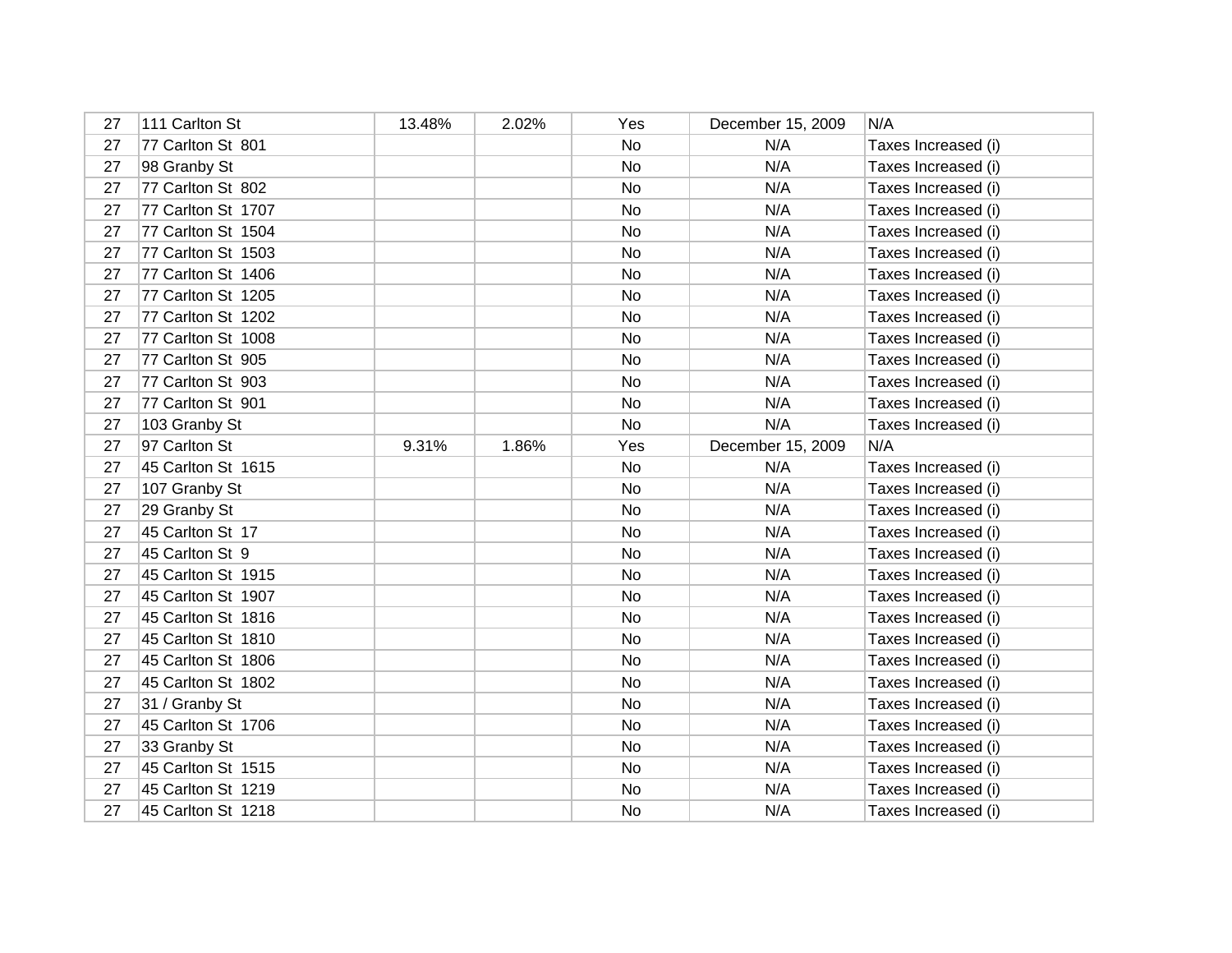| 27 | 111 Carlton St     | 13.48% | 2.02% | Yes | December 15, 2009 | N/A                 |
|----|--------------------|--------|-------|-----|-------------------|---------------------|
| 27 | 77 Carlton St 801  |        |       | No  | N/A               | Taxes Increased (i) |
| 27 | 98 Granby St       |        |       | No  | N/A               | Taxes Increased (i) |
| 27 | 77 Carlton St 802  |        |       | No  | N/A               | Taxes Increased (i) |
| 27 | 77 Carlton St 1707 |        |       | No  | N/A               | Taxes Increased (i) |
| 27 | 77 Carlton St 1504 |        |       | No  | N/A               | Taxes Increased (i) |
| 27 | 77 Carlton St 1503 |        |       | No  | N/A               | Taxes Increased (i) |
| 27 | 77 Carlton St 1406 |        |       | No  | N/A               | Taxes Increased (i) |
| 27 | 77 Carlton St 1205 |        |       | No  | N/A               | Taxes Increased (i) |
| 27 | 77 Carlton St 1202 |        |       | No  | N/A               | Taxes Increased (i) |
| 27 | 77 Carlton St 1008 |        |       | No  | N/A               | Taxes Increased (i) |
| 27 | 77 Carlton St 905  |        |       | No  | N/A               | Taxes Increased (i) |
| 27 | 77 Carlton St 903  |        |       | No  | N/A               | Taxes Increased (i) |
| 27 | 77 Carlton St 901  |        |       | No  | N/A               | Taxes Increased (i) |
| 27 | 103 Granby St      |        |       | No  | N/A               | Taxes Increased (i) |
| 27 | 97 Carlton St      | 9.31%  | 1.86% | Yes | December 15, 2009 | N/A                 |
| 27 | 45 Carlton St 1615 |        |       | No  | N/A               | Taxes Increased (i) |
| 27 | 107 Granby St      |        |       | No  | N/A               | Taxes Increased (i) |
| 27 | 29 Granby St       |        |       | No  | N/A               | Taxes Increased (i) |
| 27 | 45 Carlton St 17   |        |       | No  | N/A               | Taxes Increased (i) |
| 27 | 45 Carlton St 9    |        |       | No  | N/A               | Taxes Increased (i) |
| 27 | 45 Carlton St 1915 |        |       | No  | N/A               | Taxes Increased (i) |
| 27 | 45 Carlton St 1907 |        |       | No  | N/A               | Taxes Increased (i) |
| 27 | 45 Carlton St 1816 |        |       | No  | N/A               | Taxes Increased (i) |
| 27 | 45 Carlton St 1810 |        |       | No  | N/A               | Taxes Increased (i) |
| 27 | 45 Carlton St 1806 |        |       | No  | N/A               | Taxes Increased (i) |
| 27 | 45 Carlton St 1802 |        |       | No  | N/A               | Taxes Increased (i) |
| 27 | 31 / Granby St     |        |       | No  | N/A               | Taxes Increased (i) |
| 27 | 45 Carlton St 1706 |        |       | No  | N/A               | Taxes Increased (i) |
| 27 | 33 Granby St       |        |       | No  | N/A               | Taxes Increased (i) |
| 27 | 45 Carlton St 1515 |        |       | No  | N/A               | Taxes Increased (i) |
| 27 | 45 Carlton St 1219 |        |       | No  | N/A               | Taxes Increased (i) |
| 27 | 45 Carlton St 1218 |        |       | No  | N/A               | Taxes Increased (i) |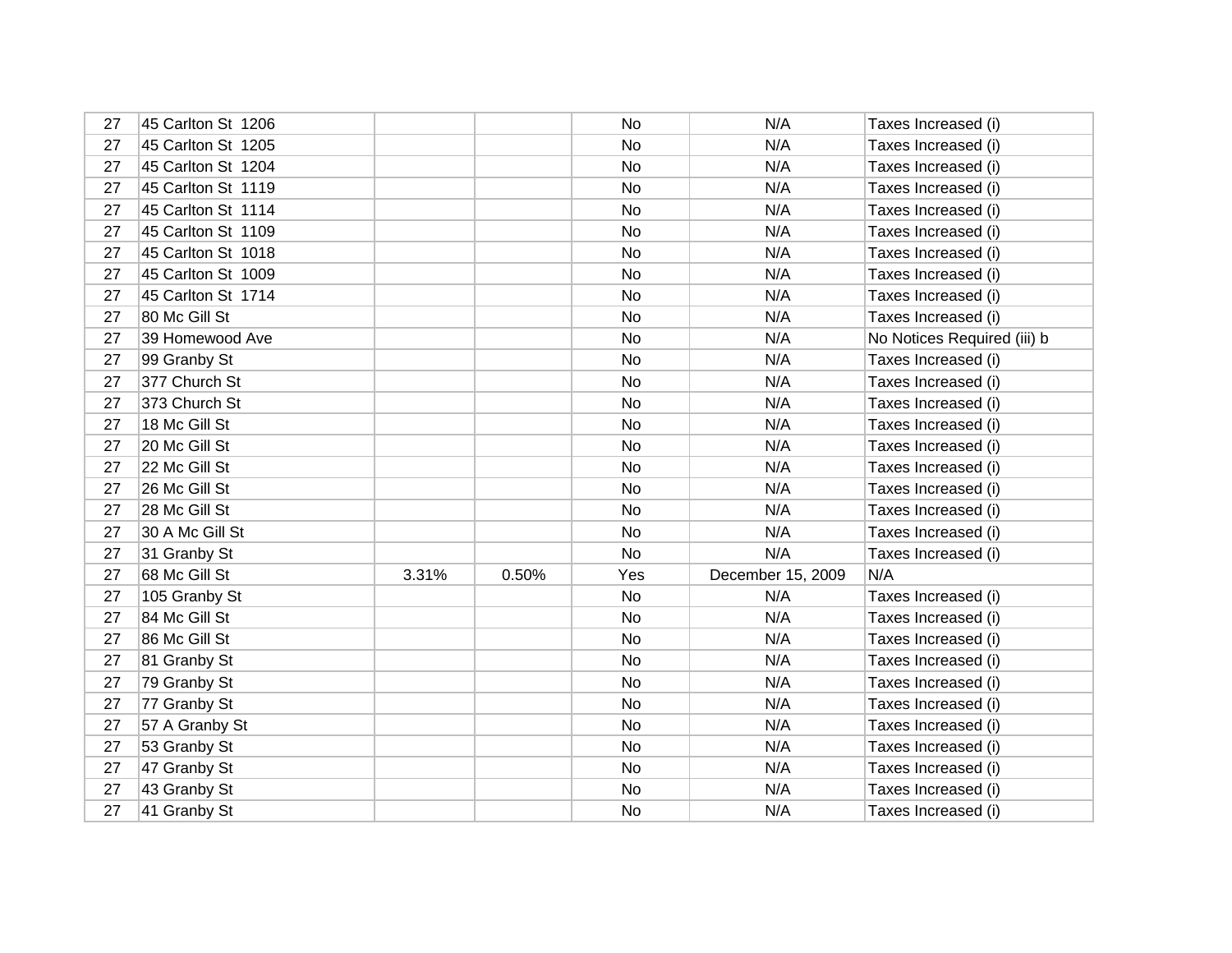| 27 | 45 Carlton St 1206 |       |       | No  | N/A               | Taxes Increased (i)         |
|----|--------------------|-------|-------|-----|-------------------|-----------------------------|
| 27 | 45 Carlton St 1205 |       |       | No  | N/A               | Taxes Increased (i)         |
| 27 | 45 Carlton St 1204 |       |       | No  | N/A               | Taxes Increased (i)         |
| 27 | 45 Carlton St 1119 |       |       | No  | N/A               | Taxes Increased (i)         |
| 27 | 45 Carlton St 1114 |       |       | No  | N/A               | Taxes Increased (i)         |
| 27 | 45 Carlton St 1109 |       |       | No  | N/A               | Taxes Increased (i)         |
| 27 | 45 Carlton St 1018 |       |       | No  | N/A               | Taxes Increased (i)         |
| 27 | 45 Carlton St 1009 |       |       | No  | N/A               | Taxes Increased (i)         |
| 27 | 45 Carlton St 1714 |       |       | No  | N/A               | Taxes Increased (i)         |
| 27 | 80 Mc Gill St      |       |       | No  | N/A               | Taxes Increased (i)         |
| 27 | 39 Homewood Ave    |       |       | No  | N/A               | No Notices Required (iii) b |
| 27 | 99 Granby St       |       |       | No  | N/A               | Taxes Increased (i)         |
| 27 | 377 Church St      |       |       | No  | N/A               | Taxes Increased (i)         |
| 27 | 373 Church St      |       |       | No  | N/A               | Taxes Increased (i)         |
| 27 | 18 Mc Gill St      |       |       | No  | N/A               | Taxes Increased (i)         |
| 27 | 20 Mc Gill St      |       |       | No  | N/A               | Taxes Increased (i)         |
| 27 | 22 Mc Gill St      |       |       | No  | N/A               | Taxes Increased (i)         |
| 27 | 26 Mc Gill St      |       |       | No  | N/A               | Taxes Increased (i)         |
| 27 | 28 Mc Gill St      |       |       | No  | N/A               | Taxes Increased (i)         |
| 27 | 30 A Mc Gill St    |       |       | No  | N/A               | Taxes Increased (i)         |
| 27 | 31 Granby St       |       |       | No  | N/A               | Taxes Increased (i)         |
| 27 | 68 Mc Gill St      | 3.31% | 0.50% | Yes | December 15, 2009 | N/A                         |
| 27 | 105 Granby St      |       |       | No  | N/A               | Taxes Increased (i)         |
| 27 | 84 Mc Gill St      |       |       | No  | N/A               | Taxes Increased (i)         |
| 27 | 86 Mc Gill St      |       |       | No  | N/A               | Taxes Increased (i)         |
| 27 | 81 Granby St       |       |       | No  | N/A               | Taxes Increased (i)         |
| 27 | 79 Granby St       |       |       | No  | N/A               | Taxes Increased (i)         |
| 27 | 77 Granby St       |       |       | No  | N/A               | Taxes Increased (i)         |
| 27 | 57 A Granby St     |       |       | No  | N/A               | Taxes Increased (i)         |
| 27 | 53 Granby St       |       |       | No  | N/A               | Taxes Increased (i)         |
| 27 | 47 Granby St       |       |       | No  | N/A               | Taxes Increased (i)         |
| 27 | 43 Granby St       |       |       | No  | N/A               | Taxes Increased (i)         |
| 27 | 41 Granby St       |       |       | No  | N/A               | Taxes Increased (i)         |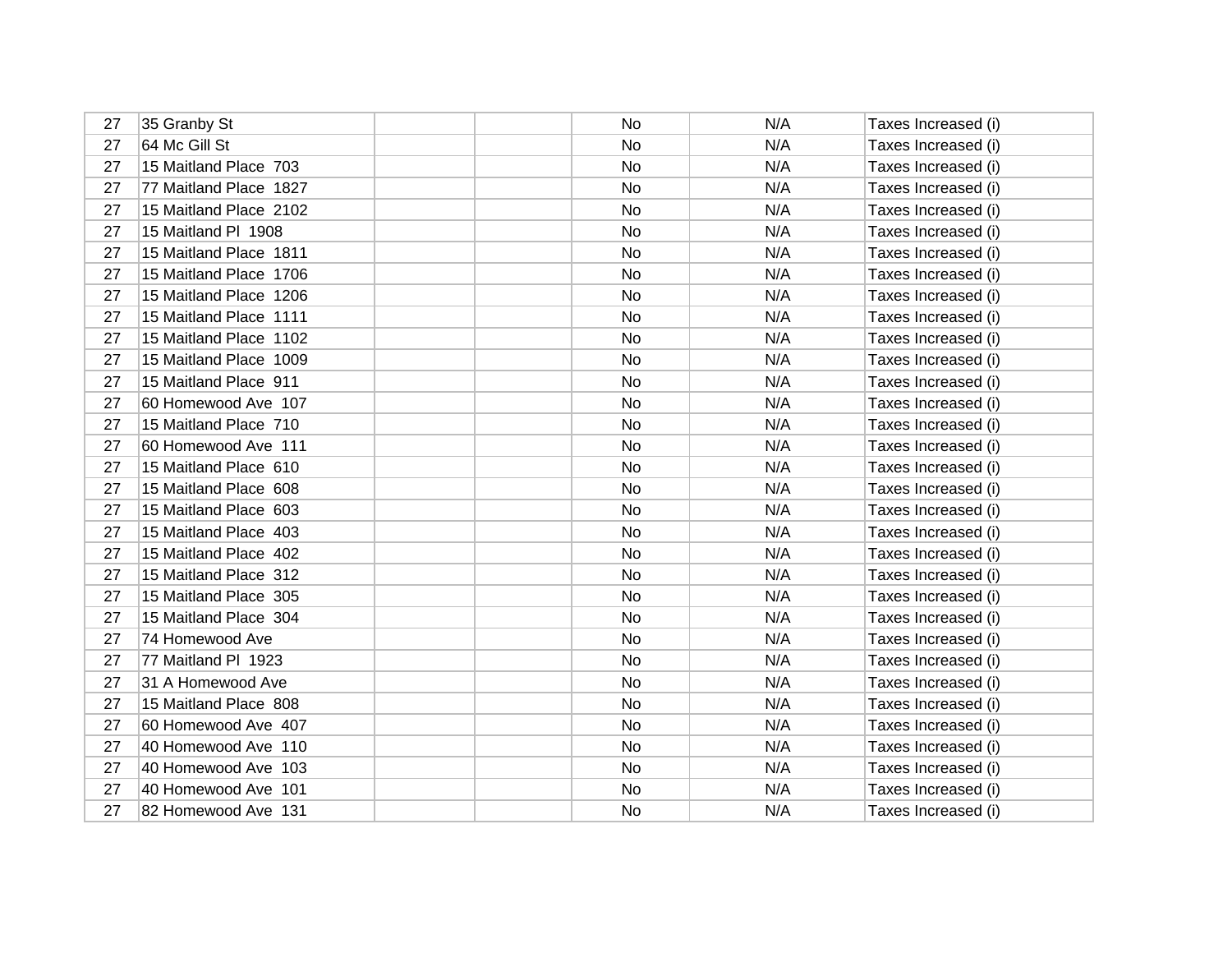| 27 | 35 Granby St           | No  | N/A | Taxes Increased (i) |
|----|------------------------|-----|-----|---------------------|
| 27 | 64 Mc Gill St          | No  | N/A | Taxes Increased (i) |
| 27 | 15 Maitland Place 703  | No  | N/A | Taxes Increased (i) |
| 27 | 77 Maitland Place 1827 | No  | N/A | Taxes Increased (i) |
| 27 | 15 Maitland Place 2102 | No  | N/A | Taxes Increased (i) |
| 27 | 15 Maitland PI 1908    | No  | N/A | Taxes Increased (i) |
| 27 | 15 Maitland Place 1811 | No  | N/A | Taxes Increased (i) |
| 27 | 15 Maitland Place 1706 | No  | N/A | Taxes Increased (i) |
| 27 | 15 Maitland Place 1206 | No  | N/A | Taxes Increased (i) |
| 27 | 15 Maitland Place 1111 | No  | N/A | Taxes Increased (i) |
| 27 | 15 Maitland Place 1102 | No  | N/A | Taxes Increased (i) |
| 27 | 15 Maitland Place 1009 | No  | N/A | Taxes Increased (i) |
| 27 | 15 Maitland Place 911  | No  | N/A | Taxes Increased (i) |
| 27 | 60 Homewood Ave 107    | No  | N/A | Taxes Increased (i) |
| 27 | 15 Maitland Place 710  | No. | N/A | Taxes Increased (i) |
| 27 | 60 Homewood Ave 111    | No  | N/A | Taxes Increased (i) |
| 27 | 15 Maitland Place 610  | No  | N/A | Taxes Increased (i) |
| 27 | 15 Maitland Place 608  | No  | N/A | Taxes Increased (i) |
| 27 | 15 Maitland Place 603  | No  | N/A | Taxes Increased (i) |
| 27 | 15 Maitland Place 403  | No  | N/A | Taxes Increased (i) |
| 27 | 15 Maitland Place 402  | No  | N/A | Taxes Increased (i) |
| 27 | 15 Maitland Place 312  | No  | N/A | Taxes Increased (i) |
| 27 | 15 Maitland Place 305  | No  | N/A | Taxes Increased (i) |
| 27 | 15 Maitland Place 304  | No  | N/A | Taxes Increased (i) |
| 27 | 74 Homewood Ave        | No  | N/A | Taxes Increased (i) |
| 27 | 77 Maitland PI 1923    | No  | N/A | Taxes Increased (i) |
| 27 | 31 A Homewood Ave      | No  | N/A | Taxes Increased (i) |
| 27 | 15 Maitland Place 808  | No  | N/A | Taxes Increased (i) |
| 27 | 60 Homewood Ave 407    | No  | N/A | Taxes Increased (i) |
| 27 | 40 Homewood Ave 110    | No  | N/A | Taxes Increased (i) |
| 27 | 40 Homewood Ave 103    | No  | N/A | Taxes Increased (i) |
| 27 | 40 Homewood Ave 101    | No  | N/A | Taxes Increased (i) |
| 27 | 82 Homewood Ave 131    | No  | N/A | Taxes Increased (i) |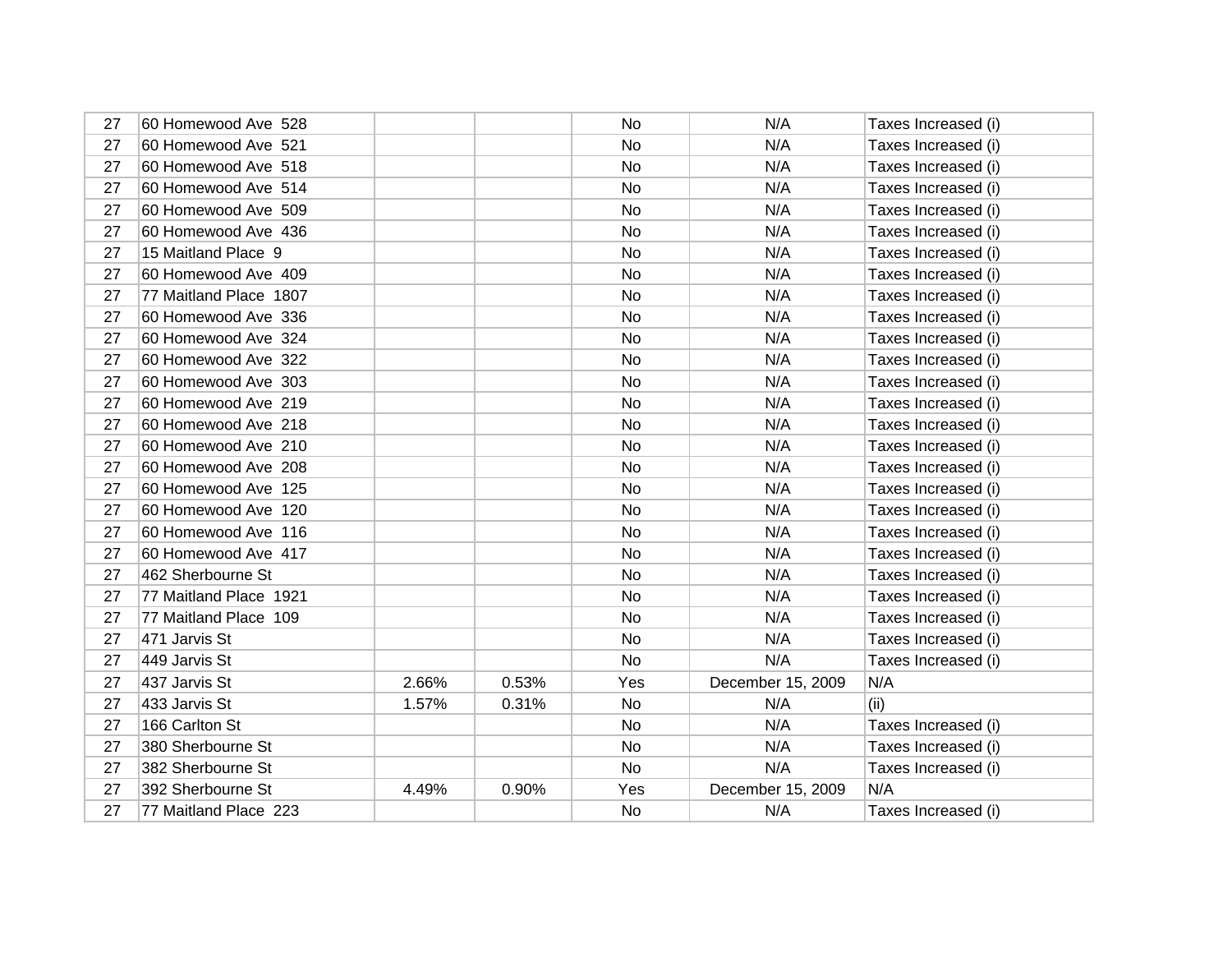| 27 | 60 Homewood Ave 528    |       |       | <b>No</b> | N/A               | Taxes Increased (i) |
|----|------------------------|-------|-------|-----------|-------------------|---------------------|
| 27 | 60 Homewood Ave 521    |       |       | No        | N/A               | Taxes Increased (i) |
| 27 | 60 Homewood Ave 518    |       |       | No        | N/A               | Taxes Increased (i) |
| 27 | 60 Homewood Ave 514    |       |       | <b>No</b> | N/A               | Taxes Increased (i) |
| 27 | 60 Homewood Ave 509    |       |       | <b>No</b> | N/A               | Taxes Increased (i) |
| 27 | 60 Homewood Ave 436    |       |       | No        | N/A               | Taxes Increased (i) |
| 27 | 15 Maitland Place 9    |       |       | <b>No</b> | N/A               | Taxes Increased (i) |
| 27 | 60 Homewood Ave 409    |       |       | No        | N/A               | Taxes Increased (i) |
| 27 | 77 Maitland Place 1807 |       |       | <b>No</b> | N/A               | Taxes Increased (i) |
| 27 | 60 Homewood Ave 336    |       |       | No        | N/A               | Taxes Increased (i) |
| 27 | 60 Homewood Ave 324    |       |       | No        | N/A               | Taxes Increased (i) |
| 27 | 60 Homewood Ave 322    |       |       | No        | N/A               | Taxes Increased (i) |
| 27 | 60 Homewood Ave 303    |       |       | No        | N/A               | Taxes Increased (i) |
| 27 | 60 Homewood Ave 219    |       |       | No        | N/A               | Taxes Increased (i) |
| 27 | 60 Homewood Ave 218    |       |       | No        | N/A               | Taxes Increased (i) |
| 27 | 60 Homewood Ave 210    |       |       | No        | N/A               | Taxes Increased (i) |
| 27 | 60 Homewood Ave 208    |       |       | <b>No</b> | N/A               | Taxes Increased (i) |
| 27 | 60 Homewood Ave 125    |       |       | No        | N/A               | Taxes Increased (i) |
| 27 | 60 Homewood Ave 120    |       |       | <b>No</b> | N/A               | Taxes Increased (i) |
| 27 | 60 Homewood Ave 116    |       |       | No        | N/A               | Taxes Increased (i) |
| 27 | 60 Homewood Ave 417    |       |       | No        | N/A               | Taxes Increased (i) |
| 27 | 462 Sherbourne St      |       |       | No        | N/A               | Taxes Increased (i) |
| 27 | 77 Maitland Place 1921 |       |       | <b>No</b> | N/A               | Taxes Increased (i) |
| 27 | 77 Maitland Place 109  |       |       | No        | N/A               | Taxes Increased (i) |
| 27 | 471 Jarvis St          |       |       | No        | N/A               | Taxes Increased (i) |
| 27 | 449 Jarvis St          |       |       | No        | N/A               | Taxes Increased (i) |
| 27 | 437 Jarvis St          | 2.66% | 0.53% | Yes       | December 15, 2009 | N/A                 |
| 27 | 433 Jarvis St          | 1.57% | 0.31% | No        | N/A               | (ii)                |
| 27 | 166 Carlton St         |       |       | No        | N/A               | Taxes Increased (i) |
| 27 | 380 Sherbourne St      |       |       | No        | N/A               | Taxes Increased (i) |
| 27 | 382 Sherbourne St      |       |       | No        | N/A               | Taxes Increased (i) |
| 27 | 392 Sherbourne St      | 4.49% | 0.90% | Yes       | December 15, 2009 | N/A                 |
| 27 | 77 Maitland Place 223  |       |       | No        | N/A               | Taxes Increased (i) |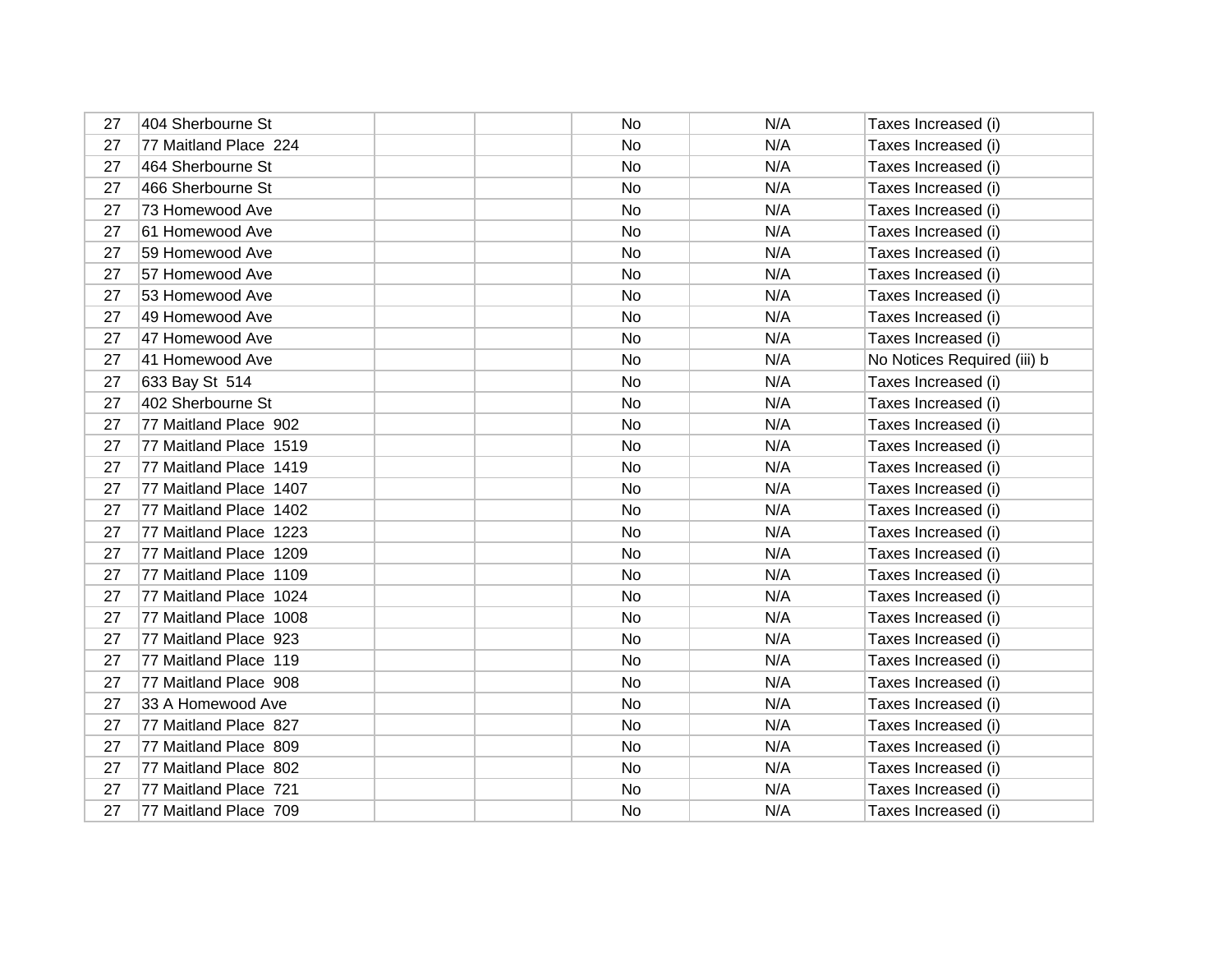| 27 | 404 Sherbourne St      | No        | N/A | Taxes Increased (i)         |
|----|------------------------|-----------|-----|-----------------------------|
| 27 | 77 Maitland Place 224  | No        | N/A | Taxes Increased (i)         |
| 27 | 464 Sherbourne St      | No        | N/A | Taxes Increased (i)         |
| 27 | 466 Sherbourne St      | No        | N/A | Taxes Increased (i)         |
| 27 | 73 Homewood Ave        | <b>No</b> | N/A | Taxes Increased (i)         |
| 27 | 61 Homewood Ave        | No        | N/A | Taxes Increased (i)         |
| 27 | 59 Homewood Ave        | <b>No</b> | N/A | Taxes Increased (i)         |
| 27 | 57 Homewood Ave        | No        | N/A | Taxes Increased (i)         |
| 27 | 53 Homewood Ave        | <b>No</b> | N/A | Taxes Increased (i)         |
| 27 | 49 Homewood Ave        | No        | N/A | Taxes Increased (i)         |
| 27 | 47 Homewood Ave        | No        | N/A | Taxes Increased (i)         |
| 27 | 41 Homewood Ave        | No        | N/A | No Notices Required (iii) b |
| 27 | 633 Bay St 514         | No        | N/A | Taxes Increased (i)         |
| 27 | 402 Sherbourne St      | No        | N/A | Taxes Increased (i)         |
| 27 | 77 Maitland Place 902  | <b>No</b> | N/A | Taxes Increased (i)         |
| 27 | 77 Maitland Place 1519 | No        | N/A | Taxes Increased (i)         |
| 27 | 77 Maitland Place 1419 | No        | N/A | Taxes Increased (i)         |
| 27 | 77 Maitland Place 1407 | No        | N/A | Taxes Increased (i)         |
| 27 | 77 Maitland Place 1402 | No        | N/A | Taxes Increased (i)         |
| 27 | 77 Maitland Place 1223 | <b>No</b> | N/A | Taxes Increased (i)         |
| 27 | 77 Maitland Place 1209 | No        | N/A | Taxes Increased (i)         |
| 27 | 77 Maitland Place 1109 | No        | N/A | Taxes Increased (i)         |
| 27 | 77 Maitland Place 1024 | <b>No</b> | N/A | Taxes Increased (i)         |
| 27 | 77 Maitland Place 1008 | <b>No</b> | N/A | Taxes Increased (i)         |
| 27 | 77 Maitland Place 923  | No        | N/A | Taxes Increased (i)         |
| 27 | 77 Maitland Place 119  | No        | N/A | Taxes Increased (i)         |
| 27 | 77 Maitland Place 908  | No        | N/A | Taxes Increased (i)         |
| 27 | 33 A Homewood Ave      | No        | N/A | Taxes Increased (i)         |
| 27 | 77 Maitland Place 827  | No        | N/A | Taxes Increased (i)         |
| 27 | 77 Maitland Place 809  | No        | N/A | Taxes Increased (i)         |
| 27 | 77 Maitland Place 802  | <b>No</b> | N/A | Taxes Increased (i)         |
| 27 | 77 Maitland Place 721  | No        | N/A | Taxes Increased (i)         |
| 27 | 77 Maitland Place 709  | No        | N/A | Taxes Increased (i)         |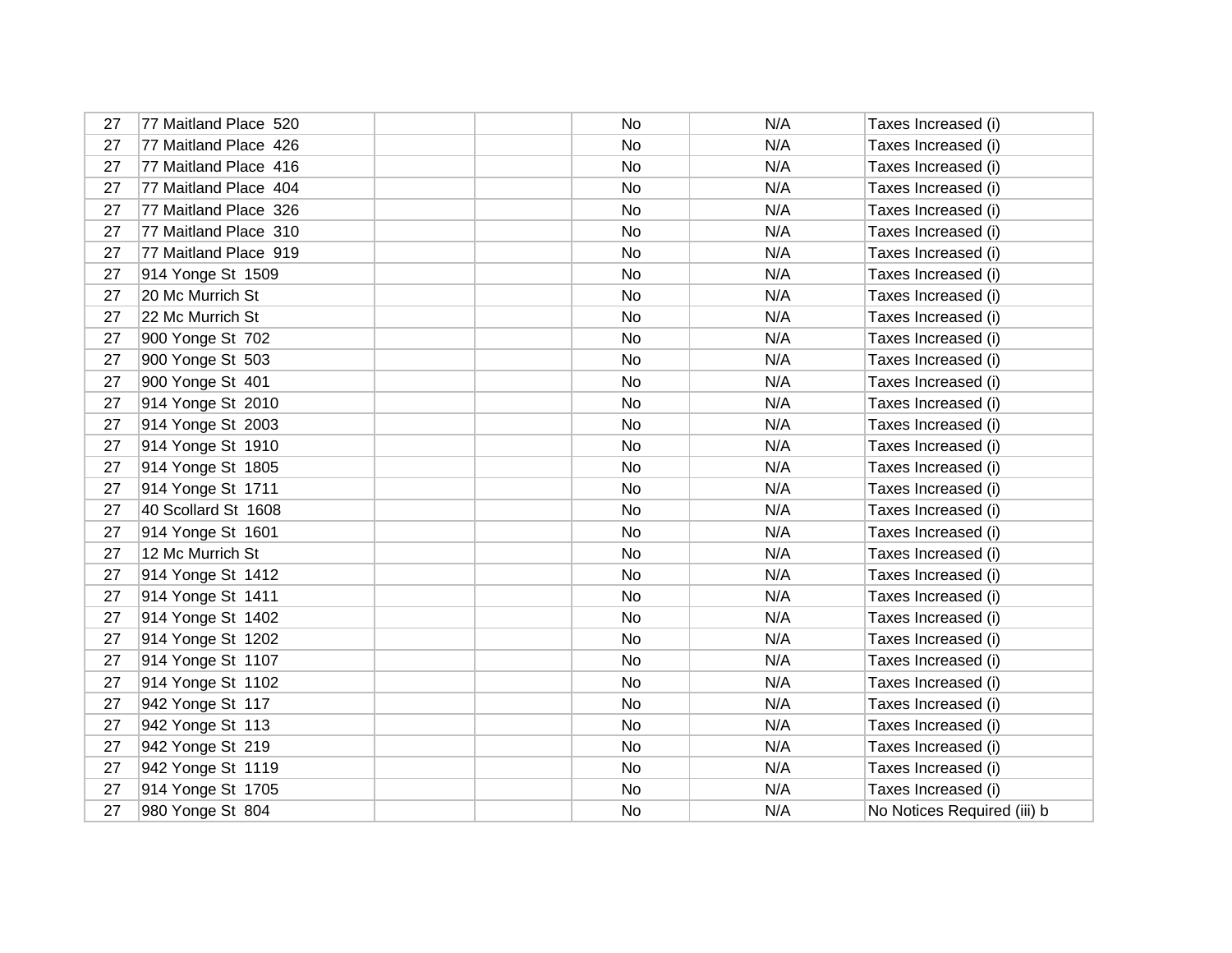| 27 | 77 Maitland Place 520 | No | N/A | Taxes Increased (i)         |
|----|-----------------------|----|-----|-----------------------------|
| 27 | 77 Maitland Place 426 | No | N/A | Taxes Increased (i)         |
| 27 | 77 Maitland Place 416 | No | N/A | Taxes Increased (i)         |
| 27 | 77 Maitland Place 404 | No | N/A | Taxes Increased (i)         |
| 27 | 77 Maitland Place 326 | No | N/A | Taxes Increased (i)         |
| 27 | 77 Maitland Place 310 | No | N/A | Taxes Increased (i)         |
| 27 | 77 Maitland Place 919 | No | N/A | Taxes Increased (i)         |
| 27 | 914 Yonge St 1509     | No | N/A | Taxes Increased (i)         |
| 27 | 20 Mc Murrich St      | No | N/A | Taxes Increased (i)         |
| 27 | 22 Mc Murrich St      | No | N/A | Taxes Increased (i)         |
| 27 | 900 Yonge St 702      | No | N/A | Taxes Increased (i)         |
| 27 | 900 Yonge St 503      | No | N/A | Taxes Increased (i)         |
| 27 | 900 Yonge St 401      | No | N/A | Taxes Increased (i)         |
| 27 | 914 Yonge St 2010     | No | N/A | Taxes Increased (i)         |
| 27 | 914 Yonge St 2003     | No | N/A | Taxes Increased (i)         |
| 27 | 914 Yonge St 1910     | No | N/A | Taxes Increased (i)         |
| 27 | 914 Yonge St 1805     | No | N/A | Taxes Increased (i)         |
| 27 | 914 Yonge St 1711     | No | N/A | Taxes Increased (i)         |
| 27 | 40 Scollard St 1608   | No | N/A | Taxes Increased (i)         |
| 27 | 914 Yonge St 1601     | No | N/A | Taxes Increased (i)         |
| 27 | 12 Mc Murrich St      | No | N/A | Taxes Increased (i)         |
| 27 | 914 Yonge St 1412     | No | N/A | Taxes Increased (i)         |
| 27 | 914 Yonge St 1411     | No | N/A | Taxes Increased (i)         |
| 27 | 914 Yonge St 1402     | No | N/A | Taxes Increased (i)         |
| 27 | 914 Yonge St 1202     | No | N/A | Taxes Increased (i)         |
| 27 | 914 Yonge St 1107     | No | N/A | Taxes Increased (i)         |
| 27 | 914 Yonge St 1102     | No | N/A | Taxes Increased (i)         |
| 27 | 942 Yonge St 117      | No | N/A | Taxes Increased (i)         |
| 27 | 942 Yonge St 113      | No | N/A | Taxes Increased (i)         |
| 27 | 942 Yonge St 219      | No | N/A | Taxes Increased (i)         |
| 27 | 942 Yonge St 1119     | No | N/A | Taxes Increased (i)         |
| 27 | 914 Yonge St 1705     | No | N/A | Taxes Increased (i)         |
| 27 | 980 Yonge St 804      | No | N/A | No Notices Required (iii) b |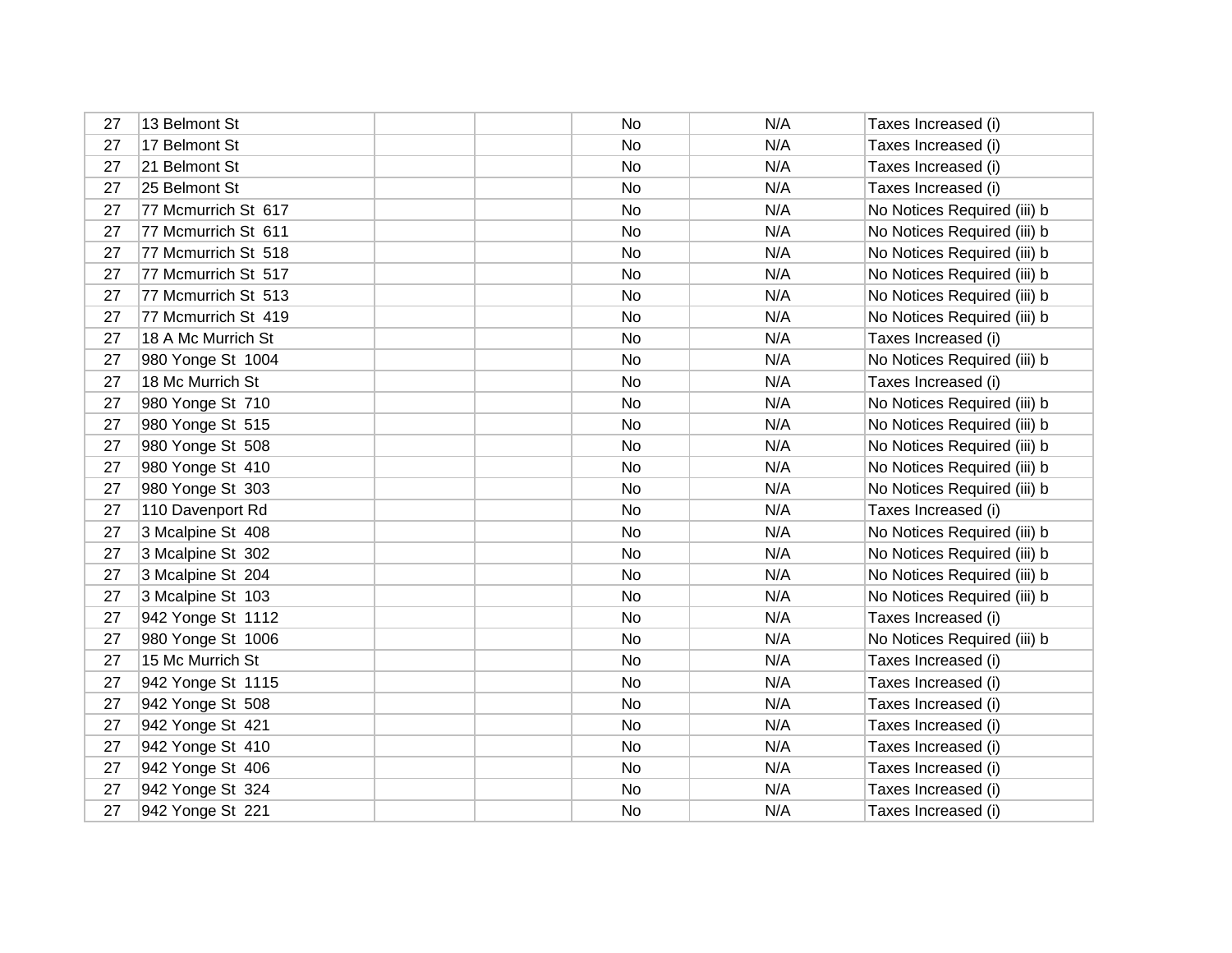| 27 | 13 Belmont St       | No | N/A | Taxes Increased (i)         |
|----|---------------------|----|-----|-----------------------------|
| 27 | 17 Belmont St       | No | N/A | Taxes Increased (i)         |
| 27 | 21 Belmont St       | No | N/A | Taxes Increased (i)         |
| 27 | 25 Belmont St       | No | N/A | Taxes Increased (i)         |
| 27 | 77 Mcmurrich St 617 | No | N/A | No Notices Required (iii) b |
| 27 | 77 Mcmurrich St 611 | No | N/A | No Notices Required (iii) b |
| 27 | 77 Mcmurrich St 518 | No | N/A | No Notices Required (iii) b |
| 27 | 77 Mcmurrich St 517 | No | N/A | No Notices Required (iii) b |
| 27 | 77 Mcmurrich St 513 | No | N/A | No Notices Required (iii) b |
| 27 | 77 Mcmurrich St 419 | No | N/A | No Notices Required (iii) b |
| 27 | 18 A Mc Murrich St  | No | N/A | Taxes Increased (i)         |
| 27 | 980 Yonge St 1004   | No | N/A | No Notices Required (iii) b |
| 27 | 18 Mc Murrich St    | No | N/A | Taxes Increased (i)         |
| 27 | 980 Yonge St 710    | No | N/A | No Notices Required (iii) b |
| 27 | 980 Yonge St 515    | No | N/A | No Notices Required (iii) b |
| 27 | 980 Yonge St 508    | No | N/A | No Notices Required (iii) b |
| 27 | 980 Yonge St 410    | No | N/A | No Notices Required (iii) b |
| 27 | 980 Yonge St 303    | No | N/A | No Notices Required (iii) b |
| 27 | 110 Davenport Rd    | No | N/A | Taxes Increased (i)         |
| 27 | 3 Mcalpine St 408   | No | N/A | No Notices Required (iii) b |
| 27 | 3 Mcalpine St 302   | No | N/A | No Notices Required (iii) b |
| 27 | 3 Mcalpine St 204   | No | N/A | No Notices Required (iii) b |
| 27 | 3 Mcalpine St 103   | No | N/A | No Notices Required (iii) b |
| 27 | 942 Yonge St 1112   | No | N/A | Taxes Increased (i)         |
| 27 | 980 Yonge St 1006   | No | N/A | No Notices Required (iii) b |
| 27 | 15 Mc Murrich St    | No | N/A | Taxes Increased (i)         |
| 27 | 942 Yonge St 1115   | No | N/A | Taxes Increased (i)         |
| 27 | 942 Yonge St 508    | No | N/A | Taxes Increased (i)         |
| 27 | 942 Yonge St 421    | No | N/A | Taxes Increased (i)         |
| 27 | 942 Yonge St 410    | No | N/A | Taxes Increased (i)         |
| 27 | 942 Yonge St 406    | No | N/A | Taxes Increased (i)         |
| 27 | 942 Yonge St 324    | No | N/A | Taxes Increased (i)         |
| 27 | 942 Yonge St 221    | No | N/A | Taxes Increased (i)         |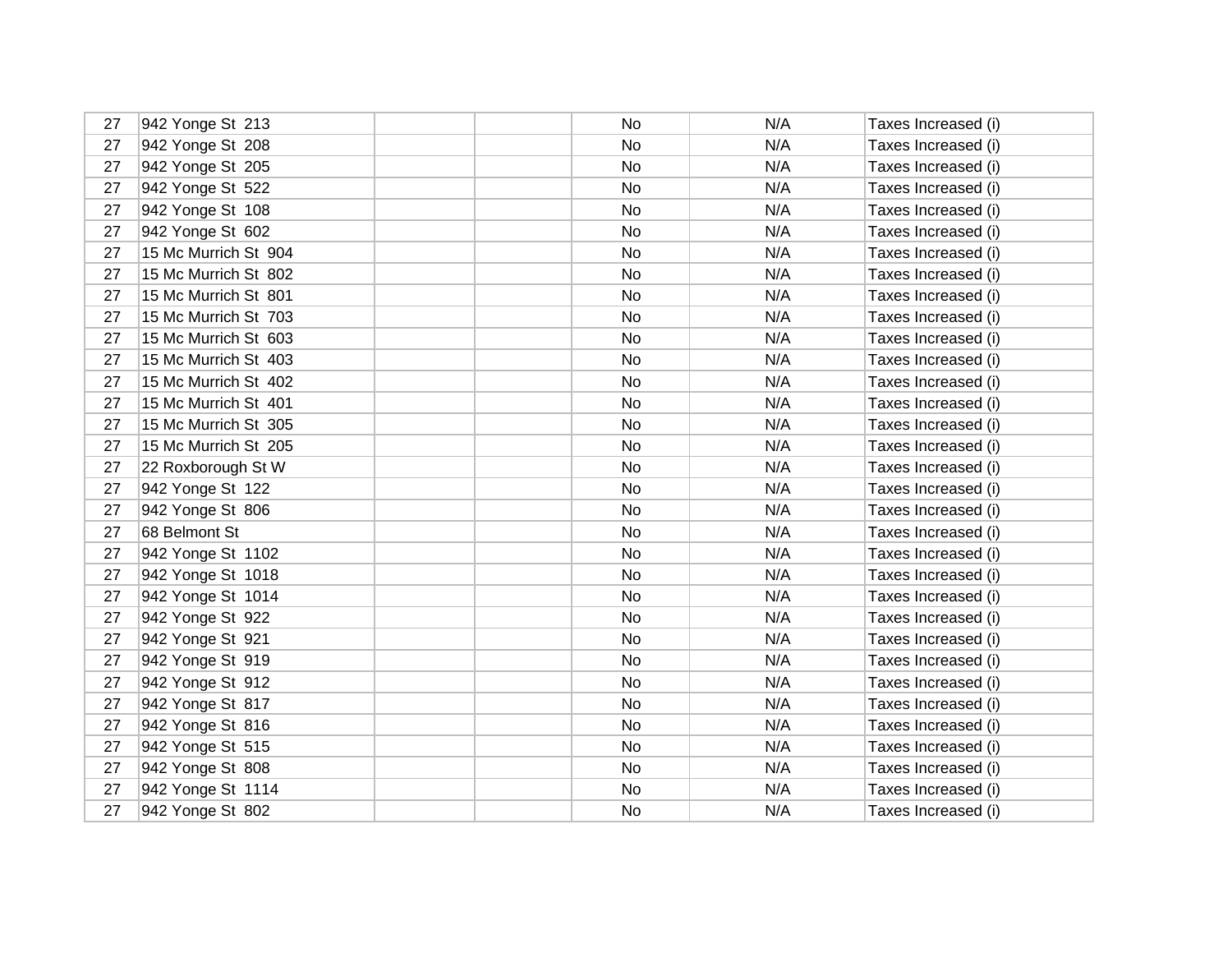| 27 | 942 Yonge St 213     | No | N/A | Taxes Increased (i) |
|----|----------------------|----|-----|---------------------|
| 27 | 942 Yonge St 208     | No | N/A | Taxes Increased (i) |
| 27 | 942 Yonge St 205     | No | N/A | Taxes Increased (i) |
| 27 | 942 Yonge St 522     | No | N/A | Taxes Increased (i) |
| 27 | 942 Yonge St 108     | No | N/A | Taxes Increased (i) |
| 27 | 942 Yonge St 602     | No | N/A | Taxes Increased (i) |
| 27 | 15 Mc Murrich St 904 | No | N/A | Taxes Increased (i) |
| 27 | 15 Mc Murrich St 802 | No | N/A | Taxes Increased (i) |
| 27 | 15 Mc Murrich St 801 | No | N/A | Taxes Increased (i) |
| 27 | 15 Mc Murrich St 703 | No | N/A | Taxes Increased (i) |
| 27 | 15 Mc Murrich St 603 | No | N/A | Taxes Increased (i) |
| 27 | 15 Mc Murrich St 403 | No | N/A | Taxes Increased (i) |
| 27 | 15 Mc Murrich St 402 | No | N/A | Taxes Increased (i) |
| 27 | 15 Mc Murrich St 401 | No | N/A | Taxes Increased (i) |
| 27 | 15 Mc Murrich St 305 | No | N/A | Taxes Increased (i) |
| 27 | 15 Mc Murrich St 205 | No | N/A | Taxes Increased (i) |
| 27 | 22 Roxborough St W   | No | N/A | Taxes Increased (i) |
| 27 | 942 Yonge St 122     | No | N/A | Taxes Increased (i) |
| 27 | 942 Yonge St 806     | No | N/A | Taxes Increased (i) |
| 27 | 68 Belmont St        | No | N/A | Taxes Increased (i) |
| 27 | 942 Yonge St 1102    | No | N/A | Taxes Increased (i) |
| 27 | 942 Yonge St 1018    | No | N/A | Taxes Increased (i) |
| 27 | 942 Yonge St 1014    | No | N/A | Taxes Increased (i) |
| 27 | 942 Yonge St 922     | No | N/A | Taxes Increased (i) |
| 27 | 942 Yonge St 921     | No | N/A | Taxes Increased (i) |
| 27 | 942 Yonge St 919     | No | N/A | Taxes Increased (i) |
| 27 | 942 Yonge St 912     | No | N/A | Taxes Increased (i) |
| 27 | 942 Yonge St 817     | No | N/A | Taxes Increased (i) |
| 27 | 942 Yonge St 816     | No | N/A | Taxes Increased (i) |
| 27 | 942 Yonge St 515     | No | N/A | Taxes Increased (i) |
| 27 | 942 Yonge St 808     | No | N/A | Taxes Increased (i) |
| 27 | 942 Yonge St 1114    | No | N/A | Taxes Increased (i) |
| 27 | 942 Yonge St 802     | No | N/A | Taxes Increased (i) |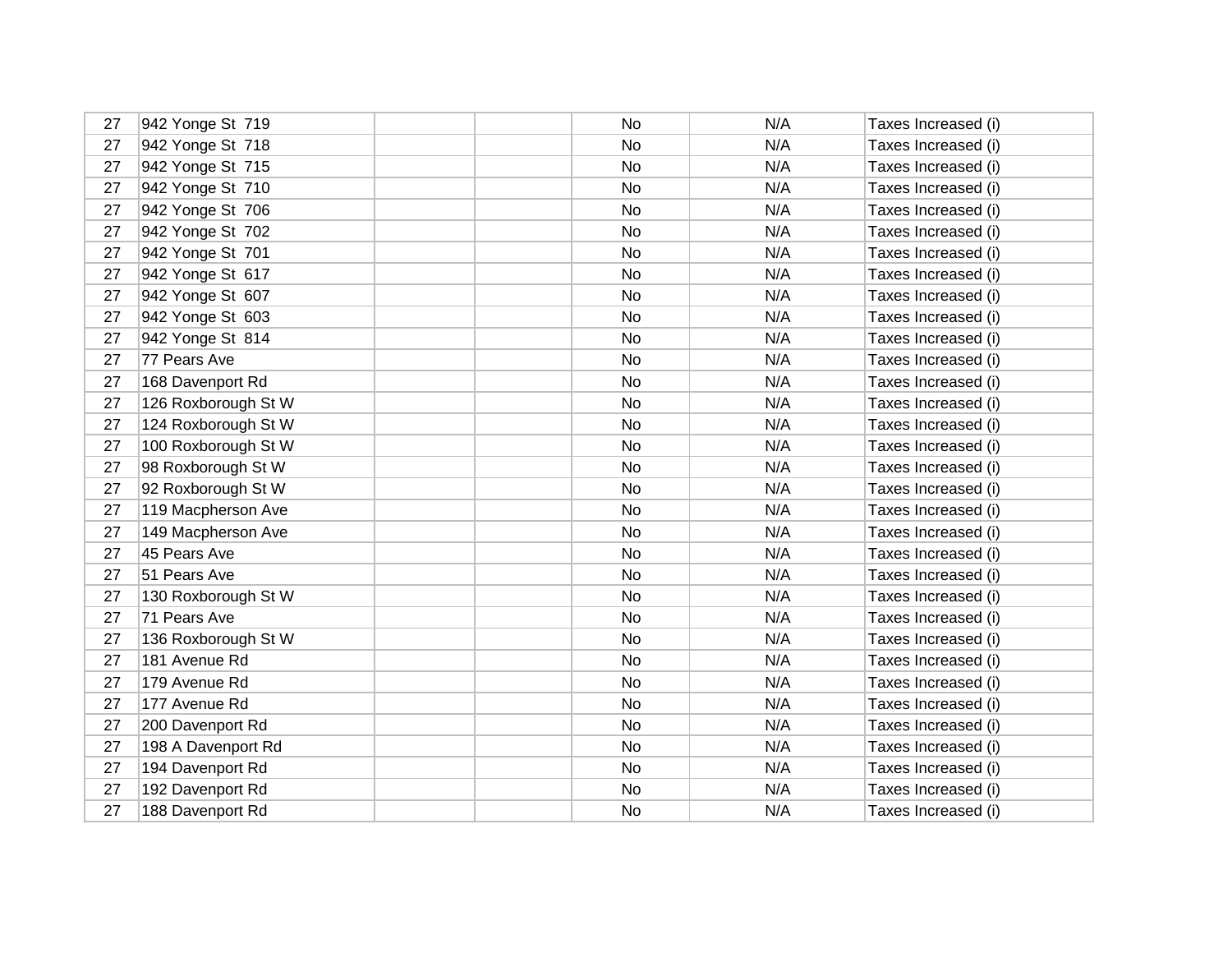| 27 | 942 Yonge St 719    | No | N/A | Taxes Increased (i) |
|----|---------------------|----|-----|---------------------|
| 27 | 942 Yonge St 718    | No | N/A | Taxes Increased (i) |
| 27 | 942 Yonge St 715    | No | N/A | Taxes Increased (i) |
| 27 | 942 Yonge St 710    | No | N/A | Taxes Increased (i) |
| 27 | 942 Yonge St 706    | No | N/A | Taxes Increased (i) |
| 27 | 942 Yonge St 702    | No | N/A | Taxes Increased (i) |
| 27 | 942 Yonge St 701    | No | N/A | Taxes Increased (i) |
| 27 | 942 Yonge St 617    | No | N/A | Taxes Increased (i) |
| 27 | 942 Yonge St 607    | No | N/A | Taxes Increased (i) |
| 27 | 942 Yonge St 603    | No | N/A | Taxes Increased (i) |
| 27 | 942 Yonge St 814    | No | N/A | Taxes Increased (i) |
| 27 | 77 Pears Ave        | No | N/A | Taxes Increased (i) |
| 27 | 168 Davenport Rd    | No | N/A | Taxes Increased (i) |
| 27 | 126 Roxborough St W | No | N/A | Taxes Increased (i) |
| 27 | 124 Roxborough St W | No | N/A | Taxes Increased (i) |
| 27 | 100 Roxborough St W | No | N/A | Taxes Increased (i) |
| 27 | 98 Roxborough St W  | No | N/A | Taxes Increased (i) |
| 27 | 92 Roxborough St W  | No | N/A | Taxes Increased (i) |
| 27 | 119 Macpherson Ave  | No | N/A | Taxes Increased (i) |
| 27 | 149 Macpherson Ave  | No | N/A | Taxes Increased (i) |
| 27 | 45 Pears Ave        | No | N/A | Taxes Increased (i) |
| 27 | 51 Pears Ave        | No | N/A | Taxes Increased (i) |
| 27 | 130 Roxborough St W | No | N/A | Taxes Increased (i) |
| 27 | 71 Pears Ave        | No | N/A | Taxes Increased (i) |
| 27 | 136 Roxborough St W | No | N/A | Taxes Increased (i) |
| 27 | 181 Avenue Rd       | No | N/A | Taxes Increased (i) |
| 27 | 179 Avenue Rd       | No | N/A | Taxes Increased (i) |
| 27 | 177 Avenue Rd       | No | N/A | Taxes Increased (i) |
| 27 | 200 Davenport Rd    | No | N/A | Taxes Increased (i) |
| 27 | 198 A Davenport Rd  | No | N/A | Taxes Increased (i) |
| 27 | 194 Davenport Rd    | No | N/A | Taxes Increased (i) |
| 27 | 192 Davenport Rd    | No | N/A | Taxes Increased (i) |
| 27 | 188 Davenport Rd    | No | N/A | Taxes Increased (i) |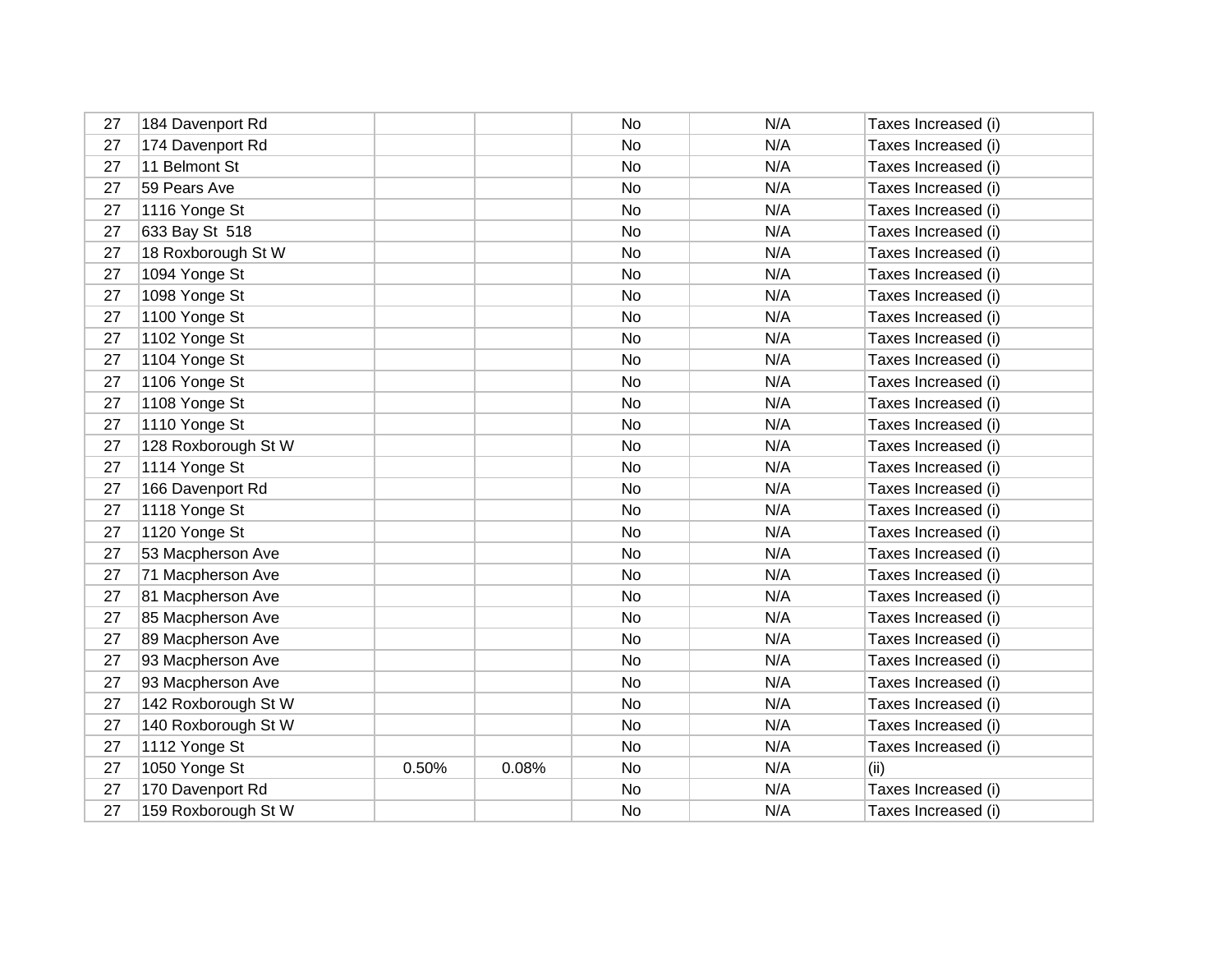| 27 | 184 Davenport Rd    |       |       | No | N/A | Taxes Increased (i) |
|----|---------------------|-------|-------|----|-----|---------------------|
| 27 | 174 Davenport Rd    |       |       | No | N/A | Taxes Increased (i) |
| 27 | 11 Belmont St       |       |       | No | N/A | Taxes Increased (i) |
| 27 | 59 Pears Ave        |       |       | No | N/A | Taxes Increased (i) |
| 27 | 1116 Yonge St       |       |       | No | N/A | Taxes Increased (i) |
| 27 | 633 Bay St 518      |       |       | No | N/A | Taxes Increased (i) |
| 27 | 18 Roxborough St W  |       |       | No | N/A | Taxes Increased (i) |
| 27 | 1094 Yonge St       |       |       | No | N/A | Taxes Increased (i) |
| 27 | 1098 Yonge St       |       |       | No | N/A | Taxes Increased (i) |
| 27 | 1100 Yonge St       |       |       | No | N/A | Taxes Increased (i) |
| 27 | 1102 Yonge St       |       |       | No | N/A | Taxes Increased (i) |
| 27 | 1104 Yonge St       |       |       | No | N/A | Taxes Increased (i) |
| 27 | 1106 Yonge St       |       |       | No | N/A | Taxes Increased (i) |
| 27 | 1108 Yonge St       |       |       | No | N/A | Taxes Increased (i) |
| 27 | 1110 Yonge St       |       |       | No | N/A | Taxes Increased (i) |
| 27 | 128 Roxborough St W |       |       | No | N/A | Taxes Increased (i) |
| 27 | 1114 Yonge St       |       |       | No | N/A | Taxes Increased (i) |
| 27 | 166 Davenport Rd    |       |       | No | N/A | Taxes Increased (i) |
| 27 | 1118 Yonge St       |       |       | No | N/A | Taxes Increased (i) |
| 27 | 1120 Yonge St       |       |       | No | N/A | Taxes Increased (i) |
| 27 | 53 Macpherson Ave   |       |       | No | N/A | Taxes Increased (i) |
| 27 | 71 Macpherson Ave   |       |       | No | N/A | Taxes Increased (i) |
| 27 | 81 Macpherson Ave   |       |       | No | N/A | Taxes Increased (i) |
| 27 | 85 Macpherson Ave   |       |       | No | N/A | Taxes Increased (i) |
| 27 | 89 Macpherson Ave   |       |       | No | N/A | Taxes Increased (i) |
| 27 | 93 Macpherson Ave   |       |       | No | N/A | Taxes Increased (i) |
| 27 | 93 Macpherson Ave   |       |       | No | N/A | Taxes Increased (i) |
| 27 | 142 Roxborough St W |       |       | No | N/A | Taxes Increased (i) |
| 27 | 140 Roxborough St W |       |       | No | N/A | Taxes Increased (i) |
| 27 | 1112 Yonge St       |       |       | No | N/A | Taxes Increased (i) |
| 27 | 1050 Yonge St       | 0.50% | 0.08% | No | N/A | (ii)                |
| 27 | 170 Davenport Rd    |       |       | No | N/A | Taxes Increased (i) |
| 27 | 159 Roxborough St W |       |       | No | N/A | Taxes Increased (i) |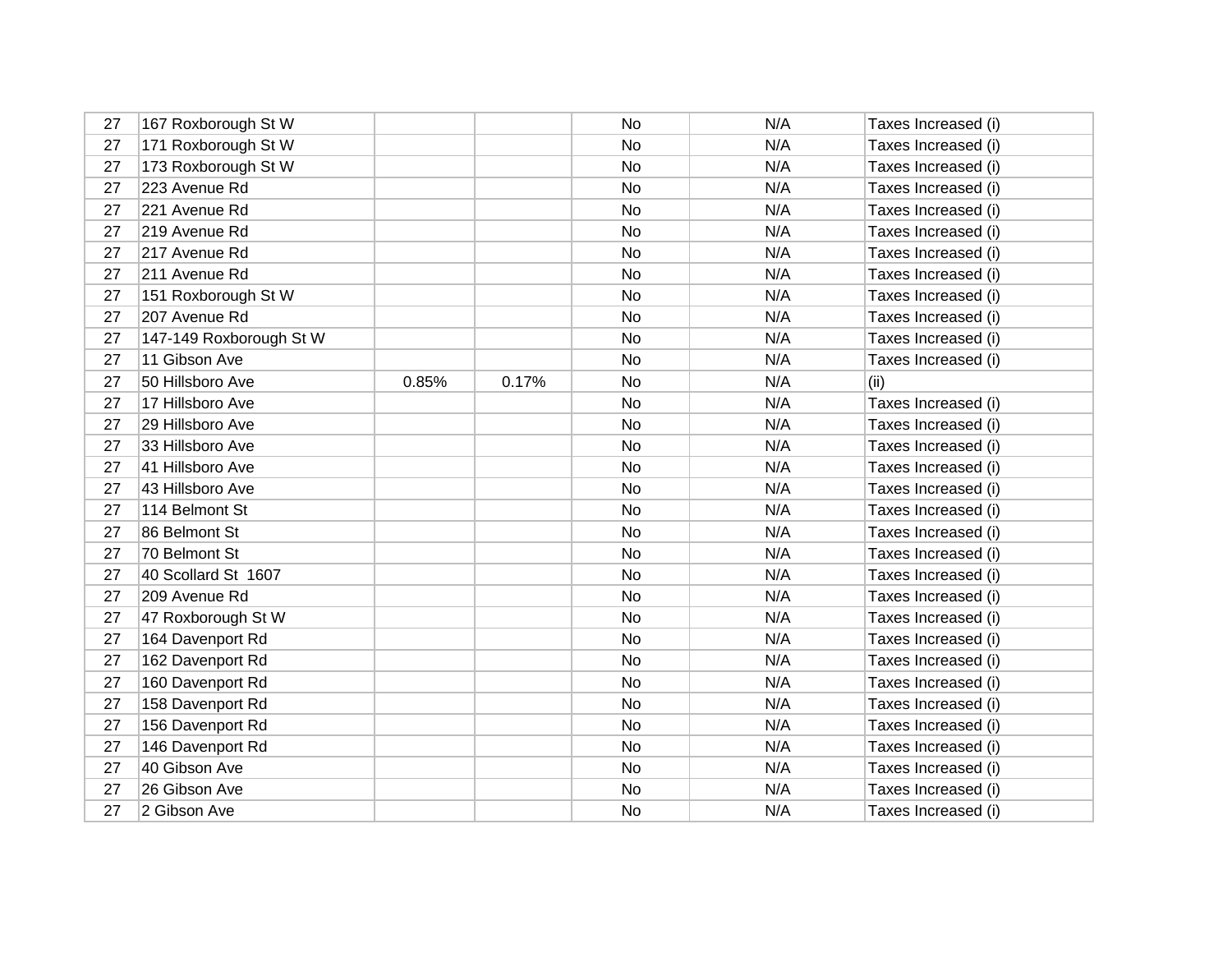| 27 | 167 Roxborough St W     |       |       | No        | N/A | Taxes Increased (i) |
|----|-------------------------|-------|-------|-----------|-----|---------------------|
| 27 | 171 Roxborough St W     |       |       | No        | N/A | Taxes Increased (i) |
| 27 | 173 Roxborough St W     |       |       | No        | N/A | Taxes Increased (i) |
| 27 | 223 Avenue Rd           |       |       | No        | N/A | Taxes Increased (i) |
| 27 | 221 Avenue Rd           |       |       | No        | N/A | Taxes Increased (i) |
| 27 | 219 Avenue Rd           |       |       | No        | N/A | Taxes Increased (i) |
| 27 | 217 Avenue Rd           |       |       | No        | N/A | Taxes Increased (i) |
| 27 | 211 Avenue Rd           |       |       | No        | N/A | Taxes Increased (i) |
| 27 | 151 Roxborough St W     |       |       | No        | N/A | Taxes Increased (i) |
| 27 | 207 Avenue Rd           |       |       | No        | N/A | Taxes Increased (i) |
| 27 | 147-149 Roxborough St W |       |       | No        | N/A | Taxes Increased (i) |
| 27 | 11 Gibson Ave           |       |       | No        | N/A | Taxes Increased (i) |
| 27 | 50 Hillsboro Ave        | 0.85% | 0.17% | No        | N/A | (ii)                |
| 27 | 17 Hillsboro Ave        |       |       | No        | N/A | Taxes Increased (i) |
| 27 | 29 Hillsboro Ave        |       |       | No.       | N/A | Taxes Increased (i) |
| 27 | 33 Hillsboro Ave        |       |       | No        | N/A | Taxes Increased (i) |
| 27 | 41 Hillsboro Ave        |       |       | No        | N/A | Taxes Increased (i) |
| 27 | 43 Hillsboro Ave        |       |       | No        | N/A | Taxes Increased (i) |
| 27 | 114 Belmont St          |       |       | No        | N/A | Taxes Increased (i) |
| 27 | 86 Belmont St           |       |       | <b>No</b> | N/A | Taxes Increased (i) |
| 27 | 70 Belmont St           |       |       | <b>No</b> | N/A | Taxes Increased (i) |
| 27 | 40 Scollard St 1607     |       |       | No        | N/A | Taxes Increased (i) |
| 27 | 209 Avenue Rd           |       |       | No        | N/A | Taxes Increased (i) |
| 27 | 47 Roxborough St W      |       |       | No        | N/A | Taxes Increased (i) |
| 27 | 164 Davenport Rd        |       |       | No        | N/A | Taxes Increased (i) |
| 27 | 162 Davenport Rd        |       |       | No        | N/A | Taxes Increased (i) |
| 27 | 160 Davenport Rd        |       |       | No        | N/A | Taxes Increased (i) |
| 27 | 158 Davenport Rd        |       |       | No        | N/A | Taxes Increased (i) |
| 27 | 156 Davenport Rd        |       |       | No        | N/A | Taxes Increased (i) |
| 27 | 146 Davenport Rd        |       |       | No        | N/A | Taxes Increased (i) |
| 27 | 40 Gibson Ave           |       |       | No        | N/A | Taxes Increased (i) |
| 27 | 26 Gibson Ave           |       |       | No        | N/A | Taxes Increased (i) |
| 27 | 2 Gibson Ave            |       |       | No        | N/A | Taxes Increased (i) |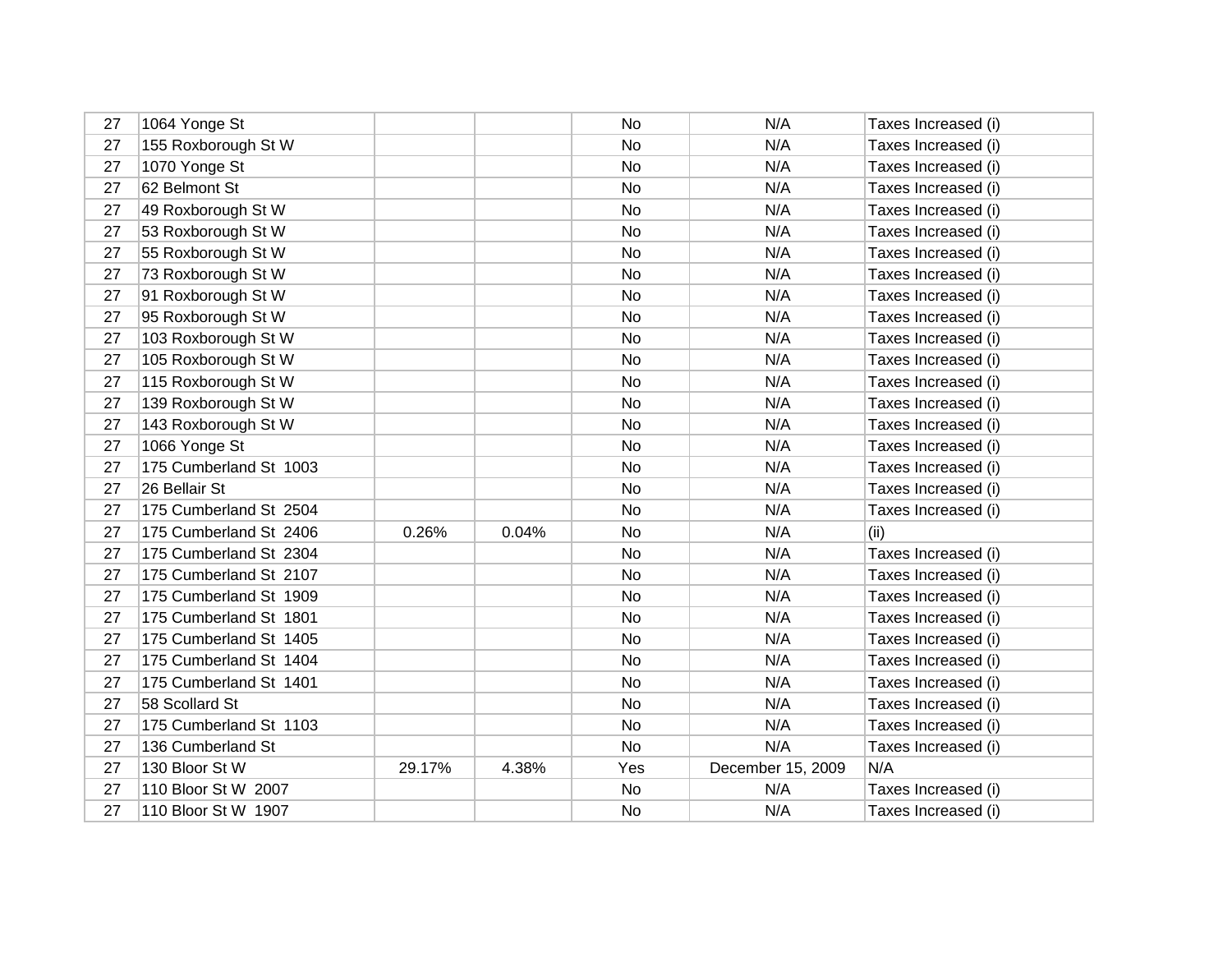| 27 | 1064 Yonge St          |        |       | No        | N/A               | Taxes Increased (i) |
|----|------------------------|--------|-------|-----------|-------------------|---------------------|
| 27 | 155 Roxborough St W    |        |       | No        | N/A               | Taxes Increased (i) |
| 27 | 1070 Yonge St          |        |       | No        | N/A               | Taxes Increased (i) |
| 27 | 62 Belmont St          |        |       | No        | N/A               | Taxes Increased (i) |
| 27 | 49 Roxborough St W     |        |       | No        | N/A               | Taxes Increased (i) |
| 27 | 53 Roxborough St W     |        |       | No        | N/A               | Taxes Increased (i) |
| 27 | 55 Roxborough St W     |        |       | No        | N/A               | Taxes Increased (i) |
| 27 | 73 Roxborough St W     |        |       | No        | N/A               | Taxes Increased (i) |
| 27 | 91 Roxborough St W     |        |       | No        | N/A               | Taxes Increased (i) |
| 27 | 95 Roxborough St W     |        |       | No        | N/A               | Taxes Increased (i) |
| 27 | 103 Roxborough St W    |        |       | No        | N/A               | Taxes Increased (i) |
| 27 | 105 Roxborough St W    |        |       | No        | N/A               | Taxes Increased (i) |
| 27 | 115 Roxborough St W    |        |       | No        | N/A               | Taxes Increased (i) |
| 27 | 139 Roxborough St W    |        |       | No        | N/A               | Taxes Increased (i) |
| 27 | 143 Roxborough St W    |        |       | No        | N/A               | Taxes Increased (i) |
| 27 | 1066 Yonge St          |        |       | No        | N/A               | Taxes Increased (i) |
| 27 | 175 Cumberland St 1003 |        |       | No        | N/A               | Taxes Increased (i) |
| 27 | 26 Bellair St          |        |       | No        | N/A               | Taxes Increased (i) |
| 27 | 175 Cumberland St 2504 |        |       | No        | N/A               | Taxes Increased (i) |
| 27 | 175 Cumberland St 2406 | 0.26%  | 0.04% | No        | N/A               | (ii)                |
| 27 | 175 Cumberland St 2304 |        |       | <b>No</b> | N/A               | Taxes Increased (i) |
| 27 | 175 Cumberland St 2107 |        |       | No        | N/A               | Taxes Increased (i) |
| 27 | 175 Cumberland St 1909 |        |       | No        | N/A               | Taxes Increased (i) |
| 27 | 175 Cumberland St 1801 |        |       | No        | N/A               | Taxes Increased (i) |
| 27 | 175 Cumberland St 1405 |        |       | No        | N/A               | Taxes Increased (i) |
| 27 | 175 Cumberland St 1404 |        |       | No        | N/A               | Taxes Increased (i) |
| 27 | 175 Cumberland St 1401 |        |       | No        | N/A               | Taxes Increased (i) |
| 27 | 58 Scollard St         |        |       | No.       | N/A               | Taxes Increased (i) |
| 27 | 175 Cumberland St 1103 |        |       | No        | N/A               | Taxes Increased (i) |
| 27 | 136 Cumberland St      |        |       | No        | N/A               | Taxes Increased (i) |
| 27 | 130 Bloor St W         | 29.17% | 4.38% | Yes       | December 15, 2009 | N/A                 |
| 27 | 110 Bloor St W 2007    |        |       | No        | N/A               | Taxes Increased (i) |
| 27 | 110 Bloor St W 1907    |        |       | No        | N/A               | Taxes Increased (i) |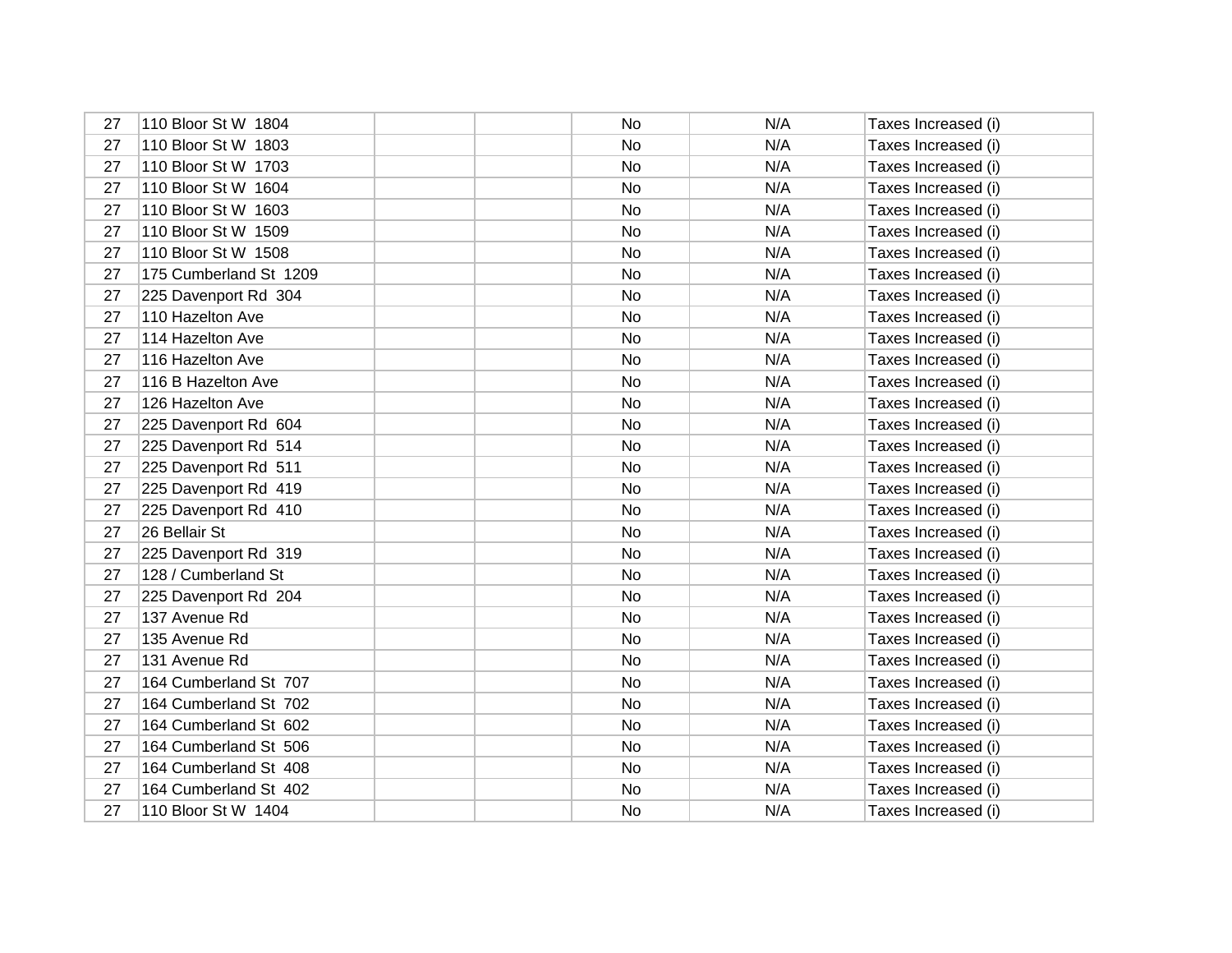| 27 | 110 Bloor St W 1804    | No | N/A | Taxes Increased (i) |
|----|------------------------|----|-----|---------------------|
| 27 | 110 Bloor St W 1803    | No | N/A | Taxes Increased (i) |
| 27 | 110 Bloor St W 1703    | No | N/A | Taxes Increased (i) |
| 27 | 110 Bloor St W 1604    | No | N/A | Taxes Increased (i) |
| 27 | 110 Bloor St W 1603    | No | N/A | Taxes Increased (i) |
| 27 | 110 Bloor St W 1509    | No | N/A | Taxes Increased (i) |
| 27 | 110 Bloor St W 1508    | No | N/A | Taxes Increased (i) |
| 27 | 175 Cumberland St 1209 | No | N/A | Taxes Increased (i) |
| 27 | 225 Davenport Rd 304   | No | N/A | Taxes Increased (i) |
| 27 | 110 Hazelton Ave       | No | N/A | Taxes Increased (i) |
| 27 | 114 Hazelton Ave       | No | N/A | Taxes Increased (i) |
| 27 | 116 Hazelton Ave       | No | N/A | Taxes Increased (i) |
| 27 | 116 B Hazelton Ave     | No | N/A | Taxes Increased (i) |
| 27 | 126 Hazelton Ave       | No | N/A | Taxes Increased (i) |
| 27 | 225 Davenport Rd 604   | No | N/A | Taxes Increased (i) |
| 27 | 225 Davenport Rd 514   | No | N/A | Taxes Increased (i) |
| 27 | 225 Davenport Rd 511   | No | N/A | Taxes Increased (i) |
| 27 | 225 Davenport Rd 419   | No | N/A | Taxes Increased (i) |
| 27 | 225 Davenport Rd 410   | No | N/A | Taxes Increased (i) |
| 27 | 26 Bellair St          | No | N/A | Taxes Increased (i) |
| 27 | 225 Davenport Rd 319   | No | N/A | Taxes Increased (i) |
| 27 | 128 / Cumberland St    | No | N/A | Taxes Increased (i) |
| 27 | 225 Davenport Rd 204   | No | N/A | Taxes Increased (i) |
| 27 | 137 Avenue Rd          | No | N/A | Taxes Increased (i) |
| 27 | 135 Avenue Rd          | No | N/A | Taxes Increased (i) |
| 27 | 131 Avenue Rd          | No | N/A | Taxes Increased (i) |
| 27 | 164 Cumberland St 707  | No | N/A | Taxes Increased (i) |
| 27 | 164 Cumberland St 702  | No | N/A | Taxes Increased (i) |
| 27 | 164 Cumberland St 602  | No | N/A | Taxes Increased (i) |
| 27 | 164 Cumberland St 506  | No | N/A | Taxes Increased (i) |
| 27 | 164 Cumberland St 408  | No | N/A | Taxes Increased (i) |
| 27 | 164 Cumberland St 402  | No | N/A | Taxes Increased (i) |
| 27 | 110 Bloor St W 1404    | No | N/A | Taxes Increased (i) |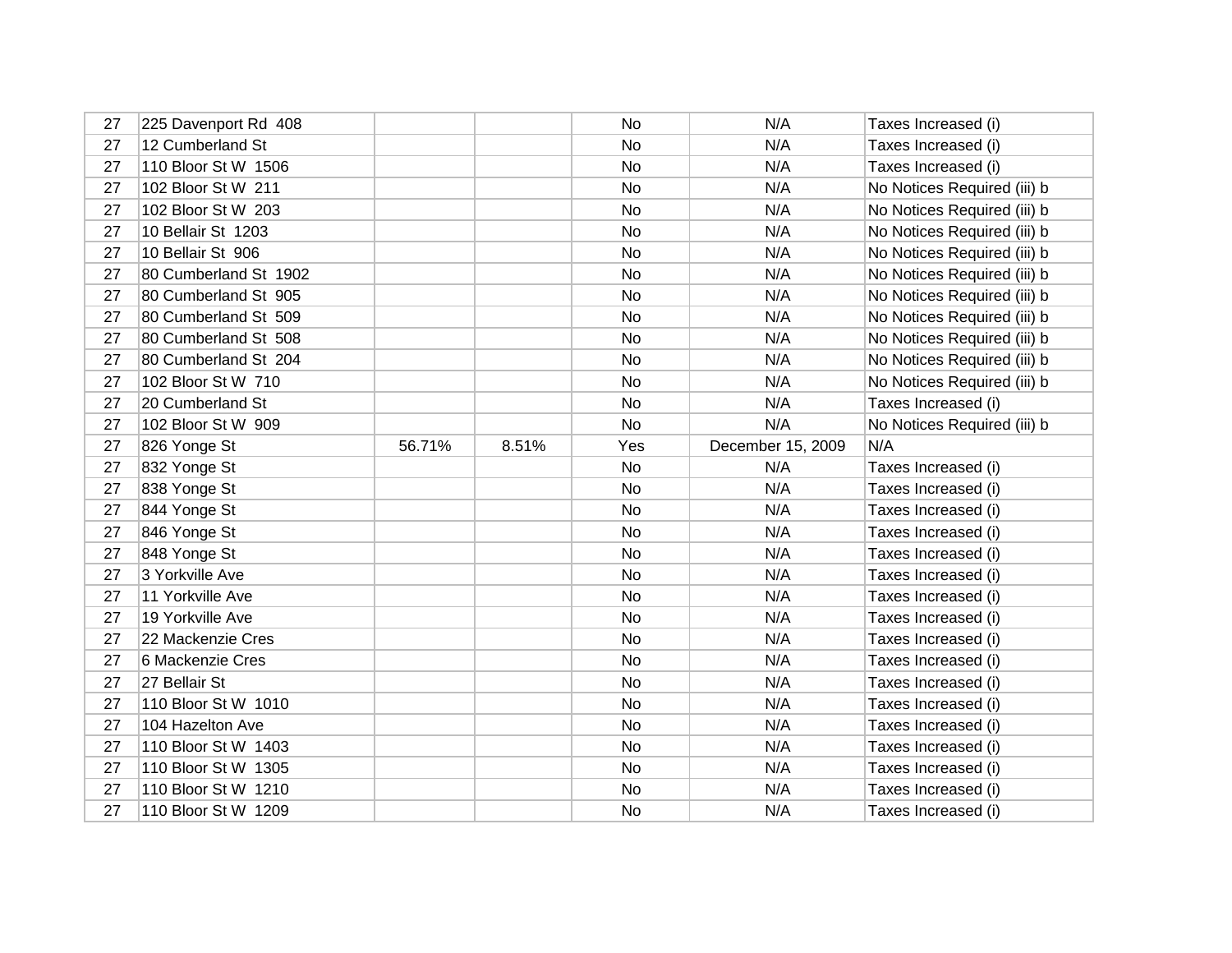| 27 | 225 Davenport Rd 408  |        |       | No  | N/A               | Taxes Increased (i)         |
|----|-----------------------|--------|-------|-----|-------------------|-----------------------------|
| 27 | 12 Cumberland St      |        |       | No  | N/A               | Taxes Increased (i)         |
| 27 | 110 Bloor St W 1506   |        |       | No  | N/A               | Taxes Increased (i)         |
| 27 | 102 Bloor St W 211    |        |       | No  | N/A               | No Notices Required (iii) b |
| 27 | 102 Bloor St W 203    |        |       | No  | N/A               | No Notices Required (iii) b |
| 27 | 10 Bellair St 1203    |        |       | No  | N/A               | No Notices Required (iii) b |
| 27 | 10 Bellair St 906     |        |       | No  | N/A               | No Notices Required (iii) b |
| 27 | 80 Cumberland St 1902 |        |       | No  | N/A               | No Notices Required (iii) b |
| 27 | 80 Cumberland St 905  |        |       | No  | N/A               | No Notices Required (iii) b |
| 27 | 80 Cumberland St 509  |        |       | No  | N/A               | No Notices Required (iii) b |
| 27 | 80 Cumberland St 508  |        |       | No  | N/A               | No Notices Required (iii) b |
| 27 | 80 Cumberland St 204  |        |       | No  | N/A               | No Notices Required (iii) b |
| 27 | 102 Bloor St W 710    |        |       | No  | N/A               | No Notices Required (iii) b |
| 27 | 20 Cumberland St      |        |       | No  | N/A               | Taxes Increased (i)         |
| 27 | 102 Bloor St W 909    |        |       | No  | N/A               | No Notices Required (iii) b |
| 27 | 826 Yonge St          | 56.71% | 8.51% | Yes | December 15, 2009 | N/A                         |
| 27 | 832 Yonge St          |        |       | No  | N/A               | Taxes Increased (i)         |
| 27 | 838 Yonge St          |        |       | No  | N/A               | Taxes Increased (i)         |
| 27 | 844 Yonge St          |        |       | No  | N/A               | Taxes Increased (i)         |
| 27 | 846 Yonge St          |        |       | No  | N/A               | Taxes Increased (i)         |
| 27 | 848 Yonge St          |        |       | No  | N/A               | Taxes Increased (i)         |
| 27 | 3 Yorkville Ave       |        |       | No  | N/A               | Taxes Increased (i)         |
| 27 | 11 Yorkville Ave      |        |       | No  | N/A               | Taxes Increased (i)         |
| 27 | 19 Yorkville Ave      |        |       | No  | N/A               | Taxes Increased (i)         |
| 27 |                       |        |       |     |                   |                             |
|    | 22 Mackenzie Cres     |        |       | No  | N/A               | Taxes Increased (i)         |
| 27 | 6 Mackenzie Cres      |        |       | No  | N/A               | Taxes Increased (i)         |
| 27 | 27 Bellair St         |        |       | No  | N/A               | Taxes Increased (i)         |
| 27 | 110 Bloor St W 1010   |        |       | No  | N/A               | Taxes Increased (i)         |
| 27 | 104 Hazelton Ave      |        |       | No  | N/A               | Taxes Increased (i)         |
| 27 | 110 Bloor St W 1403   |        |       | No  | N/A               | Taxes Increased (i)         |
| 27 | 110 Bloor St W 1305   |        |       | No  | N/A               | Taxes Increased (i)         |
| 27 | 110 Bloor St W 1210   |        |       | No  | N/A               | Taxes Increased (i)         |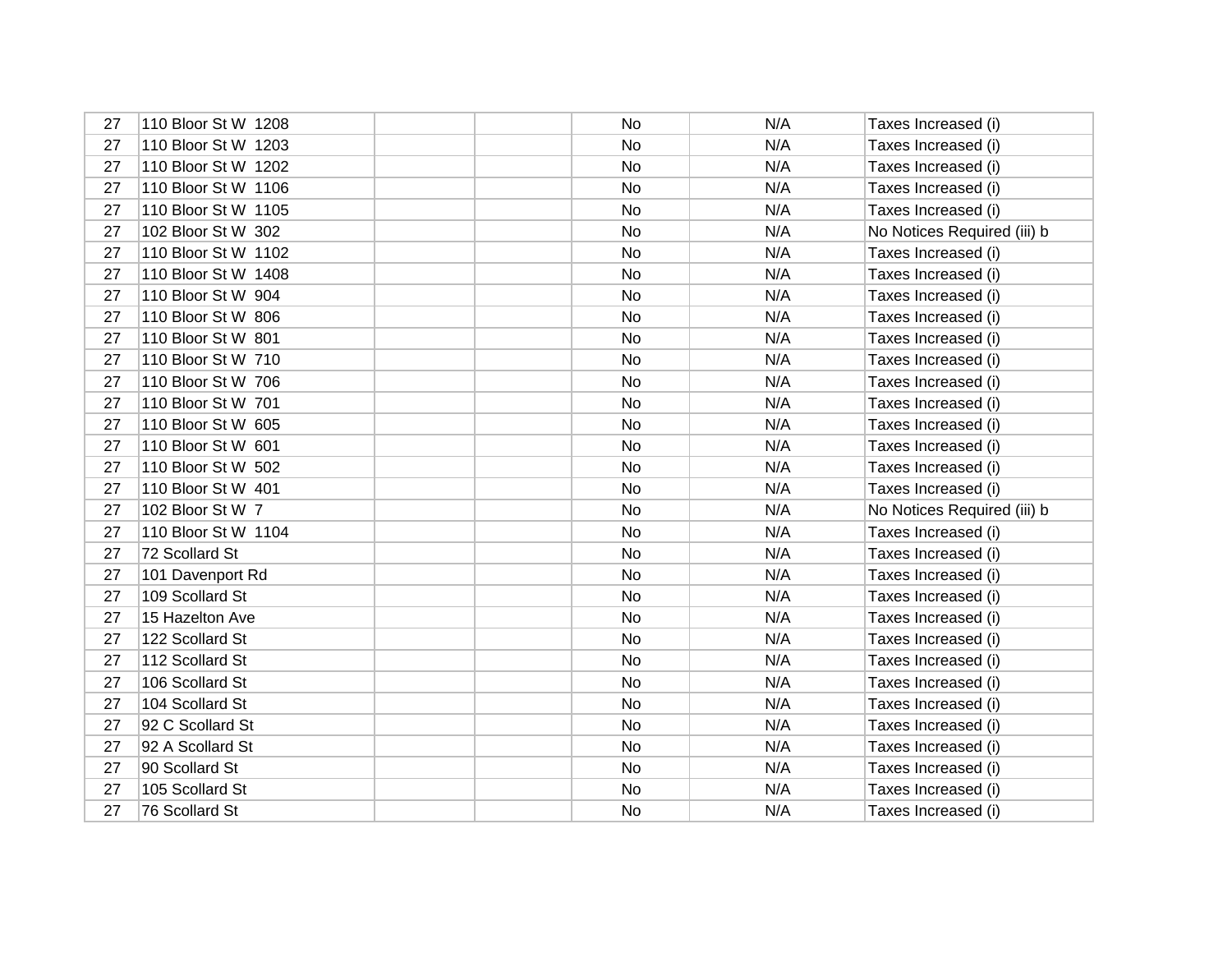| 27 | 110 Bloor St W 1208 | No | N/A | Taxes Increased (i)         |
|----|---------------------|----|-----|-----------------------------|
| 27 | 110 Bloor St W 1203 | No | N/A | Taxes Increased (i)         |
| 27 | 110 Bloor St W 1202 | No | N/A | Taxes Increased (i)         |
| 27 | 110 Bloor St W 1106 | No | N/A | Taxes Increased (i)         |
| 27 | 110 Bloor St W 1105 | No | N/A | Taxes Increased (i)         |
| 27 | 102 Bloor St W 302  | No | N/A | No Notices Required (iii) b |
| 27 | 110 Bloor St W 1102 | No | N/A | Taxes Increased (i)         |
| 27 | 110 Bloor St W 1408 | No | N/A | Taxes Increased (i)         |
| 27 | 110 Bloor St W 904  | No | N/A | Taxes Increased (i)         |
| 27 | 110 Bloor St W 806  | No | N/A | Taxes Increased (i)         |
| 27 | 110 Bloor St W 801  | No | N/A | Taxes Increased (i)         |
| 27 | 110 Bloor St W 710  | No | N/A | Taxes Increased (i)         |
| 27 | 110 Bloor St W 706  | No | N/A | Taxes Increased (i)         |
| 27 | 110 Bloor St W 701  | No | N/A | Taxes Increased (i)         |
| 27 | 110 Bloor St W 605  | No | N/A | Taxes Increased (i)         |
| 27 | 110 Bloor St W 601  | No | N/A | Taxes Increased (i)         |
| 27 | 110 Bloor St W 502  | No | N/A | Taxes Increased (i)         |
| 27 | 110 Bloor St W 401  | No | N/A | Taxes Increased (i)         |
| 27 | 102 Bloor St W 7    | No | N/A | No Notices Required (iii) b |
| 27 | 110 Bloor St W 1104 | No | N/A | Taxes Increased (i)         |
| 27 | 72 Scollard St      | No | N/A | Taxes Increased (i)         |
| 27 | 101 Davenport Rd    | No | N/A | Taxes Increased (i)         |
| 27 | 109 Scollard St     | No | N/A | Taxes Increased (i)         |
| 27 | 15 Hazelton Ave     | No | N/A | Taxes Increased (i)         |
| 27 | 122 Scollard St     | No | N/A | Taxes Increased (i)         |
| 27 | 112 Scollard St     | No | N/A | Taxes Increased (i)         |
| 27 | 106 Scollard St     | No | N/A | Taxes Increased (i)         |
| 27 | 104 Scollard St     | No | N/A | Taxes Increased (i)         |
| 27 | 92 C Scollard St    | No | N/A | Taxes Increased (i)         |
| 27 | 92 A Scollard St    | No | N/A | Taxes Increased (i)         |
| 27 | 90 Scollard St      | No | N/A | Taxes Increased (i)         |
| 27 | 105 Scollard St     | No | N/A | Taxes Increased (i)         |
| 27 | 76 Scollard St      | No | N/A | Taxes Increased (i)         |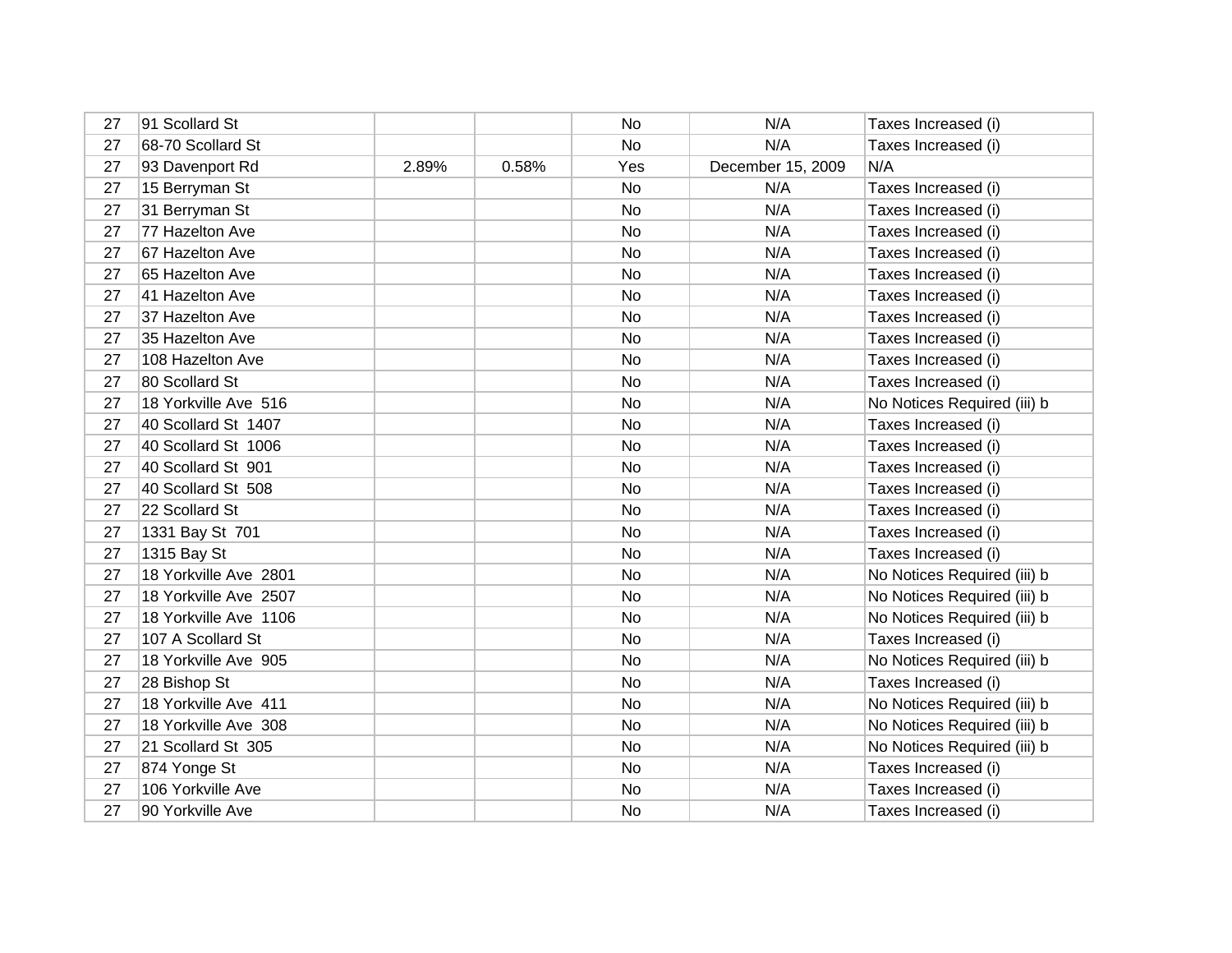| 27 | 91 Scollard St        |       |       | <b>No</b> | N/A               | Taxes Increased (i)         |
|----|-----------------------|-------|-------|-----------|-------------------|-----------------------------|
| 27 | 68-70 Scollard St     |       |       | No        | N/A               | Taxes Increased (i)         |
| 27 | 93 Davenport Rd       | 2.89% | 0.58% | Yes       | December 15, 2009 | N/A                         |
| 27 | 15 Berryman St        |       |       | No        | N/A               | Taxes Increased (i)         |
| 27 | 31 Berryman St        |       |       | No        | N/A               | Taxes Increased (i)         |
| 27 | 77 Hazelton Ave       |       |       | No        | N/A               | Taxes Increased (i)         |
| 27 | 67 Hazelton Ave       |       |       | No        | N/A               | Taxes Increased (i)         |
| 27 | 65 Hazelton Ave       |       |       | No        | N/A               | Taxes Increased (i)         |
| 27 | 41 Hazelton Ave       |       |       | No        | N/A               | Taxes Increased (i)         |
| 27 | 37 Hazelton Ave       |       |       | No        | N/A               | Taxes Increased (i)         |
| 27 | 35 Hazelton Ave       |       |       | No        | N/A               | Taxes Increased (i)         |
| 27 | 108 Hazelton Ave      |       |       | No        | N/A               | Taxes Increased (i)         |
| 27 | 80 Scollard St        |       |       | No        | N/A               | Taxes Increased (i)         |
| 27 | 18 Yorkville Ave 516  |       |       | No        | N/A               | No Notices Required (iii) b |
| 27 | 40 Scollard St 1407   |       |       | No        | N/A               | Taxes Increased (i)         |
| 27 | 40 Scollard St 1006   |       |       | No        | N/A               | Taxes Increased (i)         |
| 27 | 40 Scollard St 901    |       |       | <b>No</b> | N/A               | Taxes Increased (i)         |
| 27 | 40 Scollard St 508    |       |       | No        | N/A               | Taxes Increased (i)         |
| 27 | 22 Scollard St        |       |       | No        | N/A               | Taxes Increased (i)         |
| 27 | 1331 Bay St 701       |       |       | <b>No</b> | N/A               | Taxes Increased (i)         |
| 27 | 1315 Bay St           |       |       | No        | N/A               | Taxes Increased (i)         |
| 27 | 18 Yorkville Ave 2801 |       |       | No        | N/A               | No Notices Required (iii) b |
| 27 | 18 Yorkville Ave 2507 |       |       | No        | N/A               | No Notices Required (iii) b |
| 27 | 18 Yorkville Ave 1106 |       |       | No        | N/A               | No Notices Required (iii) b |
| 27 | 107 A Scollard St     |       |       | No        | N/A               | Taxes Increased (i)         |
| 27 | 18 Yorkville Ave 905  |       |       | No        | N/A               | No Notices Required (iii) b |
| 27 | 28 Bishop St          |       |       | No        | N/A               | Taxes Increased (i)         |
| 27 | 18 Yorkville Ave 411  |       |       | No        | N/A               | No Notices Required (iii) b |
| 27 | 18 Yorkville Ave 308  |       |       | No        | N/A               | No Notices Required (iii) b |
| 27 | 21 Scollard St 305    |       |       | No        | N/A               | No Notices Required (iii) b |
| 27 | 874 Yonge St          |       |       | No        | N/A               | Taxes Increased (i)         |
| 27 | 106 Yorkville Ave     |       |       | No        | N/A               | Taxes Increased (i)         |
| 27 | 90 Yorkville Ave      |       |       | No        | N/A               | Taxes Increased (i)         |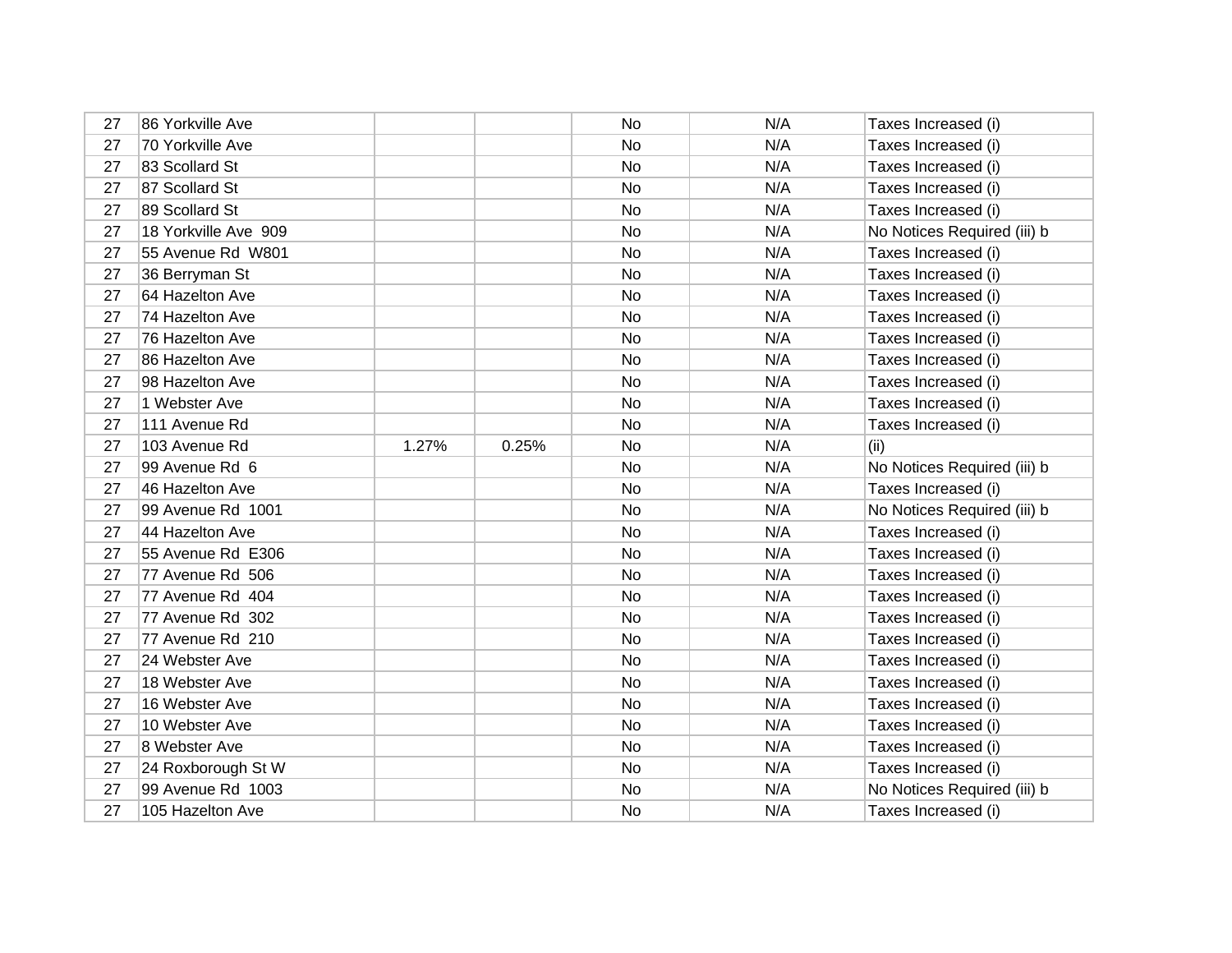| 27 | 86 Yorkville Ave     |       |       | No        | N/A | Taxes Increased (i)         |
|----|----------------------|-------|-------|-----------|-----|-----------------------------|
| 27 | 70 Yorkville Ave     |       |       | No        | N/A | Taxes Increased (i)         |
| 27 | 83 Scollard St       |       |       | No        | N/A | Taxes Increased (i)         |
| 27 | 87 Scollard St       |       |       | No        | N/A | Taxes Increased (i)         |
| 27 | 89 Scollard St       |       |       | No        | N/A | Taxes Increased (i)         |
| 27 | 18 Yorkville Ave 909 |       |       | <b>No</b> | N/A | No Notices Required (iii) b |
| 27 | 55 Avenue Rd W801    |       |       | No        | N/A | Taxes Increased (i)         |
| 27 | 36 Berryman St       |       |       | No        | N/A | Taxes Increased (i)         |
| 27 | 64 Hazelton Ave      |       |       | No        | N/A | Taxes Increased (i)         |
| 27 | 74 Hazelton Ave      |       |       | No        | N/A | Taxes Increased (i)         |
| 27 | 76 Hazelton Ave      |       |       | No        | N/A | Taxes Increased (i)         |
| 27 | 86 Hazelton Ave      |       |       | No        | N/A | Taxes Increased (i)         |
| 27 | 98 Hazelton Ave      |       |       | No        | N/A | Taxes Increased (i)         |
| 27 | 1 Webster Ave        |       |       | No        | N/A | Taxes Increased (i)         |
| 27 | 111 Avenue Rd        |       |       | No        | N/A | Taxes Increased (i)         |
| 27 | 103 Avenue Rd        | 1.27% | 0.25% | No        | N/A | (ii)                        |
| 27 | 99 Avenue Rd 6       |       |       | No        | N/A | No Notices Required (iii) b |
| 27 | 46 Hazelton Ave      |       |       | No        | N/A | Taxes Increased (i)         |
| 27 | 99 Avenue Rd 1001    |       |       | No        | N/A | No Notices Required (iii) b |
| 27 | 44 Hazelton Ave      |       |       | No        | N/A | Taxes Increased (i)         |
| 27 | 55 Avenue Rd E306    |       |       | No        | N/A | Taxes Increased (i)         |
| 27 | 77 Avenue Rd 506     |       |       | No        | N/A | Taxes Increased (i)         |
| 27 | 77 Avenue Rd 404     |       |       | No        | N/A | Taxes Increased (i)         |
| 27 | 77 Avenue Rd 302     |       |       | No        | N/A | Taxes Increased (i)         |
| 27 | 77 Avenue Rd 210     |       |       | No        | N/A | Taxes Increased (i)         |
| 27 | 24 Webster Ave       |       |       | No        | N/A | Taxes Increased (i)         |
| 27 | 18 Webster Ave       |       |       | No        | N/A | Taxes Increased (i)         |
| 27 | 16 Webster Ave       |       |       | No        | N/A | Taxes Increased (i)         |
| 27 | 10 Webster Ave       |       |       | No        | N/A | Taxes Increased (i)         |
| 27 | 8 Webster Ave        |       |       | No        | N/A | Taxes Increased (i)         |
| 27 | 24 Roxborough St W   |       |       | No        | N/A | Taxes Increased (i)         |
| 27 | 99 Avenue Rd 1003    |       |       | No        | N/A | No Notices Required (iii) b |
| 27 | 105 Hazelton Ave     |       |       | No        | N/A | Taxes Increased (i)         |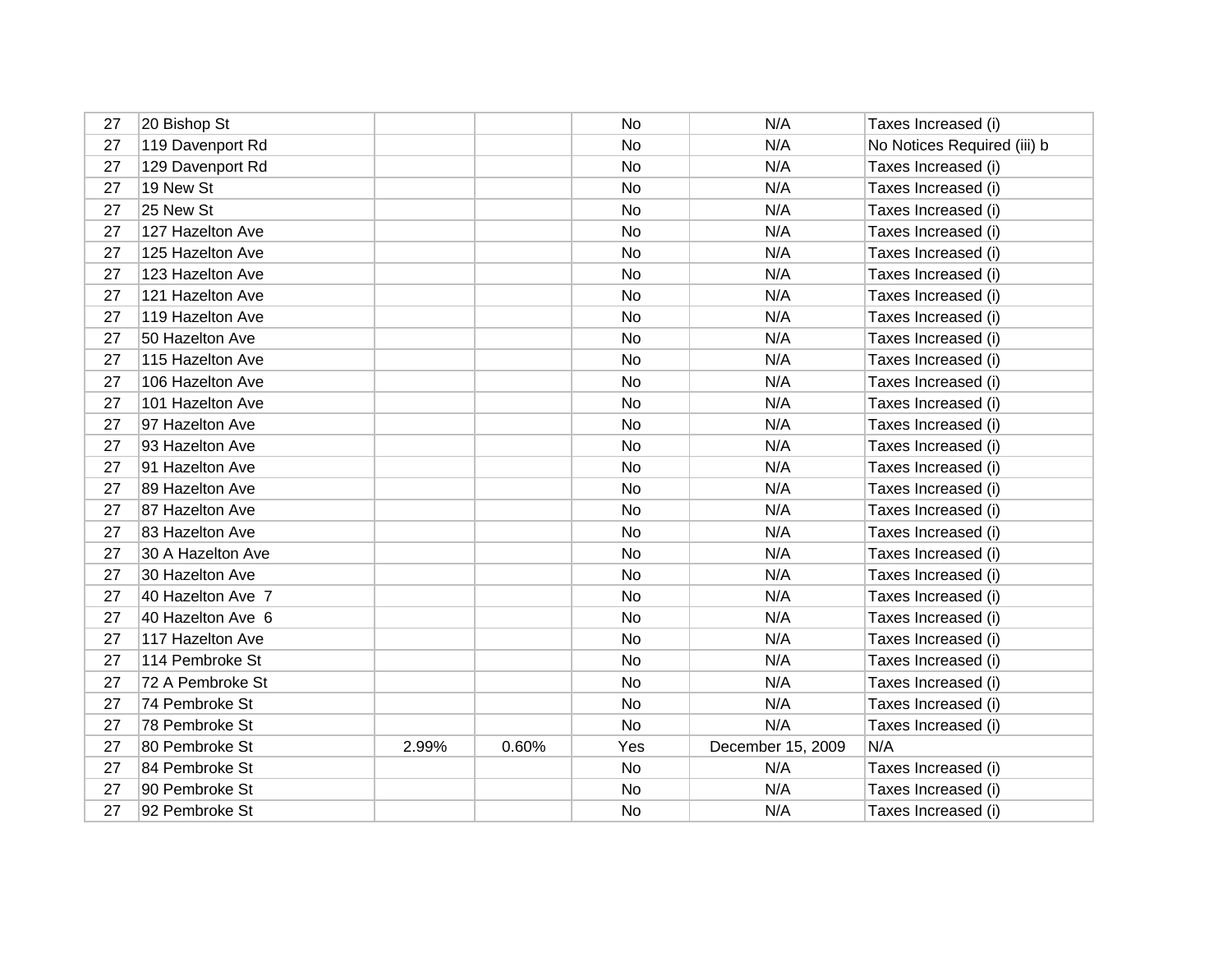| 27 | 20 Bishop St      |       |       | No  | N/A               | Taxes Increased (i)         |
|----|-------------------|-------|-------|-----|-------------------|-----------------------------|
| 27 | 119 Davenport Rd  |       |       | No  | N/A               | No Notices Required (iii) b |
| 27 | 129 Davenport Rd  |       |       | No  | N/A               | Taxes Increased (i)         |
| 27 | 19 New St         |       |       | No  | N/A               | Taxes Increased (i)         |
| 27 | 25 New St         |       |       | No  | N/A               | Taxes Increased (i)         |
| 27 | 127 Hazelton Ave  |       |       | No  | N/A               | Taxes Increased (i)         |
| 27 | 125 Hazelton Ave  |       |       | No  | N/A               | Taxes Increased (i)         |
| 27 | 123 Hazelton Ave  |       |       | No  | N/A               | Taxes Increased (i)         |
| 27 | 121 Hazelton Ave  |       |       | No  | N/A               | Taxes Increased (i)         |
| 27 | 119 Hazelton Ave  |       |       | No  | N/A               | Taxes Increased (i)         |
| 27 | 50 Hazelton Ave   |       |       | No  | N/A               | Taxes Increased (i)         |
| 27 | 115 Hazelton Ave  |       |       | No  | N/A               | Taxes Increased (i)         |
| 27 | 106 Hazelton Ave  |       |       | No  | N/A               | Taxes Increased (i)         |
| 27 | 101 Hazelton Ave  |       |       | No  | N/A               | Taxes Increased (i)         |
| 27 | 97 Hazelton Ave   |       |       | No  | N/A               | Taxes Increased (i)         |
| 27 | 93 Hazelton Ave   |       |       | No  | N/A               | Taxes Increased (i)         |
| 27 | 91 Hazelton Ave   |       |       | No  | N/A               | Taxes Increased (i)         |
| 27 | 89 Hazelton Ave   |       |       | No  | N/A               | Taxes Increased (i)         |
| 27 | 87 Hazelton Ave   |       |       | No  | N/A               | Taxes Increased (i)         |
| 27 | 83 Hazelton Ave   |       |       | No  | N/A               | Taxes Increased (i)         |
| 27 | 30 A Hazelton Ave |       |       | No  | N/A               | Taxes Increased (i)         |
| 27 | 30 Hazelton Ave   |       |       | No  | N/A               | Taxes Increased (i)         |
| 27 | 40 Hazelton Ave 7 |       |       | No  | N/A               | Taxes Increased (i)         |
| 27 | 40 Hazelton Ave 6 |       |       | No  | N/A               | Taxes Increased (i)         |
| 27 | 117 Hazelton Ave  |       |       | No  | N/A               | Taxes Increased (i)         |
| 27 | 114 Pembroke St   |       |       | No  | N/A               | Taxes Increased (i)         |
| 27 | 72 A Pembroke St  |       |       | No  | N/A               | Taxes Increased (i)         |
| 27 | 74 Pembroke St    |       |       | No  | N/A               | Taxes Increased (i)         |
| 27 | 78 Pembroke St    |       |       | No  | N/A               | Taxes Increased (i)         |
| 27 | 80 Pembroke St    | 2.99% | 0.60% | Yes | December 15, 2009 | N/A                         |
| 27 | 84 Pembroke St    |       |       | No  | N/A               | Taxes Increased (i)         |
| 27 | 90 Pembroke St    |       |       | No  | N/A               | Taxes Increased (i)         |
| 27 | 92 Pembroke St    |       |       | No  | N/A               | Taxes Increased (i)         |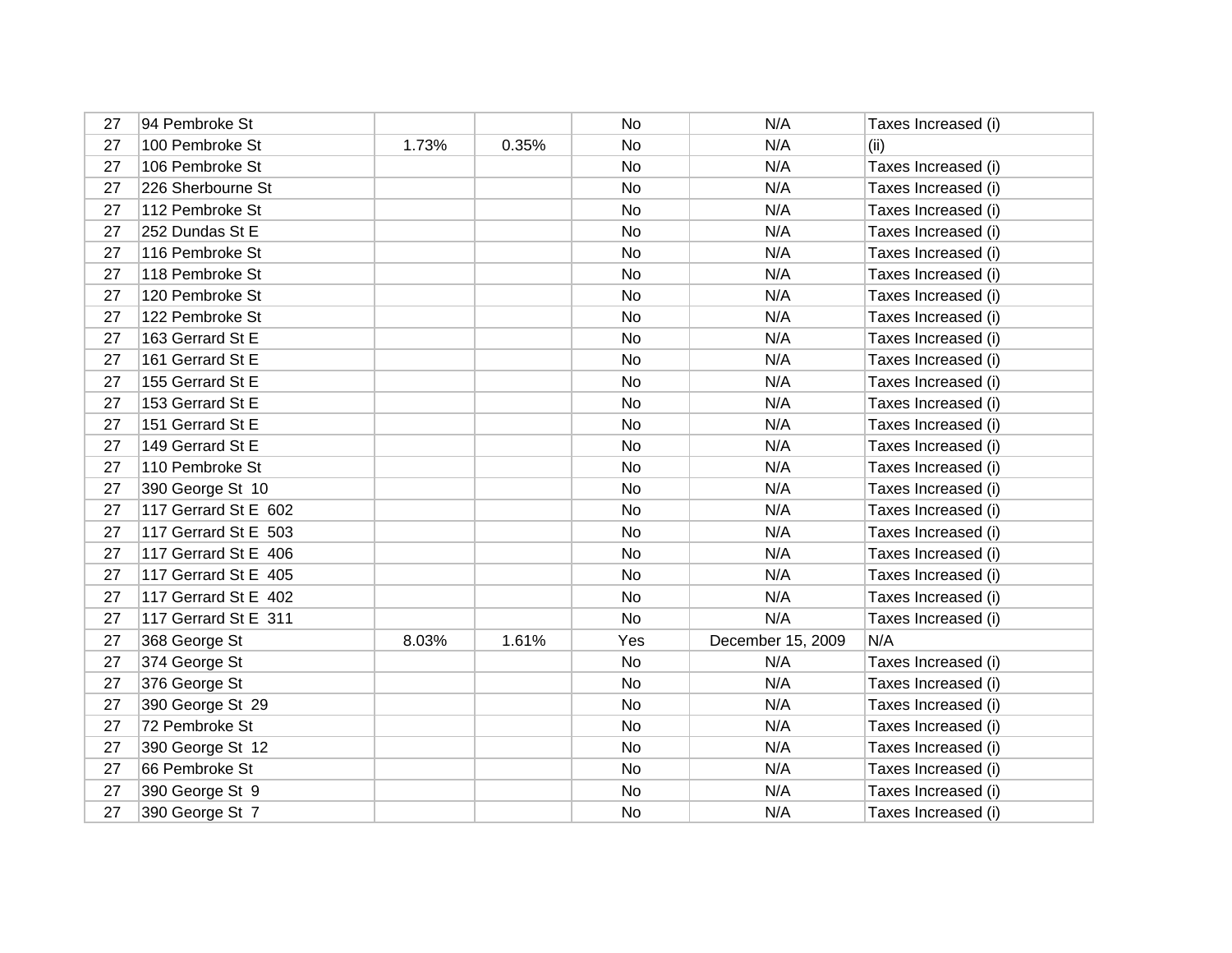| 27 | 94 Pembroke St       |       |       | No  | N/A               | Taxes Increased (i) |
|----|----------------------|-------|-------|-----|-------------------|---------------------|
| 27 | 100 Pembroke St      | 1.73% | 0.35% | No  | N/A               | (ii)                |
| 27 | 106 Pembroke St      |       |       | No  | N/A               | Taxes Increased (i) |
| 27 | 226 Sherbourne St    |       |       | No  | N/A               | Taxes Increased (i) |
| 27 | 112 Pembroke St      |       |       | No  | N/A               | Taxes Increased (i) |
| 27 | 252 Dundas St E      |       |       | No  | N/A               | Taxes Increased (i) |
| 27 | 116 Pembroke St      |       |       | No  | N/A               | Taxes Increased (i) |
| 27 | 118 Pembroke St      |       |       | No  | N/A               | Taxes Increased (i) |
| 27 | 120 Pembroke St      |       |       | No  | N/A               | Taxes Increased (i) |
| 27 | 122 Pembroke St      |       |       | No  | N/A               | Taxes Increased (i) |
| 27 | 163 Gerrard St E     |       |       | No  | N/A               | Taxes Increased (i) |
| 27 | 161 Gerrard St E     |       |       | No  | N/A               | Taxes Increased (i) |
| 27 | 155 Gerrard St E     |       |       | No. | N/A               | Taxes Increased (i) |
| 27 | 153 Gerrard St E     |       |       | No  | N/A               | Taxes Increased (i) |
| 27 | 151 Gerrard St E     |       |       | No  | N/A               | Taxes Increased (i) |
| 27 | 149 Gerrard St E     |       |       | No  | N/A               | Taxes Increased (i) |
| 27 | 110 Pembroke St      |       |       | No. | N/A               | Taxes Increased (i) |
| 27 | 390 George St 10     |       |       | No  | N/A               | Taxes Increased (i) |
| 27 | 117 Gerrard St E 602 |       |       | No. | N/A               | Taxes Increased (i) |
| 27 | 117 Gerrard St E 503 |       |       | No. | N/A               | Taxes Increased (i) |
| 27 | 117 Gerrard St E 406 |       |       | No  | N/A               | Taxes Increased (i) |
| 27 | 117 Gerrard St E 405 |       |       | No  | N/A               | Taxes Increased (i) |
| 27 | 117 Gerrard St E 402 |       |       | No  | N/A               | Taxes Increased (i) |
| 27 | 117 Gerrard St E 311 |       |       | No. | N/A               | Taxes Increased (i) |
| 27 | 368 George St        | 8.03% | 1.61% | Yes | December 15, 2009 | N/A                 |
| 27 | 374 George St        |       |       | No  | N/A               | Taxes Increased (i) |
| 27 | 376 George St        |       |       | No  | N/A               | Taxes Increased (i) |
| 27 | 390 George St 29     |       |       | No. | N/A               | Taxes Increased (i) |
| 27 | 72 Pembroke St       |       |       | No. | N/A               | Taxes Increased (i) |
| 27 | 390 George St 12     |       |       | No  | N/A               | Taxes Increased (i) |
| 27 | 66 Pembroke St       |       |       | No  | N/A               | Taxes Increased (i) |
| 27 | 390 George St 9      |       |       | No  | N/A               | Taxes Increased (i) |
| 27 | 390 George St 7      |       |       | No  | N/A               | Taxes Increased (i) |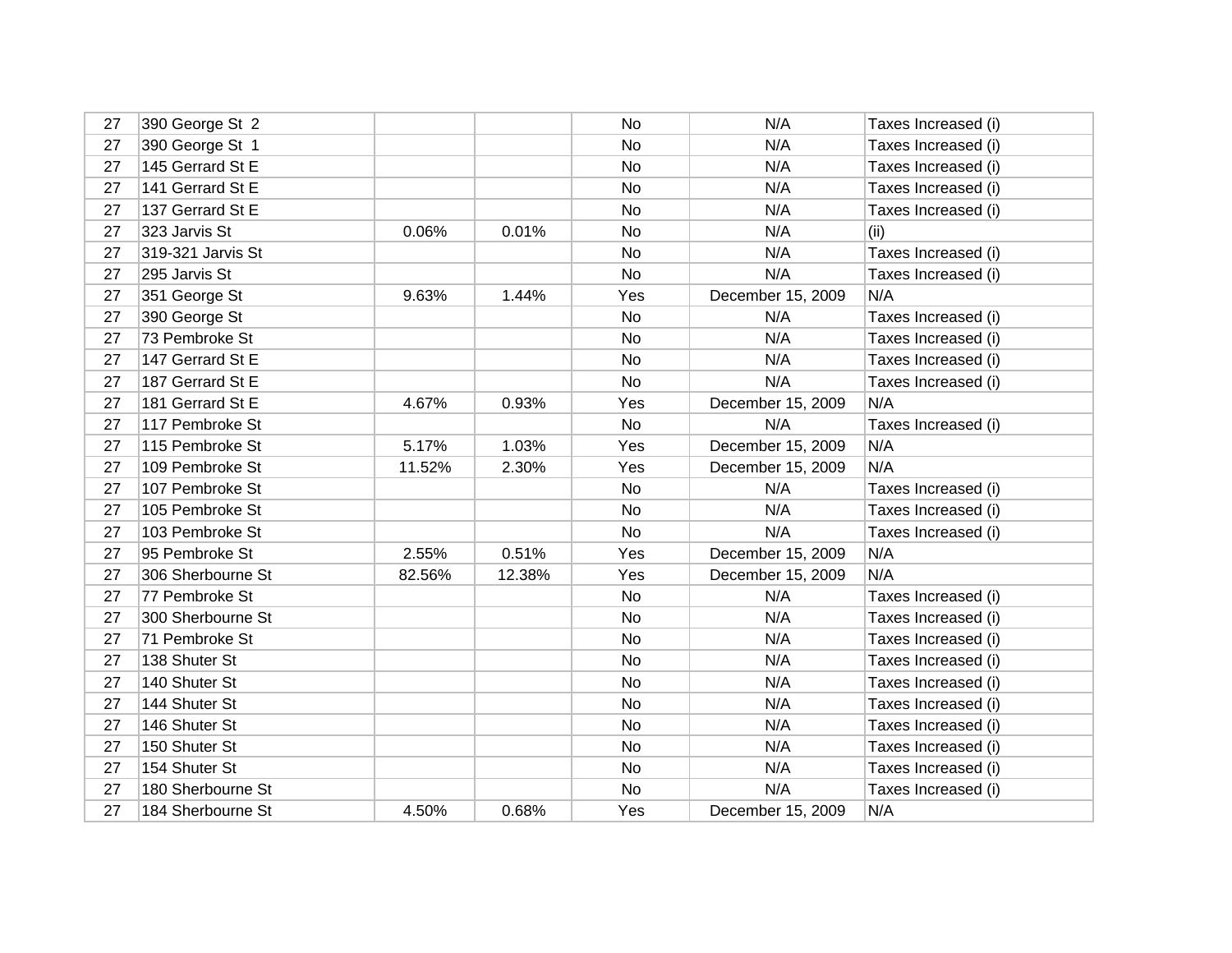| 27 | 390 George St 2   |        |        | No  | N/A               | Taxes Increased (i) |
|----|-------------------|--------|--------|-----|-------------------|---------------------|
| 27 | 390 George St 1   |        |        | No  | N/A               | Taxes Increased (i) |
| 27 | 145 Gerrard St E  |        |        | No  | N/A               | Taxes Increased (i) |
| 27 | 141 Gerrard St E  |        |        | No  | N/A               | Taxes Increased (i) |
| 27 | 137 Gerrard St E  |        |        | No. | N/A               | Taxes Increased (i) |
| 27 | 323 Jarvis St     | 0.06%  | 0.01%  | No  | N/A               | (ii)                |
| 27 | 319-321 Jarvis St |        |        | No. | N/A               | Taxes Increased (i) |
| 27 | 295 Jarvis St     |        |        | No  | N/A               | Taxes Increased (i) |
| 27 | 351 George St     | 9.63%  | 1.44%  | Yes | December 15, 2009 | N/A                 |
| 27 | 390 George St     |        |        | No  | N/A               | Taxes Increased (i) |
| 27 | 73 Pembroke St    |        |        | No  | N/A               | Taxes Increased (i) |
| 27 | 147 Gerrard St E  |        |        | No  | N/A               | Taxes Increased (i) |
| 27 | 187 Gerrard St E  |        |        | No  | N/A               | Taxes Increased (i) |
| 27 | 181 Gerrard St E  | 4.67%  | 0.93%  | Yes | December 15, 2009 | N/A                 |
| 27 | 117 Pembroke St   |        |        | No  | N/A               | Taxes Increased (i) |
| 27 | 115 Pembroke St   | 5.17%  | 1.03%  | Yes | December 15, 2009 | N/A                 |
| 27 | 109 Pembroke St   | 11.52% | 2.30%  | Yes | December 15, 2009 | N/A                 |
| 27 | 107 Pembroke St   |        |        | No  | N/A               | Taxes Increased (i) |
| 27 | 105 Pembroke St   |        |        | No  | N/A               | Taxes Increased (i) |
| 27 | 103 Pembroke St   |        |        | No  | N/A               | Taxes Increased (i) |
| 27 | 95 Pembroke St    | 2.55%  | 0.51%  | Yes | December 15, 2009 | N/A                 |
| 27 | 306 Sherbourne St | 82.56% | 12.38% | Yes | December 15, 2009 | N/A                 |
| 27 | 77 Pembroke St    |        |        | No  | N/A               | Taxes Increased (i) |
| 27 | 300 Sherbourne St |        |        | No. | N/A               | Taxes Increased (i) |
| 27 | 71 Pembroke St    |        |        | No  | N/A               | Taxes Increased (i) |
| 27 | 138 Shuter St     |        |        | No  | N/A               | Taxes Increased (i) |
| 27 | 140 Shuter St     |        |        | No  | N/A               | Taxes Increased (i) |
| 27 | 144 Shuter St     |        |        | No. | N/A               | Taxes Increased (i) |
| 27 | 146 Shuter St     |        |        | No  | N/A               | Taxes Increased (i) |
| 27 | 150 Shuter St     |        |        | No  | N/A               | Taxes Increased (i) |
| 27 | 154 Shuter St     |        |        | No. | N/A               | Taxes Increased (i) |
| 27 | 180 Sherbourne St |        |        | No  | N/A               | Taxes Increased (i) |
| 27 | 184 Sherbourne St | 4.50%  | 0.68%  | Yes | December 15, 2009 | N/A                 |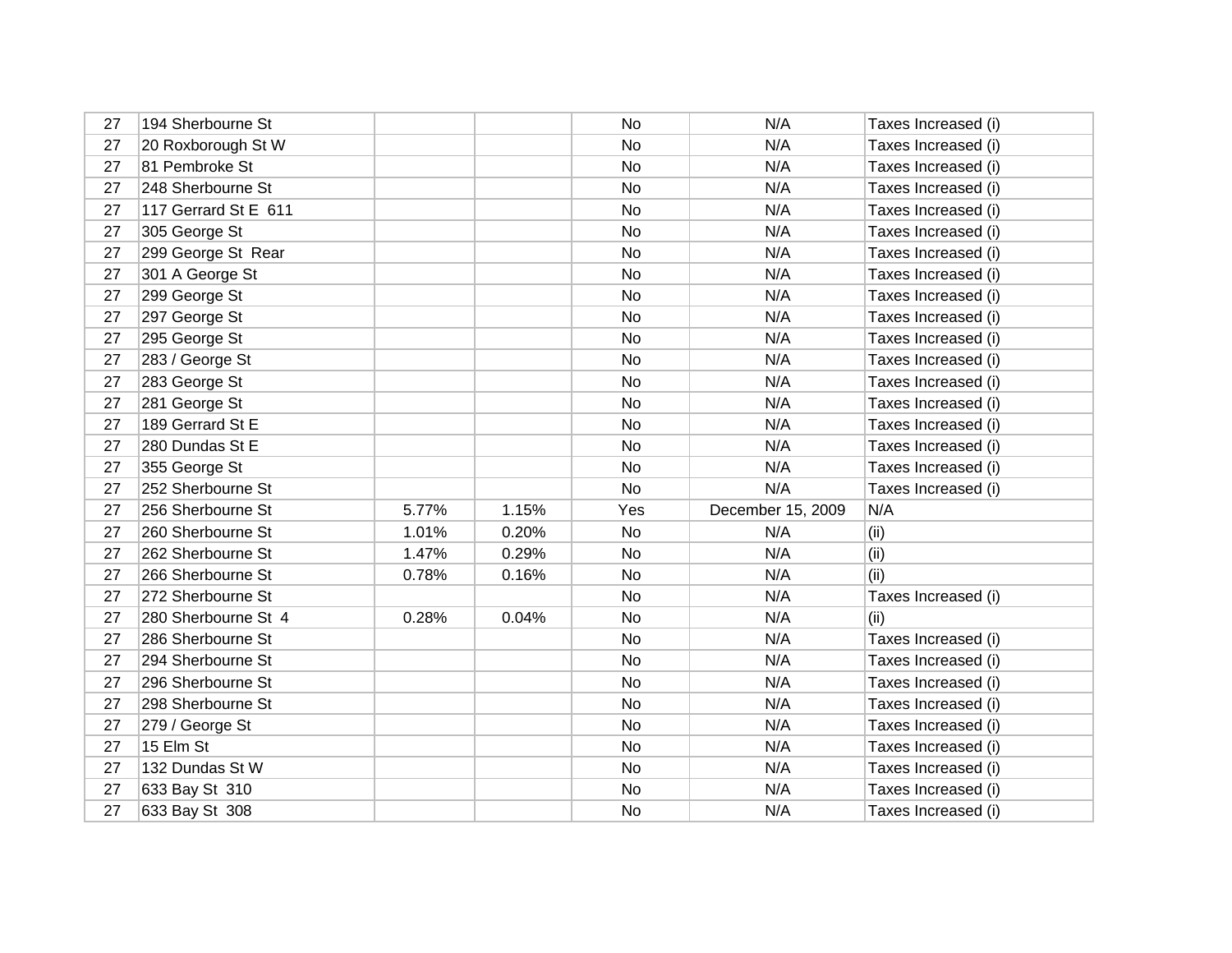| 27 | 194 Sherbourne St    |       |       | No        | N/A               | Taxes Increased (i) |
|----|----------------------|-------|-------|-----------|-------------------|---------------------|
| 27 | 20 Roxborough St W   |       |       | No        | N/A               | Taxes Increased (i) |
| 27 | 81 Pembroke St       |       |       | No        | N/A               | Taxes Increased (i) |
| 27 | 248 Sherbourne St    |       |       | No        | N/A               | Taxes Increased (i) |
| 27 | 117 Gerrard St E 611 |       |       | No        | N/A               | Taxes Increased (i) |
| 27 | 305 George St        |       |       | <b>No</b> | N/A               | Taxes Increased (i) |
| 27 | 299 George St Rear   |       |       | No        | N/A               | Taxes Increased (i) |
| 27 | 301 A George St      |       |       | No        | N/A               | Taxes Increased (i) |
| 27 | 299 George St        |       |       | No        | N/A               | Taxes Increased (i) |
| 27 | 297 George St        |       |       | No        | N/A               | Taxes Increased (i) |
| 27 | 295 George St        |       |       | No        | N/A               | Taxes Increased (i) |
| 27 | 283 / George St      |       |       | No        | N/A               | Taxes Increased (i) |
| 27 | 283 George St        |       |       | <b>No</b> | N/A               | Taxes Increased (i) |
| 27 | 281 George St        |       |       | No        | N/A               | Taxes Increased (i) |
| 27 | 189 Gerrard St E     |       |       | No        | N/A               | Taxes Increased (i) |
| 27 | 280 Dundas St E      |       |       | No        | N/A               | Taxes Increased (i) |
| 27 | 355 George St        |       |       | No        | N/A               | Taxes Increased (i) |
| 27 | 252 Sherbourne St    |       |       | No        | N/A               | Taxes Increased (i) |
| 27 | 256 Sherbourne St    | 5.77% | 1.15% | Yes       | December 15, 2009 | N/A                 |
| 27 | 260 Sherbourne St    | 1.01% | 0.20% | No        | N/A               | (ii)                |
| 27 | 262 Sherbourne St    | 1.47% | 0.29% | No        | N/A               | (ii)                |
| 27 | 266 Sherbourne St    | 0.78% | 0.16% | No        | N/A               | (ii)                |
| 27 | 272 Sherbourne St    |       |       | No        | N/A               | Taxes Increased (i) |
| 27 | 280 Sherbourne St 4  | 0.28% | 0.04% | <b>No</b> | N/A               | (ii)                |
| 27 | 286 Sherbourne St    |       |       | No        | N/A               | Taxes Increased (i) |
| 27 | 294 Sherbourne St    |       |       | No        | N/A               | Taxes Increased (i) |
| 27 | 296 Sherbourne St    |       |       | No        | N/A               | Taxes Increased (i) |
| 27 | 298 Sherbourne St    |       |       | No        | N/A               | Taxes Increased (i) |
| 27 | 279 / George St      |       |       | No        | N/A               | Taxes Increased (i) |
| 27 | 15 Elm St            |       |       | No        | N/A               | Taxes Increased (i) |
| 27 | 132 Dundas St W      |       |       | No        | N/A               | Taxes Increased (i) |
| 27 | 633 Bay St 310       |       |       | No        | N/A               | Taxes Increased (i) |
| 27 | 633 Bay St 308       |       |       | No        | N/A               | Taxes Increased (i) |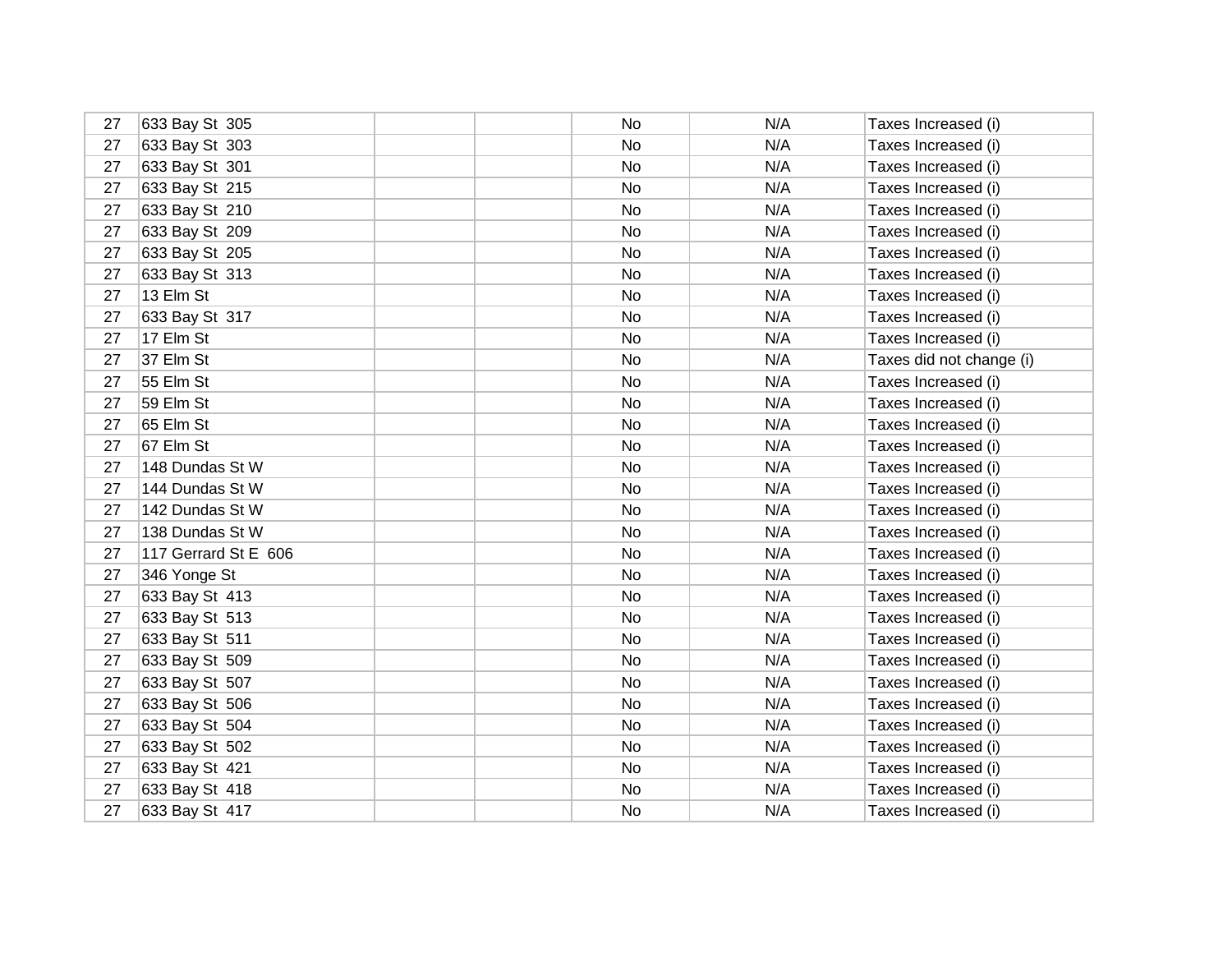| 27 | 633 Bay St 305       | No | N/A | Taxes Increased (i)      |
|----|----------------------|----|-----|--------------------------|
| 27 | 633 Bay St 303       | No | N/A | Taxes Increased (i)      |
| 27 | 633 Bay St 301       | No | N/A | Taxes Increased (i)      |
| 27 | 633 Bay St 215       | No | N/A | Taxes Increased (i)      |
| 27 | 633 Bay St 210       | No | N/A | Taxes Increased (i)      |
| 27 | 633 Bay St 209       | No | N/A | Taxes Increased (i)      |
| 27 | 633 Bay St 205       | No | N/A | Taxes Increased (i)      |
| 27 | 633 Bay St 313       | No | N/A | Taxes Increased (i)      |
| 27 | 13 Elm St            | No | N/A | Taxes Increased (i)      |
| 27 | 633 Bay St 317       | No | N/A | Taxes Increased (i)      |
| 27 | 17 Elm St            | No | N/A | Taxes Increased (i)      |
| 27 | 37 Elm St            | No | N/A | Taxes did not change (i) |
| 27 | 55 Elm St            | No | N/A | Taxes Increased (i)      |
| 27 | 59 Elm St            | No | N/A | Taxes Increased (i)      |
| 27 | 65 Elm St            | No | N/A | Taxes Increased (i)      |
| 27 | 67 Elm St            | No | N/A | Taxes Increased (i)      |
| 27 | 148 Dundas St W      | No | N/A | Taxes Increased (i)      |
| 27 | 144 Dundas St W      | No | N/A | Taxes Increased (i)      |
| 27 | 142 Dundas St W      | No | N/A | Taxes Increased (i)      |
| 27 | 138 Dundas St W      | No | N/A | Taxes Increased (i)      |
| 27 | 117 Gerrard St E 606 | No | N/A | Taxes Increased (i)      |
| 27 | 346 Yonge St         | No | N/A | Taxes Increased (i)      |
| 27 | 633 Bay St 413       | No | N/A | Taxes Increased (i)      |
| 27 | 633 Bay St 513       | No | N/A | Taxes Increased (i)      |
| 27 | 633 Bay St 511       | No | N/A | Taxes Increased (i)      |
| 27 | 633 Bay St 509       | No | N/A | Taxes Increased (i)      |
| 27 | 633 Bay St 507       | No | N/A | Taxes Increased (i)      |
| 27 | 633 Bay St 506       | No | N/A | Taxes Increased (i)      |
| 27 | 633 Bay St 504       | No | N/A | Taxes Increased (i)      |
| 27 | 633 Bay St 502       | No | N/A | Taxes Increased (i)      |
| 27 | 633 Bay St 421       | No | N/A | Taxes Increased (i)      |
| 27 | 633 Bay St 418       | No | N/A | Taxes Increased (i)      |
| 27 | 633 Bay St 417       | No | N/A | Taxes Increased (i)      |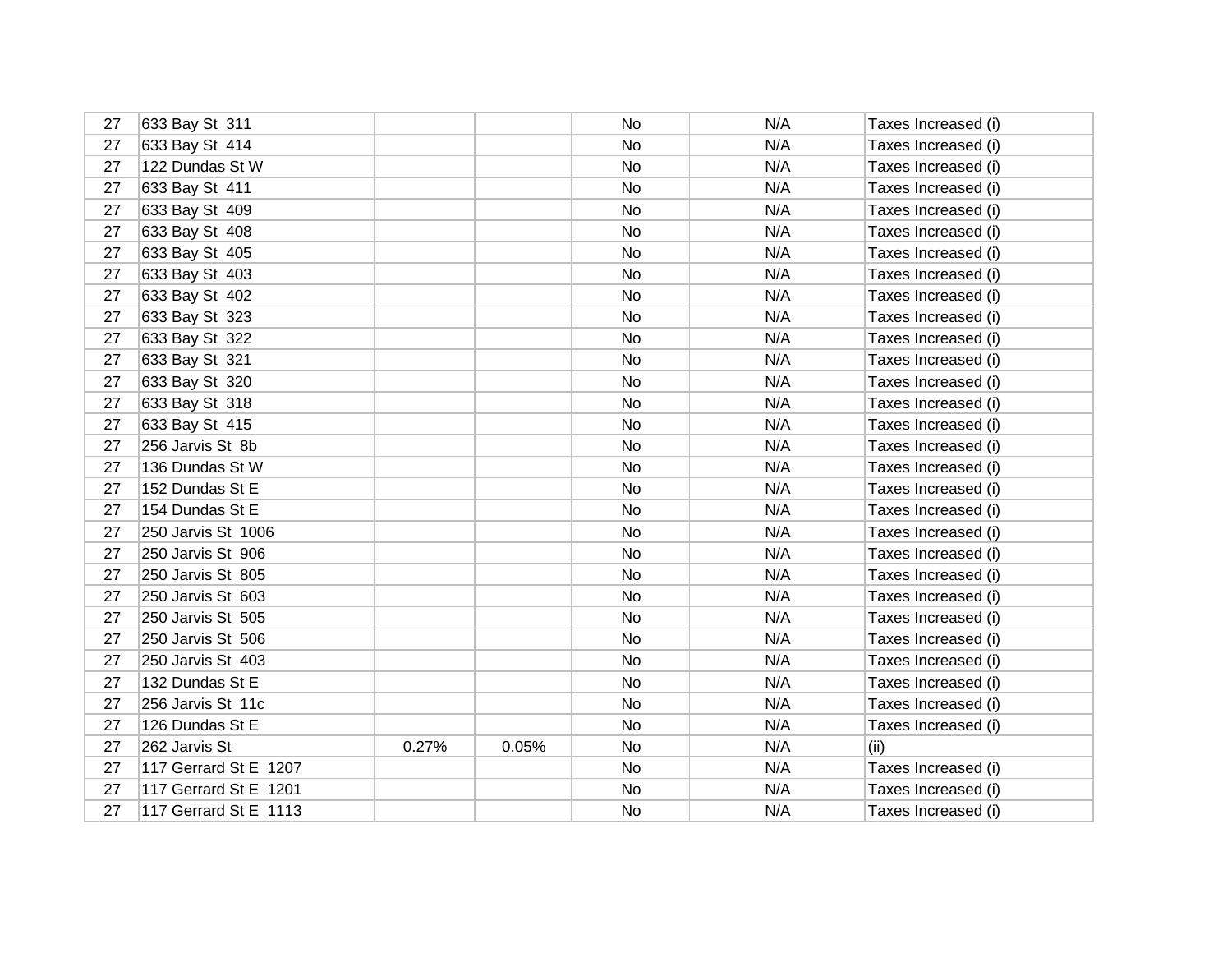| 27 | 633 Bay St 311        |       |       | No        | N/A | Taxes Increased (i) |
|----|-----------------------|-------|-------|-----------|-----|---------------------|
| 27 | 633 Bay St 414        |       |       | No        | N/A | Taxes Increased (i) |
| 27 | 122 Dundas St W       |       |       | No        | N/A | Taxes Increased (i) |
| 27 | 633 Bay St 411        |       |       | No        | N/A | Taxes Increased (i) |
| 27 | 633 Bay St 409        |       |       | No        | N/A | Taxes Increased (i) |
| 27 | 633 Bay St 408        |       |       | No        | N/A | Taxes Increased (i) |
| 27 | 633 Bay St 405        |       |       | No        | N/A | Taxes Increased (i) |
| 27 | 633 Bay St 403        |       |       | No        | N/A | Taxes Increased (i) |
| 27 | 633 Bay St 402        |       |       | <b>No</b> | N/A | Taxes Increased (i) |
| 27 | 633 Bay St 323        |       |       | No        | N/A | Taxes Increased (i) |
| 27 | 633 Bay St 322        |       |       | No        | N/A | Taxes Increased (i) |
| 27 | 633 Bay St 321        |       |       | No        | N/A | Taxes Increased (i) |
| 27 | 633 Bay St 320        |       |       | <b>No</b> | N/A | Taxes Increased (i) |
| 27 | 633 Bay St 318        |       |       | No        | N/A | Taxes Increased (i) |
| 27 | 633 Bay St 415        |       |       | No        | N/A | Taxes Increased (i) |
| 27 | 256 Jarvis St 8b      |       |       | No        | N/A | Taxes Increased (i) |
| 27 | 136 Dundas St W       |       |       | No        | N/A | Taxes Increased (i) |
| 27 | 152 Dundas St E       |       |       | No        | N/A | Taxes Increased (i) |
| 27 | 154 Dundas St E       |       |       | No        | N/A | Taxes Increased (i) |
| 27 | 250 Jarvis St 1006    |       |       | No        | N/A | Taxes Increased (i) |
| 27 | 250 Jarvis St 906     |       |       | No        | N/A | Taxes Increased (i) |
| 27 | 250 Jarvis St 805     |       |       | No        | N/A | Taxes Increased (i) |
| 27 | 250 Jarvis St 603     |       |       | No        | N/A | Taxes Increased (i) |
| 27 | 250 Jarvis St 505     |       |       | <b>No</b> | N/A | Taxes Increased (i) |
| 27 | 250 Jarvis St 506     |       |       | No        | N/A | Taxes Increased (i) |
| 27 | 250 Jarvis St 403     |       |       | No        | N/A | Taxes Increased (i) |
| 27 | 132 Dundas St E       |       |       | No        | N/A | Taxes Increased (i) |
| 27 | 256 Jarvis St 11c     |       |       | No        | N/A | Taxes Increased (i) |
| 27 | 126 Dundas St E       |       |       | No        | N/A | Taxes Increased (i) |
| 27 | 262 Jarvis St         | 0.27% | 0.05% | No        | N/A | (ii)                |
| 27 | 117 Gerrard St E 1207 |       |       | No        | N/A | Taxes Increased (i) |
| 27 | 117 Gerrard St E 1201 |       |       | No        | N/A | Taxes Increased (i) |
| 27 | 117 Gerrard St E 1113 |       |       | No        | N/A | Taxes Increased (i) |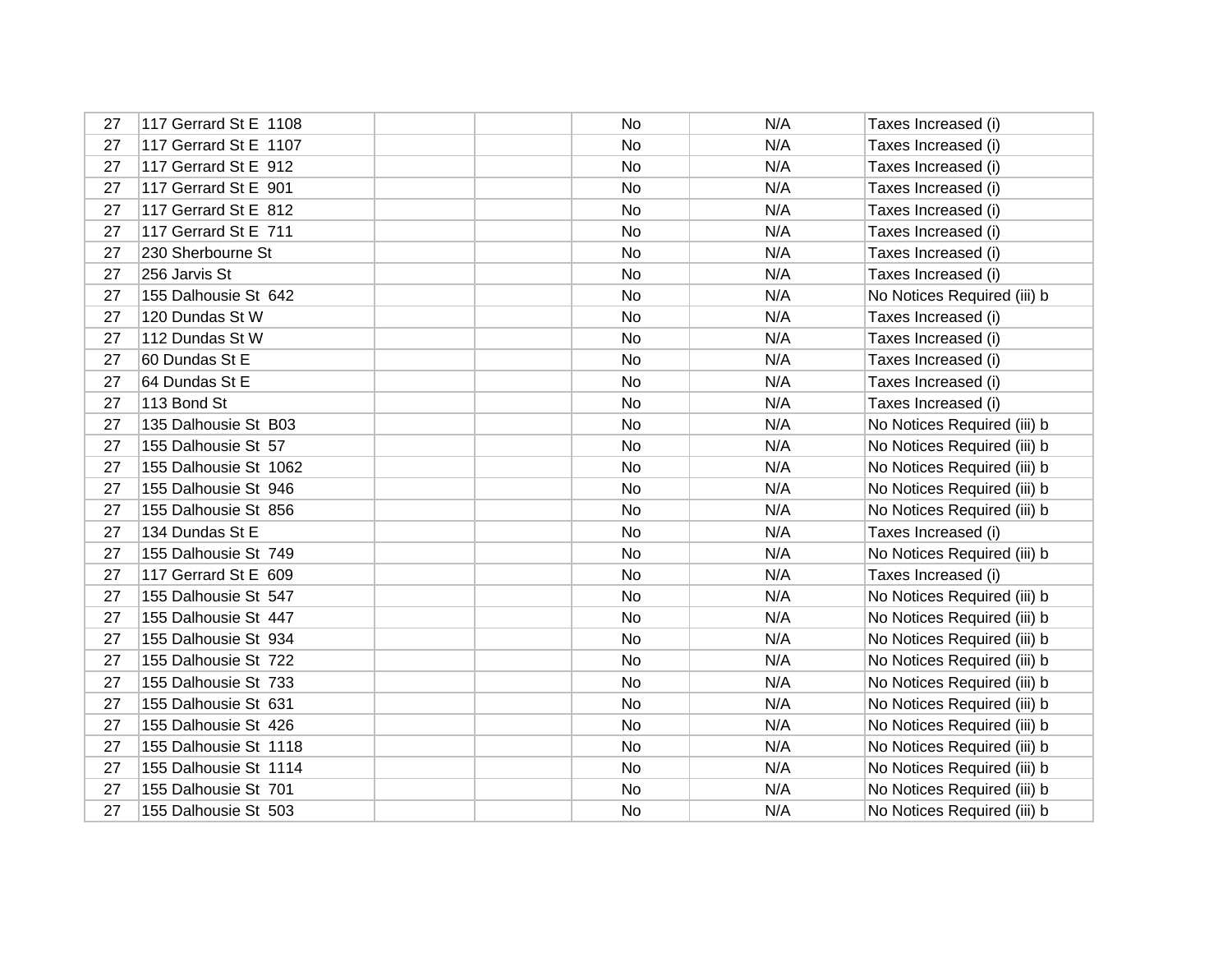| 27 | 117 Gerrard St E 1108 | No | N/A | Taxes Increased (i)         |
|----|-----------------------|----|-----|-----------------------------|
| 27 | 117 Gerrard St E 1107 | No | N/A | Taxes Increased (i)         |
| 27 | 117 Gerrard St E 912  | No | N/A | Taxes Increased (i)         |
| 27 | 117 Gerrard St E 901  | No | N/A | Taxes Increased (i)         |
| 27 | 117 Gerrard St E 812  | No | N/A | Taxes Increased (i)         |
| 27 | 117 Gerrard St E 711  | No | N/A | Taxes Increased (i)         |
| 27 | 230 Sherbourne St     | No | N/A | Taxes Increased (i)         |
| 27 | 256 Jarvis St         | No | N/A | Taxes Increased (i)         |
| 27 | 155 Dalhousie St 642  | No | N/A | No Notices Required (iii) b |
| 27 | 120 Dundas St W       | No | N/A | Taxes Increased (i)         |
| 27 | 112 Dundas St W       | No | N/A | Taxes Increased (i)         |
| 27 | 60 Dundas St E        | No | N/A | Taxes Increased (i)         |
| 27 | 64 Dundas St E        | No | N/A | Taxes Increased (i)         |
| 27 | 113 Bond St           | No | N/A | Taxes Increased (i)         |
| 27 | 135 Dalhousie St B03  | No | N/A | No Notices Required (iii) b |
| 27 | 155 Dalhousie St 57   | No | N/A | No Notices Required (iii) b |
| 27 | 155 Dalhousie St 1062 | No | N/A | No Notices Required (iii) b |
| 27 | 155 Dalhousie St 946  | No | N/A | No Notices Required (iii) b |
| 27 | 155 Dalhousie St 856  | No | N/A | No Notices Required (iii) b |
| 27 | 134 Dundas St E       | No | N/A | Taxes Increased (i)         |
| 27 | 155 Dalhousie St 749  | No | N/A | No Notices Required (iii) b |
| 27 | 117 Gerrard St E 609  | No | N/A | Taxes Increased (i)         |
| 27 | 155 Dalhousie St 547  | No | N/A | No Notices Required (iii) b |
| 27 | 155 Dalhousie St 447  | No | N/A | No Notices Required (iii) b |
| 27 | 155 Dalhousie St 934  | No | N/A | No Notices Required (iii) b |
| 27 | 155 Dalhousie St 722  | No | N/A | No Notices Required (iii) b |
| 27 | 155 Dalhousie St 733  | No | N/A | No Notices Required (iii) b |
| 27 | 155 Dalhousie St 631  | No | N/A | No Notices Required (iii) b |
| 27 | 155 Dalhousie St 426  | No | N/A | No Notices Required (iii) b |
| 27 | 155 Dalhousie St 1118 | No | N/A | No Notices Required (iii) b |
| 27 | 155 Dalhousie St 1114 | No | N/A | No Notices Required (iii) b |
| 27 | 155 Dalhousie St 701  | No | N/A | No Notices Required (iii) b |
| 27 | 155 Dalhousie St 503  | No | N/A | No Notices Required (iii) b |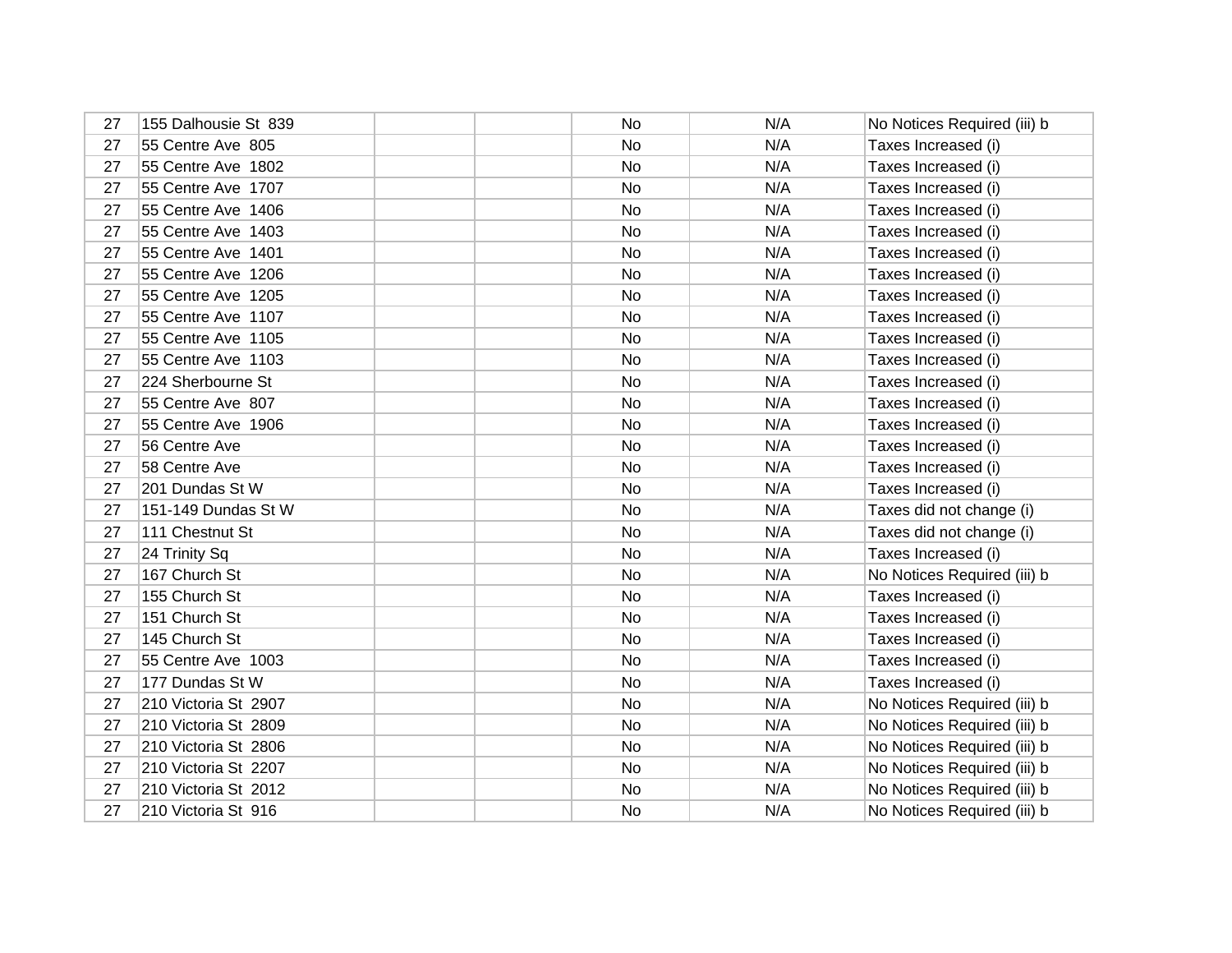| 27 | 155 Dalhousie St 839 | No | N/A | No Notices Required (iii) b |
|----|----------------------|----|-----|-----------------------------|
| 27 | 55 Centre Ave 805    | No | N/A | Taxes Increased (i)         |
| 27 | 55 Centre Ave 1802   | No | N/A | Taxes Increased (i)         |
| 27 | 55 Centre Ave 1707   | No | N/A | Taxes Increased (i)         |
| 27 | 55 Centre Ave 1406   | No | N/A | Taxes Increased (i)         |
| 27 | 55 Centre Ave 1403   | No | N/A | Taxes Increased (i)         |
| 27 | 55 Centre Ave 1401   | No | N/A | Taxes Increased (i)         |
| 27 | 55 Centre Ave 1206   | No | N/A | Taxes Increased (i)         |
| 27 | 55 Centre Ave 1205   | No | N/A | Taxes Increased (i)         |
| 27 | 55 Centre Ave 1107   | No | N/A | Taxes Increased (i)         |
| 27 | 55 Centre Ave 1105   | No | N/A | Taxes Increased (i)         |
| 27 | 55 Centre Ave 1103   | No | N/A | Taxes Increased (i)         |
| 27 | 224 Sherbourne St    | No | N/A | Taxes Increased (i)         |
| 27 | 55 Centre Ave 807    | No | N/A | Taxes Increased (i)         |
| 27 | 55 Centre Ave 1906   | No | N/A | Taxes Increased (i)         |
| 27 | 56 Centre Ave        | No | N/A | Taxes Increased (i)         |
| 27 | 58 Centre Ave        | No | N/A | Taxes Increased (i)         |
| 27 | 201 Dundas St W      | No | N/A | Taxes Increased (i)         |
| 27 | 151-149 Dundas St W  | No | N/A | Taxes did not change (i)    |
| 27 | 111 Chestnut St      | No | N/A | Taxes did not change (i)    |
| 27 | 24 Trinity Sq        | No | N/A | Taxes Increased (i)         |
| 27 | 167 Church St        | No | N/A | No Notices Required (iii) b |
| 27 | 155 Church St        | No | N/A | Taxes Increased (i)         |
| 27 | 151 Church St        | No | N/A | Taxes Increased (i)         |
| 27 | 145 Church St        | No | N/A | Taxes Increased (i)         |
| 27 | 55 Centre Ave 1003   | No | N/A | Taxes Increased (i)         |
| 27 | 177 Dundas St W      | No | N/A | Taxes Increased (i)         |
| 27 | 210 Victoria St 2907 | No | N/A | No Notices Required (iii) b |
| 27 | 210 Victoria St 2809 | No | N/A | No Notices Required (iii) b |
| 27 | 210 Victoria St 2806 | No | N/A | No Notices Required (iii) b |
| 27 | 210 Victoria St 2207 | No | N/A | No Notices Required (iii) b |
| 27 | 210 Victoria St 2012 | No | N/A | No Notices Required (iii) b |
| 27 | 210 Victoria St 916  | No | N/A | No Notices Required (iii) b |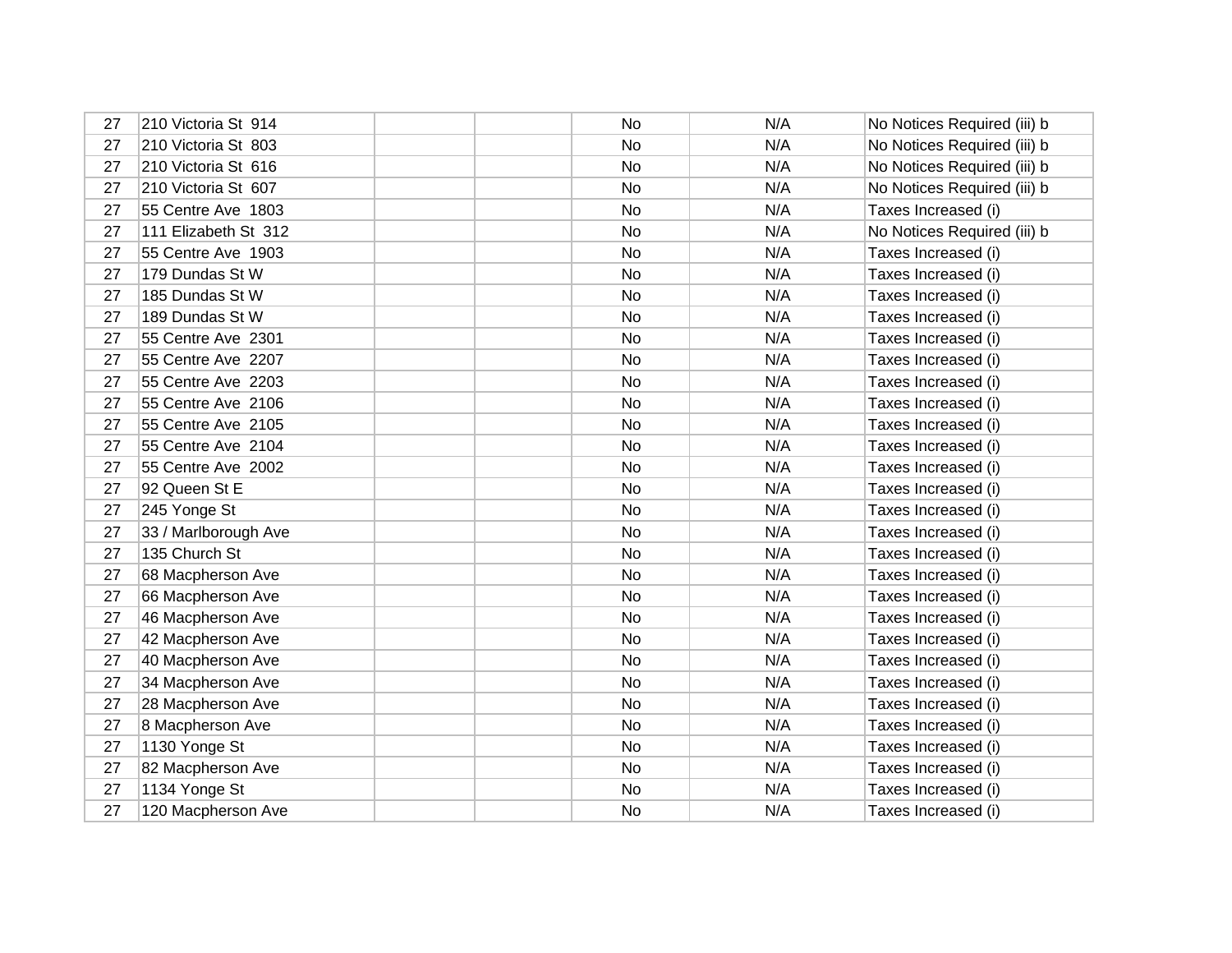| 27 | 210 Victoria St 914  | No        | N/A | No Notices Required (iii) b |
|----|----------------------|-----------|-----|-----------------------------|
| 27 | 210 Victoria St 803  | No        | N/A | No Notices Required (iii) b |
| 27 | 210 Victoria St 616  | No        | N/A | No Notices Required (iii) b |
| 27 | 210 Victoria St 607  | No        | N/A | No Notices Required (iii) b |
| 27 | 55 Centre Ave 1803   | No        | N/A | Taxes Increased (i)         |
| 27 | 111 Elizabeth St 312 | No        | N/A | No Notices Required (iii) b |
| 27 | 55 Centre Ave 1903   | No        | N/A | Taxes Increased (i)         |
| 27 | 179 Dundas St W      | No        | N/A | Taxes Increased (i)         |
| 27 | 185 Dundas St W      | No        | N/A | Taxes Increased (i)         |
| 27 | 189 Dundas St W      | No        | N/A | Taxes Increased (i)         |
| 27 | 55 Centre Ave 2301   | No        | N/A | Taxes Increased (i)         |
| 27 | 55 Centre Ave 2207   | No        | N/A | Taxes Increased (i)         |
| 27 | 55 Centre Ave 2203   | No        | N/A | Taxes Increased (i)         |
| 27 | 55 Centre Ave 2106   | No        | N/A | Taxes Increased (i)         |
| 27 | 55 Centre Ave 2105   | No        | N/A | Taxes Increased (i)         |
| 27 | 55 Centre Ave 2104   | No        | N/A | Taxes Increased (i)         |
| 27 | 55 Centre Ave 2002   | No        | N/A | Taxes Increased (i)         |
| 27 | 92 Queen St E        | No        | N/A | Taxes Increased (i)         |
| 27 | 245 Yonge St         | No        | N/A | Taxes Increased (i)         |
| 27 | 33 / Marlborough Ave | <b>No</b> | N/A | Taxes Increased (i)         |
| 27 | 135 Church St        | No        | N/A | Taxes Increased (i)         |
| 27 | 68 Macpherson Ave    | No        | N/A | Taxes Increased (i)         |
| 27 | 66 Macpherson Ave    | No        | N/A | Taxes Increased (i)         |
| 27 | 46 Macpherson Ave    | No        | N/A | Taxes Increased (i)         |
| 27 | 42 Macpherson Ave    | No        | N/A | Taxes Increased (i)         |
| 27 | 40 Macpherson Ave    | No        | N/A | Taxes Increased (i)         |
| 27 | 34 Macpherson Ave    | No        | N/A | Taxes Increased (i)         |
| 27 | 28 Macpherson Ave    | No        | N/A | Taxes Increased (i)         |
| 27 | 8 Macpherson Ave     | No        | N/A | Taxes Increased (i)         |
| 27 | 1130 Yonge St        | No        | N/A | Taxes Increased (i)         |
| 27 | 82 Macpherson Ave    | No        | N/A | Taxes Increased (i)         |
| 27 | 1134 Yonge St        | No        | N/A | Taxes Increased (i)         |
| 27 | 120 Macpherson Ave   | No        | N/A | Taxes Increased (i)         |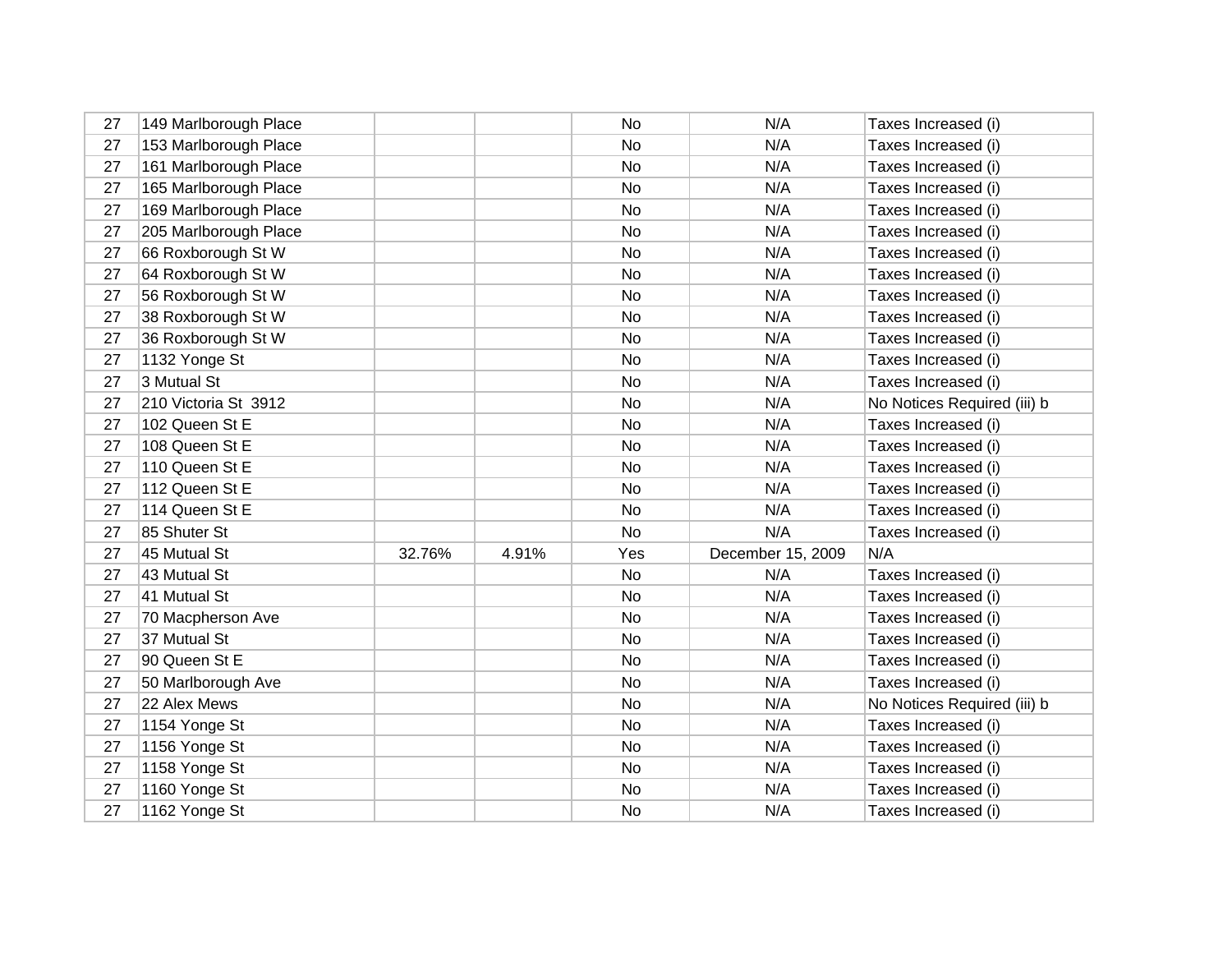| 27 | 149 Marlborough Place |        |       | No        | N/A               | Taxes Increased (i)         |
|----|-----------------------|--------|-------|-----------|-------------------|-----------------------------|
| 27 | 153 Marlborough Place |        |       | No        | N/A               | Taxes Increased (i)         |
| 27 | 161 Marlborough Place |        |       | No        | N/A               | Taxes Increased (i)         |
| 27 | 165 Marlborough Place |        |       | No        | N/A               | Taxes Increased (i)         |
| 27 | 169 Marlborough Place |        |       | No        | N/A               | Taxes Increased (i)         |
| 27 | 205 Marlborough Place |        |       | No        | N/A               | Taxes Increased (i)         |
| 27 | 66 Roxborough St W    |        |       | No        | N/A               | Taxes Increased (i)         |
| 27 | 64 Roxborough St W    |        |       | No        | N/A               | Taxes Increased (i)         |
| 27 | 56 Roxborough St W    |        |       | No        | N/A               | Taxes Increased (i)         |
| 27 | 38 Roxborough St W    |        |       | No        | N/A               | Taxes Increased (i)         |
| 27 | 36 Roxborough St W    |        |       | No        | N/A               | Taxes Increased (i)         |
| 27 | 1132 Yonge St         |        |       | No        | N/A               | Taxes Increased (i)         |
| 27 | 3 Mutual St           |        |       | No.       | N/A               | Taxes Increased (i)         |
| 27 | 210 Victoria St 3912  |        |       | No        | N/A               | No Notices Required (iii) b |
| 27 | 102 Queen St E        |        |       | No        | N/A               | Taxes Increased (i)         |
| 27 | 108 Queen St E        |        |       | No.       | N/A               | Taxes Increased (i)         |
| 27 | 110 Queen St E        |        |       | No        | N/A               | Taxes Increased (i)         |
| 27 | 112 Queen St E        |        |       | No        | N/A               | Taxes Increased (i)         |
| 27 | 114 Queen St E        |        |       | No        | N/A               | Taxes Increased (i)         |
| 27 | 85 Shuter St          |        |       | No        | N/A               | Taxes Increased (i)         |
| 27 | 45 Mutual St          | 32.76% | 4.91% | Yes       | December 15, 2009 | N/A                         |
| 27 | 43 Mutual St          |        |       | No        | N/A               | Taxes Increased (i)         |
| 27 | 41 Mutual St          |        |       | No        | N/A               | Taxes Increased (i)         |
| 27 | 70 Macpherson Ave     |        |       | No        | N/A               | Taxes Increased (i)         |
| 27 | 37 Mutual St          |        |       | No        | N/A               | Taxes Increased (i)         |
| 27 | 90 Queen St E         |        |       | No        | N/A               | Taxes Increased (i)         |
| 27 | 50 Marlborough Ave    |        |       | No        | N/A               | Taxes Increased (i)         |
| 27 | 22 Alex Mews          |        |       | No        | N/A               | No Notices Required (iii) b |
| 27 | 1154 Yonge St         |        |       | No        | N/A               | Taxes Increased (i)         |
| 27 | 1156 Yonge St         |        |       | No        | N/A               | Taxes Increased (i)         |
| 27 | 1158 Yonge St         |        |       | <b>No</b> | N/A               | Taxes Increased (i)         |
| 27 | 1160 Yonge St         |        |       | No        | N/A               | Taxes Increased (i)         |
| 27 | 1162 Yonge St         |        |       | No        | N/A               | Taxes Increased (i)         |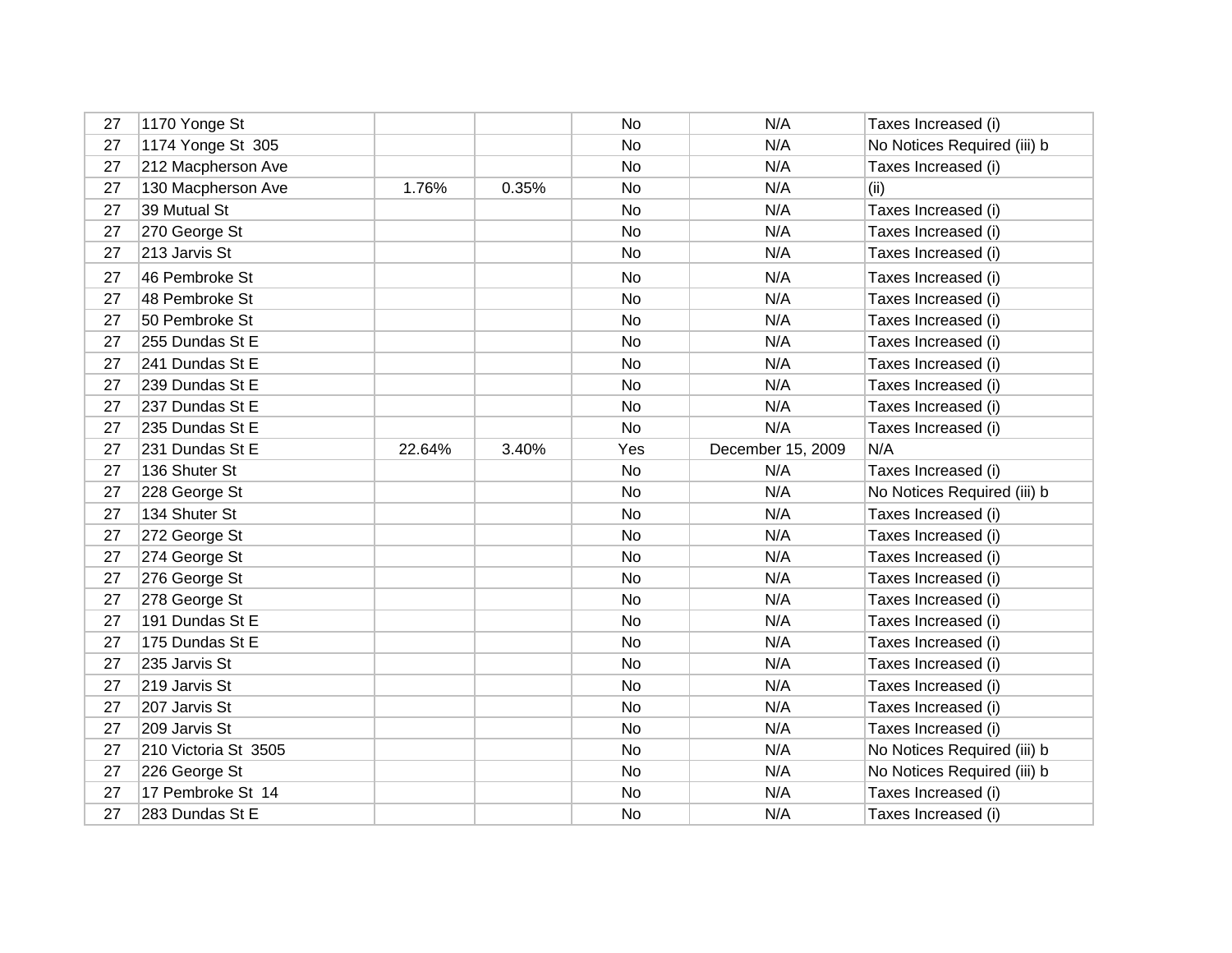| 27 | 1170 Yonge St        |        |       | No        | N/A               | Taxes Increased (i)         |
|----|----------------------|--------|-------|-----------|-------------------|-----------------------------|
| 27 | 1174 Yonge St 305    |        |       | No        | N/A               | No Notices Required (iii) b |
| 27 | 212 Macpherson Ave   |        |       | No        | N/A               | Taxes Increased (i)         |
| 27 | 130 Macpherson Ave   | 1.76%  | 0.35% | No        | N/A               | (ii)                        |
| 27 | 39 Mutual St         |        |       | No        | N/A               | Taxes Increased (i)         |
| 27 | 270 George St        |        |       | No        | N/A               | Taxes Increased (i)         |
| 27 | 213 Jarvis St        |        |       | No        | N/A               | Taxes Increased (i)         |
| 27 | 46 Pembroke St       |        |       | No        | N/A               | Taxes Increased (i)         |
| 27 | 48 Pembroke St       |        |       | No        | N/A               | Taxes Increased (i)         |
| 27 | 50 Pembroke St       |        |       | No        | N/A               | Taxes Increased (i)         |
| 27 | 255 Dundas St E      |        |       | No        | N/A               | Taxes Increased (i)         |
| 27 | 241 Dundas St E      |        |       | No        | N/A               | Taxes Increased (i)         |
| 27 | 239 Dundas St E      |        |       | <b>No</b> | N/A               | Taxes Increased (i)         |
| 27 | 237 Dundas St E      |        |       | No        | N/A               | Taxes Increased (i)         |
| 27 | 235 Dundas St E      |        |       | No        | N/A               | Taxes Increased (i)         |
| 27 | 231 Dundas St E      | 22.64% | 3.40% | Yes       | December 15, 2009 | N/A                         |
| 27 | 136 Shuter St        |        |       | No        | N/A               | Taxes Increased (i)         |
|    |                      |        |       |           |                   |                             |
| 27 | 228 George St        |        |       | No        | N/A               | No Notices Required (iii) b |
| 27 | 134 Shuter St        |        |       | No        | N/A               | Taxes Increased (i)         |
| 27 | 272 George St        |        |       | No        | N/A               | Taxes Increased (i)         |
| 27 | 274 George St        |        |       | No        | N/A               | Taxes Increased (i)         |
| 27 | 276 George St        |        |       | No        | N/A               | Taxes Increased (i)         |
| 27 | 278 George St        |        |       | No        | N/A               | Taxes Increased (i)         |
| 27 | 191 Dundas St E      |        |       | No        | N/A               | Taxes Increased (i)         |
| 27 | 175 Dundas St E      |        |       | No        | N/A               | Taxes Increased (i)         |
| 27 | 235 Jarvis St        |        |       | No        | N/A               | Taxes Increased (i)         |
| 27 | 219 Jarvis St        |        |       | No        | N/A               | Taxes Increased (i)         |
| 27 | 207 Jarvis St        |        |       | No        | N/A               | Taxes Increased (i)         |
| 27 | 209 Jarvis St        |        |       | No        | N/A               | Taxes Increased (i)         |
| 27 | 210 Victoria St 3505 |        |       | No        | N/A               | No Notices Required (iii) b |
| 27 | 226 George St        |        |       | No        | N/A               | No Notices Required (iii) b |
| 27 | 17 Pembroke St 14    |        |       | No        | N/A               | Taxes Increased (i)         |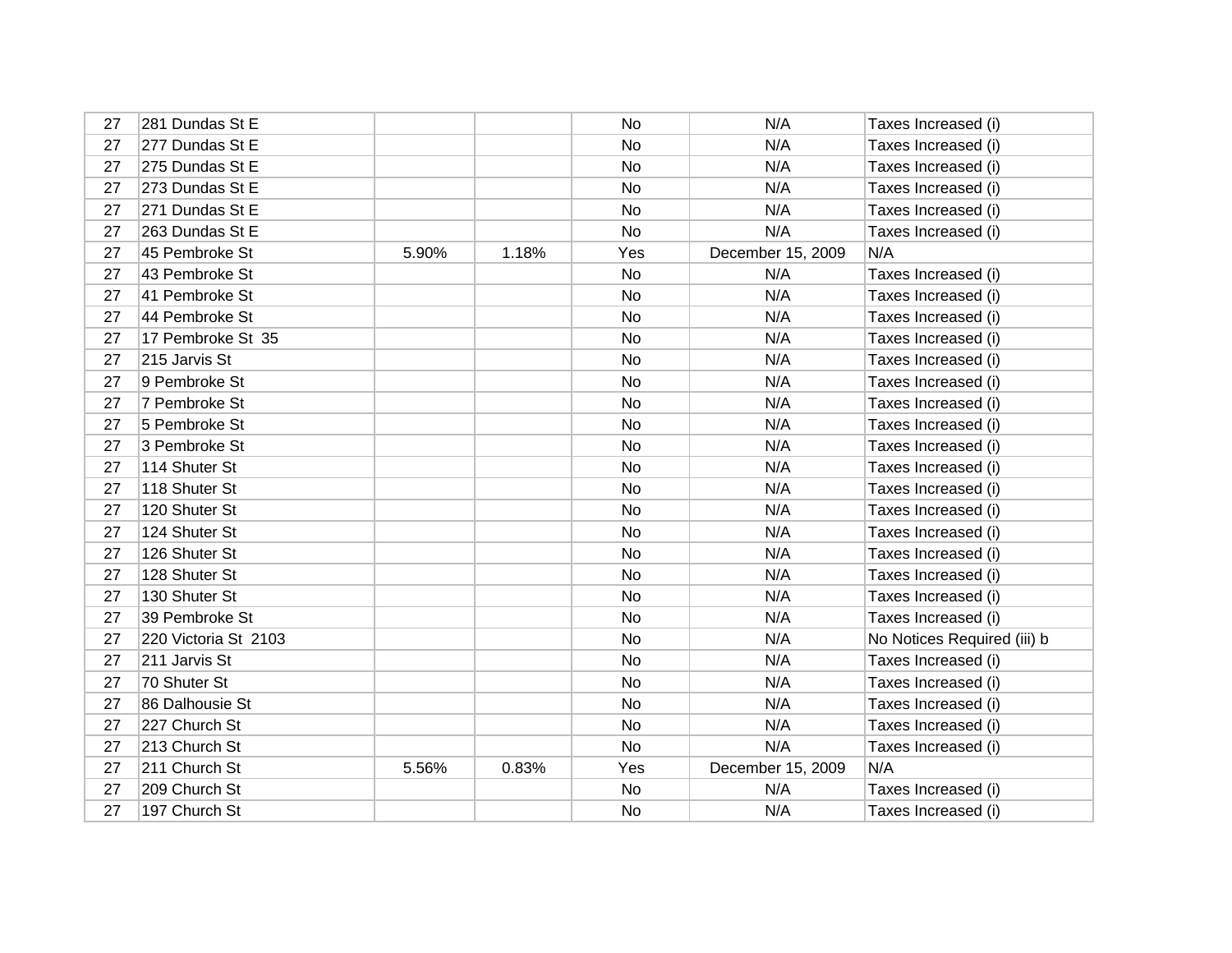| 27 | 281 Dundas St E      |       |       | No        | N/A               | Taxes Increased (i)         |
|----|----------------------|-------|-------|-----------|-------------------|-----------------------------|
| 27 | 277 Dundas St E      |       |       | No        | N/A               | Taxes Increased (i)         |
| 27 | 275 Dundas St E      |       |       | No        | N/A               | Taxes Increased (i)         |
| 27 | 273 Dundas St E      |       |       | No        | N/A               | Taxes Increased (i)         |
| 27 | 271 Dundas St E      |       |       | No        | N/A               | Taxes Increased (i)         |
| 27 | 263 Dundas St E      |       |       | No        | N/A               | Taxes Increased (i)         |
| 27 | 45 Pembroke St       | 5.90% | 1.18% | Yes       | December 15, 2009 | N/A                         |
| 27 | 43 Pembroke St       |       |       | No        | N/A               | Taxes Increased (i)         |
| 27 | 41 Pembroke St       |       |       | <b>No</b> | N/A               | Taxes Increased (i)         |
| 27 | 44 Pembroke St       |       |       | No        | N/A               | Taxes Increased (i)         |
| 27 | 17 Pembroke St 35    |       |       | No        | N/A               | Taxes Increased (i)         |
| 27 | 215 Jarvis St        |       |       | No        | N/A               | Taxes Increased (i)         |
| 27 | 9 Pembroke St        |       |       | <b>No</b> | N/A               | Taxes Increased (i)         |
| 27 | 7 Pembroke St        |       |       | No        | N/A               | Taxes Increased (i)         |
| 27 | 5 Pembroke St        |       |       | No        | N/A               | Taxes Increased (i)         |
| 27 | 3 Pembroke St        |       |       | No        | N/A               | Taxes Increased (i)         |
| 27 | 114 Shuter St        |       |       | No        | N/A               | Taxes Increased (i)         |
| 27 | 118 Shuter St        |       |       | No        | N/A               | Taxes Increased (i)         |
| 27 | 120 Shuter St        |       |       | No        | N/A               | Taxes Increased (i)         |
| 27 | 124 Shuter St        |       |       | No        | N/A               | Taxes Increased (i)         |
| 27 | 126 Shuter St        |       |       | No        | N/A               | Taxes Increased (i)         |
| 27 | 128 Shuter St        |       |       | No        | N/A               | Taxes Increased (i)         |
| 27 | 130 Shuter St        |       |       | No        | N/A               | Taxes Increased (i)         |
| 27 | 39 Pembroke St       |       |       | No        | N/A               | Taxes Increased (i)         |
| 27 | 220 Victoria St 2103 |       |       | No        | N/A               | No Notices Required (iii) b |
| 27 | 211 Jarvis St        |       |       | No        | N/A               | Taxes Increased (i)         |
| 27 | 70 Shuter St         |       |       | No        | N/A               | Taxes Increased (i)         |
| 27 | 86 Dalhousie St      |       |       | No        | N/A               | Taxes Increased (i)         |
| 27 | 227 Church St        |       |       | No        | N/A               | Taxes Increased (i)         |
| 27 | 213 Church St        |       |       | No        | N/A               | Taxes Increased (i)         |
| 27 | 211 Church St        | 5.56% | 0.83% | Yes       | December 15, 2009 | N/A                         |
| 27 | 209 Church St        |       |       | No        | N/A               | Taxes Increased (i)         |
| 27 | 197 Church St        |       |       | No        | N/A               | Taxes Increased (i)         |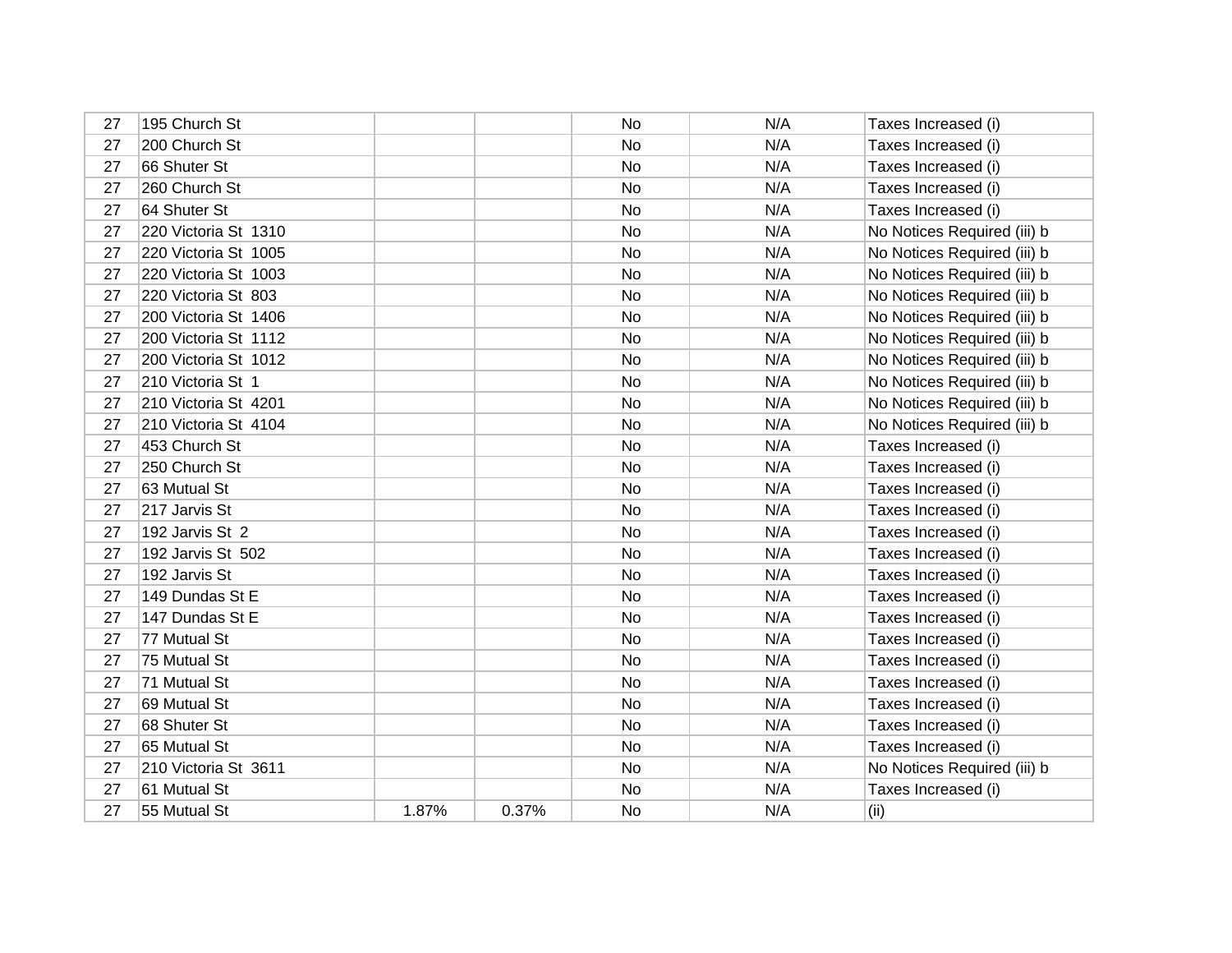| 27 | 195 Church St        |       |       | No | N/A | Taxes Increased (i)         |
|----|----------------------|-------|-------|----|-----|-----------------------------|
| 27 | 200 Church St        |       |       | No | N/A | Taxes Increased (i)         |
| 27 | 66 Shuter St         |       |       | No | N/A | Taxes Increased (i)         |
| 27 | 260 Church St        |       |       | No | N/A | Taxes Increased (i)         |
| 27 | 64 Shuter St         |       |       | No | N/A | Taxes Increased (i)         |
| 27 | 220 Victoria St 1310 |       |       | No | N/A | No Notices Required (iii) b |
| 27 | 220 Victoria St 1005 |       |       | No | N/A | No Notices Required (iii) b |
| 27 | 220 Victoria St 1003 |       |       | No | N/A | No Notices Required (iii) b |
| 27 | 220 Victoria St 803  |       |       | No | N/A | No Notices Required (iii) b |
| 27 | 200 Victoria St 1406 |       |       | No | N/A | No Notices Required (iii) b |
| 27 | 200 Victoria St 1112 |       |       | No | N/A | No Notices Required (iii) b |
| 27 | 200 Victoria St 1012 |       |       | No | N/A | No Notices Required (iii) b |
| 27 | 210 Victoria St 1    |       |       | No | N/A | No Notices Required (iii) b |
| 27 | 210 Victoria St 4201 |       |       | No | N/A | No Notices Required (iii) b |
| 27 | 210 Victoria St 4104 |       |       | No | N/A | No Notices Required (iii) b |
| 27 | 453 Church St        |       |       | No | N/A | Taxes Increased (i)         |
| 27 | 250 Church St        |       |       | No | N/A | Taxes Increased (i)         |
| 27 | 63 Mutual St         |       |       | No | N/A | Taxes Increased (i)         |
| 27 | 217 Jarvis St        |       |       | No | N/A | Taxes Increased (i)         |
| 27 | 192 Jarvis St 2      |       |       | No | N/A | Taxes Increased (i)         |
| 27 | 192 Jarvis St 502    |       |       | No | N/A | Taxes Increased (i)         |
| 27 | 192 Jarvis St        |       |       | No | N/A | Taxes Increased (i)         |
| 27 | 149 Dundas St E      |       |       | No | N/A | Taxes Increased (i)         |
| 27 | 147 Dundas St E      |       |       | No | N/A | Taxes Increased (i)         |
| 27 | 77 Mutual St         |       |       | No | N/A | Taxes Increased (i)         |
| 27 | 75 Mutual St         |       |       | No | N/A | Taxes Increased (i)         |
| 27 | 71 Mutual St         |       |       | No | N/A | Taxes Increased (i)         |
| 27 | 69 Mutual St         |       |       | No | N/A | Taxes Increased (i)         |
| 27 | 68 Shuter St         |       |       | No | N/A | Taxes Increased (i)         |
| 27 | 65 Mutual St         |       |       | No | N/A | Taxes Increased (i)         |
| 27 | 210 Victoria St 3611 |       |       | No | N/A | No Notices Required (iii) b |
| 27 | 61 Mutual St         |       |       | No | N/A | Taxes Increased (i)         |
| 27 | 55 Mutual St         | 1.87% | 0.37% | No | N/A | (ii)                        |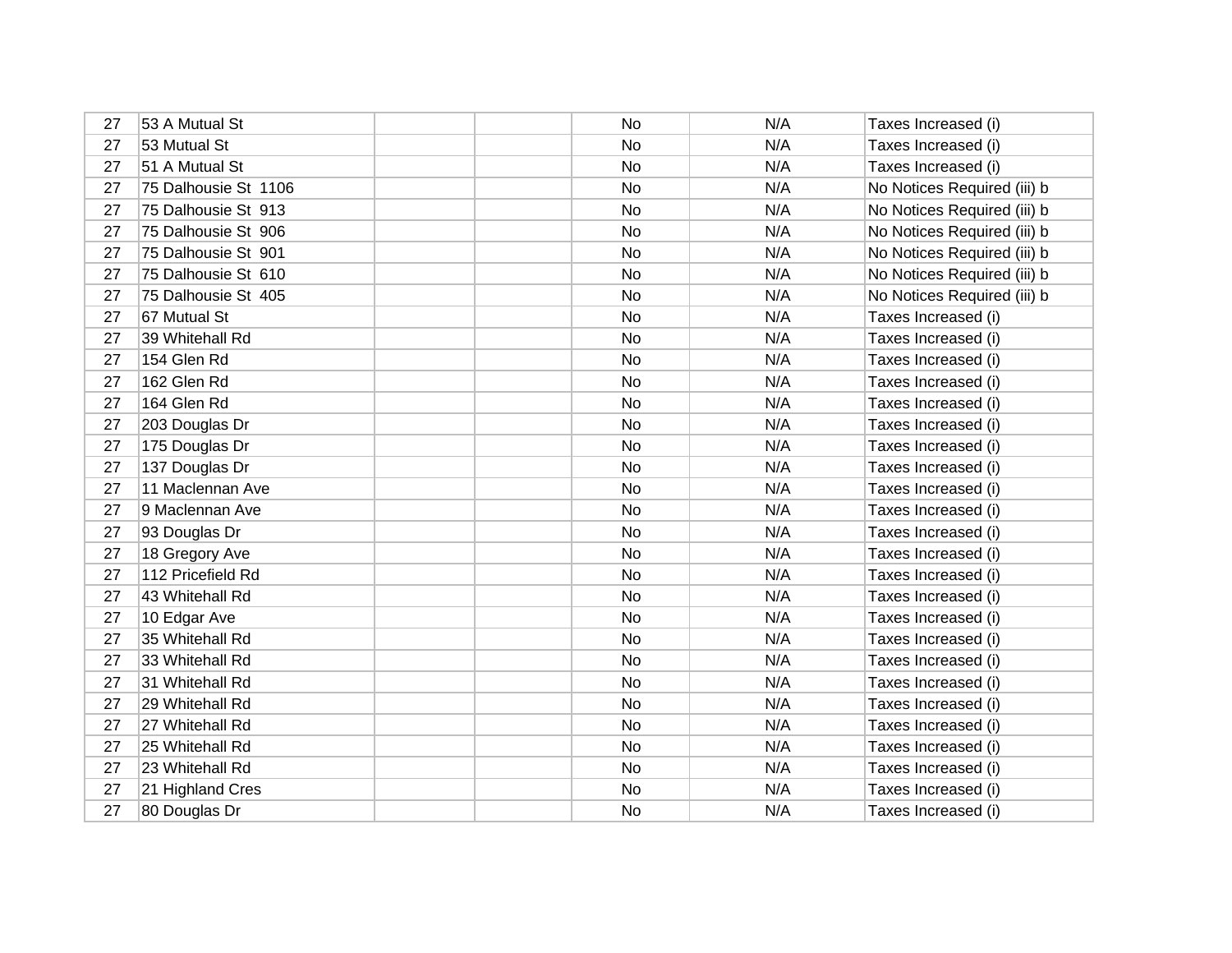| 27 | 53 A Mutual St       | No        | N/A | Taxes Increased (i)         |
|----|----------------------|-----------|-----|-----------------------------|
| 27 | 53 Mutual St         | No        | N/A | Taxes Increased (i)         |
| 27 | 51 A Mutual St       | No        | N/A | Taxes Increased (i)         |
| 27 | 75 Dalhousie St 1106 | No        | N/A | No Notices Required (iii) b |
| 27 | 75 Dalhousie St 913  | No        | N/A | No Notices Required (iii) b |
| 27 | 75 Dalhousie St 906  | No        | N/A | No Notices Required (iii) b |
| 27 | 75 Dalhousie St 901  | No.       | N/A | No Notices Required (iii) b |
| 27 | 75 Dalhousie St 610  | No        | N/A | No Notices Required (iii) b |
| 27 | 75 Dalhousie St 405  | No.       | N/A | No Notices Required (iii) b |
| 27 | 67 Mutual St         | No        | N/A | Taxes Increased (i)         |
| 27 | 39 Whitehall Rd      | No        | N/A | Taxes Increased (i)         |
| 27 | 154 Glen Rd          | No        | N/A | Taxes Increased (i)         |
| 27 | 162 Glen Rd          | No        | N/A | Taxes Increased (i)         |
| 27 | 164 Glen Rd          | No        | N/A | Taxes Increased (i)         |
| 27 | 203 Douglas Dr       | <b>No</b> | N/A | Taxes Increased (i)         |
| 27 | 175 Douglas Dr       | No        | N/A | Taxes Increased (i)         |
| 27 | 137 Douglas Dr       | No        | N/A | Taxes Increased (i)         |
| 27 | 11 Maclennan Ave     | No        | N/A | Taxes Increased (i)         |
| 27 | 9 Maclennan Ave      | No        | N/A | Taxes Increased (i)         |
| 27 | 93 Douglas Dr        | No        | N/A | Taxes Increased (i)         |
| 27 | 18 Gregory Ave       | No        | N/A | Taxes Increased (i)         |
| 27 | 112 Pricefield Rd    | No        | N/A | Taxes Increased (i)         |
| 27 | 43 Whitehall Rd      | <b>No</b> | N/A | Taxes Increased (i)         |
| 27 | 10 Edgar Ave         | <b>No</b> | N/A | Taxes Increased (i)         |
| 27 | 35 Whitehall Rd      | No        | N/A | Taxes Increased (i)         |
| 27 | 33 Whitehall Rd      | No        | N/A | Taxes Increased (i)         |
| 27 | 31 Whitehall Rd      | No        | N/A | Taxes Increased (i)         |
| 27 | 29 Whitehall Rd      | No        | N/A | Taxes Increased (i)         |
| 27 | 27 Whitehall Rd      | No        | N/A | Taxes Increased (i)         |
| 27 | 25 Whitehall Rd      | No        | N/A | Taxes Increased (i)         |
| 27 | 23 Whitehall Rd      | No        | N/A | Taxes Increased (i)         |
| 27 | 21 Highland Cres     | No        | N/A | Taxes Increased (i)         |
| 27 | 80 Douglas Dr        | No        | N/A | Taxes Increased (i)         |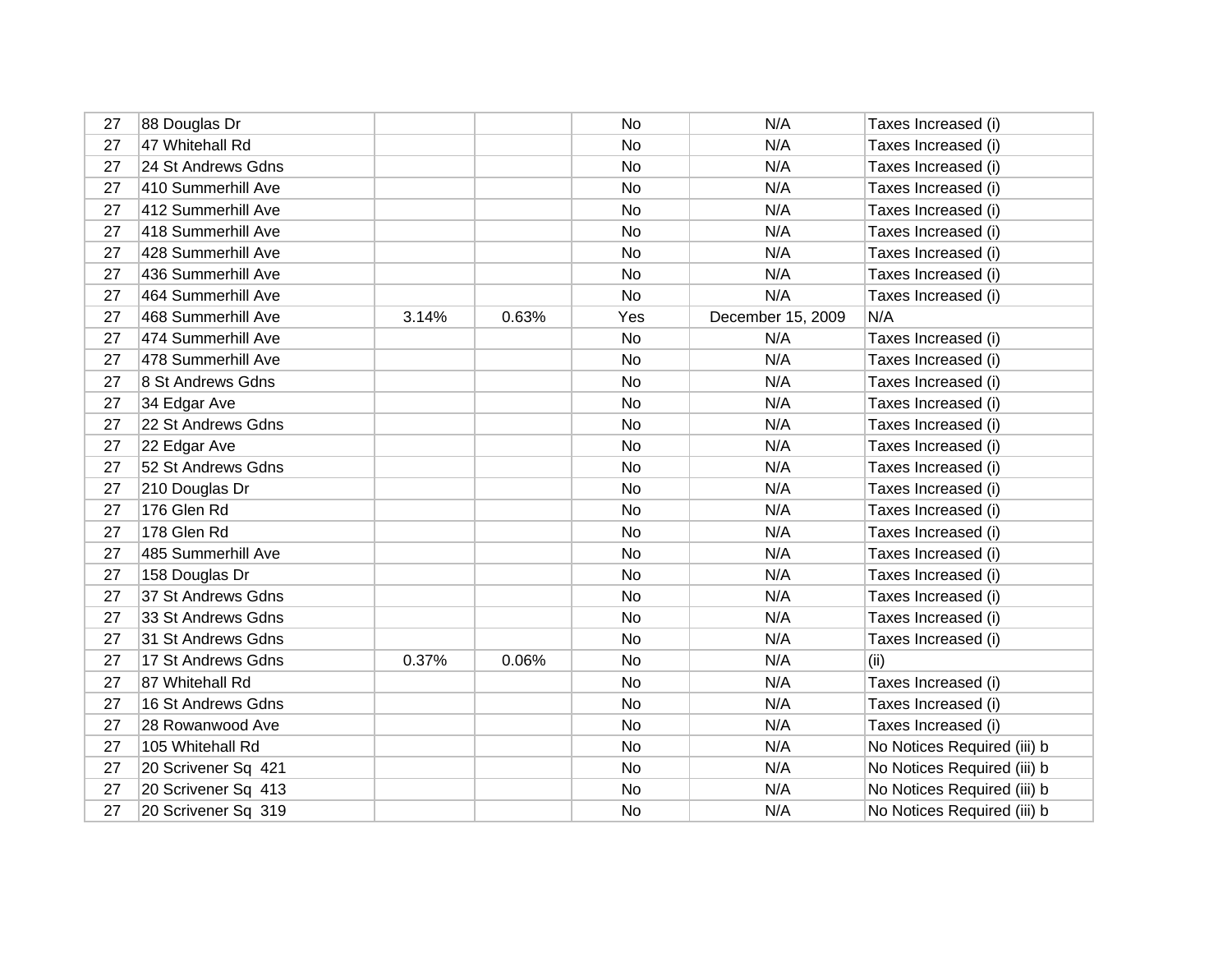| 27 | 88 Douglas Dr       |       |       | <b>No</b> | N/A               | Taxes Increased (i)         |
|----|---------------------|-------|-------|-----------|-------------------|-----------------------------|
| 27 | 47 Whitehall Rd     |       |       | <b>No</b> | N/A               | Taxes Increased (i)         |
| 27 | 24 St Andrews Gdns  |       |       | No        | N/A               | Taxes Increased (i)         |
| 27 | 410 Summerhill Ave  |       |       | No        | N/A               | Taxes Increased (i)         |
| 27 | 412 Summerhill Ave  |       |       | No        | N/A               | Taxes Increased (i)         |
| 27 | 418 Summerhill Ave  |       |       | No        | N/A               | Taxes Increased (i)         |
| 27 | 428 Summerhill Ave  |       |       | No        | N/A               | Taxes Increased (i)         |
| 27 | 436 Summerhill Ave  |       |       | No        | N/A               | Taxes Increased (i)         |
| 27 | 464 Summerhill Ave  |       |       | No        | N/A               | Taxes Increased (i)         |
| 27 | 468 Summerhill Ave  | 3.14% | 0.63% | Yes       | December 15, 2009 | N/A                         |
| 27 | 474 Summerhill Ave  |       |       | No        | N/A               | Taxes Increased (i)         |
| 27 | 478 Summerhill Ave  |       |       | No        | N/A               | Taxes Increased (i)         |
| 27 | 8 St Andrews Gdns   |       |       | No        | N/A               | Taxes Increased (i)         |
| 27 | 34 Edgar Ave        |       |       | No        | N/A               | Taxes Increased (i)         |
| 27 | 22 St Andrews Gdns  |       |       | No        | N/A               | Taxes Increased (i)         |
| 27 | 22 Edgar Ave        |       |       | No        | N/A               | Taxes Increased (i)         |
| 27 | 52 St Andrews Gdns  |       |       | No        | N/A               | Taxes Increased (i)         |
| 27 | 210 Douglas Dr      |       |       | <b>No</b> | N/A               | Taxes Increased (i)         |
| 27 | 176 Glen Rd         |       |       | No        | N/A               | Taxes Increased (i)         |
| 27 | 178 Glen Rd         |       |       | No        | N/A               | Taxes Increased (i)         |
| 27 | 485 Summerhill Ave  |       |       | <b>No</b> | N/A               | Taxes Increased (i)         |
| 27 | 158 Douglas Dr      |       |       | No        | N/A               | Taxes Increased (i)         |
| 27 | 37 St Andrews Gdns  |       |       | No        | N/A               | Taxes Increased (i)         |
| 27 | 33 St Andrews Gdns  |       |       | No        | N/A               | Taxes Increased (i)         |
| 27 | 31 St Andrews Gdns  |       |       | No        | N/A               | Taxes Increased (i)         |
| 27 | 17 St Andrews Gdns  | 0.37% | 0.06% | No        | N/A               | (ii)                        |
| 27 | 87 Whitehall Rd     |       |       | No        | N/A               | Taxes Increased (i)         |
| 27 | 16 St Andrews Gdns  |       |       | No        | N/A               | Taxes Increased (i)         |
| 27 | 28 Rowanwood Ave    |       |       | No        | N/A               | Taxes Increased (i)         |
| 27 | 105 Whitehall Rd    |       |       | No        | N/A               | No Notices Required (iii) b |
| 27 | 20 Scrivener Sq 421 |       |       | No        | N/A               | No Notices Required (iii) b |
| 27 | 20 Scrivener Sq 413 |       |       | No        | N/A               | No Notices Required (iii) b |
| 27 | 20 Scrivener Sq 319 |       |       | No        | N/A               | No Notices Required (iii) b |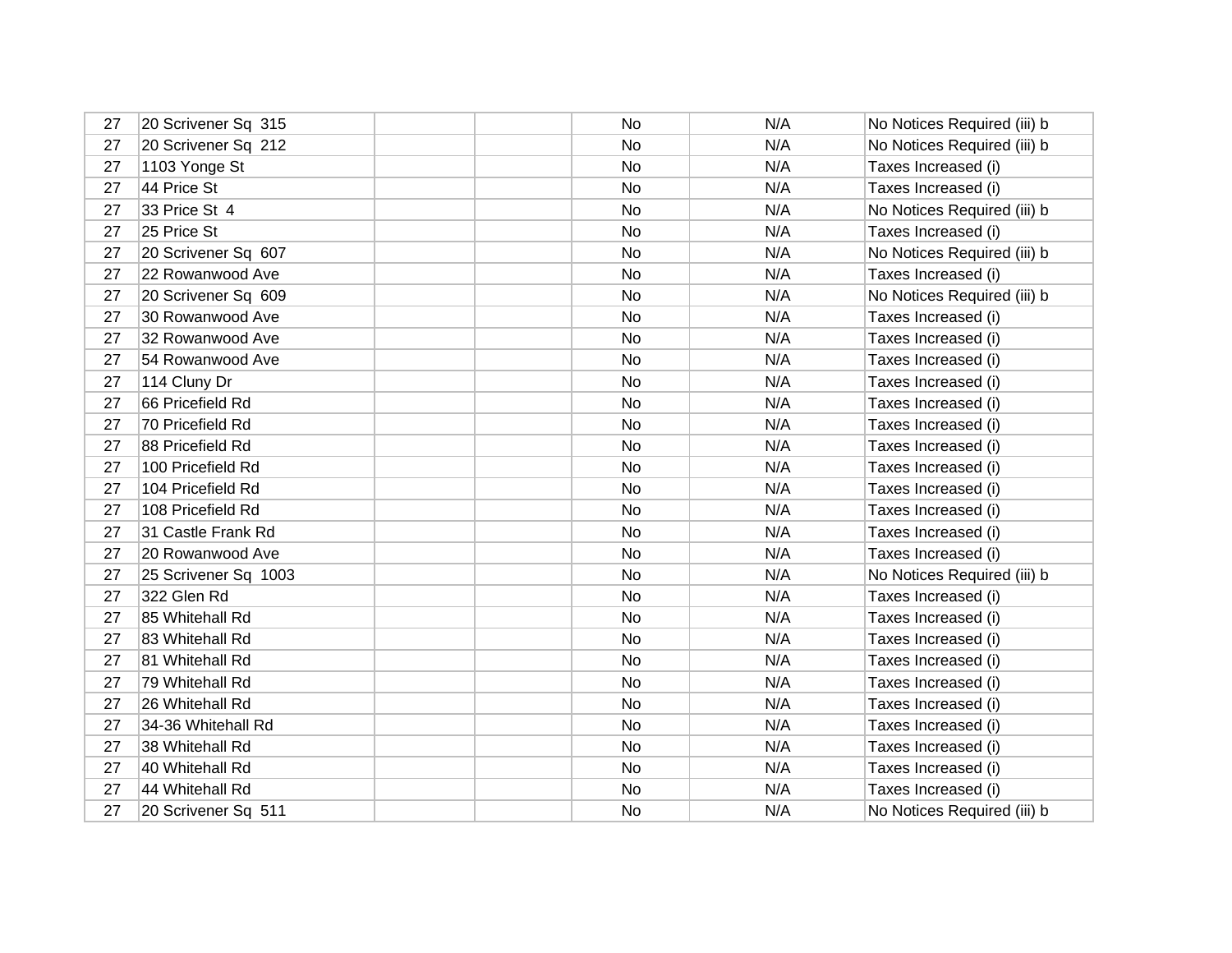| 27 | 20 Scrivener Sq 315  | No | N/A | No Notices Required (iii) b |
|----|----------------------|----|-----|-----------------------------|
| 27 | 20 Scrivener Sq 212  | No | N/A | No Notices Required (iii) b |
| 27 | 1103 Yonge St        | No | N/A | Taxes Increased (i)         |
| 27 | 44 Price St          | No | N/A | Taxes Increased (i)         |
| 27 | 33 Price St 4        | No | N/A | No Notices Required (iii) b |
| 27 | 25 Price St          | No | N/A | Taxes Increased (i)         |
| 27 | 20 Scrivener Sq 607  | No | N/A | No Notices Required (iii) b |
| 27 | 22 Rowanwood Ave     | No | N/A | Taxes Increased (i)         |
| 27 | 20 Scrivener Sq 609  | No | N/A | No Notices Required (iii) b |
| 27 | 30 Rowanwood Ave     | No | N/A | Taxes Increased (i)         |
| 27 | 32 Rowanwood Ave     | No | N/A | Taxes Increased (i)         |
| 27 | 54 Rowanwood Ave     | No | N/A | Taxes Increased (i)         |
| 27 | 114 Cluny Dr         | No | N/A | Taxes Increased (i)         |
| 27 | 66 Pricefield Rd     | No | N/A | Taxes Increased (i)         |
| 27 | 70 Pricefield Rd     | No | N/A | Taxes Increased (i)         |
| 27 | 88 Pricefield Rd     | No | N/A | Taxes Increased (i)         |
| 27 | 100 Pricefield Rd    | No | N/A | Taxes Increased (i)         |
| 27 | 104 Pricefield Rd    | No | N/A | Taxes Increased (i)         |
| 27 | 108 Pricefield Rd    | No | N/A | Taxes Increased (i)         |
| 27 | 31 Castle Frank Rd   | No | N/A | Taxes Increased (i)         |
| 27 | 20 Rowanwood Ave     | No | N/A | Taxes Increased (i)         |
| 27 | 25 Scrivener Sq 1003 | No | N/A | No Notices Required (iii) b |
| 27 | 322 Glen Rd          | No | N/A | Taxes Increased (i)         |
| 27 | 85 Whitehall Rd      | No | N/A | Taxes Increased (i)         |
| 27 | 83 Whitehall Rd      | No | N/A | Taxes Increased (i)         |
| 27 | 81 Whitehall Rd      | No | N/A | Taxes Increased (i)         |
| 27 | 79 Whitehall Rd      | No | N/A | Taxes Increased (i)         |
| 27 | 26 Whitehall Rd      | No | N/A | Taxes Increased (i)         |
| 27 | 34-36 Whitehall Rd   | No | N/A | Taxes Increased (i)         |
| 27 | 38 Whitehall Rd      | No | N/A | Taxes Increased (i)         |
| 27 | 40 Whitehall Rd      | No | N/A | Taxes Increased (i)         |
| 27 | 44 Whitehall Rd      | No | N/A | Taxes Increased (i)         |
| 27 | 20 Scrivener Sq 511  | No | N/A | No Notices Required (iii) b |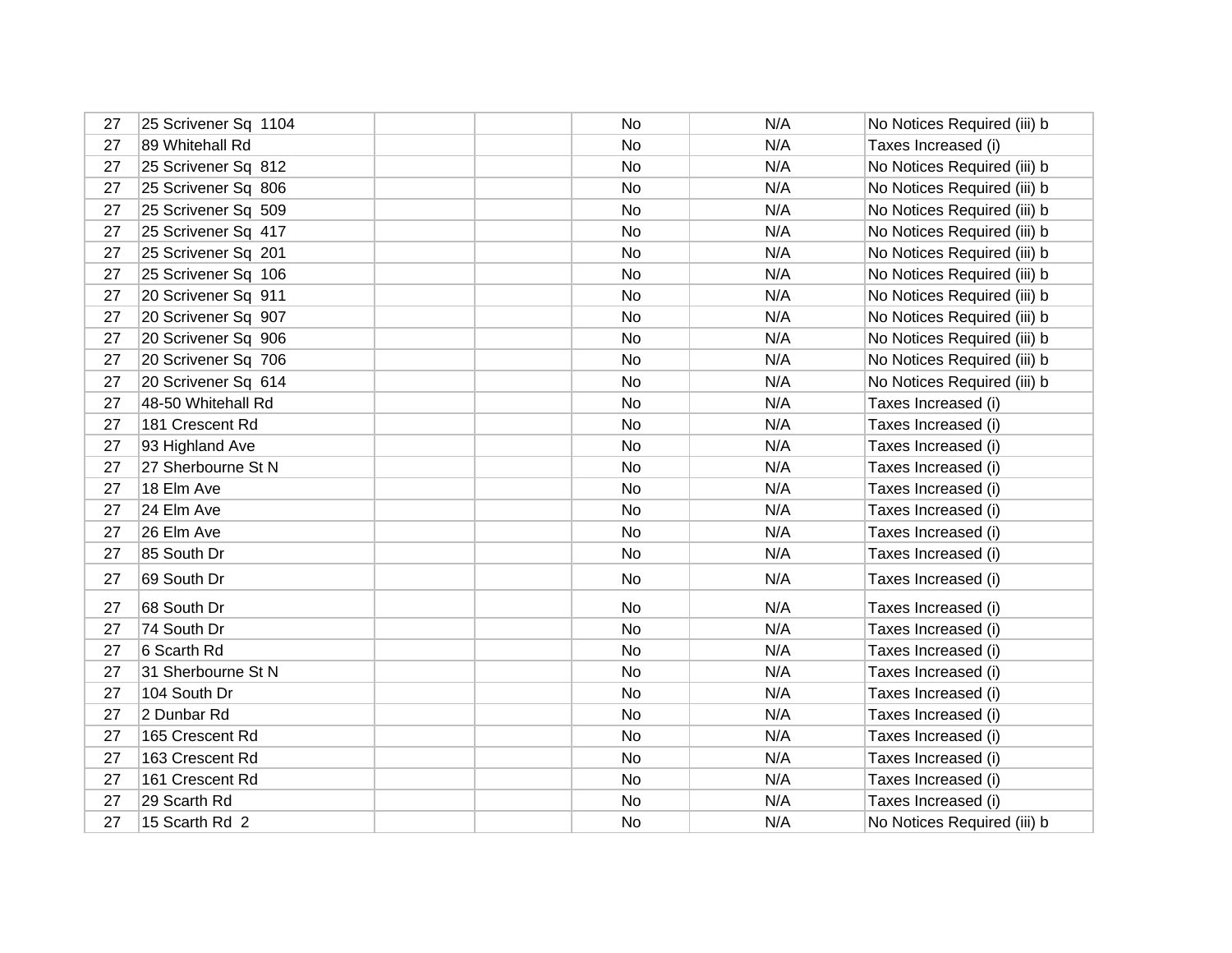| 27 | 25 Scrivener Sq 1104 | No | N/A | No Notices Required (iii) b |
|----|----------------------|----|-----|-----------------------------|
| 27 | 89 Whitehall Rd      | No | N/A | Taxes Increased (i)         |
| 27 | 25 Scrivener Sq 812  | No | N/A | No Notices Required (iii) b |
| 27 | 25 Scrivener Sq 806  | No | N/A | No Notices Required (iii) b |
| 27 | 25 Scrivener Sq 509  | No | N/A | No Notices Required (iii) b |
| 27 | 25 Scrivener Sq 417  | No | N/A | No Notices Required (iii) b |
| 27 | 25 Scrivener Sq 201  | No | N/A | No Notices Required (iii) b |
| 27 | 25 Scrivener Sq 106  | No | N/A | No Notices Required (iii) b |
| 27 | 20 Scrivener Sq 911  | No | N/A | No Notices Required (iii) b |
| 27 | 20 Scrivener Sq 907  | No | N/A | No Notices Required (iii) b |
| 27 | 20 Scrivener Sq 906  | No | N/A | No Notices Required (iii) b |
| 27 | 20 Scrivener Sq 706  | No | N/A | No Notices Required (iii) b |
| 27 | 20 Scrivener Sq 614  | No | N/A | No Notices Required (iii) b |
| 27 | 48-50 Whitehall Rd   | No | N/A | Taxes Increased (i)         |
| 27 | 181 Crescent Rd      | No | N/A | Taxes Increased (i)         |
| 27 | 93 Highland Ave      | No | N/A | Taxes Increased (i)         |
| 27 | 27 Sherbourne St N   | No | N/A | Taxes Increased (i)         |
| 27 | 18 Elm Ave           | No | N/A | Taxes Increased (i)         |
| 27 | 24 Elm Ave           | No | N/A | Taxes Increased (i)         |
| 27 | 26 Elm Ave           | No | N/A | Taxes Increased (i)         |
| 27 | 85 South Dr          | No | N/A | Taxes Increased (i)         |
| 27 | 69 South Dr          | No | N/A | Taxes Increased (i)         |
| 27 | 68 South Dr          | No | N/A | Taxes Increased (i)         |
| 27 | 74 South Dr          | No | N/A | Taxes Increased (i)         |
| 27 | 6 Scarth Rd          | No | N/A | Taxes Increased (i)         |
| 27 | 31 Sherbourne St N   | No | N/A | Taxes Increased (i)         |
| 27 | 104 South Dr         | No | N/A | Taxes Increased (i)         |
| 27 | 2 Dunbar Rd          | No | N/A | Taxes Increased (i)         |
| 27 | 165 Crescent Rd      | No | N/A | Taxes Increased (i)         |
| 27 | 163 Crescent Rd      | No | N/A | Taxes Increased (i)         |
| 27 | 161 Crescent Rd      | No | N/A | Taxes Increased (i)         |
| 27 | 29 Scarth Rd         | No | N/A | Taxes Increased (i)         |
| 27 | 15 Scarth Rd 2       | No | N/A | No Notices Required (iii) b |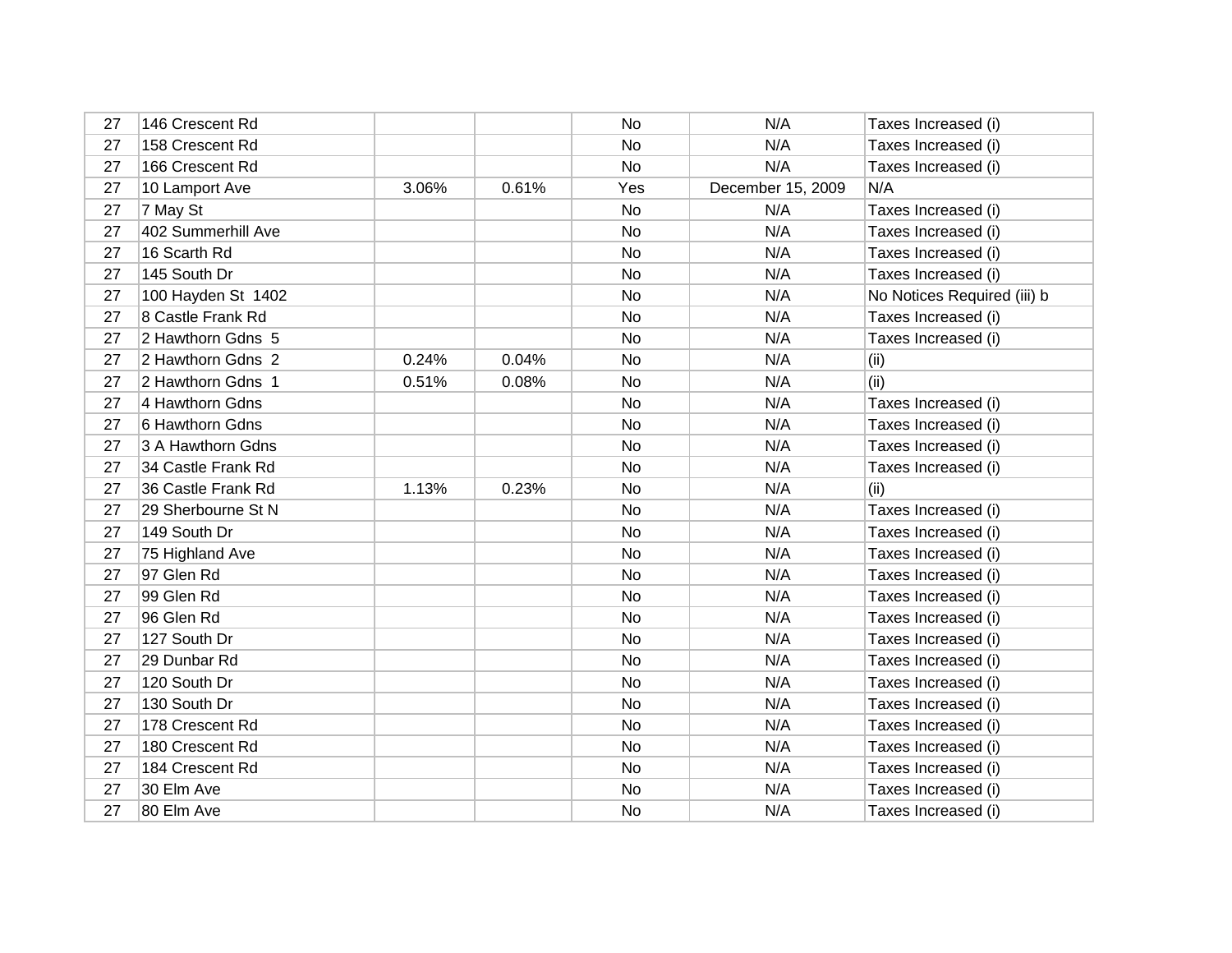| 27 | 146 Crescent Rd    |       |       | No        | N/A               | Taxes Increased (i)         |
|----|--------------------|-------|-------|-----------|-------------------|-----------------------------|
| 27 | 158 Crescent Rd    |       |       | No        | N/A               | Taxes Increased (i)         |
| 27 | 166 Crescent Rd    |       |       | No        | N/A               | Taxes Increased (i)         |
| 27 | 10 Lamport Ave     | 3.06% | 0.61% | Yes       | December 15, 2009 | N/A                         |
| 27 | 7 May St           |       |       | No        | N/A               | Taxes Increased (i)         |
| 27 | 402 Summerhill Ave |       |       | No        | N/A               | Taxes Increased (i)         |
| 27 | 16 Scarth Rd       |       |       | No        | N/A               | Taxes Increased (i)         |
| 27 | 145 South Dr       |       |       | No        | N/A               | Taxes Increased (i)         |
| 27 | 100 Hayden St 1402 |       |       | No        | N/A               | No Notices Required (iii) b |
| 27 | 8 Castle Frank Rd  |       |       | No        | N/A               | Taxes Increased (i)         |
| 27 | 2 Hawthorn Gdns 5  |       |       | No        | N/A               | Taxes Increased (i)         |
| 27 | 2 Hawthorn Gdns 2  | 0.24% | 0.04% | No        | N/A               | (ii)                        |
| 27 | 2 Hawthorn Gdns 1  | 0.51% | 0.08% | No        | N/A               | (ii)                        |
| 27 | 4 Hawthorn Gdns    |       |       | No        | N/A               | Taxes Increased (i)         |
| 27 | 6 Hawthorn Gdns    |       |       | No        | N/A               | Taxes Increased (i)         |
| 27 | 3 A Hawthorn Gdns  |       |       | No        | N/A               | Taxes Increased (i)         |
| 27 | 34 Castle Frank Rd |       |       | No        | N/A               | Taxes Increased (i)         |
| 27 | 36 Castle Frank Rd | 1.13% | 0.23% | No        | N/A               | (i)                         |
| 27 | 29 Sherbourne St N |       |       | No        | N/A               | Taxes Increased (i)         |
| 27 | 149 South Dr       |       |       | No        | N/A               | Taxes Increased (i)         |
| 27 | 75 Highland Ave    |       |       | No        | N/A               | Taxes Increased (i)         |
| 27 | 97 Glen Rd         |       |       | No        | N/A               | Taxes Increased (i)         |
| 27 | 99 Glen Rd         |       |       | No        | N/A               | Taxes Increased (i)         |
| 27 | 96 Glen Rd         |       |       | <b>No</b> | N/A               | Taxes Increased (i)         |
| 27 | 127 South Dr       |       |       | No        | N/A               | Taxes Increased (i)         |
| 27 | 29 Dunbar Rd       |       |       | No        | N/A               | Taxes Increased (i)         |
| 27 | 120 South Dr       |       |       | No        | N/A               | Taxes Increased (i)         |
| 27 | 130 South Dr       |       |       | No        | N/A               | Taxes Increased (i)         |
| 27 | 178 Crescent Rd    |       |       | No        | N/A               | Taxes Increased (i)         |
| 27 | 180 Crescent Rd    |       |       | No        | N/A               | Taxes Increased (i)         |
| 27 | 184 Crescent Rd    |       |       | No        | N/A               | Taxes Increased (i)         |
| 27 | 30 Elm Ave         |       |       | No        | N/A               | Taxes Increased (i)         |
| 27 | 80 Elm Ave         |       |       | No        | N/A               | Taxes Increased (i)         |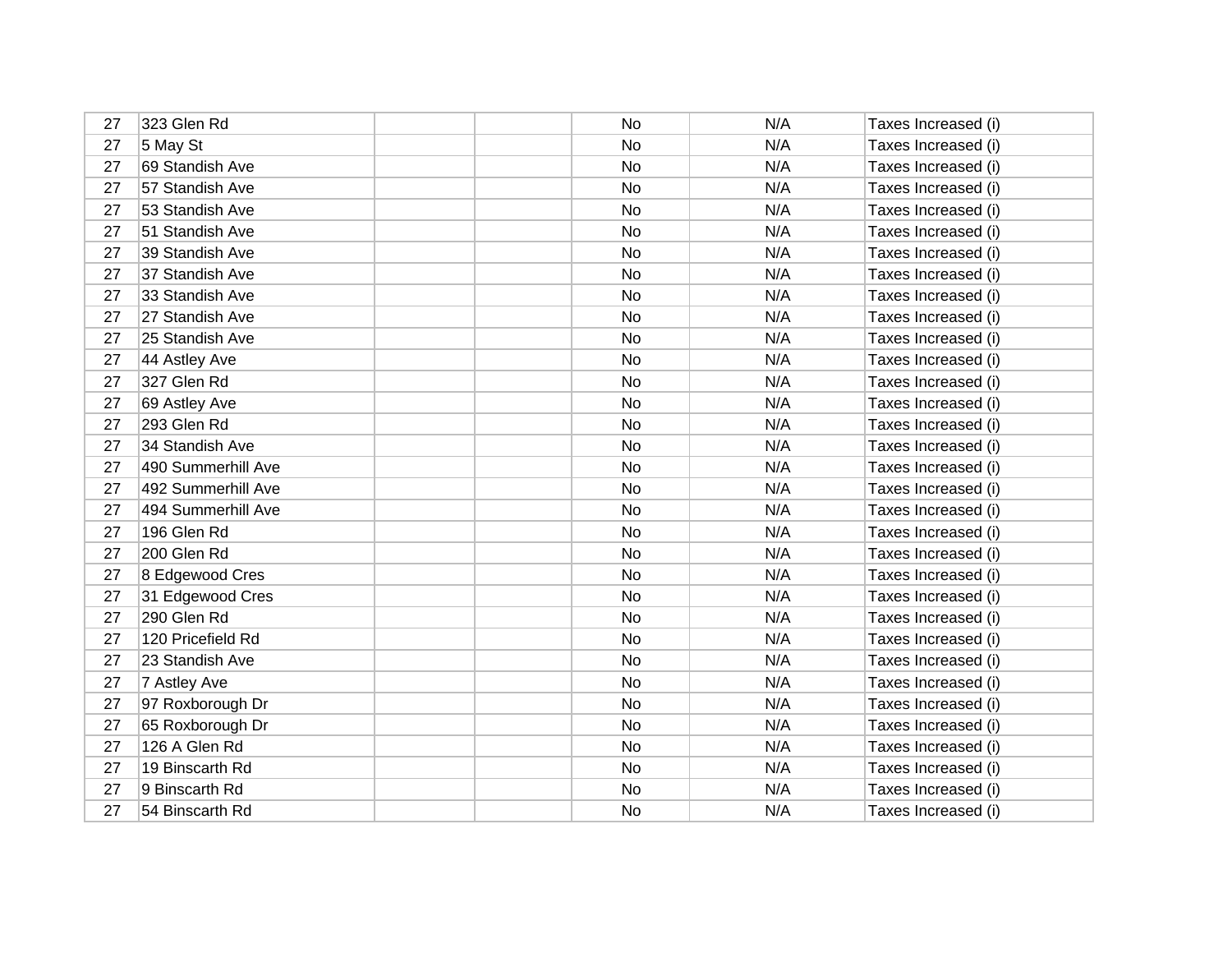| 27 | 323 Glen Rd        | No        | N/A | Taxes Increased (i) |
|----|--------------------|-----------|-----|---------------------|
| 27 | 5 May St           | No        | N/A | Taxes Increased (i) |
| 27 | 69 Standish Ave    | No        | N/A | Taxes Increased (i) |
| 27 | 57 Standish Ave    | No        | N/A | Taxes Increased (i) |
| 27 | 53 Standish Ave    | No        | N/A | Taxes Increased (i) |
| 27 | 51 Standish Ave    | <b>No</b> | N/A | Taxes Increased (i) |
| 27 | 39 Standish Ave    | No        | N/A | Taxes Increased (i) |
| 27 | 37 Standish Ave    | No        | N/A | Taxes Increased (i) |
| 27 | 33 Standish Ave    | No        | N/A | Taxes Increased (i) |
| 27 | 27 Standish Ave    | No        | N/A | Taxes Increased (i) |
| 27 | 25 Standish Ave    | No        | N/A | Taxes Increased (i) |
| 27 | 44 Astley Ave      | No        | N/A | Taxes Increased (i) |
| 27 | 327 Glen Rd        | No        | N/A | Taxes Increased (i) |
| 27 | 69 Astley Ave      | No        | N/A | Taxes Increased (i) |
| 27 | 293 Glen Rd        | No        | N/A | Taxes Increased (i) |
| 27 | 34 Standish Ave    | No        | N/A | Taxes Increased (i) |
| 27 | 490 Summerhill Ave | <b>No</b> | N/A | Taxes Increased (i) |
| 27 | 492 Summerhill Ave | No        | N/A | Taxes Increased (i) |
| 27 | 494 Summerhill Ave | No        | N/A | Taxes Increased (i) |
| 27 | 196 Glen Rd        | No        | N/A | Taxes Increased (i) |
| 27 | 200 Glen Rd        | No        | N/A | Taxes Increased (i) |
| 27 | 8 Edgewood Cres    | No        | N/A | Taxes Increased (i) |
| 27 | 31 Edgewood Cres   | No        | N/A | Taxes Increased (i) |
| 27 | 290 Glen Rd        | No        | N/A | Taxes Increased (i) |
| 27 | 120 Pricefield Rd  | No        | N/A | Taxes Increased (i) |
| 27 | 23 Standish Ave    | No        | N/A | Taxes Increased (i) |
| 27 | 7 Astley Ave       | No        | N/A | Taxes Increased (i) |
| 27 | 97 Roxborough Dr   | No        | N/A | Taxes Increased (i) |
| 27 | 65 Roxborough Dr   | No        | N/A | Taxes Increased (i) |
| 27 | 126 A Glen Rd      | No        | N/A | Taxes Increased (i) |
| 27 | 19 Binscarth Rd    | No        | N/A | Taxes Increased (i) |
| 27 | 9 Binscarth Rd     | No        | N/A | Taxes Increased (i) |
| 27 | 54 Binscarth Rd    | No        | N/A | Taxes Increased (i) |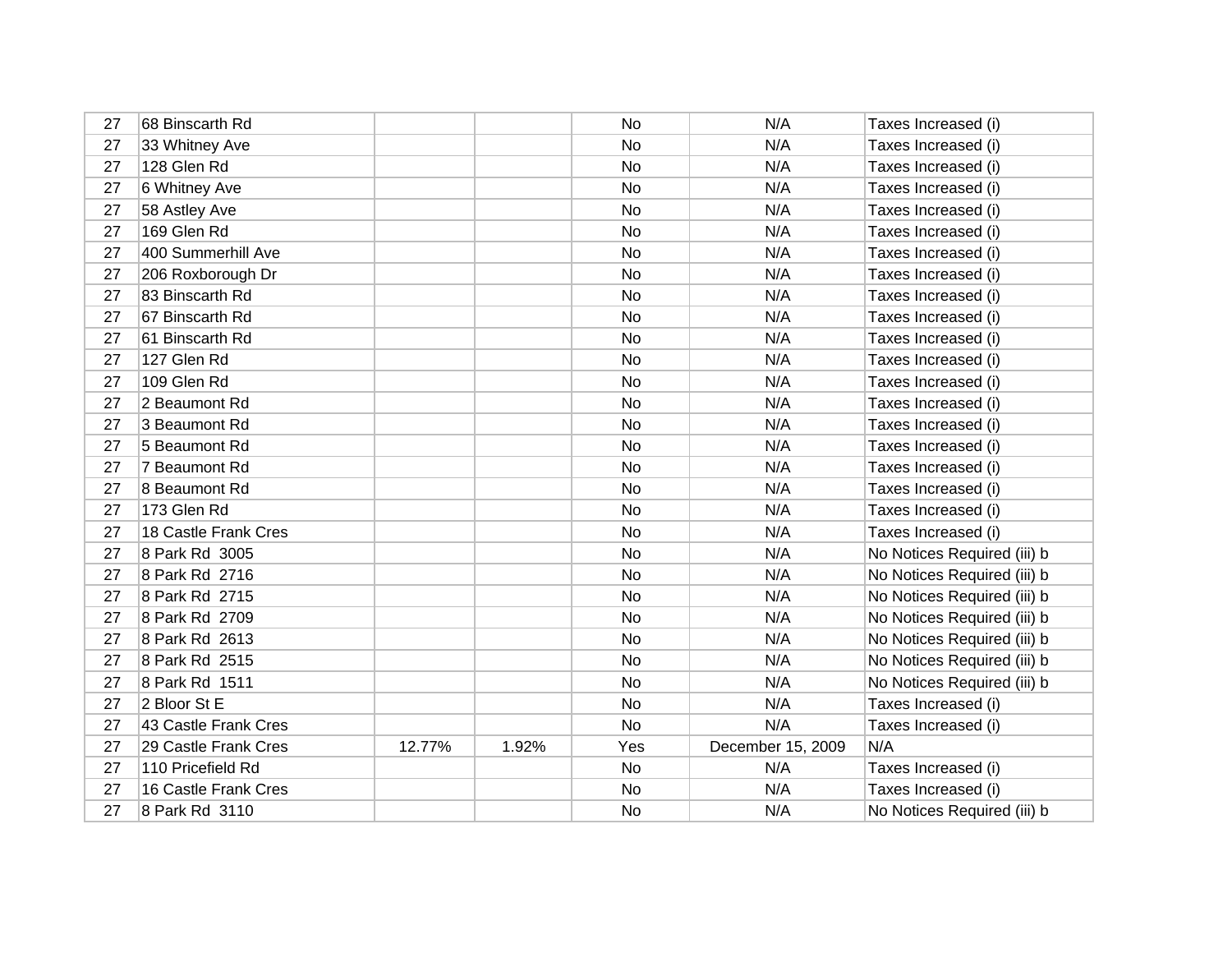| 27 | 68 Binscarth Rd      |        |       | No        | N/A               | Taxes Increased (i)         |
|----|----------------------|--------|-------|-----------|-------------------|-----------------------------|
| 27 | 33 Whitney Ave       |        |       | No        | N/A               | Taxes Increased (i)         |
| 27 | 128 Glen Rd          |        |       | No        | N/A               | Taxes Increased (i)         |
| 27 | 6 Whitney Ave        |        |       | No        | N/A               | Taxes Increased (i)         |
| 27 | 58 Astley Ave        |        |       | No        | N/A               | Taxes Increased (i)         |
| 27 | 169 Glen Rd          |        |       | No        | N/A               | Taxes Increased (i)         |
| 27 | 400 Summerhill Ave   |        |       | No        | N/A               | Taxes Increased (i)         |
| 27 | 206 Roxborough Dr    |        |       | No        | N/A               | Taxes Increased (i)         |
| 27 | 83 Binscarth Rd      |        |       | No        | N/A               | Taxes Increased (i)         |
| 27 | 67 Binscarth Rd      |        |       | No        | N/A               | Taxes Increased (i)         |
| 27 | 61 Binscarth Rd      |        |       | No        | N/A               | Taxes Increased (i)         |
| 27 | 127 Glen Rd          |        |       | No        | N/A               | Taxes Increased (i)         |
| 27 | 109 Glen Rd          |        |       | No        | N/A               | Taxes Increased (i)         |
| 27 | 2 Beaumont Rd        |        |       | No        | N/A               | Taxes Increased (i)         |
| 27 | 3 Beaumont Rd        |        |       | No        | N/A               | Taxes Increased (i)         |
| 27 | 5 Beaumont Rd        |        |       | No        | N/A               | Taxes Increased (i)         |
| 27 | 7 Beaumont Rd        |        |       | No        | N/A               | Taxes Increased (i)         |
| 27 | 8 Beaumont Rd        |        |       | No        | N/A               | Taxes Increased (i)         |
| 27 | 173 Glen Rd          |        |       | No        | N/A               | Taxes Increased (i)         |
| 27 | 18 Castle Frank Cres |        |       | No        | N/A               | Taxes Increased (i)         |
| 27 | 8 Park Rd 3005       |        |       | <b>No</b> | N/A               | No Notices Required (iii) b |
| 27 | 8 Park Rd 2716       |        |       | No        | N/A               | No Notices Required (iii) b |
| 27 | 8 Park Rd 2715       |        |       | No        | N/A               | No Notices Required (iii) b |
| 27 | 8 Park Rd 2709       |        |       | No        | N/A               | No Notices Required (iii) b |
| 27 | 8 Park Rd 2613       |        |       | No        | N/A               | No Notices Required (iii) b |
| 27 | 8 Park Rd 2515       |        |       | No        | N/A               | No Notices Required (iii) b |
| 27 | 8 Park Rd 1511       |        |       | No        | N/A               | No Notices Required (iii) b |
| 27 | 2 Bloor St E         |        |       | No        | N/A               | Taxes Increased (i)         |
| 27 | 43 Castle Frank Cres |        |       | No        | N/A               | Taxes Increased (i)         |
| 27 | 29 Castle Frank Cres | 12.77% | 1.92% | Yes       | December 15, 2009 | N/A                         |
| 27 | 110 Pricefield Rd    |        |       | No        | N/A               | Taxes Increased (i)         |
| 27 | 16 Castle Frank Cres |        |       | No        | N/A               | Taxes Increased (i)         |
| 27 | 8 Park Rd 3110       |        |       | No        | N/A               | No Notices Required (iii) b |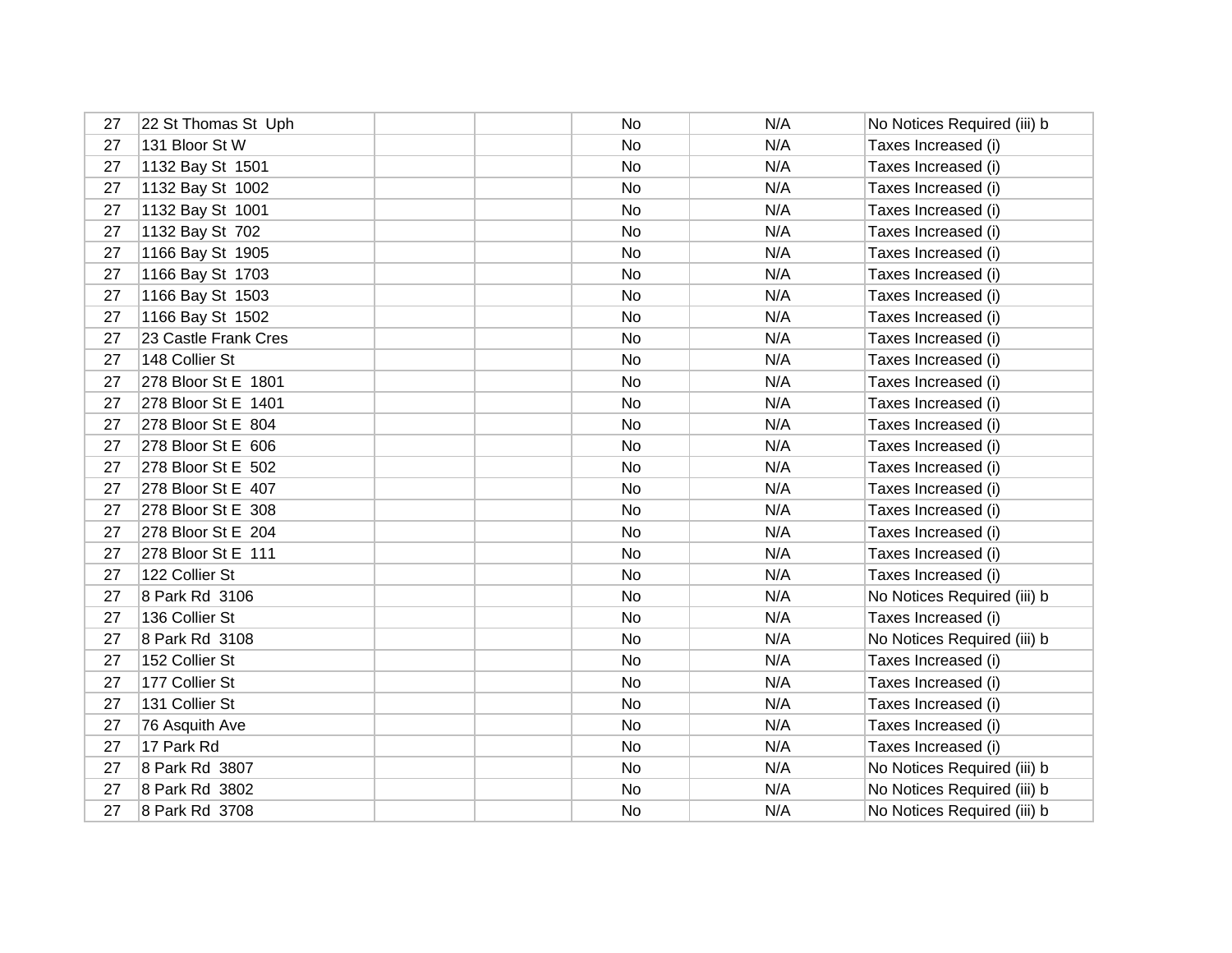| 27 | 22 St Thomas St Uph  | No | N/A | No Notices Required (iii) b |
|----|----------------------|----|-----|-----------------------------|
| 27 | 131 Bloor St W       | No | N/A | Taxes Increased (i)         |
| 27 | 1132 Bay St 1501     | No | N/A | Taxes Increased (i)         |
| 27 | 1132 Bay St 1002     | No | N/A | Taxes Increased (i)         |
| 27 | 1132 Bay St 1001     | No | N/A | Taxes Increased (i)         |
| 27 | 1132 Bay St 702      | No | N/A | Taxes Increased (i)         |
| 27 | 1166 Bay St 1905     | No | N/A | Taxes Increased (i)         |
| 27 | 1166 Bay St 1703     | No | N/A | Taxes Increased (i)         |
| 27 | 1166 Bay St 1503     | No | N/A | Taxes Increased (i)         |
| 27 | 1166 Bay St 1502     | No | N/A | Taxes Increased (i)         |
| 27 | 23 Castle Frank Cres | No | N/A | Taxes Increased (i)         |
| 27 | 148 Collier St       | No | N/A | Taxes Increased (i)         |
| 27 | 278 Bloor St E 1801  | No | N/A | Taxes Increased (i)         |
| 27 | 278 Bloor St E 1401  | No | N/A | Taxes Increased (i)         |
| 27 | 278 Bloor St E 804   | No | N/A | Taxes Increased (i)         |
| 27 | 278 Bloor St E 606   | No | N/A | Taxes Increased (i)         |
| 27 | 278 Bloor St E 502   | No | N/A | Taxes Increased (i)         |
| 27 | 278 Bloor St E 407   | No | N/A | Taxes Increased (i)         |
| 27 | 278 Bloor St E 308   | No | N/A | Taxes Increased (i)         |
| 27 | 278 Bloor St E 204   | No | N/A | Taxes Increased (i)         |
| 27 | 278 Bloor St E 111   | No | N/A | Taxes Increased (i)         |
| 27 | 122 Collier St       | No | N/A | Taxes Increased (i)         |
| 27 | 8 Park Rd 3106       | No | N/A | No Notices Required (iii) b |
| 27 | 136 Collier St       | No | N/A | Taxes Increased (i)         |
| 27 | 8 Park Rd 3108       | No | N/A | No Notices Required (iii) b |
| 27 | 152 Collier St       | No | N/A | Taxes Increased (i)         |
| 27 | 177 Collier St       | No | N/A | Taxes Increased (i)         |
| 27 | 131 Collier St       | No | N/A | Taxes Increased (i)         |
| 27 | 76 Asquith Ave       | No | N/A | Taxes Increased (i)         |
| 27 | 17 Park Rd           | No | N/A | Taxes Increased (i)         |
| 27 | 8 Park Rd 3807       | No | N/A | No Notices Required (iii) b |
| 27 | 8 Park Rd 3802       | No | N/A | No Notices Required (iii) b |
| 27 | 8 Park Rd 3708       | No | N/A | No Notices Required (iii) b |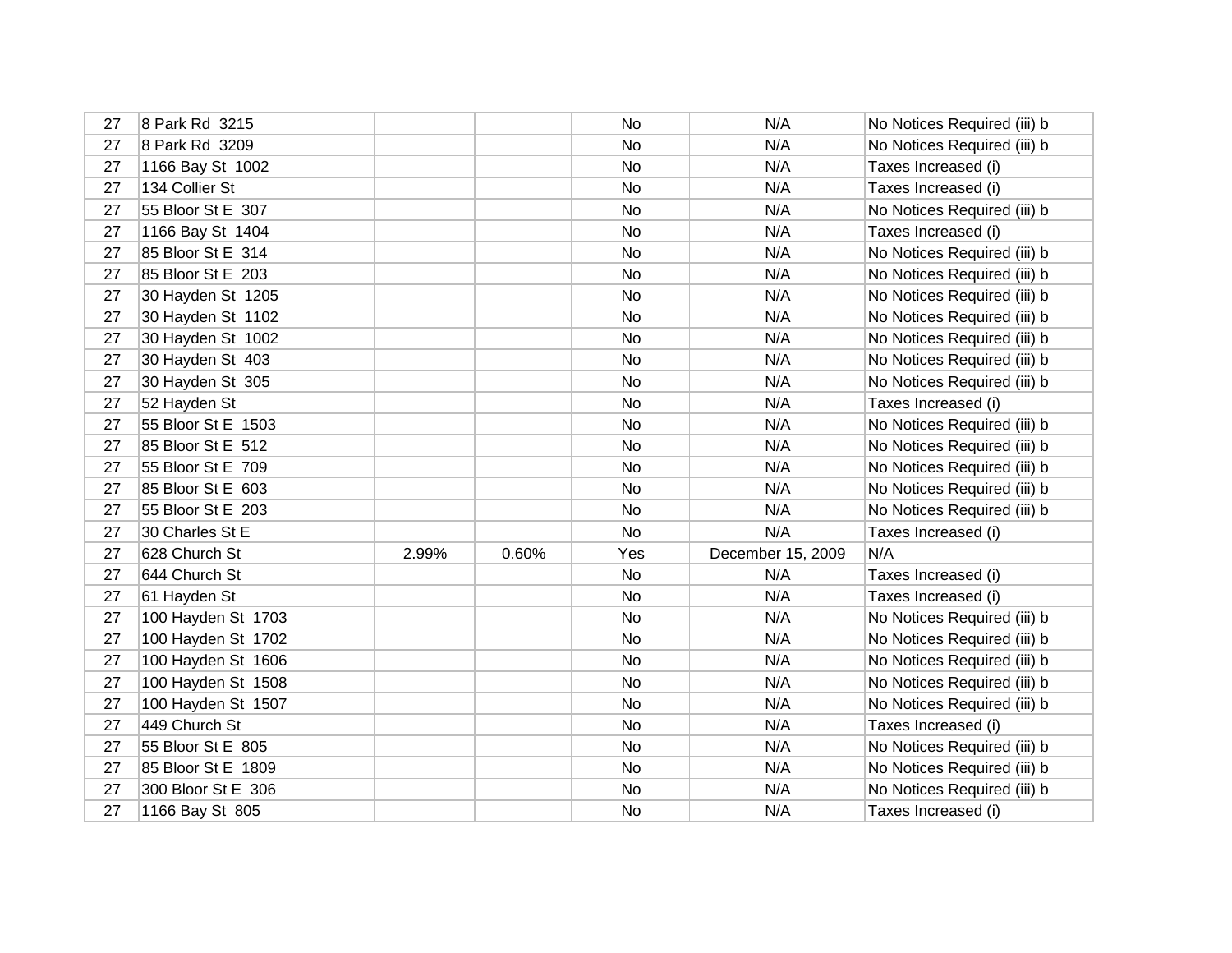| 27 | 8 Park Rd 3215     |       |       | No  | N/A               | No Notices Required (iii) b |
|----|--------------------|-------|-------|-----|-------------------|-----------------------------|
| 27 | 8 Park Rd 3209     |       |       | No  | N/A               | No Notices Required (iii) b |
| 27 | 1166 Bay St 1002   |       |       | No  | N/A               | Taxes Increased (i)         |
| 27 | 134 Collier St     |       |       | No  | N/A               | Taxes Increased (i)         |
| 27 | 55 Bloor St E 307  |       |       | No  | N/A               | No Notices Required (iii) b |
| 27 | 1166 Bay St 1404   |       |       | No  | N/A               | Taxes Increased (i)         |
| 27 | 85 Bloor St E 314  |       |       | No  | N/A               | No Notices Required (iii) b |
| 27 | 85 Bloor St E 203  |       |       | No  | N/A               | No Notices Required (iii) b |
| 27 | 30 Hayden St 1205  |       |       | No  | N/A               | No Notices Required (iii) b |
| 27 | 30 Hayden St 1102  |       |       | No  | N/A               | No Notices Required (iii) b |
| 27 | 30 Hayden St 1002  |       |       | No  | N/A               | No Notices Required (iii) b |
| 27 | 30 Hayden St 403   |       |       | No  | N/A               | No Notices Required (iii) b |
| 27 | 30 Hayden St 305   |       |       | No  | N/A               | No Notices Required (iii) b |
| 27 | 52 Hayden St       |       |       | No  | N/A               | Taxes Increased (i)         |
| 27 | 55 Bloor St E 1503 |       |       | No  | N/A               | No Notices Required (iii) b |
| 27 | 85 Bloor St E 512  |       |       | No  | N/A               | No Notices Required (iii) b |
| 27 | 55 Bloor St E 709  |       |       | No  | N/A               | No Notices Required (iii) b |
| 27 | 85 Bloor St E 603  |       |       | No  | N/A               | No Notices Required (iii) b |
| 27 | 55 Bloor St E 203  |       |       | No  | N/A               | No Notices Required (iii) b |
| 27 | 30 Charles St E    |       |       | No  | N/A               | Taxes Increased (i)         |
| 27 | 628 Church St      | 2.99% | 0.60% | Yes | December 15, 2009 | N/A                         |
| 27 | 644 Church St      |       |       | No  | N/A               | Taxes Increased (i)         |
| 27 | 61 Hayden St       |       |       | No  | N/A               | Taxes Increased (i)         |
| 27 | 100 Hayden St 1703 |       |       | No  | N/A               | No Notices Required (iii) b |
| 27 | 100 Hayden St 1702 |       |       | No  | N/A               | No Notices Required (iii) b |
| 27 | 100 Hayden St 1606 |       |       | No  | N/A               | No Notices Required (iii) b |
| 27 | 100 Hayden St 1508 |       |       | No  | N/A               | No Notices Required (iii) b |
| 27 | 100 Hayden St 1507 |       |       | No  | N/A               | No Notices Required (iii) b |
| 27 | 449 Church St      |       |       | No  | N/A               | Taxes Increased (i)         |
| 27 | 55 Bloor St E 805  |       |       | No  | N/A               | No Notices Required (iii) b |
| 27 | 85 Bloor St E 1809 |       |       | No  | N/A               | No Notices Required (iii) b |
| 27 | 300 Bloor St E 306 |       |       | No  | N/A               | No Notices Required (iii) b |
| 27 | 1166 Bay St 805    |       |       | No  | N/A               | Taxes Increased (i)         |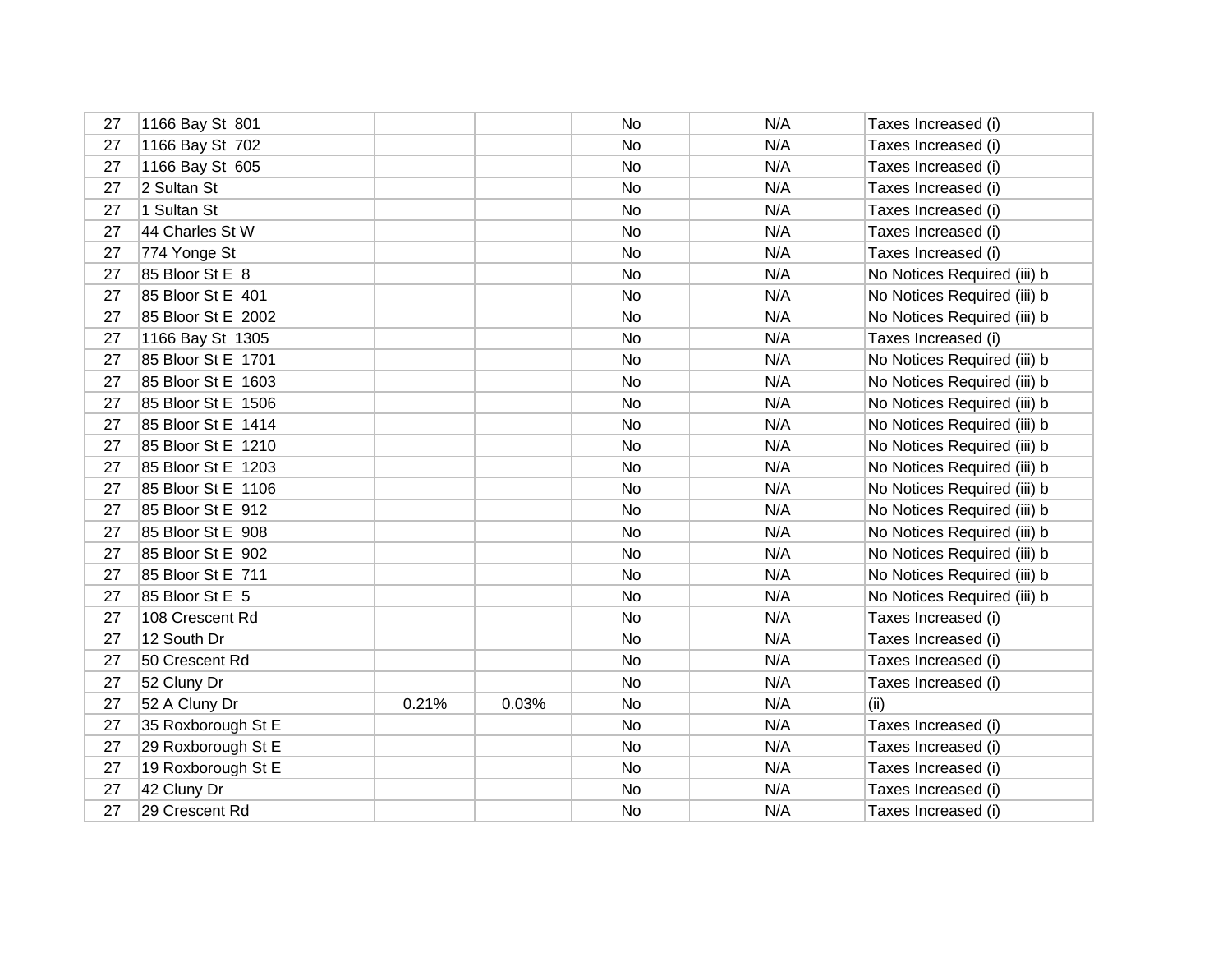| 27 | 1166 Bay St 801    |       |       | No | N/A | Taxes Increased (i)         |
|----|--------------------|-------|-------|----|-----|-----------------------------|
| 27 | 1166 Bay St 702    |       |       | No | N/A | Taxes Increased (i)         |
| 27 | 1166 Bay St 605    |       |       | No | N/A | Taxes Increased (i)         |
| 27 | 2 Sultan St        |       |       | No | N/A | Taxes Increased (i)         |
| 27 | 1 Sultan St        |       |       | No | N/A | Taxes Increased (i)         |
| 27 | 44 Charles St W    |       |       | No | N/A | Taxes Increased (i)         |
| 27 | 774 Yonge St       |       |       | No | N/A | Taxes Increased (i)         |
| 27 | 85 Bloor St E 8    |       |       | No | N/A | No Notices Required (iii) b |
| 27 | 85 Bloor St E 401  |       |       | No | N/A | No Notices Required (iii) b |
| 27 | 85 Bloor St E 2002 |       |       | No | N/A | No Notices Required (iii) b |
| 27 | 1166 Bay St 1305   |       |       | No | N/A | Taxes Increased (i)         |
| 27 | 85 Bloor St E 1701 |       |       | No | N/A | No Notices Required (iii) b |
| 27 | 85 Bloor St E 1603 |       |       | No | N/A | No Notices Required (iii) b |
| 27 | 85 Bloor St E 1506 |       |       | No | N/A | No Notices Required (iii) b |
| 27 | 85 Bloor St E 1414 |       |       | No | N/A | No Notices Required (iii) b |
| 27 | 85 Bloor St E 1210 |       |       | No | N/A | No Notices Required (iii) b |
| 27 | 85 Bloor St E 1203 |       |       | No | N/A | No Notices Required (iii) b |
| 27 | 85 Bloor St E 1106 |       |       | No | N/A | No Notices Required (iii) b |
| 27 | 85 Bloor St E 912  |       |       | No | N/A | No Notices Required (iii) b |
| 27 | 85 Bloor St E 908  |       |       | No | N/A | No Notices Required (iii) b |
| 27 | 85 Bloor St E 902  |       |       | No | N/A | No Notices Required (iii) b |
| 27 | 85 Bloor St E 711  |       |       | No | N/A | No Notices Required (iii) b |
| 27 | 85 Bloor St E 5    |       |       | No | N/A | No Notices Required (iii) b |
| 27 | 108 Crescent Rd    |       |       | No | N/A | Taxes Increased (i)         |
| 27 | 12 South Dr        |       |       | No | N/A | Taxes Increased (i)         |
| 27 | 50 Crescent Rd     |       |       | No | N/A | Taxes Increased (i)         |
| 27 | 52 Cluny Dr        |       |       | No | N/A | Taxes Increased (i)         |
| 27 | 52 A Cluny Dr      | 0.21% | 0.03% | No | N/A | (ii)                        |
| 27 | 35 Roxborough St E |       |       | No | N/A | Taxes Increased (i)         |
| 27 | 29 Roxborough St E |       |       | No | N/A | Taxes Increased (i)         |
| 27 | 19 Roxborough St E |       |       | No | N/A | Taxes Increased (i)         |
| 27 | 42 Cluny Dr        |       |       | No | N/A | Taxes Increased (i)         |
| 27 | 29 Crescent Rd     |       |       | No | N/A | Taxes Increased (i)         |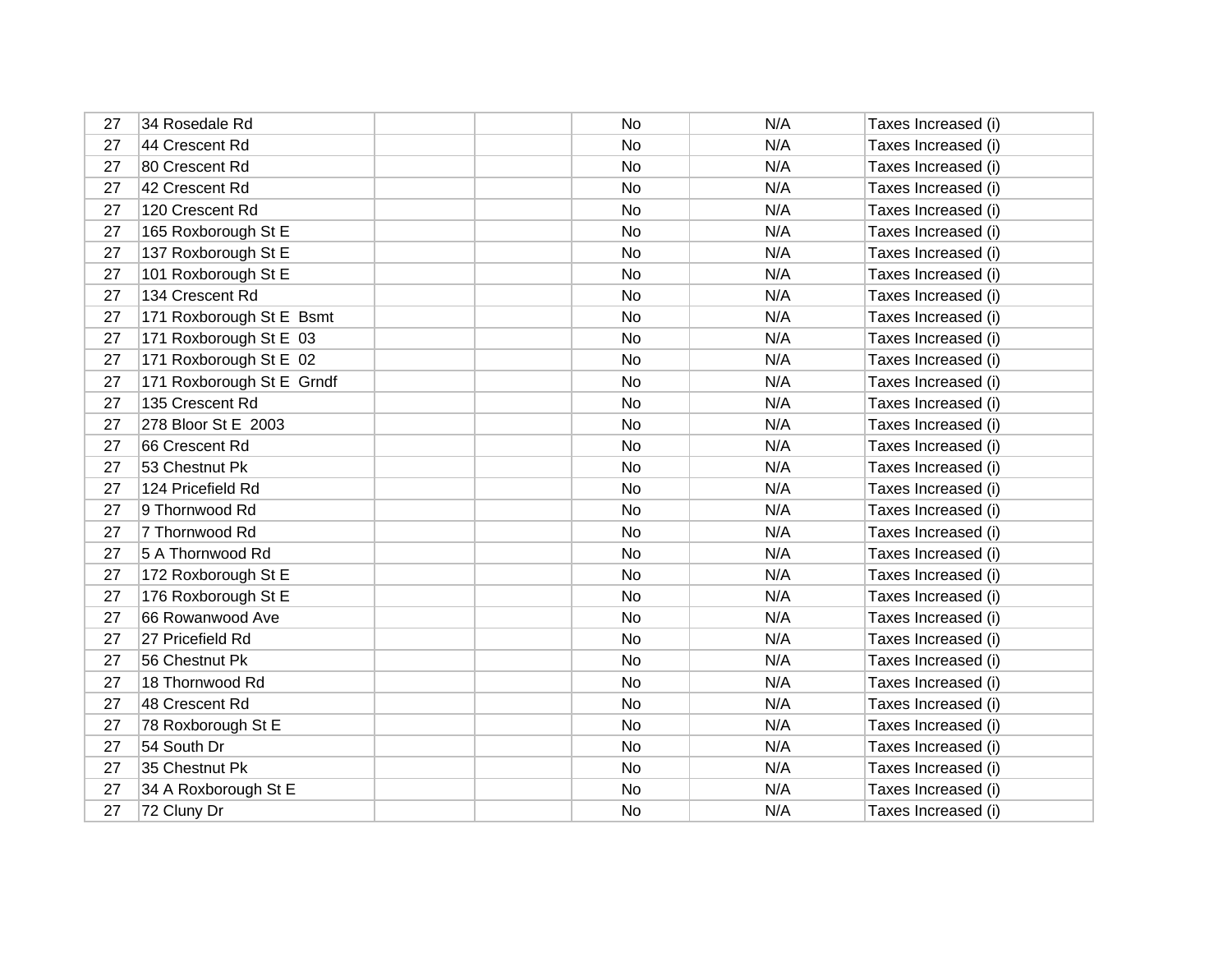| 27 | 34 Rosedale Rd            | No  | N/A | Taxes Increased (i) |
|----|---------------------------|-----|-----|---------------------|
| 27 | 44 Crescent Rd            | No  | N/A | Taxes Increased (i) |
| 27 | 80 Crescent Rd            | No  | N/A | Taxes Increased (i) |
| 27 | 42 Crescent Rd            | No  | N/A | Taxes Increased (i) |
| 27 | 120 Crescent Rd           | No  | N/A | Taxes Increased (i) |
| 27 | 165 Roxborough St E       | No  | N/A | Taxes Increased (i) |
| 27 | 137 Roxborough St E       | No  | N/A | Taxes Increased (i) |
| 27 | 101 Roxborough St E       | No  | N/A | Taxes Increased (i) |
| 27 | 134 Crescent Rd           | No  | N/A | Taxes Increased (i) |
| 27 | 171 Roxborough St E Bsmt  | No  | N/A | Taxes Increased (i) |
| 27 | 171 Roxborough St E 03    | No  | N/A | Taxes Increased (i) |
| 27 | 171 Roxborough St E 02    | No  | N/A | Taxes Increased (i) |
| 27 | 171 Roxborough St E Grndf | No  | N/A | Taxes Increased (i) |
| 27 | 135 Crescent Rd           | No  | N/A | Taxes Increased (i) |
| 27 | 278 Bloor St E 2003       | No. | N/A | Taxes Increased (i) |
| 27 | 66 Crescent Rd            | No  | N/A | Taxes Increased (i) |
| 27 | 53 Chestnut Pk            | No  | N/A | Taxes Increased (i) |
| 27 | 124 Pricefield Rd         | No  | N/A | Taxes Increased (i) |
| 27 | 9 Thornwood Rd            | No  | N/A | Taxes Increased (i) |
| 27 | 7 Thornwood Rd            | No  | N/A | Taxes Increased (i) |
| 27 | 5 A Thornwood Rd          | No  | N/A | Taxes Increased (i) |
| 27 | 172 Roxborough St E       | No  | N/A | Taxes Increased (i) |
| 27 | 176 Roxborough St E       | No  | N/A | Taxes Increased (i) |
| 27 | 66 Rowanwood Ave          | No  | N/A | Taxes Increased (i) |
| 27 | 27 Pricefield Rd          | No  | N/A | Taxes Increased (i) |
| 27 | 56 Chestnut Pk            | No  | N/A | Taxes Increased (i) |
| 27 | 18 Thornwood Rd           | No  | N/A | Taxes Increased (i) |
| 27 | 48 Crescent Rd            | No  | N/A | Taxes Increased (i) |
| 27 | 78 Roxborough St E        | No  | N/A | Taxes Increased (i) |
| 27 | 54 South Dr               | No  | N/A | Taxes Increased (i) |
| 27 | 35 Chestnut Pk            | No  | N/A | Taxes Increased (i) |
| 27 | 34 A Roxborough St E      | No  | N/A | Taxes Increased (i) |
| 27 | 72 Cluny Dr               | No  | N/A | Taxes Increased (i) |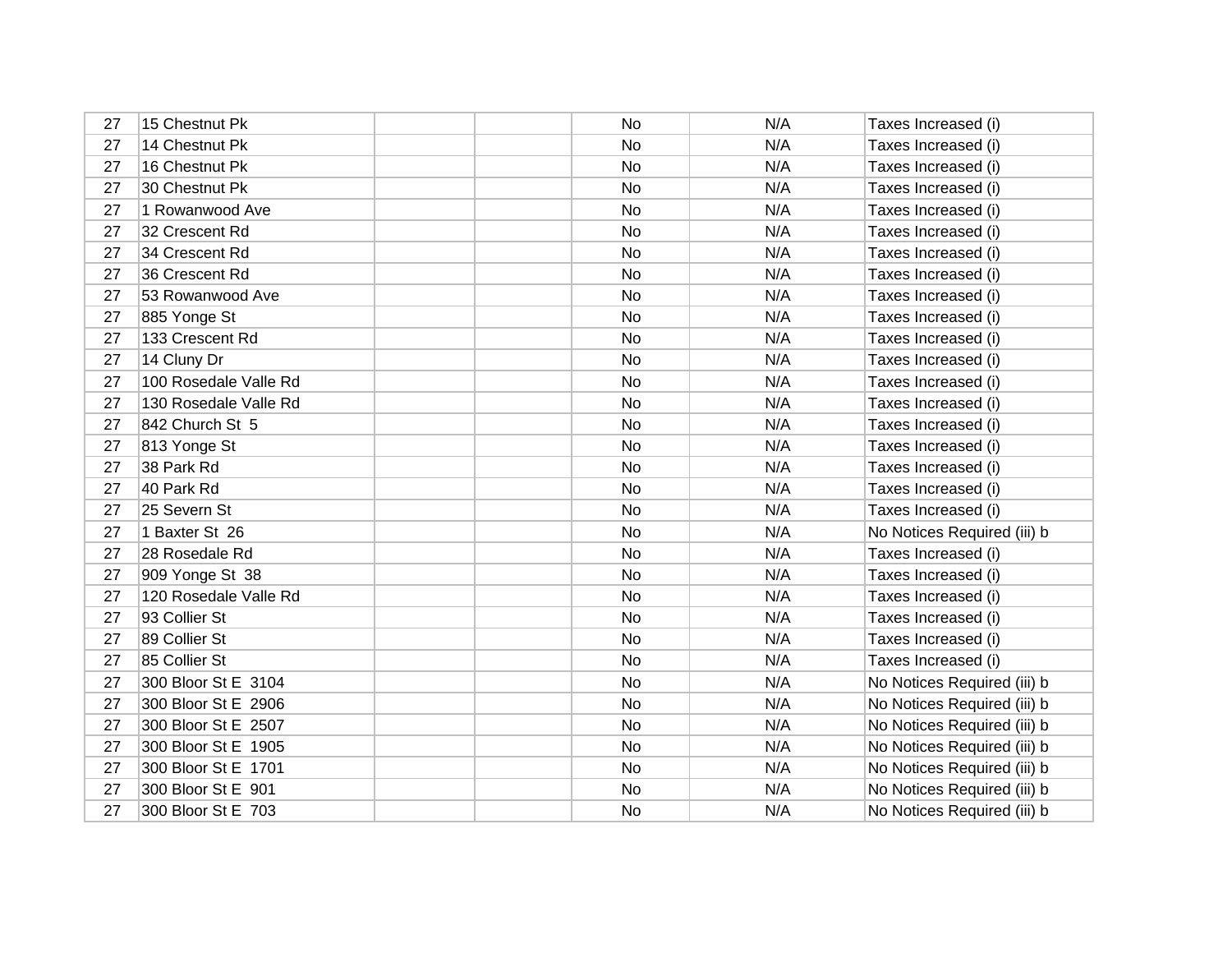| 27 | 15 Chestnut Pk        | <b>No</b> | N/A | Taxes Increased (i)         |
|----|-----------------------|-----------|-----|-----------------------------|
| 27 | 14 Chestnut Pk        | <b>No</b> | N/A | Taxes Increased (i)         |
| 27 | 16 Chestnut Pk        | No        | N/A | Taxes Increased (i)         |
| 27 | 30 Chestnut Pk        | No        | N/A | Taxes Increased (i)         |
| 27 | 1 Rowanwood Ave       | No        | N/A | Taxes Increased (i)         |
| 27 | 32 Crescent Rd        | No        | N/A | Taxes Increased (i)         |
| 27 | 34 Crescent Rd        | No        | N/A | Taxes Increased (i)         |
| 27 | 36 Crescent Rd        | No        | N/A | Taxes Increased (i)         |
| 27 | 53 Rowanwood Ave      | No        | N/A | Taxes Increased (i)         |
| 27 | 885 Yonge St          | No        | N/A | Taxes Increased (i)         |
| 27 | 133 Crescent Rd       | No        | N/A | Taxes Increased (i)         |
| 27 | 14 Cluny Dr           | No        | N/A | Taxes Increased (i)         |
| 27 | 100 Rosedale Valle Rd | No        | N/A | Taxes Increased (i)         |
| 27 | 130 Rosedale Valle Rd | No        | N/A | Taxes Increased (i)         |
| 27 | 842 Church St 5       | No        | N/A | Taxes Increased (i)         |
| 27 | 813 Yonge St          | No        | N/A | Taxes Increased (i)         |
| 27 | 38 Park Rd            | No        | N/A | Taxes Increased (i)         |
| 27 | 40 Park Rd            | <b>No</b> | N/A | Taxes Increased (i)         |
| 27 | 25 Severn St          | No        | N/A | Taxes Increased (i)         |
| 27 | 1 Baxter St 26        | No        | N/A | No Notices Required (iii) b |
| 27 | 28 Rosedale Rd        | <b>No</b> | N/A | Taxes Increased (i)         |
| 27 | 909 Yonge St 38       | No        | N/A | Taxes Increased (i)         |
| 27 | 120 Rosedale Valle Rd | No        | N/A | Taxes Increased (i)         |
| 27 | 93 Collier St         | No        | N/A | Taxes Increased (i)         |
| 27 | 89 Collier St         | No        | N/A | Taxes Increased (i)         |
| 27 | 85 Collier St         | No        | N/A | Taxes Increased (i)         |
| 27 | 300 Bloor St E 3104   | No        | N/A | No Notices Required (iii) b |
| 27 | 300 Bloor St E 2906   | No        | N/A | No Notices Required (iii) b |
| 27 | 300 Bloor St E 2507   | No        | N/A | No Notices Required (iii) b |
| 27 | 300 Bloor St E 1905   | No        | N/A | No Notices Required (iii) b |
| 27 | 300 Bloor St E 1701   | No        | N/A | No Notices Required (iii) b |
| 27 | 300 Bloor St E 901    | No        | N/A | No Notices Required (iii) b |
| 27 | 300 Bloor St E 703    | No        | N/A | No Notices Required (iii) b |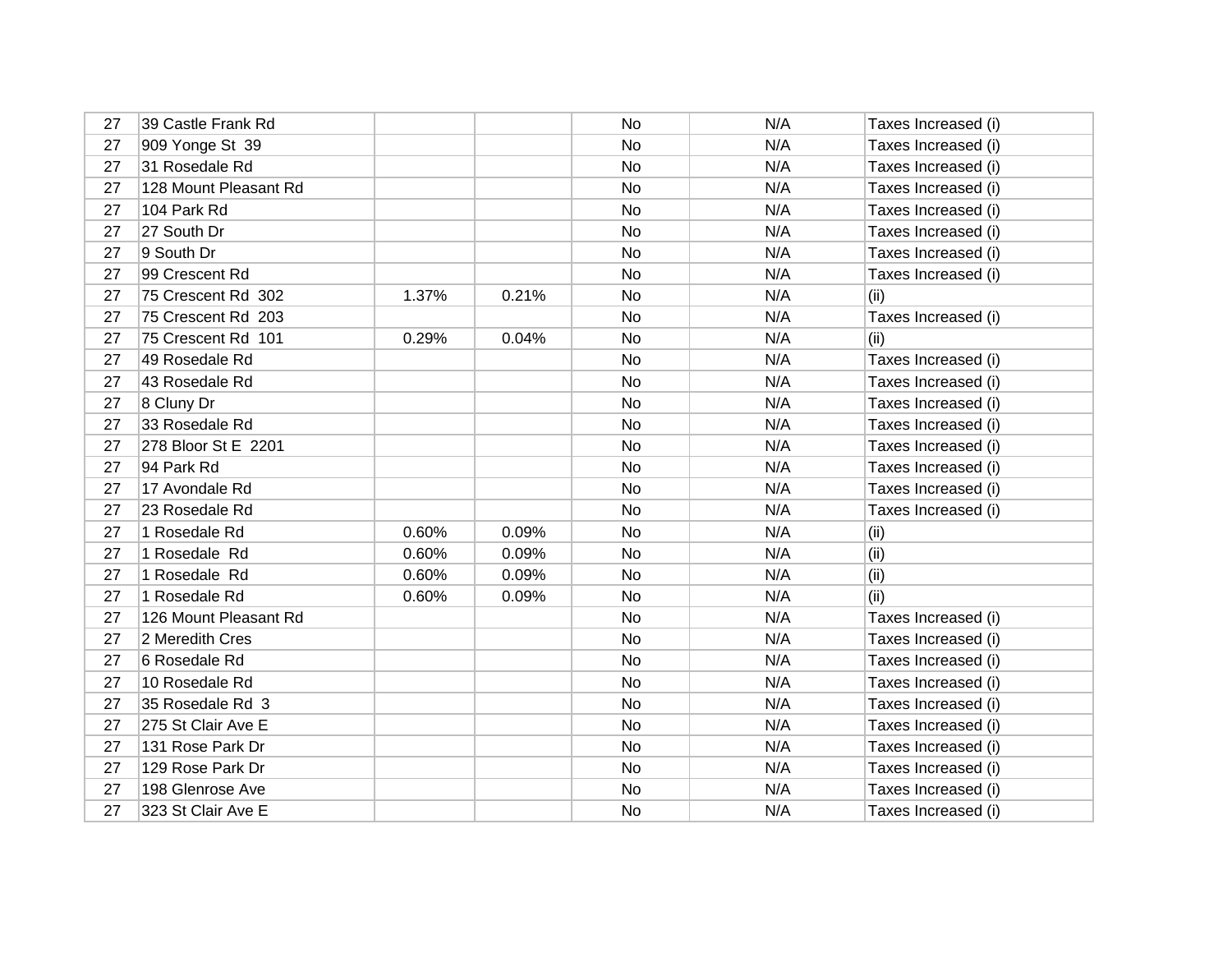| 27 | 39 Castle Frank Rd    |       |       | No  | N/A | Taxes Increased (i) |
|----|-----------------------|-------|-------|-----|-----|---------------------|
| 27 | 909 Yonge St 39       |       |       | No  | N/A | Taxes Increased (i) |
| 27 | 31 Rosedale Rd        |       |       | No  | N/A | Taxes Increased (i) |
| 27 | 128 Mount Pleasant Rd |       |       | No  | N/A | Taxes Increased (i) |
| 27 | 104 Park Rd           |       |       | No  | N/A | Taxes Increased (i) |
| 27 | 27 South Dr           |       |       | No  | N/A | Taxes Increased (i) |
| 27 | 9 South Dr            |       |       | No. | N/A | Taxes Increased (i) |
| 27 | 99 Crescent Rd        |       |       | No  | N/A | Taxes Increased (i) |
| 27 | 75 Crescent Rd 302    | 1.37% | 0.21% | No  | N/A | (ii)                |
| 27 | 75 Crescent Rd 203    |       |       | No  | N/A | Taxes Increased (i) |
| 27 | 75 Crescent Rd 101    | 0.29% | 0.04% | No  | N/A | (i)                 |
| 27 | 49 Rosedale Rd        |       |       | No  | N/A | Taxes Increased (i) |
| 27 | 43 Rosedale Rd        |       |       | No. | N/A | Taxes Increased (i) |
| 27 | 8 Cluny Dr            |       |       | No  | N/A | Taxes Increased (i) |
| 27 | 33 Rosedale Rd        |       |       | No  | N/A | Taxes Increased (i) |
| 27 | 278 Bloor St E 2201   |       |       | No. | N/A | Taxes Increased (i) |
| 27 | 94 Park Rd            |       |       | No  | N/A | Taxes Increased (i) |
| 27 | 17 Avondale Rd        |       |       | No  | N/A | Taxes Increased (i) |
| 27 | 23 Rosedale Rd        |       |       | No  | N/A | Taxes Increased (i) |
| 27 | 1 Rosedale Rd         | 0.60% | 0.09% | No  | N/A | (ii)                |
| 27 | 1 Rosedale Rd         | 0.60% | 0.09% | No  | N/A | (ii)                |
| 27 | 1 Rosedale Rd         | 0.60% | 0.09% | No  | N/A | (ii)                |
| 27 | 1 Rosedale Rd         | 0.60% | 0.09% | No  | N/A | (ii)                |
| 27 | 126 Mount Pleasant Rd |       |       | No  | N/A | Taxes Increased (i) |
| 27 | 2 Meredith Cres       |       |       | No  | N/A | Taxes Increased (i) |
| 27 | 6 Rosedale Rd         |       |       | No  | N/A | Taxes Increased (i) |
| 27 | 10 Rosedale Rd        |       |       | No  | N/A | Taxes Increased (i) |
| 27 | 35 Rosedale Rd 3      |       |       | No  | N/A | Taxes Increased (i) |
| 27 | 275 St Clair Ave E    |       |       | No  | N/A | Taxes Increased (i) |
| 27 | 131 Rose Park Dr      |       |       | No  | N/A | Taxes Increased (i) |
| 27 | 129 Rose Park Dr      |       |       | No. | N/A | Taxes Increased (i) |
| 27 | 198 Glenrose Ave      |       |       | No  | N/A | Taxes Increased (i) |
| 27 | 323 St Clair Ave E    |       |       | No  | N/A | Taxes Increased (i) |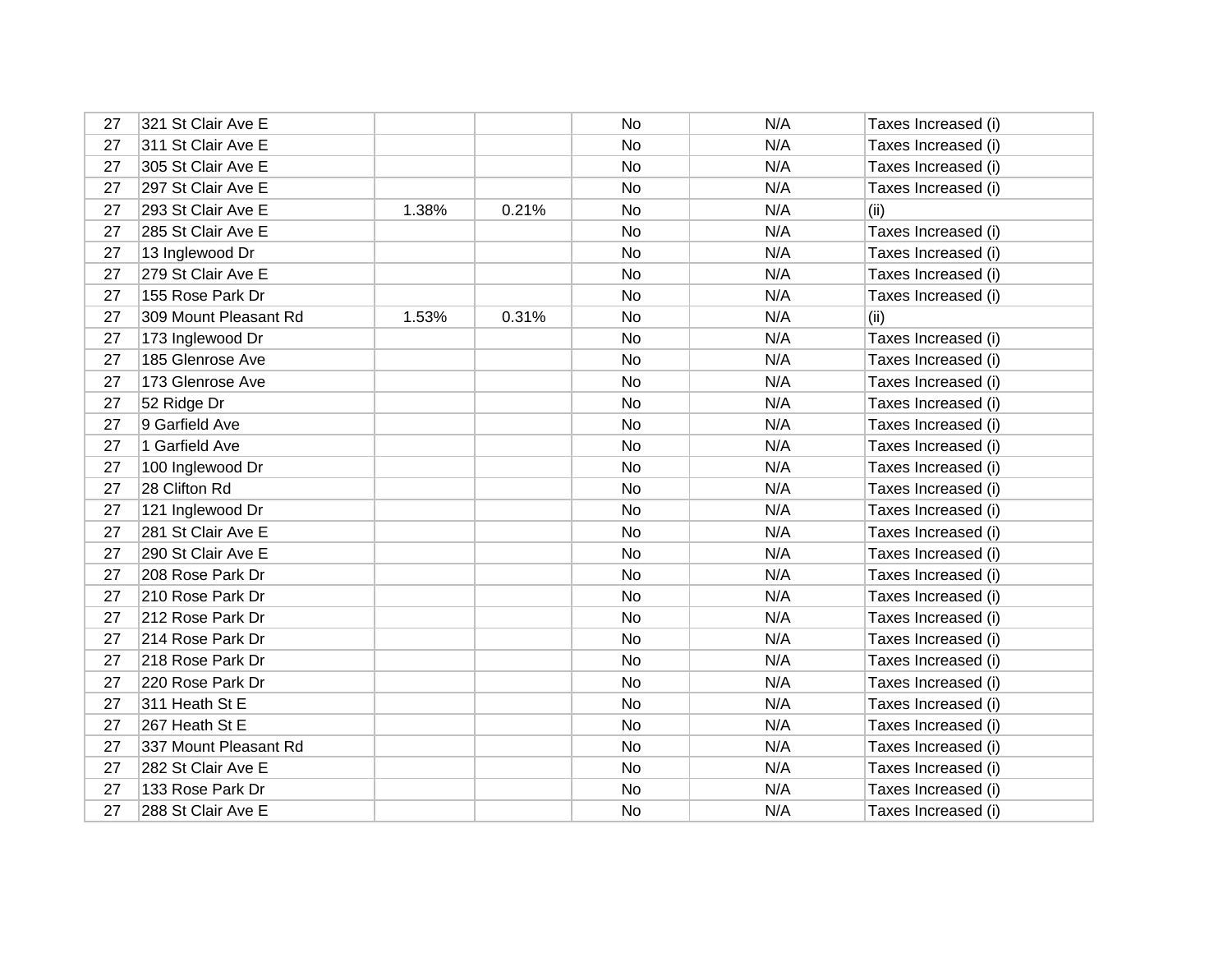| 27 | 321 St Clair Ave E    |       |       | No        | N/A | Taxes Increased (i) |
|----|-----------------------|-------|-------|-----------|-----|---------------------|
| 27 | 311 St Clair Ave E    |       |       | No        | N/A | Taxes Increased (i) |
| 27 | 305 St Clair Ave E    |       |       | No        | N/A | Taxes Increased (i) |
| 27 | 297 St Clair Ave E    |       |       | No        | N/A | Taxes Increased (i) |
| 27 | 293 St Clair Ave E    | 1.38% | 0.21% | No        | N/A | (ii)                |
| 27 | 285 St Clair Ave E    |       |       | No        | N/A | Taxes Increased (i) |
| 27 | 13 Inglewood Dr       |       |       | No        | N/A | Taxes Increased (i) |
| 27 | 279 St Clair Ave E    |       |       | No        | N/A | Taxes Increased (i) |
| 27 | 155 Rose Park Dr      |       |       | No        | N/A | Taxes Increased (i) |
| 27 | 309 Mount Pleasant Rd | 1.53% | 0.31% | No        | N/A | (ii)                |
| 27 | 173 Inglewood Dr      |       |       | No        | N/A | Taxes Increased (i) |
| 27 | 185 Glenrose Ave      |       |       | No        | N/A | Taxes Increased (i) |
| 27 | 173 Glenrose Ave      |       |       | No        | N/A | Taxes Increased (i) |
| 27 | 52 Ridge Dr           |       |       | No        | N/A | Taxes Increased (i) |
| 27 | 9 Garfield Ave        |       |       | No        | N/A | Taxes Increased (i) |
| 27 | 1 Garfield Ave        |       |       | No        | N/A | Taxes Increased (i) |
| 27 | 100 Inglewood Dr      |       |       | No        | N/A | Taxes Increased (i) |
| 27 | 28 Clifton Rd         |       |       | No        | N/A | Taxes Increased (i) |
| 27 | 121 Inglewood Dr      |       |       | No        | N/A | Taxes Increased (i) |
| 27 | 281 St Clair Ave E    |       |       | <b>No</b> | N/A | Taxes Increased (i) |
| 27 | 290 St Clair Ave E    |       |       | No        | N/A | Taxes Increased (i) |
| 27 | 208 Rose Park Dr      |       |       | <b>No</b> | N/A | Taxes Increased (i) |
| 27 | 210 Rose Park Dr      |       |       | No        | N/A | Taxes Increased (i) |
| 27 | 212 Rose Park Dr      |       |       | <b>No</b> | N/A | Taxes Increased (i) |
| 27 | 214 Rose Park Dr      |       |       | No        | N/A | Taxes Increased (i) |
| 27 | 218 Rose Park Dr      |       |       | No        | N/A | Taxes Increased (i) |
| 27 | 220 Rose Park Dr      |       |       | No        | N/A | Taxes Increased (i) |
| 27 | 311 Heath St E        |       |       | No        | N/A | Taxes Increased (i) |
| 27 | 267 Heath St E        |       |       | No        | N/A | Taxes Increased (i) |
| 27 | 337 Mount Pleasant Rd |       |       | No        | N/A | Taxes Increased (i) |
| 27 | 282 St Clair Ave E    |       |       | No        | N/A | Taxes Increased (i) |
| 27 | 133 Rose Park Dr      |       |       | No        | N/A | Taxes Increased (i) |
| 27 | 288 St Clair Ave E    |       |       | No        | N/A | Taxes Increased (i) |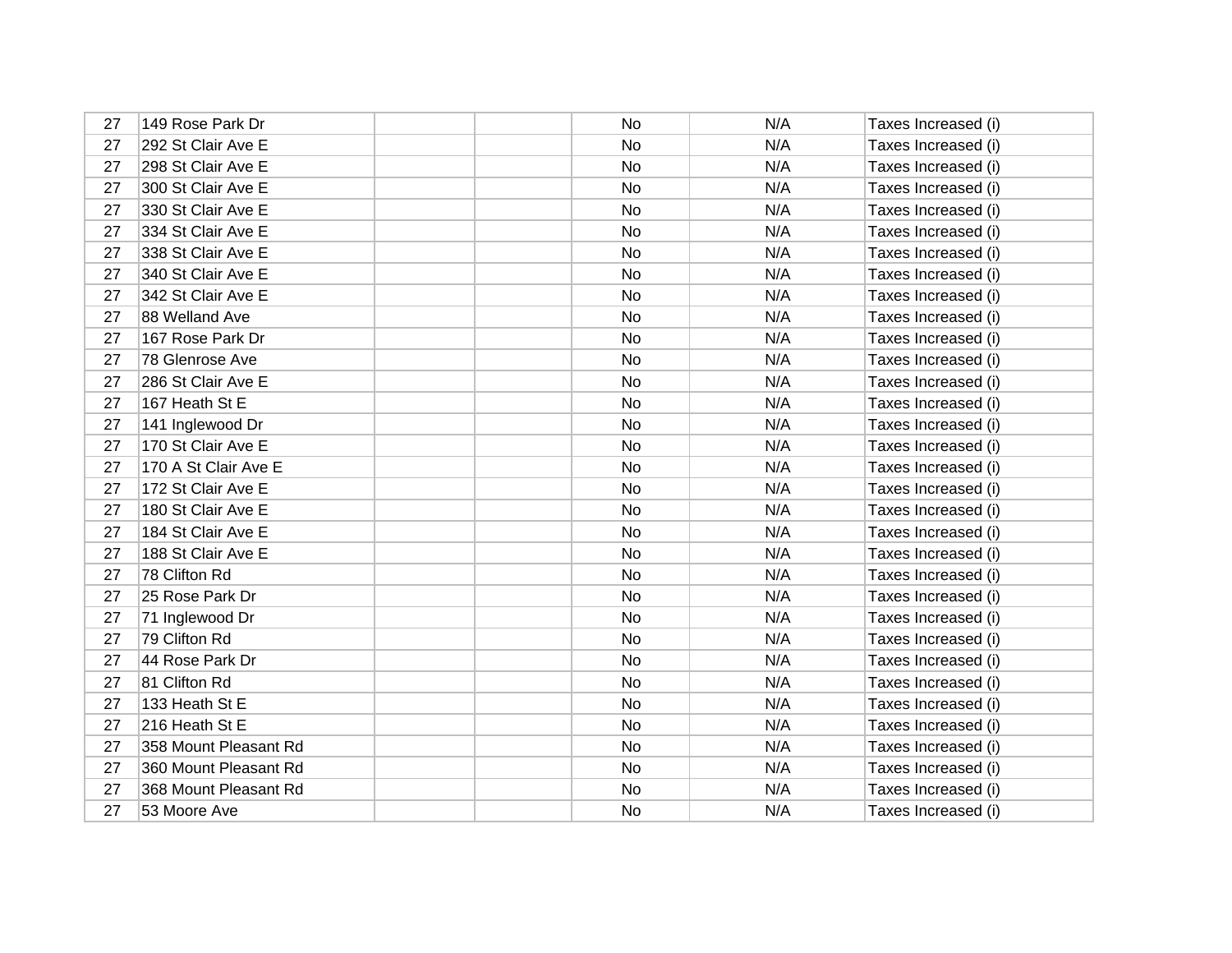| 27 | 149 Rose Park Dr      | No | N/A | Taxes Increased (i) |
|----|-----------------------|----|-----|---------------------|
| 27 | 292 St Clair Ave E    | No | N/A | Taxes Increased (i) |
| 27 | 298 St Clair Ave E    | No | N/A | Taxes Increased (i) |
| 27 | 300 St Clair Ave E    | No | N/A | Taxes Increased (i) |
| 27 | 330 St Clair Ave E    | No | N/A | Taxes Increased (i) |
| 27 | 334 St Clair Ave E    | No | N/A | Taxes Increased (i) |
| 27 | 338 St Clair Ave E    | No | N/A | Taxes Increased (i) |
| 27 | 340 St Clair Ave E    | No | N/A | Taxes Increased (i) |
| 27 | 342 St Clair Ave E    | No | N/A | Taxes Increased (i) |
| 27 | 88 Welland Ave        | No | N/A | Taxes Increased (i) |
| 27 | 167 Rose Park Dr      | No | N/A | Taxes Increased (i) |
| 27 | 78 Glenrose Ave       | No | N/A | Taxes Increased (i) |
| 27 | 286 St Clair Ave E    | No | N/A | Taxes Increased (i) |
| 27 | 167 Heath St E        | No | N/A | Taxes Increased (i) |
| 27 | 141 Inglewood Dr      | No | N/A | Taxes Increased (i) |
| 27 | 170 St Clair Ave E    | No | N/A | Taxes Increased (i) |
| 27 | 170 A St Clair Ave E  | No | N/A | Taxes Increased (i) |
| 27 | 172 St Clair Ave E    | No | N/A | Taxes Increased (i) |
| 27 | 180 St Clair Ave E    | No | N/A | Taxes Increased (i) |
| 27 | 184 St Clair Ave E    | No | N/A | Taxes Increased (i) |
| 27 | 188 St Clair Ave E    | No | N/A | Taxes Increased (i) |
| 27 | 78 Clifton Rd         | No | N/A | Taxes Increased (i) |
| 27 | 25 Rose Park Dr       | No | N/A | Taxes Increased (i) |
| 27 | 71 Inglewood Dr       | No | N/A | Taxes Increased (i) |
| 27 | 79 Clifton Rd         | No | N/A | Taxes Increased (i) |
| 27 | 44 Rose Park Dr       | No | N/A | Taxes Increased (i) |
| 27 | 81 Clifton Rd         | No | N/A | Taxes Increased (i) |
| 27 | 133 Heath St E        | No | N/A | Taxes Increased (i) |
| 27 | 216 Heath St E        | No | N/A | Taxes Increased (i) |
| 27 | 358 Mount Pleasant Rd | No | N/A | Taxes Increased (i) |
| 27 | 360 Mount Pleasant Rd | No | N/A | Taxes Increased (i) |
| 27 | 368 Mount Pleasant Rd | No | N/A | Taxes Increased (i) |
| 27 | 53 Moore Ave          | No | N/A | Taxes Increased (i) |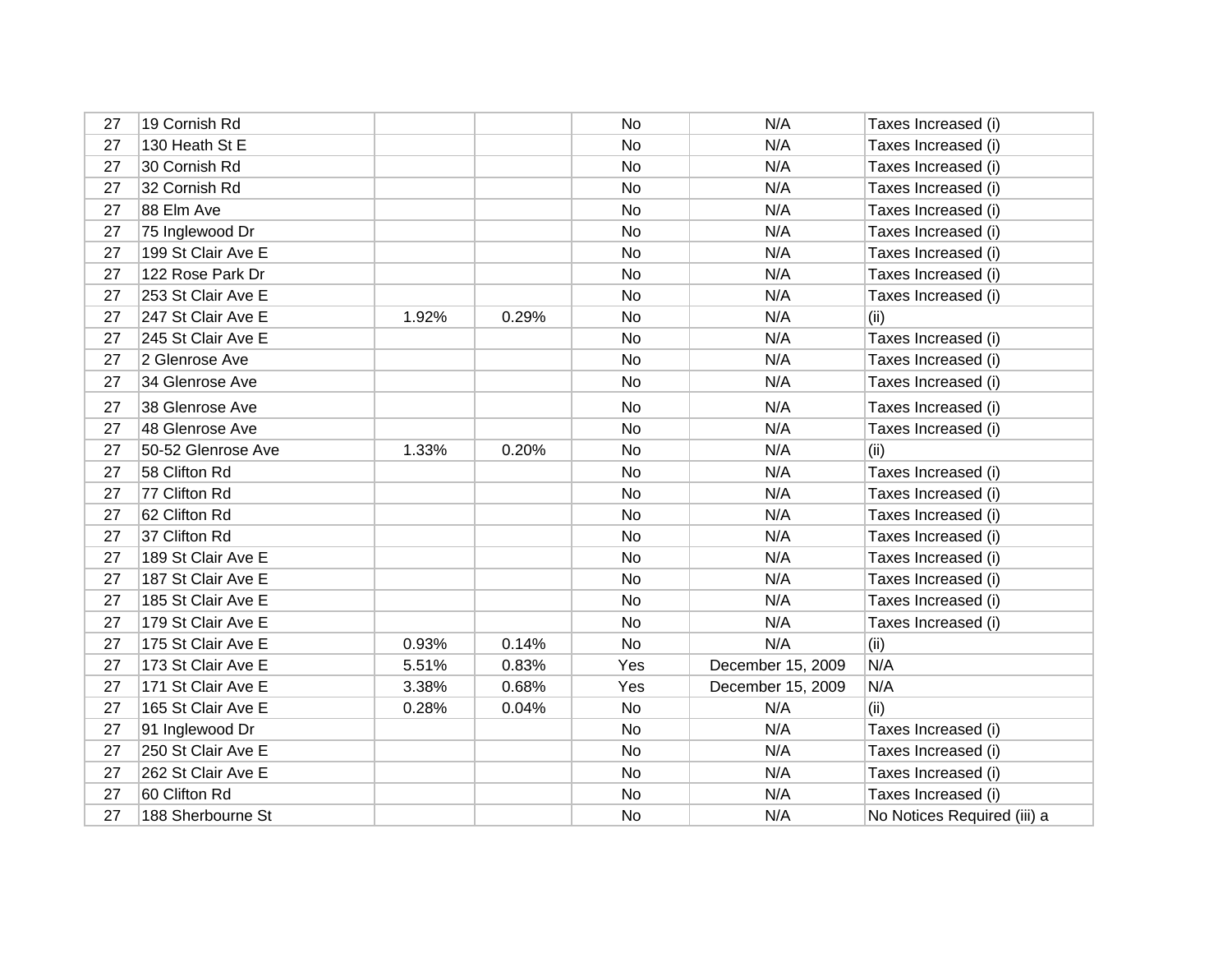| 27 | 19 Cornish Rd      |       |       | No  | N/A               | Taxes Increased (i)         |
|----|--------------------|-------|-------|-----|-------------------|-----------------------------|
| 27 | 130 Heath St E     |       |       | No  | N/A               | Taxes Increased (i)         |
| 27 | 30 Cornish Rd      |       |       | No  | N/A               | Taxes Increased (i)         |
| 27 | 32 Cornish Rd      |       |       | No  | N/A               | Taxes Increased (i)         |
| 27 | 88 Elm Ave         |       |       | No  | N/A               | Taxes Increased (i)         |
| 27 | 75 Inglewood Dr    |       |       | No  | N/A               | Taxes Increased (i)         |
| 27 | 199 St Clair Ave E |       |       | No  | N/A               | Taxes Increased (i)         |
| 27 | 122 Rose Park Dr   |       |       | No  | N/A               | Taxes Increased (i)         |
| 27 | 253 St Clair Ave E |       |       | No  | N/A               | Taxes Increased (i)         |
| 27 | 247 St Clair Ave E | 1.92% | 0.29% | No  | N/A               | (ii)                        |
| 27 | 245 St Clair Ave E |       |       | No  | N/A               | Taxes Increased (i)         |
| 27 | 2 Glenrose Ave     |       |       | No  | N/A               | Taxes Increased (i)         |
| 27 | 34 Glenrose Ave    |       |       | No  | N/A               | Taxes Increased (i)         |
| 27 | 38 Glenrose Ave    |       |       | No  | N/A               | Taxes Increased (i)         |
| 27 | 48 Glenrose Ave    |       |       | No  | N/A               | Taxes Increased (i)         |
| 27 | 50-52 Glenrose Ave | 1.33% | 0.20% | No  | N/A               | (ii)                        |
| 27 | 58 Clifton Rd      |       |       | No  | N/A               | Taxes Increased (i)         |
| 27 | 77 Clifton Rd      |       |       | No  | N/A               | Taxes Increased (i)         |
| 27 | 62 Clifton Rd      |       |       | No  | N/A               | Taxes Increased (i)         |
| 27 | 37 Clifton Rd      |       |       | No  | N/A               | Taxes Increased (i)         |
| 27 | 189 St Clair Ave E |       |       | No  | N/A               | Taxes Increased (i)         |
| 27 | 187 St Clair Ave E |       |       | No  | N/A               | Taxes Increased (i)         |
| 27 | 185 St Clair Ave E |       |       | No  | N/A               | Taxes Increased (i)         |
| 27 | 179 St Clair Ave E |       |       | No  | N/A               | Taxes Increased (i)         |
| 27 | 175 St Clair Ave E | 0.93% | 0.14% | No  | N/A               | (ii)                        |
| 27 | 173 St Clair Ave E | 5.51% | 0.83% | Yes | December 15, 2009 | N/A                         |
| 27 | 171 St Clair Ave E | 3.38% | 0.68% | Yes | December 15, 2009 | N/A                         |
| 27 | 165 St Clair Ave E | 0.28% | 0.04% | No  | N/A               | (ii)                        |
| 27 | 91 Inglewood Dr    |       |       | No  | N/A               | Taxes Increased (i)         |
| 27 | 250 St Clair Ave E |       |       | No  | N/A               | Taxes Increased (i)         |
| 27 | 262 St Clair Ave E |       |       | No  | N/A               | Taxes Increased (i)         |
| 27 | 60 Clifton Rd      |       |       | No  | N/A               | Taxes Increased (i)         |
| 27 | 188 Sherbourne St  |       |       | No  | N/A               | No Notices Required (iii) a |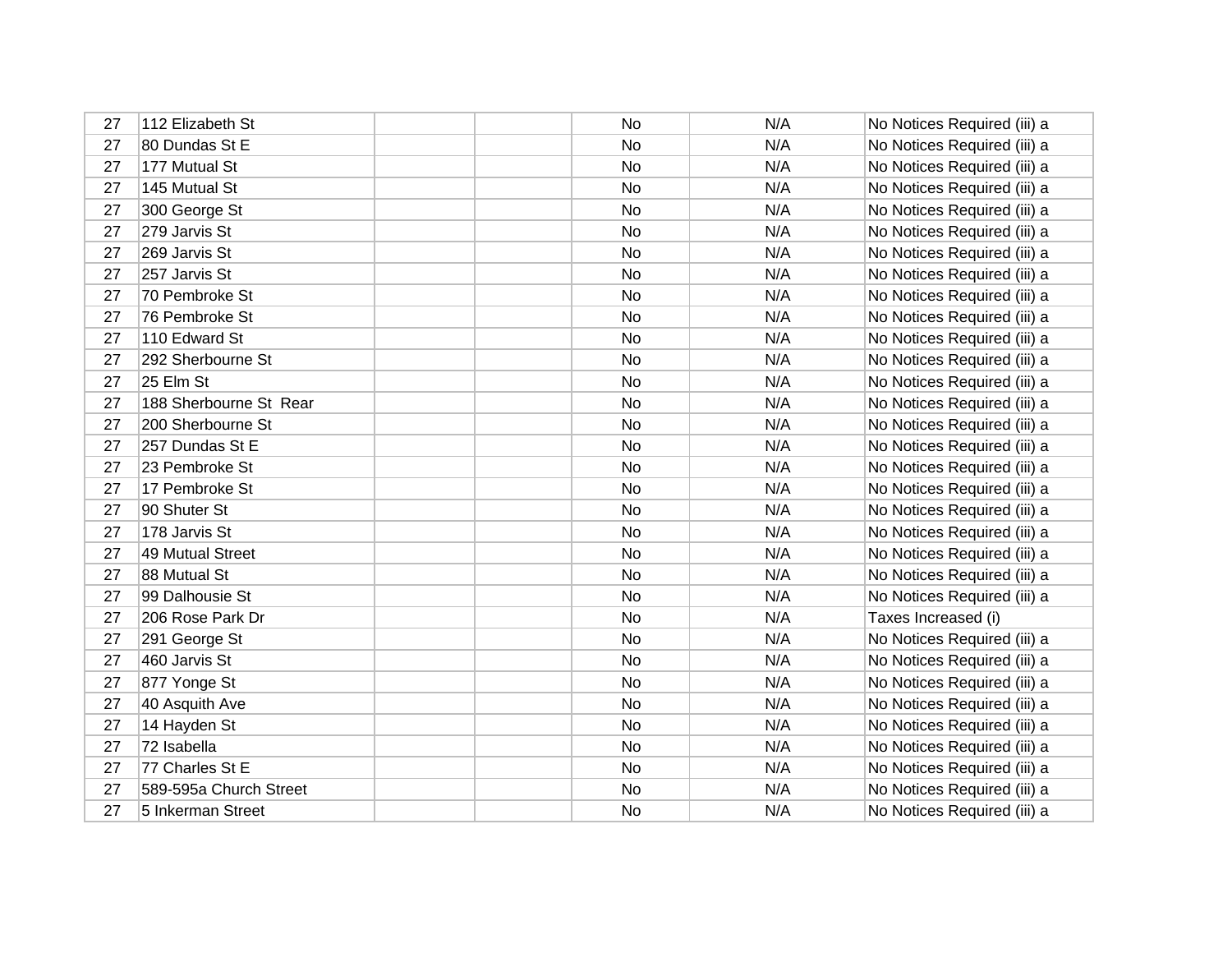| 27 | 112 Elizabeth St       | No        | N/A | No Notices Required (iii) a |
|----|------------------------|-----------|-----|-----------------------------|
| 27 | 80 Dundas St E         | No        | N/A | No Notices Required (iii) a |
| 27 | 177 Mutual St          | No        | N/A | No Notices Required (iii) a |
| 27 | 145 Mutual St          | No        | N/A | No Notices Required (iii) a |
| 27 | 300 George St          | No        | N/A | No Notices Required (iii) a |
| 27 | 279 Jarvis St          | No        | N/A | No Notices Required (iii) a |
| 27 | 269 Jarvis St          | No.       | N/A | No Notices Required (iii) a |
| 27 | 257 Jarvis St          | No        | N/A | No Notices Required (iii) a |
| 27 | 70 Pembroke St         | <b>No</b> | N/A | No Notices Required (iii) a |
| 27 | 76 Pembroke St         | No        | N/A | No Notices Required (iii) a |
| 27 | 110 Edward St          | No        | N/A | No Notices Required (iii) a |
| 27 | 292 Sherbourne St      | No        | N/A | No Notices Required (iii) a |
| 27 | 25 Elm St              | No.       | N/A | No Notices Required (iii) a |
| 27 | 188 Sherbourne St Rear | No        | N/A | No Notices Required (iii) a |
| 27 | 200 Sherbourne St      | No        | N/A | No Notices Required (iii) a |
| 27 | 257 Dundas St E        | <b>No</b> | N/A | No Notices Required (iii) a |
| 27 | 23 Pembroke St         | No        | N/A | No Notices Required (iii) a |
| 27 | 17 Pembroke St         | No        | N/A | No Notices Required (iii) a |
| 27 | 90 Shuter St           | No        | N/A | No Notices Required (iii) a |
| 27 | 178 Jarvis St          | No        | N/A | No Notices Required (iii) a |
| 27 | 49 Mutual Street       | No        | N/A | No Notices Required (iii) a |
| 27 | 88 Mutual St           | <b>No</b> | N/A | No Notices Required (iii) a |
| 27 | 99 Dalhousie St        | No        | N/A | No Notices Required (iii) a |
| 27 | 206 Rose Park Dr       | <b>No</b> | N/A | Taxes Increased (i)         |
| 27 | 291 George St          | No        | N/A | No Notices Required (iii) a |
| 27 | 460 Jarvis St          | No        | N/A | No Notices Required (iii) a |
| 27 | 877 Yonge St           | No        | N/A | No Notices Required (iii) a |
| 27 | 40 Asquith Ave         | No        | N/A | No Notices Required (iii) a |
| 27 | 14 Hayden St           | No        | N/A | No Notices Required (iii) a |
| 27 | 72 Isabella            | No        | N/A | No Notices Required (iii) a |
| 27 | 77 Charles St E        | <b>No</b> | N/A | No Notices Required (iii) a |
| 27 | 589-595a Church Street | No        | N/A | No Notices Required (iii) a |
| 27 | 5 Inkerman Street      | No        | N/A | No Notices Required (iii) a |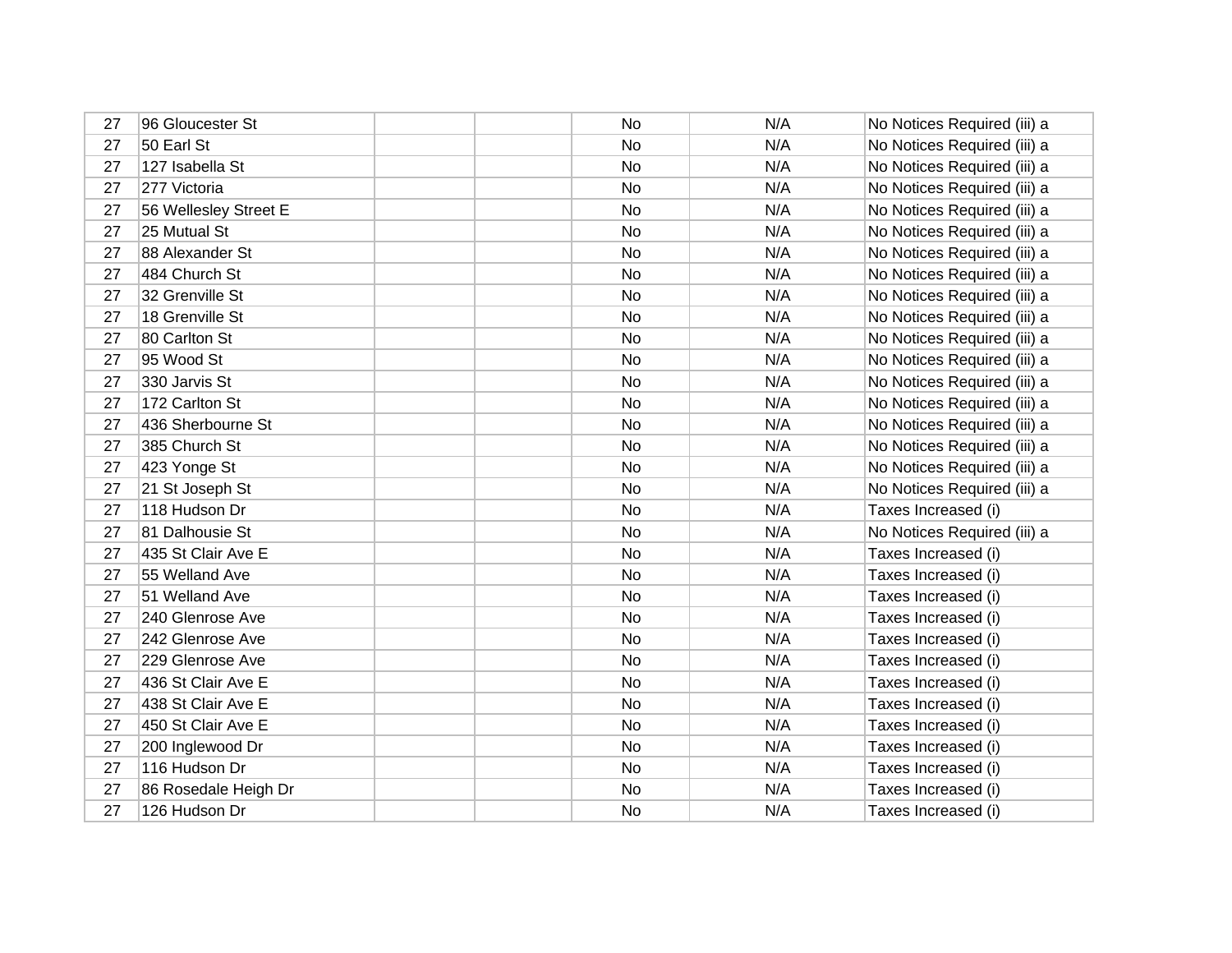| 27 | 96 Gloucester St      | No        | N/A | No Notices Required (iii) a |
|----|-----------------------|-----------|-----|-----------------------------|
| 27 | 50 Earl St            | No        | N/A | No Notices Required (iii) a |
| 27 | 127 Isabella St       | No        | N/A | No Notices Required (iii) a |
| 27 | 277 Victoria          | No        | N/A | No Notices Required (iii) a |
| 27 | 56 Wellesley Street E | No        | N/A | No Notices Required (iii) a |
| 27 | 25 Mutual St          | <b>No</b> | N/A | No Notices Required (iii) a |
| 27 | 88 Alexander St       | No        | N/A | No Notices Required (iii) a |
| 27 | 484 Church St         | <b>No</b> | N/A | No Notices Required (iii) a |
| 27 | 32 Grenville St       | No        | N/A | No Notices Required (iii) a |
| 27 | 18 Grenville St       | No        | N/A | No Notices Required (iii) a |
| 27 | 80 Carlton St         | No        | N/A | No Notices Required (iii) a |
| 27 | 95 Wood St            | No        | N/A | No Notices Required (iii) a |
| 27 | 330 Jarvis St         | No        | N/A | No Notices Required (iii) a |
| 27 | 172 Carlton St        | No        | N/A | No Notices Required (iii) a |
| 27 | 436 Sherbourne St     | No        | N/A | No Notices Required (iii) a |
| 27 | 385 Church St         | No        | N/A | No Notices Required (iii) a |
| 27 | 423 Yonge St          | No        | N/A | No Notices Required (iii) a |
| 27 | 21 St Joseph St       | No        | N/A | No Notices Required (iii) a |
| 27 | 118 Hudson Dr         | No        | N/A | Taxes Increased (i)         |
| 27 | 81 Dalhousie St       | No        | N/A | No Notices Required (iii) a |
| 27 | 435 St Clair Ave E    | No        | N/A | Taxes Increased (i)         |
| 27 | 55 Welland Ave        | No        | N/A | Taxes Increased (i)         |
| 27 | 51 Welland Ave        | No        | N/A | Taxes Increased (i)         |
| 27 | 240 Glenrose Ave      | No        | N/A | Taxes Increased (i)         |
| 27 | 242 Glenrose Ave      | No        | N/A | Taxes Increased (i)         |
| 27 | 229 Glenrose Ave      | No        | N/A | Taxes Increased (i)         |
| 27 | 436 St Clair Ave E    | No        | N/A | Taxes Increased (i)         |
| 27 | 438 St Clair Ave E    | No        | N/A | Taxes Increased (i)         |
| 27 | 450 St Clair Ave E    | No        | N/A | Taxes Increased (i)         |
| 27 | 200 Inglewood Dr      | No        | N/A | Taxes Increased (i)         |
| 27 | 116 Hudson Dr         | No        | N/A | Taxes Increased (i)         |
| 27 | 86 Rosedale Heigh Dr  | No        | N/A | Taxes Increased (i)         |
| 27 | 126 Hudson Dr         | No        | N/A | Taxes Increased (i)         |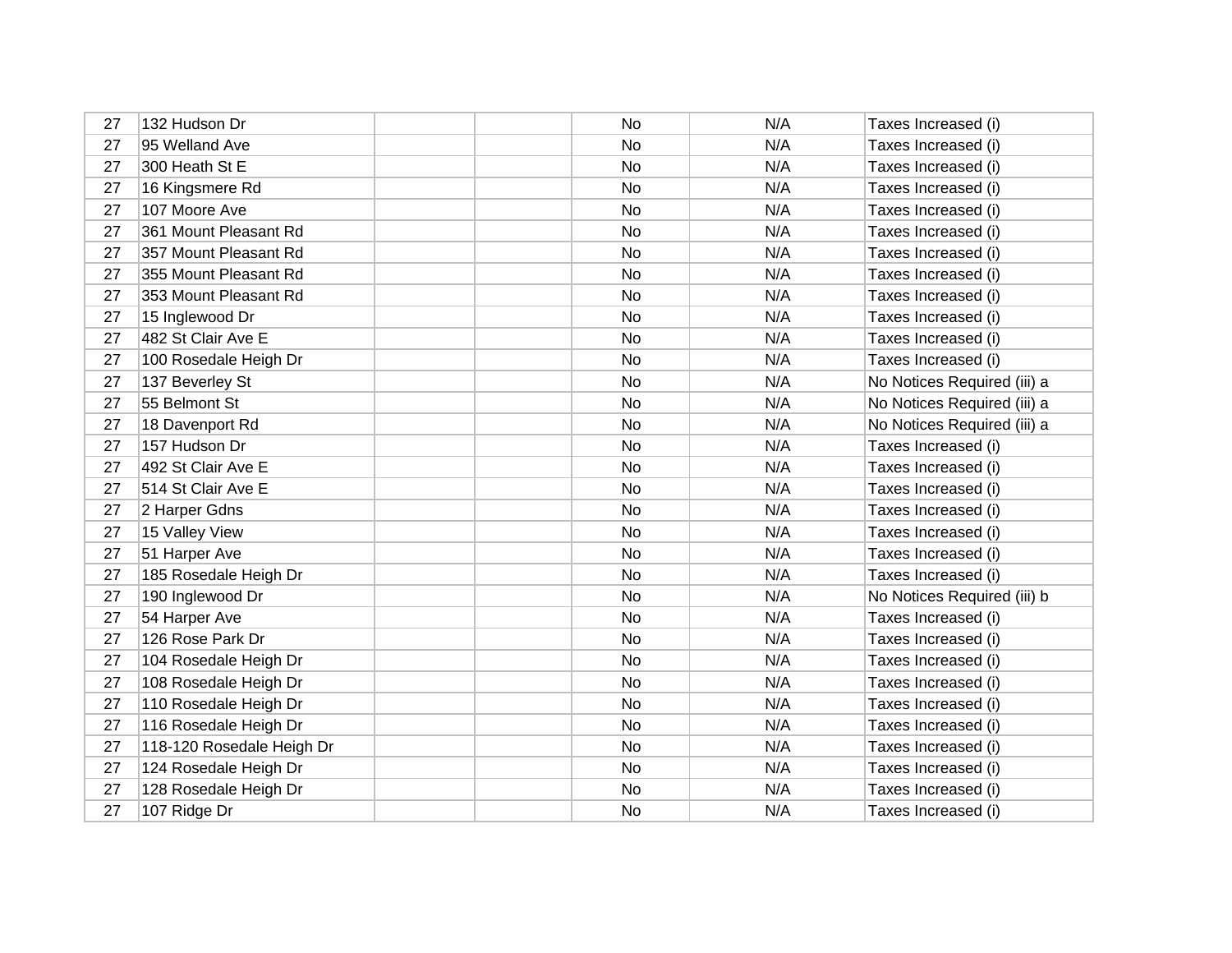| 27 | 132 Hudson Dr             | <b>No</b> | N/A | Taxes Increased (i)         |
|----|---------------------------|-----------|-----|-----------------------------|
| 27 | 95 Welland Ave            | <b>No</b> | N/A | Taxes Increased (i)         |
| 27 | 300 Heath St E            | No        | N/A | Taxes Increased (i)         |
| 27 | 16 Kingsmere Rd           | No        | N/A | Taxes Increased (i)         |
| 27 | 107 Moore Ave             | No        | N/A | Taxes Increased (i)         |
| 27 | 361 Mount Pleasant Rd     | No        | N/A | Taxes Increased (i)         |
| 27 | 357 Mount Pleasant Rd     | No        | N/A | Taxes Increased (i)         |
| 27 | 355 Mount Pleasant Rd     | No        | N/A | Taxes Increased (i)         |
| 27 | 353 Mount Pleasant Rd     | No        | N/A | Taxes Increased (i)         |
| 27 | 15 Inglewood Dr           | No        | N/A | Taxes Increased (i)         |
| 27 | 482 St Clair Ave E        | No        | N/A | Taxes Increased (i)         |
| 27 | 100 Rosedale Heigh Dr     | No        | N/A | Taxes Increased (i)         |
| 27 | 137 Beverley St           | No        | N/A | No Notices Required (iii) a |
| 27 | 55 Belmont St             | No        | N/A | No Notices Required (iii) a |
| 27 | 18 Davenport Rd           | No        | N/A | No Notices Required (iii) a |
| 27 | 157 Hudson Dr             | No        | N/A | Taxes Increased (i)         |
| 27 | 492 St Clair Ave E        | No        | N/A | Taxes Increased (i)         |
| 27 | 514 St Clair Ave E        | <b>No</b> | N/A | Taxes Increased (i)         |
| 27 | 2 Harper Gdns             | No        | N/A | Taxes Increased (i)         |
| 27 | 15 Valley View            | No        | N/A | Taxes Increased (i)         |
| 27 | 51 Harper Ave             | <b>No</b> | N/A | Taxes Increased (i)         |
| 27 | 185 Rosedale Heigh Dr     | No        | N/A | Taxes Increased (i)         |
| 27 | 190 Inglewood Dr          | No        | N/A | No Notices Required (iii) b |
| 27 | 54 Harper Ave             | No        | N/A | Taxes Increased (i)         |
| 27 | 126 Rose Park Dr          | <b>No</b> | N/A | Taxes Increased (i)         |
| 27 | 104 Rosedale Heigh Dr     | No        | N/A | Taxes Increased (i)         |
| 27 | 108 Rosedale Heigh Dr     | No        | N/A | Taxes Increased (i)         |
| 27 | 110 Rosedale Heigh Dr     | No        | N/A | Taxes Increased (i)         |
| 27 | 116 Rosedale Heigh Dr     | No        | N/A | Taxes Increased (i)         |
| 27 | 118-120 Rosedale Heigh Dr | No        | N/A | Taxes Increased (i)         |
| 27 | 124 Rosedale Heigh Dr     | No        | N/A | Taxes Increased (i)         |
| 27 | 128 Rosedale Heigh Dr     | No        | N/A | Taxes Increased (i)         |
| 27 | 107 Ridge Dr              | No        | N/A | Taxes Increased (i)         |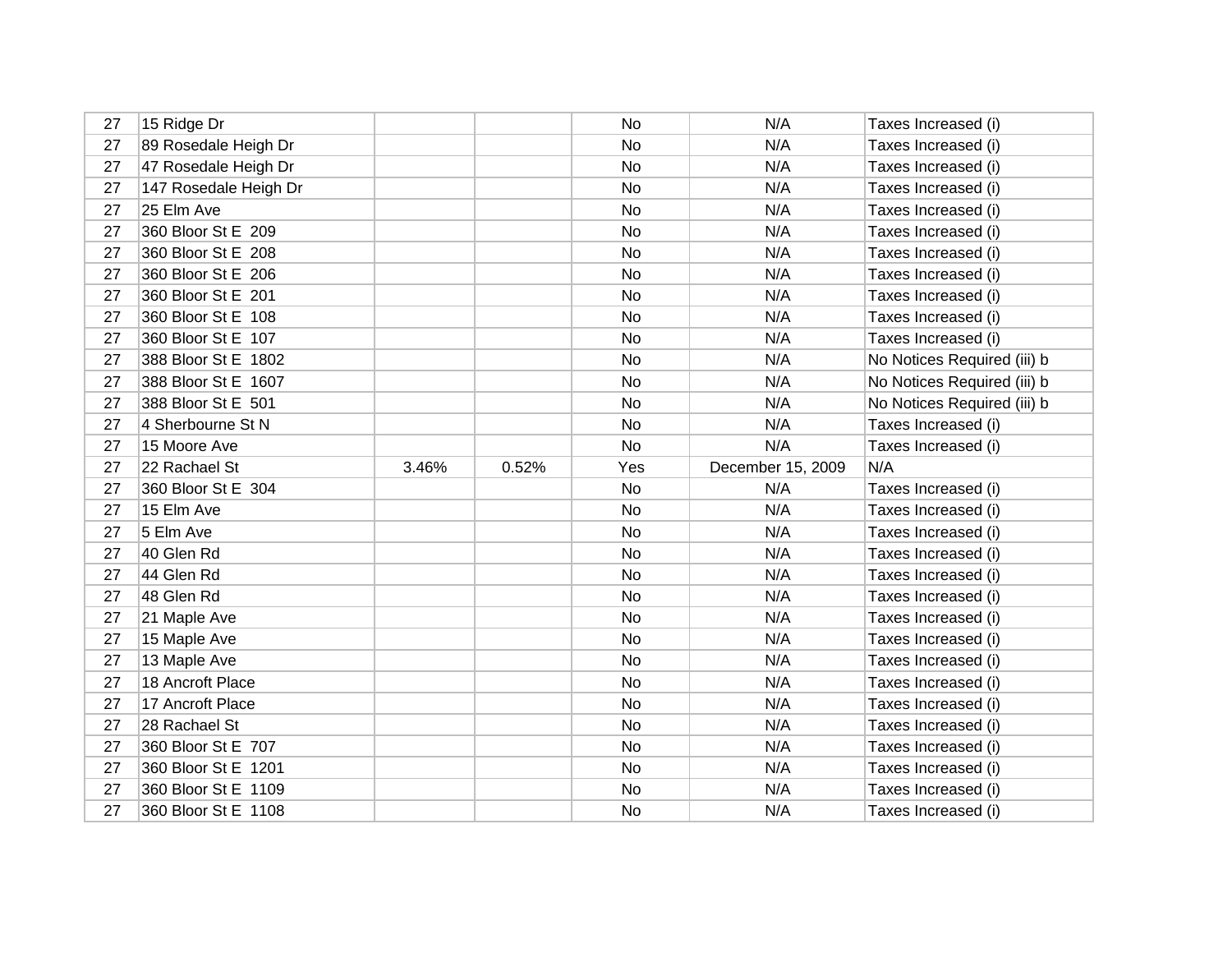| 27 | 15 Ridge Dr           |       |       | No        | N/A               | Taxes Increased (i)         |
|----|-----------------------|-------|-------|-----------|-------------------|-----------------------------|
| 27 | 89 Rosedale Heigh Dr  |       |       | No        | N/A               | Taxes Increased (i)         |
| 27 | 47 Rosedale Heigh Dr  |       |       | No        | N/A               | Taxes Increased (i)         |
| 27 | 147 Rosedale Heigh Dr |       |       | No        | N/A               | Taxes Increased (i)         |
| 27 | 25 Elm Ave            |       |       | No        | N/A               | Taxes Increased (i)         |
| 27 | 360 Bloor St E 209    |       |       | No        | N/A               | Taxes Increased (i)         |
| 27 | 360 Bloor St E 208    |       |       | No        | N/A               | Taxes Increased (i)         |
| 27 | 360 Bloor St E 206    |       |       | No        | N/A               | Taxes Increased (i)         |
| 27 | 360 Bloor St E 201    |       |       | No        | N/A               | Taxes Increased (i)         |
| 27 | 360 Bloor St E 108    |       |       | No        | N/A               | Taxes Increased (i)         |
| 27 | 360 Bloor St E 107    |       |       | No        | N/A               | Taxes Increased (i)         |
| 27 | 388 Bloor St E 1802   |       |       | No        | N/A               | No Notices Required (iii) b |
| 27 | 388 Bloor St E 1607   |       |       | No        | N/A               | No Notices Required (iii) b |
| 27 | 388 Bloor St E 501    |       |       | No        | N/A               | No Notices Required (iii) b |
| 27 | 4 Sherbourne St N     |       |       | No        | N/A               | Taxes Increased (i)         |
| 27 | 15 Moore Ave          |       |       | No        | N/A               | Taxes Increased (i)         |
| 27 | 22 Rachael St         | 3.46% | 0.52% | Yes       | December 15, 2009 | N/A                         |
| 27 | 360 Bloor St E 304    |       |       | No        | N/A               | Taxes Increased (i)         |
| 27 | 15 Elm Ave            |       |       | No        | N/A               | Taxes Increased (i)         |
| 27 | 5 Elm Ave             |       |       | No        | N/A               | Taxes Increased (i)         |
| 27 | 40 Glen Rd            |       |       | <b>No</b> | N/A               | Taxes Increased (i)         |
| 27 | 44 Glen Rd            |       |       | No        | N/A               | Taxes Increased (i)         |
| 27 | 48 Glen Rd            |       |       | No        | N/A               | Taxes Increased (i)         |
| 27 | 21 Maple Ave          |       |       | No        | N/A               | Taxes Increased (i)         |
| 27 | 15 Maple Ave          |       |       | No        | N/A               | Taxes Increased (i)         |
| 27 | 13 Maple Ave          |       |       | No        | N/A               | Taxes Increased (i)         |
| 27 | 18 Ancroft Place      |       |       | No        | N/A               | Taxes Increased (i)         |
| 27 | 17 Ancroft Place      |       |       | No.       | N/A               | Taxes Increased (i)         |
| 27 | 28 Rachael St         |       |       | No        | N/A               | Taxes Increased (i)         |
| 27 | 360 Bloor St E 707    |       |       | No        | N/A               | Taxes Increased (i)         |
| 27 | 360 Bloor St E 1201   |       |       | No        | N/A               | Taxes Increased (i)         |
| 27 | 360 Bloor St E 1109   |       |       | No        | N/A               | Taxes Increased (i)         |
| 27 | 360 Bloor St E 1108   |       |       | No        | N/A               | Taxes Increased (i)         |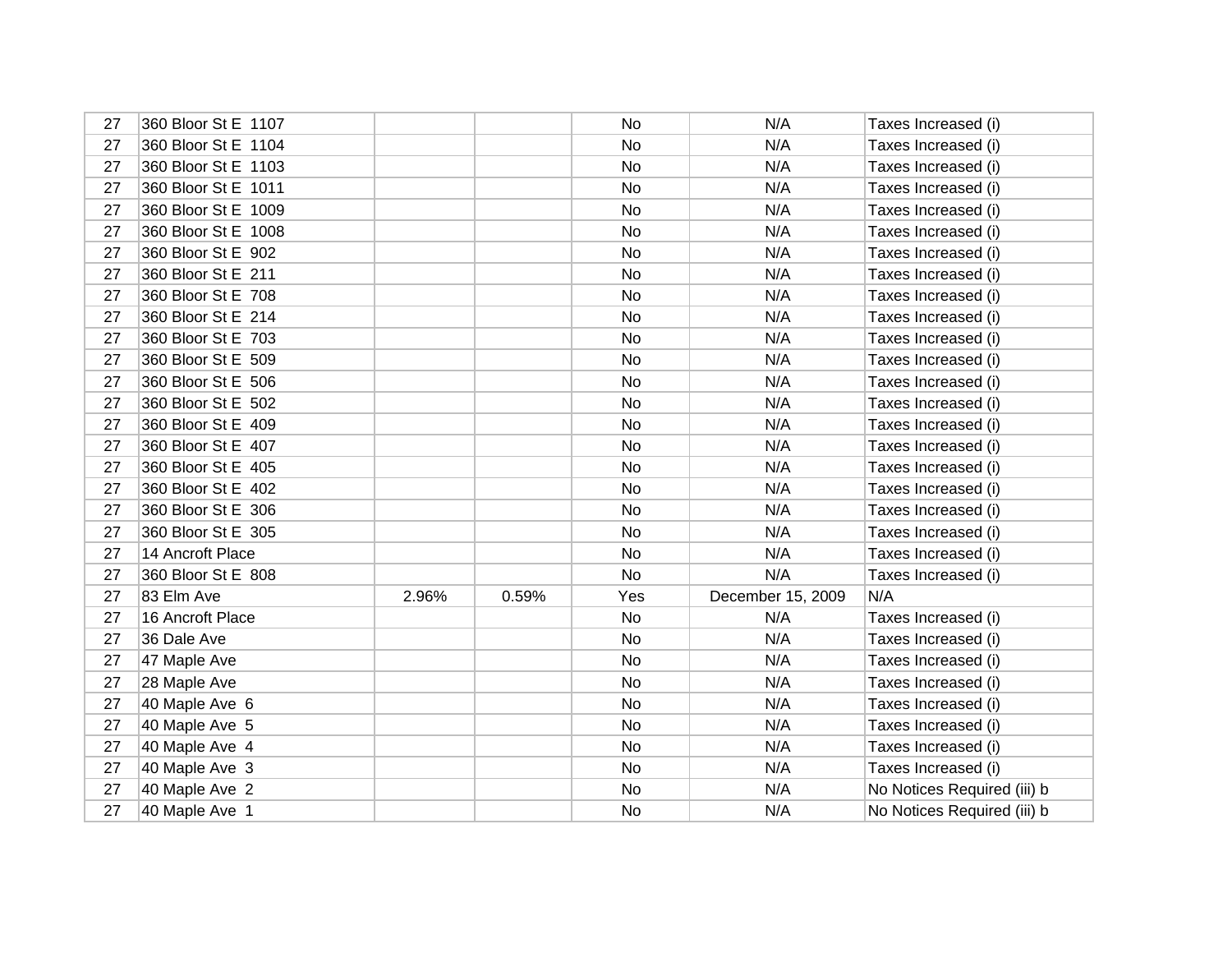| 27 | 360 Bloor St E 1107 |       |       | No  | N/A               | Taxes Increased (i)         |
|----|---------------------|-------|-------|-----|-------------------|-----------------------------|
| 27 | 360 Bloor St E 1104 |       |       | No  | N/A               | Taxes Increased (i)         |
| 27 | 360 Bloor St E 1103 |       |       | No  | N/A               | Taxes Increased (i)         |
| 27 | 360 Bloor St E 1011 |       |       | No  | N/A               | Taxes Increased (i)         |
| 27 | 360 Bloor St E 1009 |       |       | No  | N/A               | Taxes Increased (i)         |
| 27 | 360 Bloor St E 1008 |       |       | No  | N/A               | Taxes Increased (i)         |
| 27 | 360 Bloor St E 902  |       |       | No  | N/A               | Taxes Increased (i)         |
| 27 | 360 Bloor St E 211  |       |       | No  | N/A               | Taxes Increased (i)         |
| 27 | 360 Bloor St E 708  |       |       | No  | N/A               | Taxes Increased (i)         |
| 27 | 360 Bloor St E 214  |       |       | No  | N/A               | Taxes Increased (i)         |
| 27 | 360 Bloor St E 703  |       |       | No  | N/A               | Taxes Increased (i)         |
| 27 | 360 Bloor St E 509  |       |       | No  | N/A               | Taxes Increased (i)         |
| 27 | 360 Bloor St E 506  |       |       | No  | N/A               | Taxes Increased (i)         |
| 27 | 360 Bloor St E 502  |       |       | No  | N/A               | Taxes Increased (i)         |
| 27 | 360 Bloor St E 409  |       |       | No  | N/A               | Taxes Increased (i)         |
| 27 | 360 Bloor St E 407  |       |       | No  | N/A               | Taxes Increased (i)         |
| 27 | 360 Bloor St E 405  |       |       | No  | N/A               | Taxes Increased (i)         |
| 27 | 360 Bloor St E 402  |       |       | No  | N/A               | Taxes Increased (i)         |
| 27 | 360 Bloor St E 306  |       |       | No  | N/A               | Taxes Increased (i)         |
| 27 | 360 Bloor St E 305  |       |       | No  | N/A               | Taxes Increased (i)         |
| 27 | 14 Ancroft Place    |       |       | No  | N/A               | Taxes Increased (i)         |
| 27 | 360 Bloor St E 808  |       |       | No  | N/A               | Taxes Increased (i)         |
| 27 | 83 Elm Ave          | 2.96% | 0.59% | Yes | December 15, 2009 | N/A                         |
| 27 | 16 Ancroft Place    |       |       | No  | N/A               | Taxes Increased (i)         |
| 27 | 36 Dale Ave         |       |       | No  | N/A               | Taxes Increased (i)         |
| 27 | 47 Maple Ave        |       |       | No  | N/A               | Taxes Increased (i)         |
| 27 | 28 Maple Ave        |       |       | No  | N/A               | Taxes Increased (i)         |
| 27 | 40 Maple Ave 6      |       |       | No  | N/A               | Taxes Increased (i)         |
| 27 | 40 Maple Ave 5      |       |       | No  | N/A               | Taxes Increased (i)         |
| 27 | 40 Maple Ave 4      |       |       | No  | N/A               | Taxes Increased (i)         |
| 27 | 40 Maple Ave 3      |       |       | No  | N/A               | Taxes Increased (i)         |
| 27 | 40 Maple Ave 2      |       |       | No  | N/A               | No Notices Required (iii) b |
| 27 | 40 Maple Ave 1      |       |       | No  | N/A               | No Notices Required (iii) b |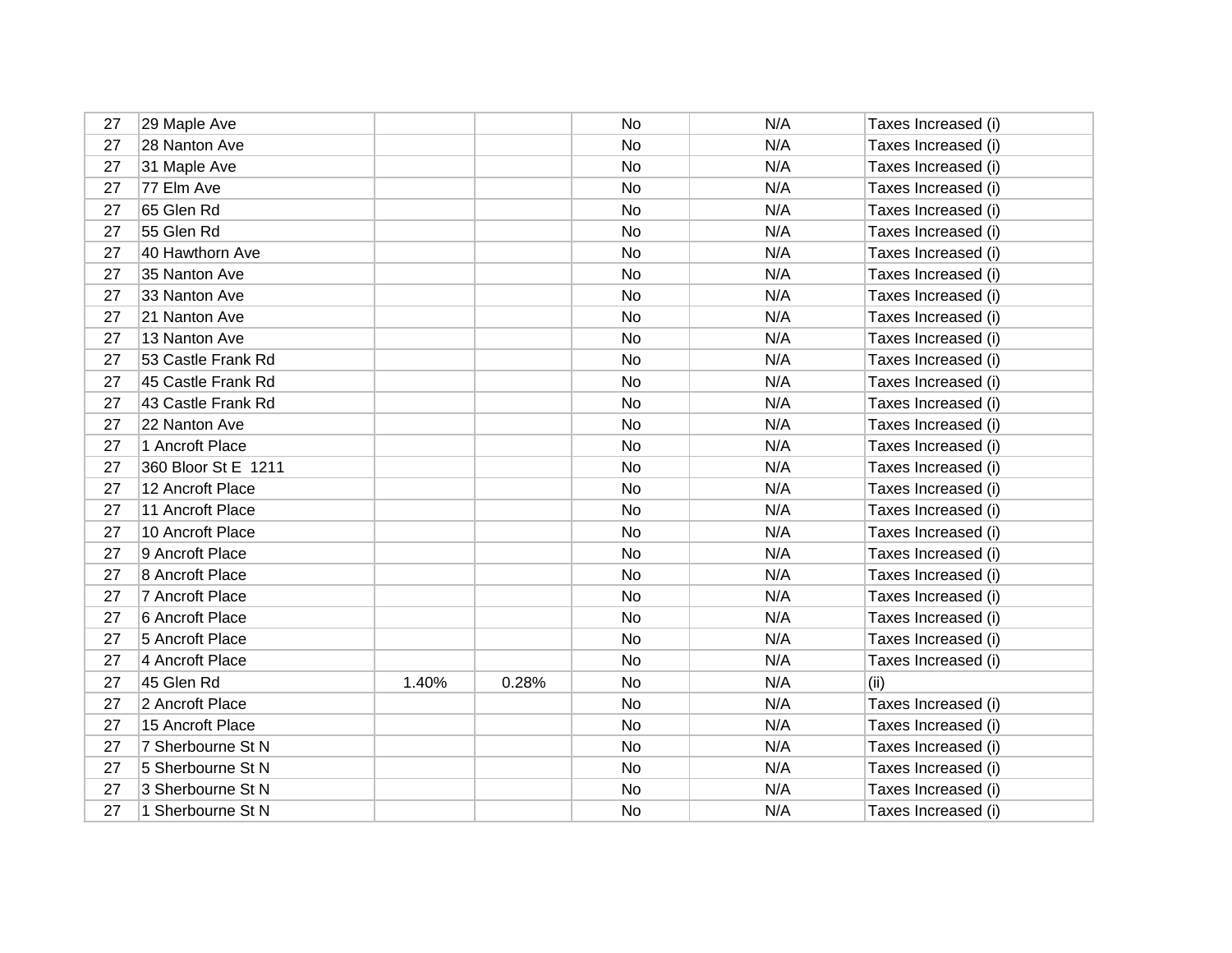| 27 | 29 Maple Ave        |       |       | No | N/A | Taxes Increased (i) |
|----|---------------------|-------|-------|----|-----|---------------------|
| 27 | 28 Nanton Ave       |       |       | No | N/A | Taxes Increased (i) |
| 27 | 31 Maple Ave        |       |       | No | N/A | Taxes Increased (i) |
| 27 | 77 Elm Ave          |       |       | No | N/A | Taxes Increased (i) |
| 27 | 65 Glen Rd          |       |       | No | N/A | Taxes Increased (i) |
| 27 | 55 Glen Rd          |       |       | No | N/A | Taxes Increased (i) |
| 27 | 40 Hawthorn Ave     |       |       | No | N/A | Taxes Increased (i) |
| 27 | 35 Nanton Ave       |       |       | No | N/A | Taxes Increased (i) |
| 27 | 33 Nanton Ave       |       |       | No | N/A | Taxes Increased (i) |
| 27 | 21 Nanton Ave       |       |       | No | N/A | Taxes Increased (i) |
| 27 | 13 Nanton Ave       |       |       | No | N/A | Taxes Increased (i) |
| 27 | 53 Castle Frank Rd  |       |       | No | N/A | Taxes Increased (i) |
| 27 | 45 Castle Frank Rd  |       |       | No | N/A | Taxes Increased (i) |
| 27 | 43 Castle Frank Rd  |       |       | No | N/A | Taxes Increased (i) |
| 27 | 22 Nanton Ave       |       |       | No | N/A | Taxes Increased (i) |
| 27 | 1 Ancroft Place     |       |       | No | N/A | Taxes Increased (i) |
| 27 | 360 Bloor St E 1211 |       |       | No | N/A | Taxes Increased (i) |
| 27 | 12 Ancroft Place    |       |       | No | N/A | Taxes Increased (i) |
| 27 | 11 Ancroft Place    |       |       | No | N/A | Taxes Increased (i) |
| 27 | 10 Ancroft Place    |       |       | No | N/A | Taxes Increased (i) |
| 27 | 9 Ancroft Place     |       |       | No | N/A | Taxes Increased (i) |
| 27 | 8 Ancroft Place     |       |       | No | N/A | Taxes Increased (i) |
| 27 | 7 Ancroft Place     |       |       | No | N/A | Taxes Increased (i) |
| 27 | 6 Ancroft Place     |       |       | No | N/A | Taxes Increased (i) |
| 27 | 5 Ancroft Place     |       |       | No | N/A | Taxes Increased (i) |
| 27 | 4 Ancroft Place     |       |       | No | N/A | Taxes Increased (i) |
| 27 | 45 Glen Rd          | 1.40% | 0.28% | No | N/A | (ii)                |
| 27 | 2 Ancroft Place     |       |       | No | N/A | Taxes Increased (i) |
| 27 | 15 Ancroft Place    |       |       | No | N/A | Taxes Increased (i) |
| 27 | 7 Sherbourne St N   |       |       | No | N/A | Taxes Increased (i) |
| 27 | 5 Sherbourne St N   |       |       | No | N/A | Taxes Increased (i) |
| 27 | 3 Sherbourne St N   |       |       | No | N/A | Taxes Increased (i) |
| 27 | 1 Sherbourne St N   |       |       | No | N/A | Taxes Increased (i) |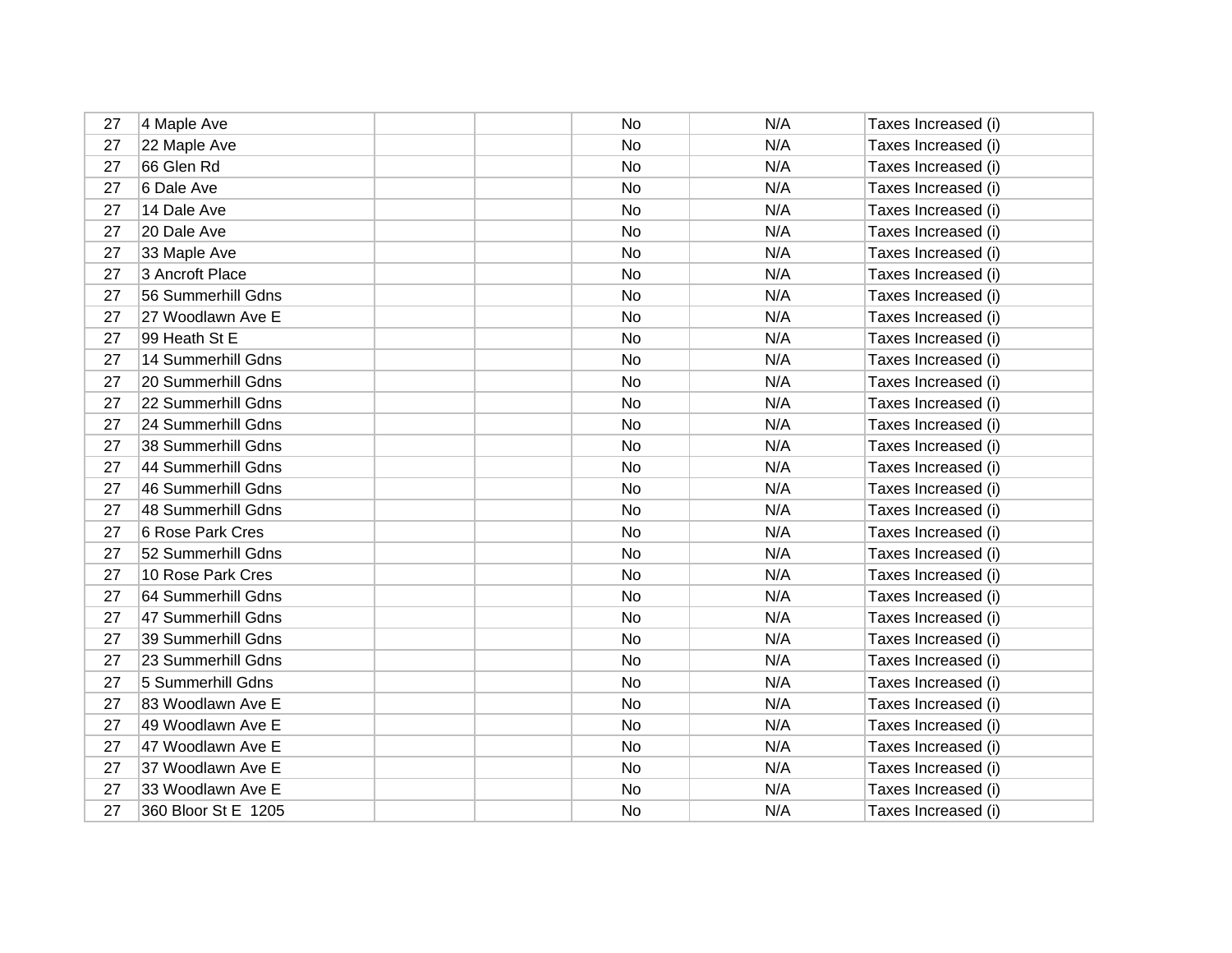| 27 | 4 Maple Ave         | No | N/A | Taxes Increased (i) |
|----|---------------------|----|-----|---------------------|
| 27 | 22 Maple Ave        | No | N/A | Taxes Increased (i) |
| 27 | 66 Glen Rd          | No | N/A | Taxes Increased (i) |
| 27 | 6 Dale Ave          | No | N/A | Taxes Increased (i) |
| 27 | 14 Dale Ave         | No | N/A | Taxes Increased (i) |
| 27 | 20 Dale Ave         | No | N/A | Taxes Increased (i) |
| 27 | 33 Maple Ave        | No | N/A | Taxes Increased (i) |
| 27 | 3 Ancroft Place     | No | N/A | Taxes Increased (i) |
| 27 | 56 Summerhill Gdns  | No | N/A | Taxes Increased (i) |
| 27 | 27 Woodlawn Ave E   | No | N/A | Taxes Increased (i) |
| 27 | 99 Heath St E       | No | N/A | Taxes Increased (i) |
| 27 | 14 Summerhill Gdns  | No | N/A | Taxes Increased (i) |
| 27 | 20 Summerhill Gdns  | No | N/A | Taxes Increased (i) |
| 27 | 22 Summerhill Gdns  | No | N/A | Taxes Increased (i) |
| 27 | 24 Summerhill Gdns  | No | N/A | Taxes Increased (i) |
| 27 | 38 Summerhill Gdns  | No | N/A | Taxes Increased (i) |
| 27 | 44 Summerhill Gdns  | No | N/A | Taxes Increased (i) |
| 27 | 46 Summerhill Gdns  | No | N/A | Taxes Increased (i) |
| 27 | 48 Summerhill Gdns  | No | N/A | Taxes Increased (i) |
| 27 | 6 Rose Park Cres    | No | N/A | Taxes Increased (i) |
| 27 | 52 Summerhill Gdns  | No | N/A | Taxes Increased (i) |
| 27 | 10 Rose Park Cres   | No | N/A | Taxes Increased (i) |
| 27 | 64 Summerhill Gdns  | No | N/A | Taxes Increased (i) |
| 27 | 47 Summerhill Gdns  | No | N/A | Taxes Increased (i) |
| 27 | 39 Summerhill Gdns  | No | N/A | Taxes Increased (i) |
| 27 | 23 Summerhill Gdns  | No | N/A | Taxes Increased (i) |
| 27 | 5 Summerhill Gdns   | No | N/A | Taxes Increased (i) |
| 27 | 83 Woodlawn Ave E   | No | N/A | Taxes Increased (i) |
| 27 | 49 Woodlawn Ave E   | No | N/A | Taxes Increased (i) |
| 27 | 47 Woodlawn Ave E   | No | N/A | Taxes Increased (i) |
| 27 | 37 Woodlawn Ave E   | No | N/A | Taxes Increased (i) |
| 27 | 33 Woodlawn Ave E   | No | N/A | Taxes Increased (i) |
| 27 | 360 Bloor St E 1205 | No | N/A | Taxes Increased (i) |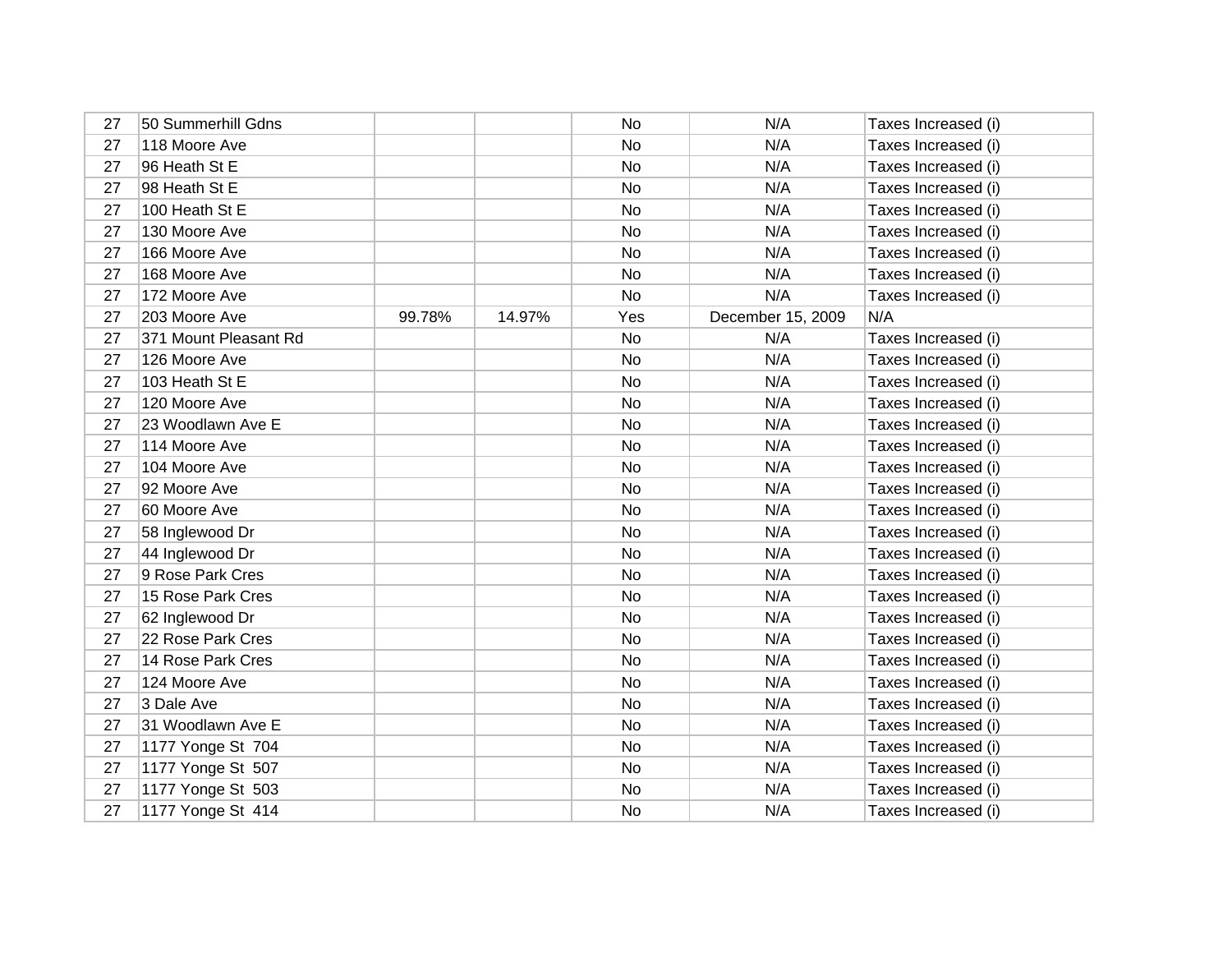| 27 | 50 Summerhill Gdns    |        |        | No        | N/A               | Taxes Increased (i) |
|----|-----------------------|--------|--------|-----------|-------------------|---------------------|
| 27 | 118 Moore Ave         |        |        | No        | N/A               | Taxes Increased (i) |
| 27 | 96 Heath St E         |        |        | No        | N/A               | Taxes Increased (i) |
| 27 | 98 Heath St E         |        |        | No        | N/A               | Taxes Increased (i) |
| 27 | 100 Heath St E        |        |        | No        | N/A               | Taxes Increased (i) |
| 27 | 130 Moore Ave         |        |        | <b>No</b> | N/A               | Taxes Increased (i) |
| 27 | 166 Moore Ave         |        |        | No        | N/A               | Taxes Increased (i) |
| 27 | 168 Moore Ave         |        |        | No        | N/A               | Taxes Increased (i) |
| 27 | 172 Moore Ave         |        |        | No        | N/A               | Taxes Increased (i) |
| 27 | 203 Moore Ave         | 99.78% | 14.97% | Yes       | December 15, 2009 | N/A                 |
| 27 | 371 Mount Pleasant Rd |        |        | No        | N/A               | Taxes Increased (i) |
| 27 | 126 Moore Ave         |        |        | No        | N/A               | Taxes Increased (i) |
| 27 | 103 Heath St E        |        |        | No        | N/A               | Taxes Increased (i) |
| 27 | 120 Moore Ave         |        |        | No        | N/A               | Taxes Increased (i) |
| 27 | 23 Woodlawn Ave E     |        |        | No        | N/A               | Taxes Increased (i) |
| 27 | 114 Moore Ave         |        |        | No        | N/A               | Taxes Increased (i) |
| 27 | 104 Moore Ave         |        |        | <b>No</b> | N/A               | Taxes Increased (i) |
| 27 | 92 Moore Ave          |        |        | No        | N/A               | Taxes Increased (i) |
| 27 | 60 Moore Ave          |        |        | No        | N/A               | Taxes Increased (i) |
| 27 | 58 Inglewood Dr       |        |        | No        | N/A               | Taxes Increased (i) |
| 27 | 44 Inglewood Dr       |        |        | No        | N/A               | Taxes Increased (i) |
| 27 | 9 Rose Park Cres      |        |        | No        | N/A               | Taxes Increased (i) |
| 27 | 15 Rose Park Cres     |        |        | No        | N/A               | Taxes Increased (i) |
| 27 | 62 Inglewood Dr       |        |        | No        | N/A               | Taxes Increased (i) |
| 27 | 22 Rose Park Cres     |        |        | No        | N/A               | Taxes Increased (i) |
| 27 | 14 Rose Park Cres     |        |        | No        | N/A               | Taxes Increased (i) |
| 27 | 124 Moore Ave         |        |        | No        | N/A               | Taxes Increased (i) |
| 27 | 3 Dale Ave            |        |        | No        | N/A               | Taxes Increased (i) |
| 27 | 31 Woodlawn Ave E     |        |        | No        | N/A               | Taxes Increased (i) |
| 27 | 1177 Yonge St 704     |        |        | No        | N/A               | Taxes Increased (i) |
| 27 | 1177 Yonge St 507     |        |        | No        | N/A               | Taxes Increased (i) |
| 27 | 1177 Yonge St 503     |        |        | No        | N/A               | Taxes Increased (i) |
| 27 | 1177 Yonge St 414     |        |        | No        | N/A               | Taxes Increased (i) |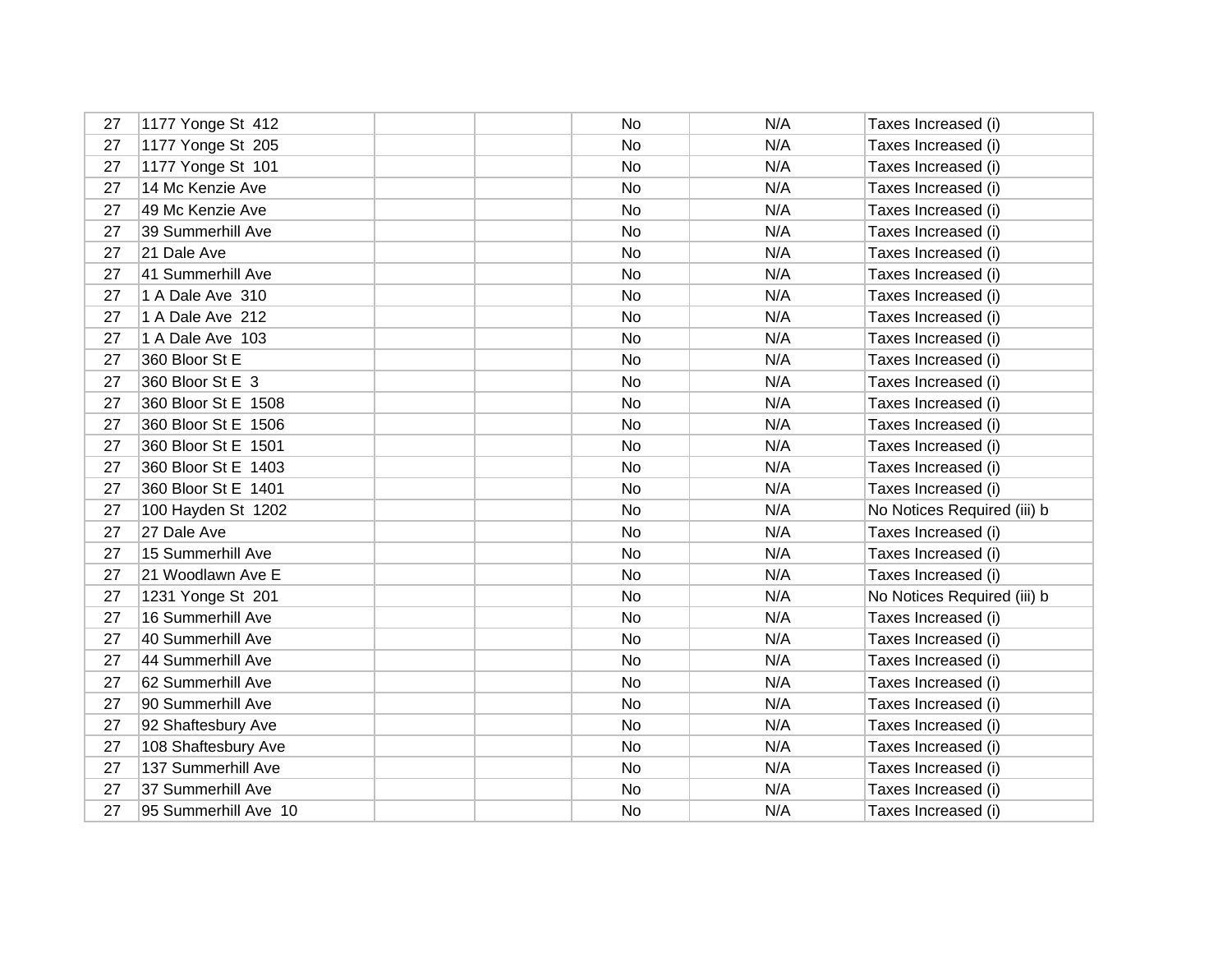| 27 | 1177 Yonge St 412    | No        | N/A | Taxes Increased (i)         |
|----|----------------------|-----------|-----|-----------------------------|
| 27 | 1177 Yonge St 205    | No        | N/A | Taxes Increased (i)         |
| 27 | 1177 Yonge St 101    | No        | N/A | Taxes Increased (i)         |
| 27 | 14 Mc Kenzie Ave     | No        | N/A | Taxes Increased (i)         |
| 27 | 49 Mc Kenzie Ave     | No        | N/A | Taxes Increased (i)         |
| 27 | 39 Summerhill Ave    | <b>No</b> | N/A | Taxes Increased (i)         |
| 27 | 21 Dale Ave          | No        | N/A | Taxes Increased (i)         |
| 27 | 41 Summerhill Ave    | No        | N/A | Taxes Increased (i)         |
| 27 | 1 A Dale Ave 310     | No        | N/A | Taxes Increased (i)         |
| 27 | 1 A Dale Ave 212     | No        | N/A | Taxes Increased (i)         |
| 27 | 1 A Dale Ave 103     | No        | N/A | Taxes Increased (i)         |
| 27 | 360 Bloor St E       | No        | N/A | Taxes Increased (i)         |
| 27 | 360 Bloor St E 3     | No        | N/A | Taxes Increased (i)         |
| 27 | 360 Bloor St E 1508  | No        | N/A | Taxes Increased (i)         |
| 27 | 360 Bloor St E 1506  | No        | N/A | Taxes Increased (i)         |
| 27 | 360 Bloor St E 1501  | No        | N/A | Taxes Increased (i)         |
| 27 | 360 Bloor St E 1403  | No        | N/A | Taxes Increased (i)         |
| 27 | 360 Bloor St E 1401  | No        | N/A | Taxes Increased (i)         |
| 27 | 100 Hayden St 1202   | No        | N/A | No Notices Required (iii) b |
| 27 | 27 Dale Ave          | No        | N/A | Taxes Increased (i)         |
| 27 | 15 Summerhill Ave    | No        | N/A | Taxes Increased (i)         |
| 27 | 21 Woodlawn Ave E    | No        | N/A | Taxes Increased (i)         |
| 27 | 1231 Yonge St 201    | No        | N/A | No Notices Required (iii) b |
| 27 | 16 Summerhill Ave    | <b>No</b> | N/A | Taxes Increased (i)         |
| 27 | 40 Summerhill Ave    | No        | N/A | Taxes Increased (i)         |
| 27 | 44 Summerhill Ave    | No        | N/A | Taxes Increased (i)         |
| 27 | 62 Summerhill Ave    | No        | N/A | Taxes Increased (i)         |
| 27 | 90 Summerhill Ave    | No        | N/A | Taxes Increased (i)         |
| 27 | 92 Shaftesbury Ave   | No        | N/A | Taxes Increased (i)         |
| 27 | 108 Shaftesbury Ave  | No        | N/A | Taxes Increased (i)         |
| 27 | 137 Summerhill Ave   | No        | N/A | Taxes Increased (i)         |
| 27 | 37 Summerhill Ave    | No        | N/A | Taxes Increased (i)         |
| 27 | 95 Summerhill Ave 10 | No        | N/A | Taxes Increased (i)         |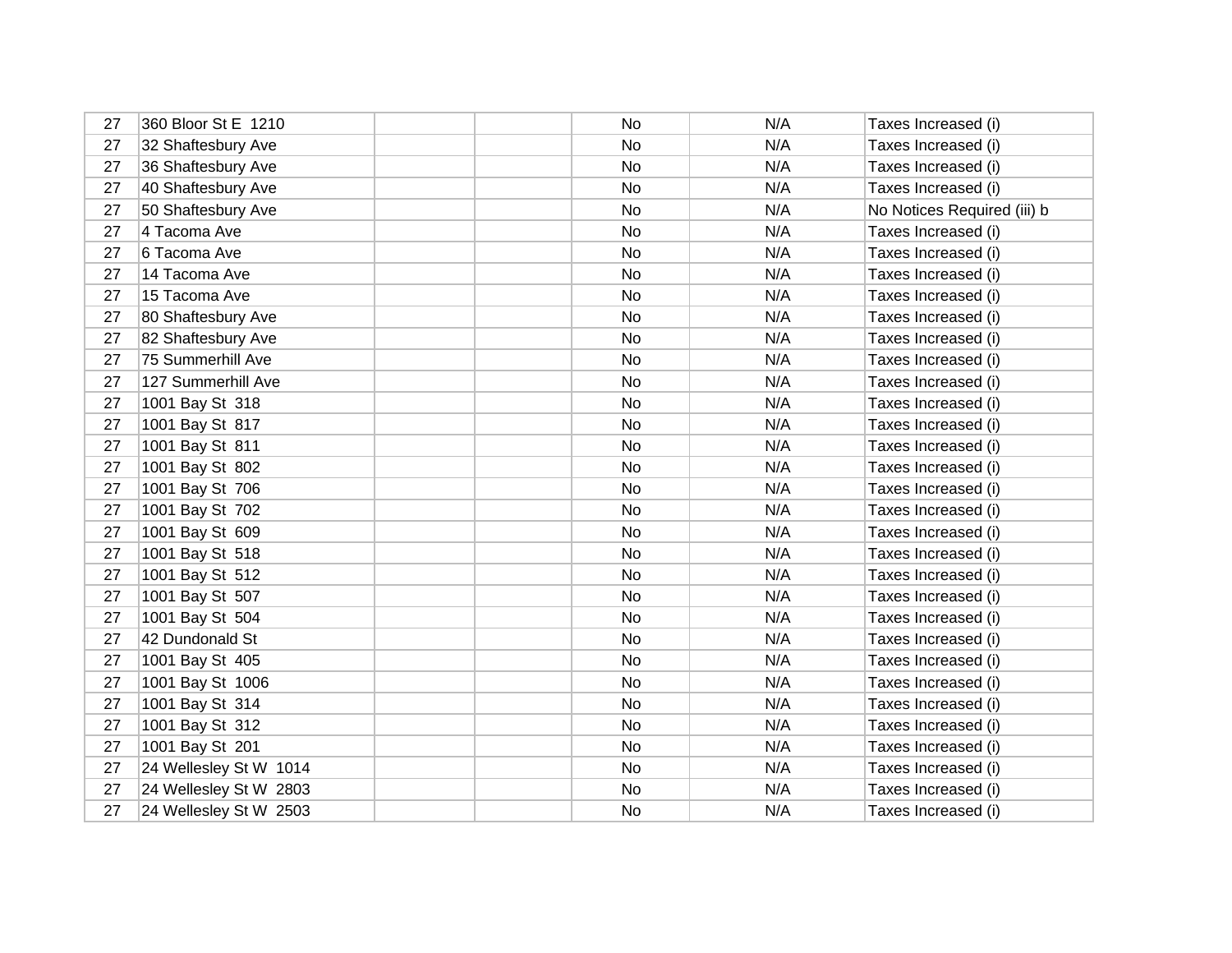| 27 | 360 Bloor St E 1210    | No | N/A | Taxes Increased (i)         |
|----|------------------------|----|-----|-----------------------------|
| 27 | 32 Shaftesbury Ave     | No | N/A | Taxes Increased (i)         |
| 27 | 36 Shaftesbury Ave     | No | N/A | Taxes Increased (i)         |
| 27 | 40 Shaftesbury Ave     | No | N/A | Taxes Increased (i)         |
| 27 | 50 Shaftesbury Ave     | No | N/A | No Notices Required (iii) b |
| 27 | 4 Tacoma Ave           | No | N/A | Taxes Increased (i)         |
| 27 | 6 Tacoma Ave           | No | N/A | Taxes Increased (i)         |
| 27 | 14 Tacoma Ave          | No | N/A | Taxes Increased (i)         |
| 27 | 15 Tacoma Ave          | No | N/A | Taxes Increased (i)         |
| 27 | 80 Shaftesbury Ave     | No | N/A | Taxes Increased (i)         |
| 27 | 82 Shaftesbury Ave     | No | N/A | Taxes Increased (i)         |
| 27 | 75 Summerhill Ave      | No | N/A | Taxes Increased (i)         |
| 27 | 127 Summerhill Ave     | No | N/A | Taxes Increased (i)         |
| 27 | 1001 Bay St 318        | No | N/A | Taxes Increased (i)         |
| 27 | 1001 Bay St 817        | No | N/A | Taxes Increased (i)         |
| 27 | 1001 Bay St 811        | No | N/A | Taxes Increased (i)         |
| 27 | 1001 Bay St 802        | No | N/A | Taxes Increased (i)         |
| 27 | 1001 Bay St 706        | No | N/A | Taxes Increased (i)         |
| 27 | 1001 Bay St 702        | No | N/A | Taxes Increased (i)         |
| 27 | 1001 Bay St 609        | No | N/A | Taxes Increased (i)         |
| 27 | 1001 Bay St 518        | No | N/A | Taxes Increased (i)         |
| 27 | 1001 Bay St 512        | No | N/A | Taxes Increased (i)         |
| 27 | 1001 Bay St 507        | No | N/A | Taxes Increased (i)         |
| 27 | 1001 Bay St 504        | No | N/A | Taxes Increased (i)         |
| 27 | 42 Dundonald St        | No | N/A | Taxes Increased (i)         |
| 27 | 1001 Bay St 405        | No | N/A | Taxes Increased (i)         |
| 27 | 1001 Bay St 1006       | No | N/A | Taxes Increased (i)         |
| 27 | 1001 Bay St 314        | No | N/A | Taxes Increased (i)         |
| 27 | 1001 Bay St 312        | No | N/A | Taxes Increased (i)         |
| 27 | 1001 Bay St 201        | No | N/A | Taxes Increased (i)         |
| 27 | 24 Wellesley St W 1014 | No | N/A | Taxes Increased (i)         |
| 27 | 24 Wellesley St W 2803 | No | N/A | Taxes Increased (i)         |
| 27 | 24 Wellesley St W 2503 | No | N/A | Taxes Increased (i)         |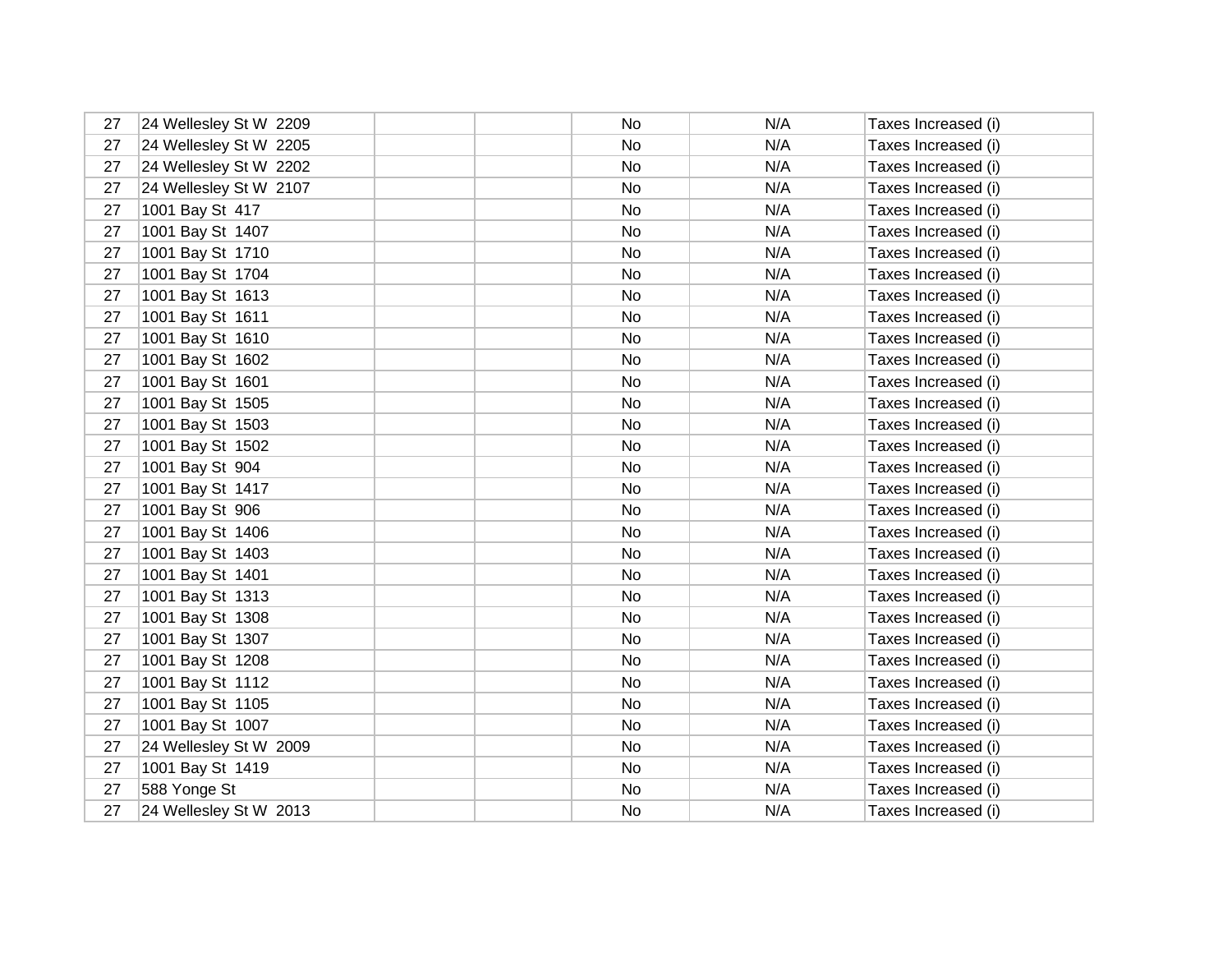| 27 | 24 Wellesley St W 2209 | No | N/A | Taxes Increased (i) |
|----|------------------------|----|-----|---------------------|
| 27 | 24 Wellesley St W 2205 | No | N/A | Taxes Increased (i) |
| 27 | 24 Wellesley St W 2202 | No | N/A | Taxes Increased (i) |
| 27 | 24 Wellesley St W 2107 | No | N/A | Taxes Increased (i) |
| 27 | 1001 Bay St 417        | No | N/A | Taxes Increased (i) |
| 27 | 1001 Bay St 1407       | No | N/A | Taxes Increased (i) |
| 27 | 1001 Bay St 1710       | No | N/A | Taxes Increased (i) |
| 27 | 1001 Bay St 1704       | No | N/A | Taxes Increased (i) |
| 27 | 1001 Bay St 1613       | No | N/A | Taxes Increased (i) |
| 27 | 1001 Bay St 1611       | No | N/A | Taxes Increased (i) |
| 27 | 1001 Bay St 1610       | No | N/A | Taxes Increased (i) |
| 27 | 1001 Bay St 1602       | No | N/A | Taxes Increased (i) |
| 27 | 1001 Bay St 1601       | No | N/A | Taxes Increased (i) |
| 27 | 1001 Bay St 1505       | No | N/A | Taxes Increased (i) |
| 27 | 1001 Bay St 1503       | No | N/A | Taxes Increased (i) |
| 27 | 1001 Bay St 1502       | No | N/A | Taxes Increased (i) |
| 27 | 1001 Bay St 904        | No | N/A | Taxes Increased (i) |
| 27 | 1001 Bay St 1417       | No | N/A | Taxes Increased (i) |
| 27 | 1001 Bay St 906        | No | N/A | Taxes Increased (i) |
| 27 | 1001 Bay St 1406       | No | N/A | Taxes Increased (i) |
| 27 | 1001 Bay St 1403       | No | N/A | Taxes Increased (i) |
| 27 | 1001 Bay St 1401       | No | N/A | Taxes Increased (i) |
| 27 | 1001 Bay St 1313       | No | N/A | Taxes Increased (i) |
| 27 | 1001 Bay St 1308       | No | N/A | Taxes Increased (i) |
| 27 | 1001 Bay St 1307       | No | N/A | Taxes Increased (i) |
| 27 | 1001 Bay St 1208       | No | N/A | Taxes Increased (i) |
| 27 | 1001 Bay St 1112       | No | N/A | Taxes Increased (i) |
| 27 | 1001 Bay St 1105       | No | N/A | Taxes Increased (i) |
| 27 | 1001 Bay St 1007       | No | N/A | Taxes Increased (i) |
| 27 | 24 Wellesley St W 2009 | No | N/A | Taxes Increased (i) |
| 27 | 1001 Bay St 1419       | No | N/A | Taxes Increased (i) |
| 27 | 588 Yonge St           | No | N/A | Taxes Increased (i) |
| 27 | 24 Wellesley St W 2013 | No | N/A | Taxes Increased (i) |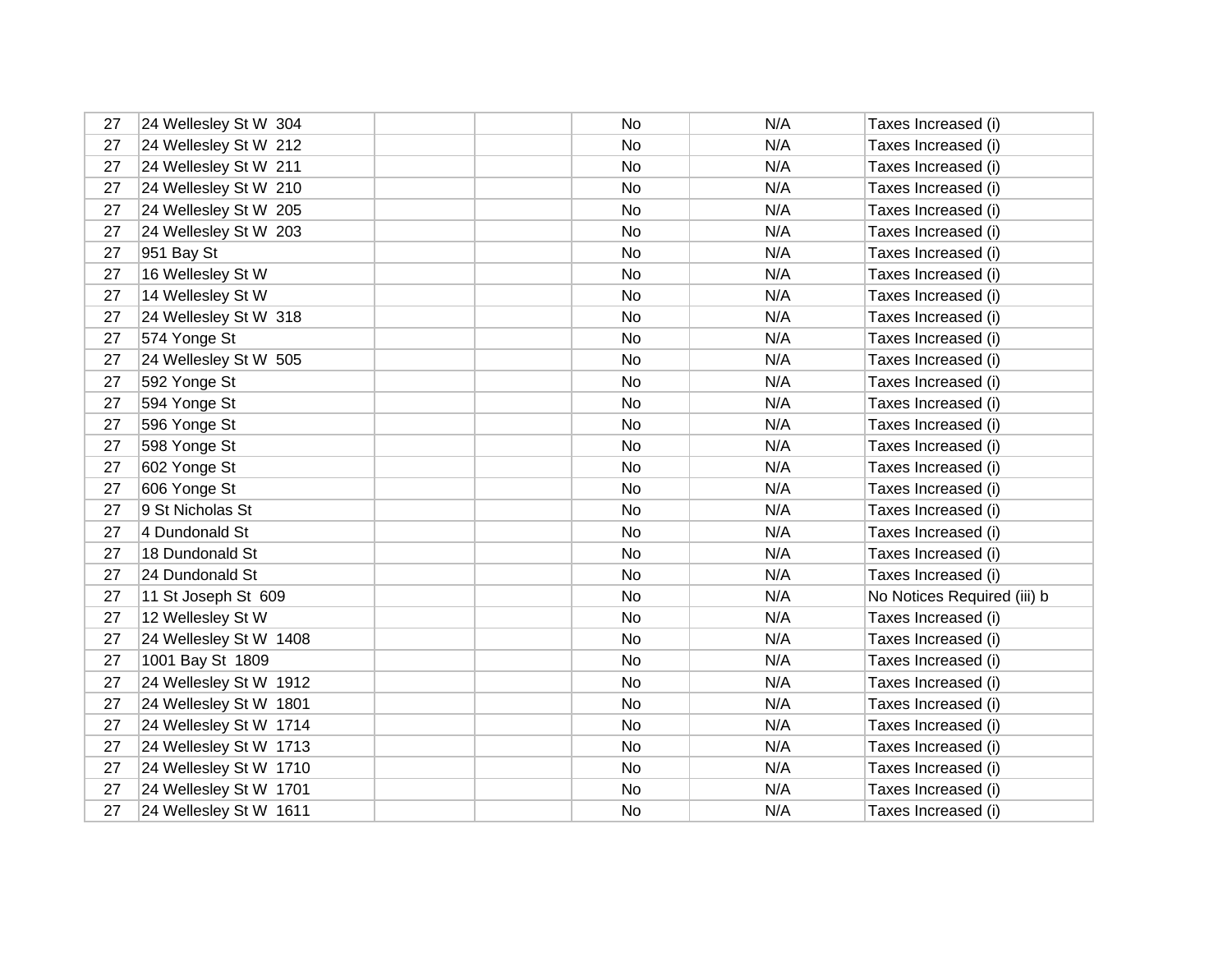| 27 | 24 Wellesley St W 304  | No | N/A | Taxes Increased (i)         |
|----|------------------------|----|-----|-----------------------------|
| 27 | 24 Wellesley St W 212  | No | N/A | Taxes Increased (i)         |
| 27 | 24 Wellesley St W 211  | No | N/A | Taxes Increased (i)         |
| 27 | 24 Wellesley St W 210  | No | N/A | Taxes Increased (i)         |
| 27 | 24 Wellesley St W 205  | No | N/A | Taxes Increased (i)         |
| 27 | 24 Wellesley St W 203  | No | N/A | Taxes Increased (i)         |
| 27 | 951 Bay St             | No | N/A | Taxes Increased (i)         |
| 27 | 16 Wellesley St W      | No | N/A | Taxes Increased (i)         |
| 27 | 14 Wellesley St W      | No | N/A | Taxes Increased (i)         |
| 27 | 24 Wellesley St W 318  | No | N/A | Taxes Increased (i)         |
| 27 | 574 Yonge St           | No | N/A | Taxes Increased (i)         |
| 27 | 24 Wellesley St W 505  | No | N/A | Taxes Increased (i)         |
| 27 | 592 Yonge St           | No | N/A | Taxes Increased (i)         |
| 27 | 594 Yonge St           | No | N/A | Taxes Increased (i)         |
| 27 | 596 Yonge St           | No | N/A | Taxes Increased (i)         |
| 27 | 598 Yonge St           | No | N/A | Taxes Increased (i)         |
| 27 | 602 Yonge St           | No | N/A | Taxes Increased (i)         |
| 27 | 606 Yonge St           | No | N/A | Taxes Increased (i)         |
| 27 | 9 St Nicholas St       | No | N/A | Taxes Increased (i)         |
| 27 | 4 Dundonald St         | No | N/A | Taxes Increased (i)         |
| 27 | 18 Dundonald St        | No | N/A | Taxes Increased (i)         |
| 27 | 24 Dundonald St        | No | N/A | Taxes Increased (i)         |
| 27 | 11 St Joseph St 609    | No | N/A | No Notices Required (iii) b |
| 27 | 12 Wellesley St W      | No | N/A | Taxes Increased (i)         |
| 27 | 24 Wellesley St W 1408 | No | N/A | Taxes Increased (i)         |
| 27 | 1001 Bay St 1809       | No | N/A | Taxes Increased (i)         |
| 27 | 24 Wellesley St W 1912 | No | N/A | Taxes Increased (i)         |
| 27 | 24 Wellesley St W 1801 | No | N/A | Taxes Increased (i)         |
| 27 | 24 Wellesley St W 1714 | No | N/A | Taxes Increased (i)         |
| 27 | 24 Wellesley St W 1713 | No | N/A | Taxes Increased (i)         |
| 27 | 24 Wellesley St W 1710 | No | N/A | Taxes Increased (i)         |
| 27 | 24 Wellesley St W 1701 | No | N/A | Taxes Increased (i)         |
| 27 | 24 Wellesley St W 1611 | No | N/A | Taxes Increased (i)         |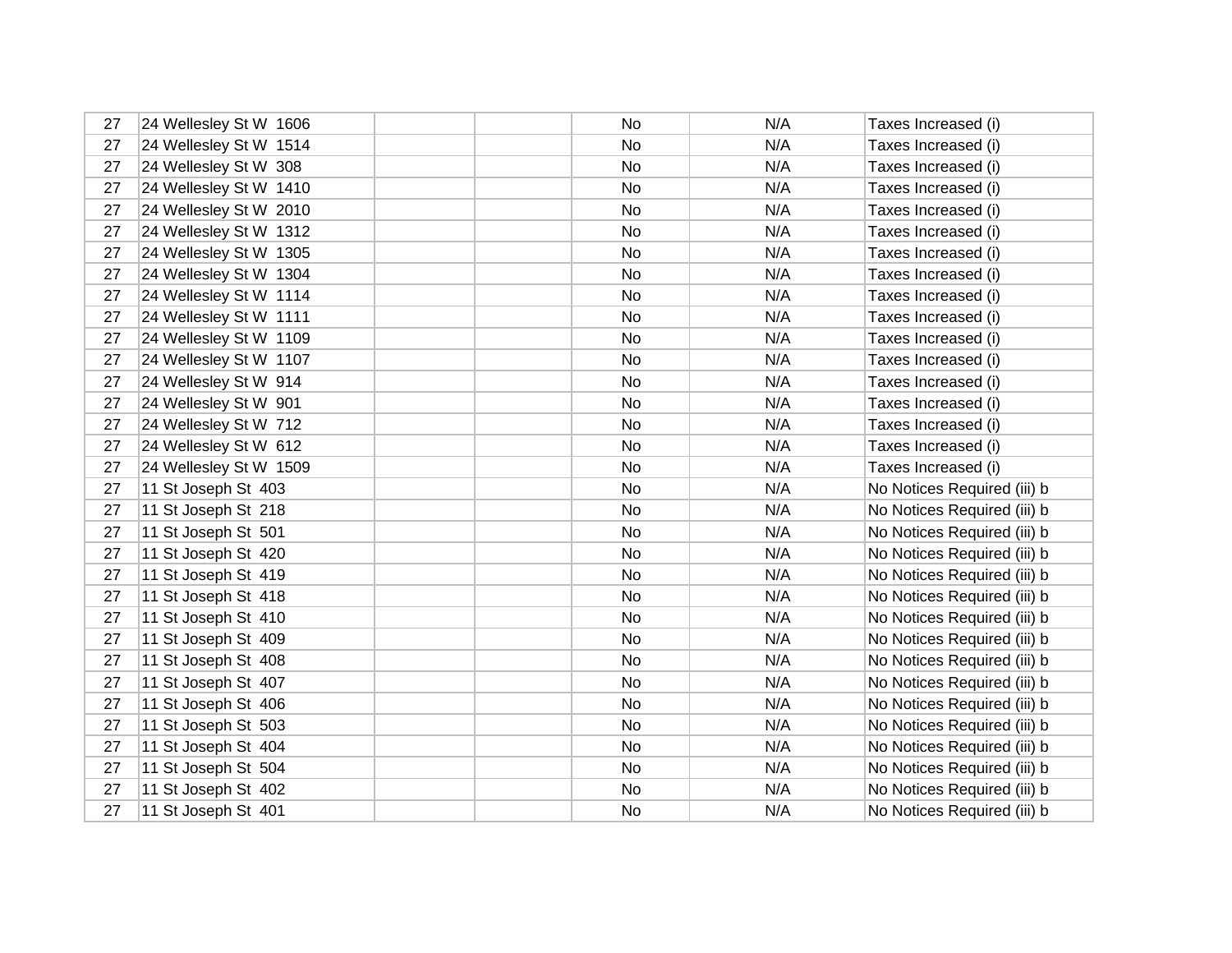| 27 | 24 Wellesley St W 1606 | No | N/A | Taxes Increased (i)         |
|----|------------------------|----|-----|-----------------------------|
| 27 | 24 Wellesley St W 1514 | No | N/A | Taxes Increased (i)         |
| 27 | 24 Wellesley St W 308  | No | N/A | Taxes Increased (i)         |
| 27 | 24 Wellesley St W 1410 | No | N/A | Taxes Increased (i)         |
| 27 | 24 Wellesley St W 2010 | No | N/A | Taxes Increased (i)         |
| 27 | 24 Wellesley St W 1312 | No | N/A | Taxes Increased (i)         |
| 27 | 24 Wellesley St W 1305 | No | N/A | Taxes Increased (i)         |
| 27 | 24 Wellesley St W 1304 | No | N/A | Taxes Increased (i)         |
| 27 | 24 Wellesley St W 1114 | No | N/A | Taxes Increased (i)         |
| 27 | 24 Wellesley St W 1111 | No | N/A | Taxes Increased (i)         |
| 27 | 24 Wellesley St W 1109 | No | N/A | Taxes Increased (i)         |
| 27 | 24 Wellesley St W 1107 | No | N/A | Taxes Increased (i)         |
| 27 | 24 Wellesley St W 914  | No | N/A | Taxes Increased (i)         |
| 27 | 24 Wellesley St W 901  | No | N/A | Taxes Increased (i)         |
| 27 | 24 Wellesley St W 712  | No | N/A | Taxes Increased (i)         |
| 27 | 24 Wellesley St W 612  | No | N/A | Taxes Increased (i)         |
| 27 | 24 Wellesley St W 1509 | No | N/A | Taxes Increased (i)         |
| 27 | 11 St Joseph St 403    | No | N/A | No Notices Required (iii) b |
| 27 | 11 St Joseph St 218    | No | N/A | No Notices Required (iii) b |
| 27 | 11 St Joseph St 501    | No | N/A | No Notices Required (iii) b |
| 27 | 11 St Joseph St 420    | No | N/A | No Notices Required (iii) b |
| 27 | 11 St Joseph St 419    | No | N/A | No Notices Required (iii) b |
| 27 | 11 St Joseph St 418    | No | N/A | No Notices Required (iii) b |
| 27 | 11 St Joseph St 410    | No | N/A | No Notices Required (iii) b |
| 27 | 11 St Joseph St 409    | No | N/A | No Notices Required (iii) b |
| 27 | 11 St Joseph St 408    | No | N/A | No Notices Required (iii) b |
| 27 | 11 St Joseph St 407    | No | N/A | No Notices Required (iii) b |
| 27 | 11 St Joseph St 406    | No | N/A | No Notices Required (iii) b |
| 27 | 11 St Joseph St 503    | No | N/A | No Notices Required (iii) b |
| 27 | 11 St Joseph St 404    | No | N/A | No Notices Required (iii) b |
| 27 | 11 St Joseph St 504    | No | N/A | No Notices Required (iii) b |
| 27 | 11 St Joseph St 402    | No | N/A | No Notices Required (iii) b |
| 27 | 11 St Joseph St 401    | No | N/A | No Notices Required (iii) b |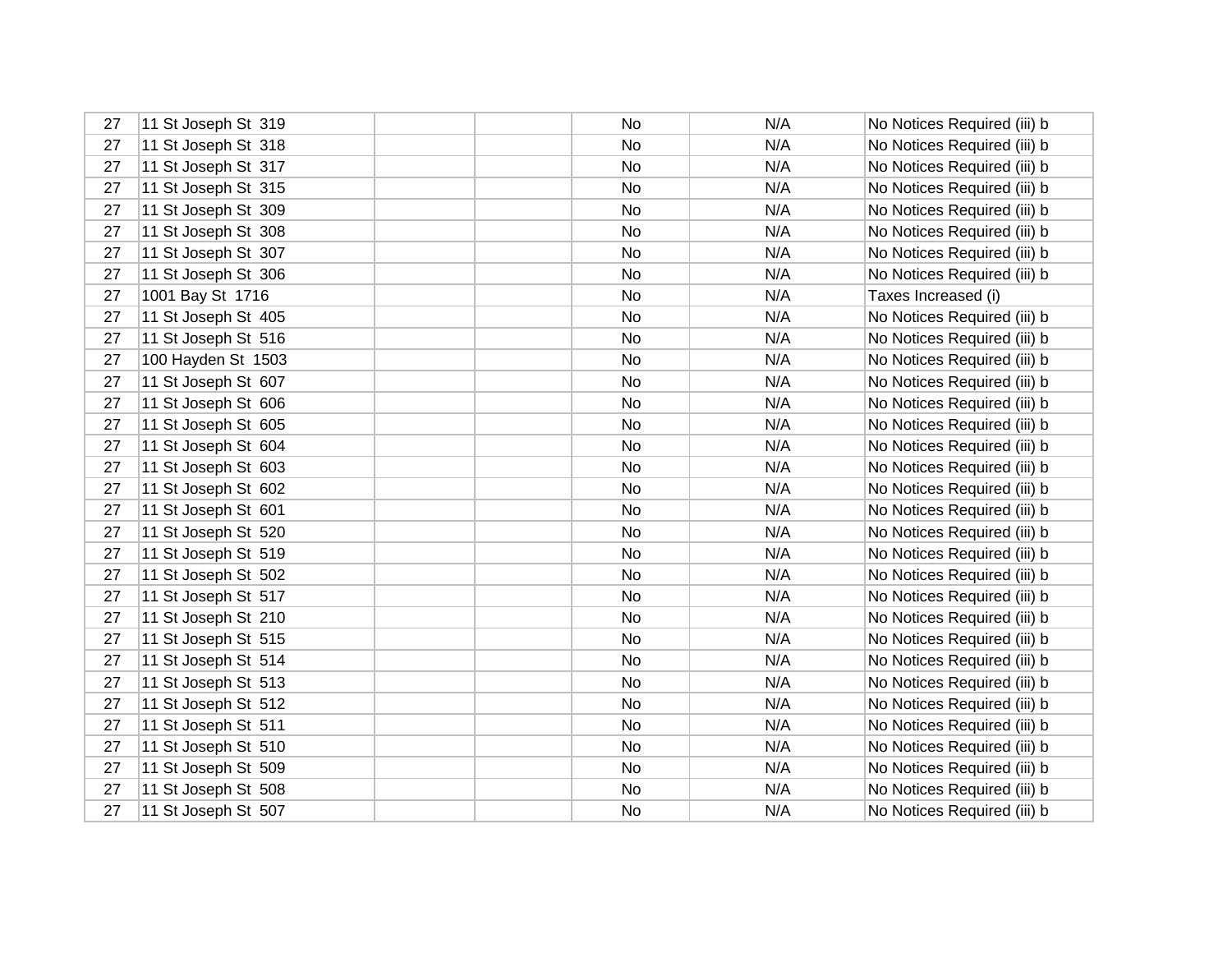| 27 | 11 St Joseph St 319 | No | N/A | No Notices Required (iii) b |
|----|---------------------|----|-----|-----------------------------|
| 27 | 11 St Joseph St 318 | No | N/A | No Notices Required (iii) b |
| 27 | 11 St Joseph St 317 | No | N/A | No Notices Required (iii) b |
| 27 | 11 St Joseph St 315 | No | N/A | No Notices Required (iii) b |
| 27 | 11 St Joseph St 309 | No | N/A | No Notices Required (iii) b |
| 27 | 11 St Joseph St 308 | No | N/A | No Notices Required (iii) b |
| 27 | 11 St Joseph St 307 | No | N/A | No Notices Required (iii) b |
| 27 | 11 St Joseph St 306 | No | N/A | No Notices Required (iii) b |
| 27 | 1001 Bay St 1716    | No | N/A | Taxes Increased (i)         |
| 27 | 11 St Joseph St 405 | No | N/A | No Notices Required (iii) b |
| 27 | 11 St Joseph St 516 | No | N/A | No Notices Required (iii) b |
| 27 | 100 Hayden St 1503  | No | N/A | No Notices Required (iii) b |
| 27 | 11 St Joseph St 607 | No | N/A | No Notices Required (iii) b |
| 27 | 11 St Joseph St 606 | No | N/A | No Notices Required (iii) b |
| 27 | 11 St Joseph St 605 | No | N/A | No Notices Required (iii) b |
| 27 | 11 St Joseph St 604 | No | N/A | No Notices Required (iii) b |
| 27 | 11 St Joseph St 603 | No | N/A | No Notices Required (iii) b |
| 27 | 11 St Joseph St 602 | No | N/A | No Notices Required (iii) b |
| 27 | 11 St Joseph St 601 | No | N/A | No Notices Required (iii) b |
| 27 | 11 St Joseph St 520 | No | N/A | No Notices Required (iii) b |
| 27 | 11 St Joseph St 519 | No | N/A | No Notices Required (iii) b |
| 27 | 11 St Joseph St 502 | No | N/A | No Notices Required (iii) b |
| 27 | 11 St Joseph St 517 | No | N/A | No Notices Required (iii) b |
| 27 | 11 St Joseph St 210 | No | N/A | No Notices Required (iii) b |
| 27 | 11 St Joseph St 515 | No | N/A | No Notices Required (iii) b |
| 27 | 11 St Joseph St 514 | No | N/A | No Notices Required (iii) b |
| 27 | 11 St Joseph St 513 | No | N/A | No Notices Required (iii) b |
| 27 | 11 St Joseph St 512 | No | N/A | No Notices Required (iii) b |
| 27 | 11 St Joseph St 511 | No | N/A | No Notices Required (iii) b |
| 27 | 11 St Joseph St 510 | No | N/A | No Notices Required (iii) b |
| 27 | 11 St Joseph St 509 | No | N/A | No Notices Required (iii) b |
| 27 | 11 St Joseph St 508 | No | N/A | No Notices Required (iii) b |
| 27 | 11 St Joseph St 507 | No | N/A | No Notices Required (iii) b |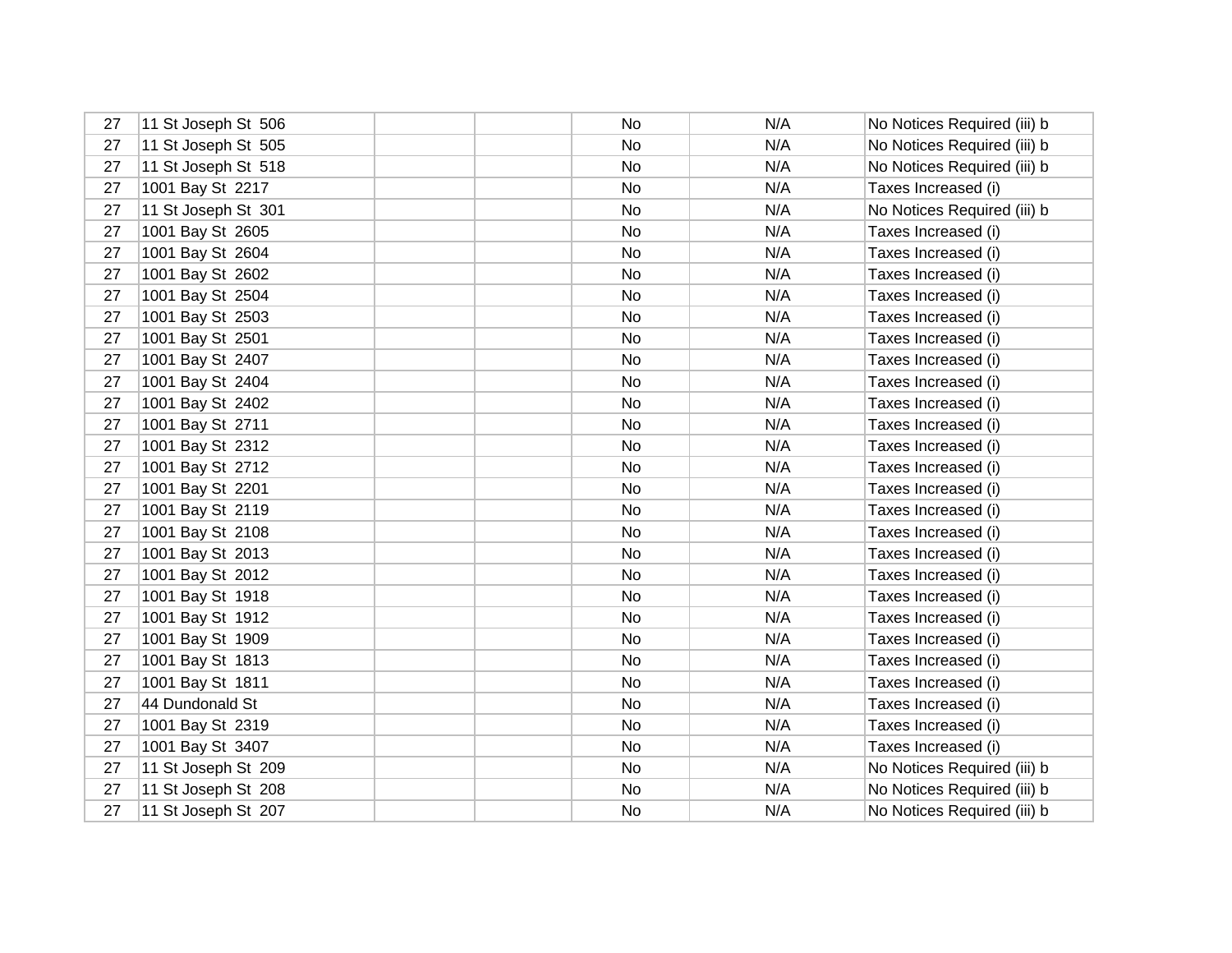| 27 | 11 St Joseph St 506 | No  | N/A | No Notices Required (iii) b |
|----|---------------------|-----|-----|-----------------------------|
| 27 | 11 St Joseph St 505 | No  | N/A | No Notices Required (iii) b |
| 27 | 11 St Joseph St 518 | No  | N/A | No Notices Required (iii) b |
| 27 | 1001 Bay St 2217    | No  | N/A | Taxes Increased (i)         |
| 27 | 11 St Joseph St 301 | No  | N/A | No Notices Required (iii) b |
| 27 | 1001 Bay St 2605    | No  | N/A | Taxes Increased (i)         |
| 27 | 1001 Bay St 2604    | No  | N/A | Taxes Increased (i)         |
| 27 | 1001 Bay St 2602    | No  | N/A | Taxes Increased (i)         |
| 27 | 1001 Bay St 2504    | No. | N/A | Taxes Increased (i)         |
| 27 | 1001 Bay St 2503    | No  | N/A | Taxes Increased (i)         |
| 27 | 1001 Bay St 2501    | No  | N/A | Taxes Increased (i)         |
| 27 | 1001 Bay St 2407    | No  | N/A | Taxes Increased (i)         |
| 27 | 1001 Bay St 2404    | No  | N/A | Taxes Increased (i)         |
| 27 | 1001 Bay St 2402    | No  | N/A | Taxes Increased (i)         |
| 27 | 1001 Bay St 2711    | No  | N/A | Taxes Increased (i)         |
| 27 | 1001 Bay St 2312    | No  | N/A | Taxes Increased (i)         |
| 27 | 1001 Bay St 2712    | No  | N/A | Taxes Increased (i)         |
| 27 | 1001 Bay St 2201    | No  | N/A | Taxes Increased (i)         |
| 27 | 1001 Bay St 2119    | No  | N/A | Taxes Increased (i)         |
| 27 | 1001 Bay St 2108    | No  | N/A | Taxes Increased (i)         |
| 27 | 1001 Bay St 2013    | No  | N/A | Taxes Increased (i)         |
| 27 | 1001 Bay St 2012    | No  | N/A | Taxes Increased (i)         |
| 27 | 1001 Bay St 1918    | No  | N/A | Taxes Increased (i)         |
| 27 | 1001 Bay St 1912    | No  | N/A | Taxes Increased (i)         |
| 27 | 1001 Bay St 1909    | No  | N/A | Taxes Increased (i)         |
| 27 | 1001 Bay St 1813    | No  | N/A | Taxes Increased (i)         |
| 27 | 1001 Bay St 1811    | No  | N/A | Taxes Increased (i)         |
| 27 | 44 Dundonald St     | No  | N/A | Taxes Increased (i)         |
| 27 | 1001 Bay St 2319    | No  | N/A | Taxes Increased (i)         |
| 27 | 1001 Bay St 3407    | No  | N/A | Taxes Increased (i)         |
| 27 | 11 St Joseph St 209 | No  | N/A | No Notices Required (iii) b |
| 27 | 11 St Joseph St 208 | No  | N/A | No Notices Required (iii) b |
| 27 | 11 St Joseph St 207 | No  | N/A | No Notices Required (iii) b |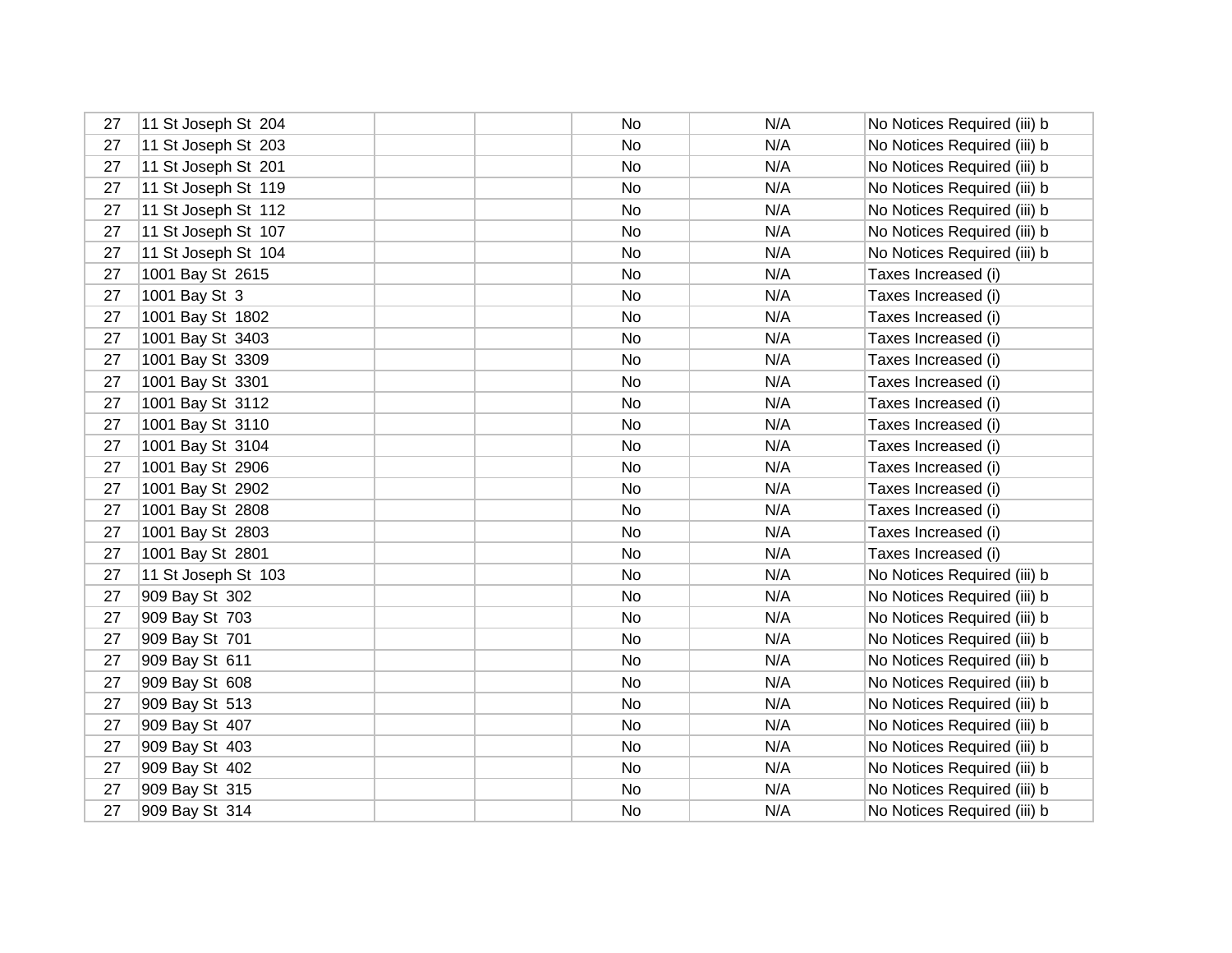| 27 | 11 St Joseph St 204 | No        | N/A | No Notices Required (iii) b |
|----|---------------------|-----------|-----|-----------------------------|
| 27 | 11 St Joseph St 203 | <b>No</b> | N/A | No Notices Required (iii) b |
| 27 | 11 St Joseph St 201 | No        | N/A | No Notices Required (iii) b |
| 27 | 11 St Joseph St 119 | No        | N/A | No Notices Required (iii) b |
| 27 | 11 St Joseph St 112 | No        | N/A | No Notices Required (iii) b |
| 27 | 11 St Joseph St 107 | No        | N/A | No Notices Required (iii) b |
| 27 | 11 St Joseph St 104 | No        | N/A | No Notices Required (iii) b |
| 27 | 1001 Bay St 2615    | No        | N/A | Taxes Increased (i)         |
| 27 | 1001 Bay St 3       | No        | N/A | Taxes Increased (i)         |
| 27 | 1001 Bay St 1802    | No        | N/A | Taxes Increased (i)         |
| 27 | 1001 Bay St 3403    | No        | N/A | Taxes Increased (i)         |
| 27 | 1001 Bay St 3309    | No        | N/A | Taxes Increased (i)         |
| 27 | 1001 Bay St 3301    | No        | N/A | Taxes Increased (i)         |
| 27 | 1001 Bay St 3112    | No        | N/A | Taxes Increased (i)         |
| 27 | 1001 Bay St 3110    | No        | N/A | Taxes Increased (i)         |
| 27 | 1001 Bay St 3104    | No        | N/A | Taxes Increased (i)         |
| 27 | 1001 Bay St 2906    | No        | N/A | Taxes Increased (i)         |
| 27 | 1001 Bay St 2902    | No        | N/A | Taxes Increased (i)         |
| 27 | 1001 Bay St 2808    | No        | N/A | Taxes Increased (i)         |
| 27 | 1001 Bay St 2803    | No        | N/A | Taxes Increased (i)         |
| 27 | 1001 Bay St 2801    | No        | N/A | Taxes Increased (i)         |
| 27 | 11 St Joseph St 103 | No        | N/A | No Notices Required (iii) b |
| 27 | 909 Bay St 302      | No        | N/A | No Notices Required (iii) b |
| 27 | 909 Bay St 703      | No        | N/A | No Notices Required (iii) b |
| 27 | 909 Bay St 701      | No        | N/A | No Notices Required (iii) b |
| 27 | 909 Bay St 611      | No        | N/A | No Notices Required (iii) b |
| 27 | 909 Bay St 608      | No        | N/A | No Notices Required (iii) b |
| 27 | 909 Bay St 513      | No        | N/A | No Notices Required (iii) b |
| 27 | 909 Bay St 407      | No        | N/A | No Notices Required (iii) b |
| 27 | 909 Bay St 403      | No        | N/A | No Notices Required (iii) b |
| 27 | 909 Bay St 402      | No        | N/A | No Notices Required (iii) b |
| 27 | 909 Bay St 315      | No        | N/A | No Notices Required (iii) b |
| 27 | 909 Bay St 314      | No        | N/A | No Notices Required (iii) b |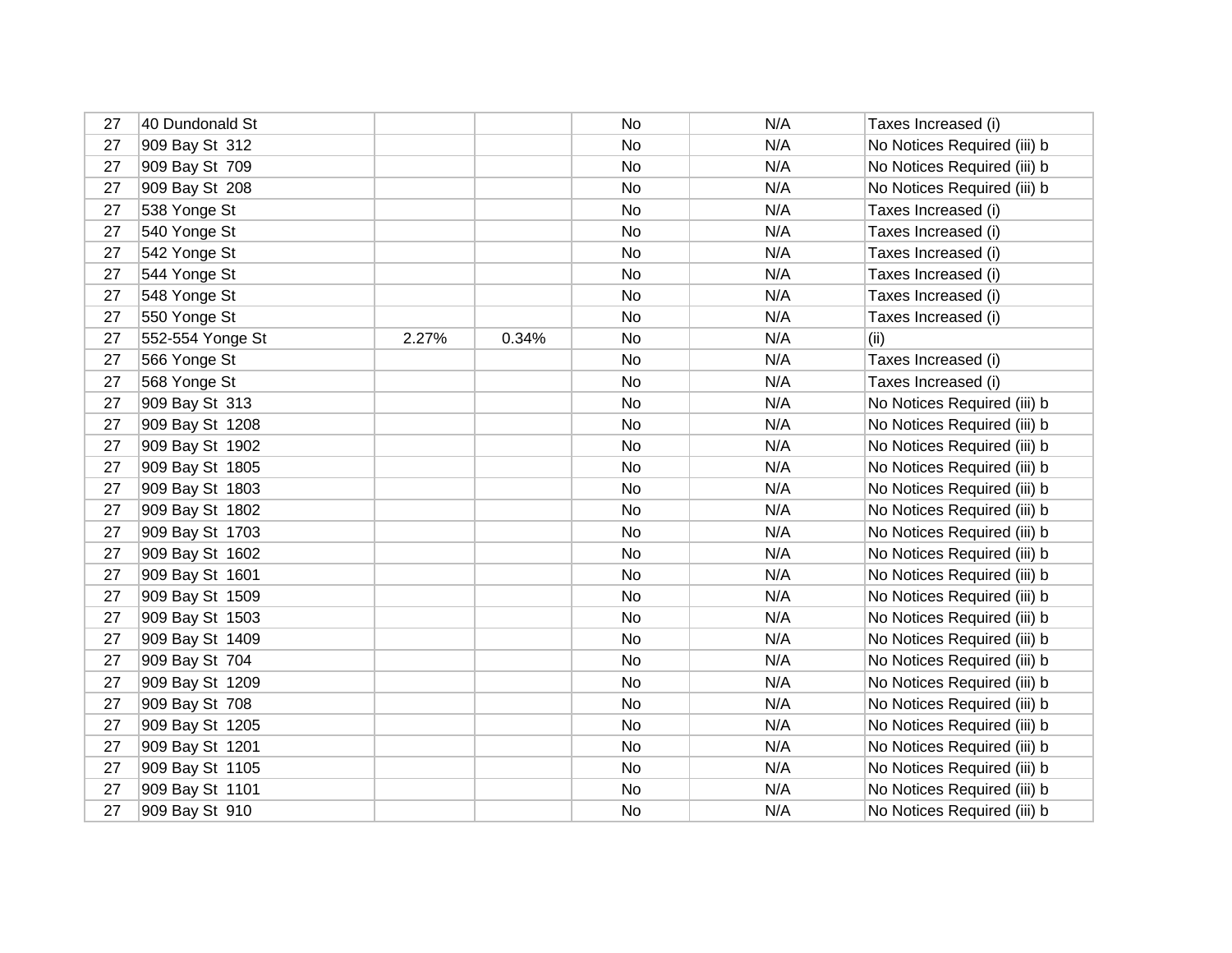| 27 | 40 Dundonald St  |       |       | No | N/A | Taxes Increased (i)         |
|----|------------------|-------|-------|----|-----|-----------------------------|
| 27 | 909 Bay St 312   |       |       | No | N/A | No Notices Required (iii) b |
| 27 | 909 Bay St 709   |       |       | No | N/A | No Notices Required (iii) b |
| 27 | 909 Bay St 208   |       |       | No | N/A | No Notices Required (iii) b |
| 27 | 538 Yonge St     |       |       | No | N/A | Taxes Increased (i)         |
| 27 | 540 Yonge St     |       |       | No | N/A | Taxes Increased (i)         |
| 27 | 542 Yonge St     |       |       | No | N/A | Taxes Increased (i)         |
| 27 | 544 Yonge St     |       |       | No | N/A | Taxes Increased (i)         |
| 27 | 548 Yonge St     |       |       | No | N/A | Taxes Increased (i)         |
| 27 | 550 Yonge St     |       |       | No | N/A | Taxes Increased (i)         |
| 27 | 552-554 Yonge St | 2.27% | 0.34% | No | N/A | (ii)                        |
| 27 | 566 Yonge St     |       |       | No | N/A | Taxes Increased (i)         |
| 27 | 568 Yonge St     |       |       | No | N/A | Taxes Increased (i)         |
| 27 | 909 Bay St 313   |       |       | No | N/A | No Notices Required (iii) b |
| 27 | 909 Bay St 1208  |       |       | No | N/A | No Notices Required (iii) b |
| 27 | 909 Bay St 1902  |       |       | No | N/A | No Notices Required (iii) b |
| 27 | 909 Bay St 1805  |       |       | No | N/A | No Notices Required (iii) b |
| 27 | 909 Bay St 1803  |       |       | No | N/A | No Notices Required (iii) b |
| 27 | 909 Bay St 1802  |       |       | No | N/A | No Notices Required (iii) b |
| 27 | 909 Bay St 1703  |       |       | No | N/A | No Notices Required (iii) b |
| 27 | 909 Bay St 1602  |       |       | No | N/A | No Notices Required (iii) b |
| 27 | 909 Bay St 1601  |       |       | No | N/A | No Notices Required (iii) b |
| 27 | 909 Bay St 1509  |       |       | No | N/A | No Notices Required (iii) b |
| 27 | 909 Bay St 1503  |       |       | No | N/A | No Notices Required (iii) b |
| 27 | 909 Bay St 1409  |       |       | No | N/A | No Notices Required (iii) b |
| 27 | 909 Bay St 704   |       |       | No | N/A | No Notices Required (iii) b |
| 27 | 909 Bay St 1209  |       |       | No | N/A | No Notices Required (iii) b |
| 27 | 909 Bay St 708   |       |       | No | N/A | No Notices Required (iii) b |
| 27 | 909 Bay St 1205  |       |       | No | N/A | No Notices Required (iii) b |
| 27 | 909 Bay St 1201  |       |       | No | N/A | No Notices Required (iii) b |
| 27 | 909 Bay St 1105  |       |       | No | N/A | No Notices Required (iii) b |
| 27 | 909 Bay St 1101  |       |       | No | N/A | No Notices Required (iii) b |
| 27 | 909 Bay St 910   |       |       | No | N/A | No Notices Required (iii) b |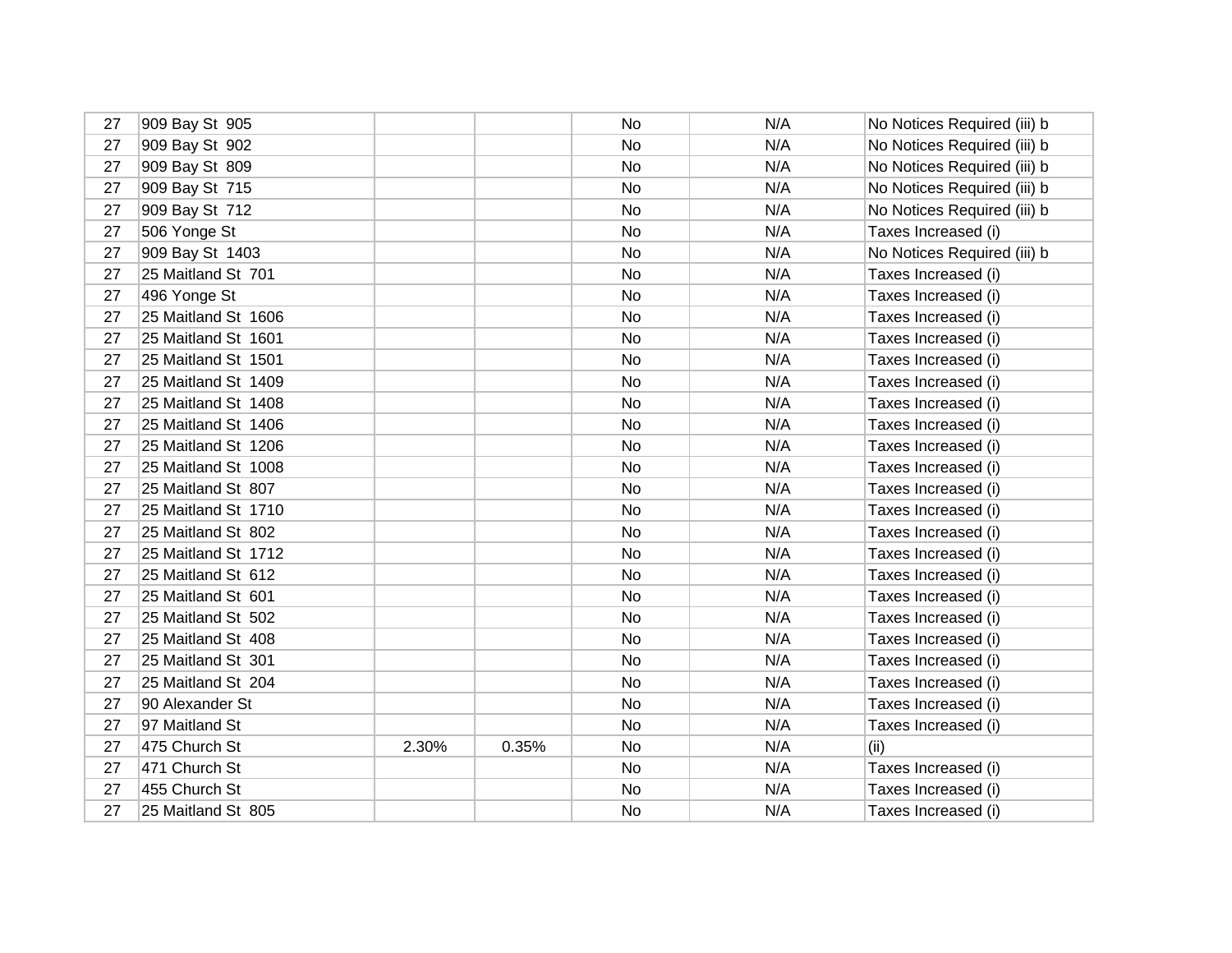| 27 | 909 Bay St 905      |       |       | No | N/A | No Notices Required (iii) b |
|----|---------------------|-------|-------|----|-----|-----------------------------|
| 27 | 909 Bay St 902      |       |       | No | N/A | No Notices Required (iii) b |
| 27 | 909 Bay St 809      |       |       | No | N/A | No Notices Required (iii) b |
| 27 | 909 Bay St 715      |       |       | No | N/A | No Notices Required (iii) b |
| 27 | 909 Bay St 712      |       |       | No | N/A | No Notices Required (iii) b |
| 27 | 506 Yonge St        |       |       | No | N/A | Taxes Increased (i)         |
| 27 | 909 Bay St 1403     |       |       | No | N/A | No Notices Required (iii) b |
| 27 | 25 Maitland St 701  |       |       | No | N/A | Taxes Increased (i)         |
| 27 | 496 Yonge St        |       |       | No | N/A | Taxes Increased (i)         |
| 27 | 25 Maitland St 1606 |       |       | No | N/A | Taxes Increased (i)         |
| 27 | 25 Maitland St 1601 |       |       | No | N/A | Taxes Increased (i)         |
| 27 | 25 Maitland St 1501 |       |       | No | N/A | Taxes Increased (i)         |
| 27 | 25 Maitland St 1409 |       |       | No | N/A | Taxes Increased (i)         |
| 27 | 25 Maitland St 1408 |       |       | No | N/A | Taxes Increased (i)         |
| 27 | 25 Maitland St 1406 |       |       | No | N/A | Taxes Increased (i)         |
| 27 | 25 Maitland St 1206 |       |       | No | N/A | Taxes Increased (i)         |
| 27 | 25 Maitland St 1008 |       |       | No | N/A | Taxes Increased (i)         |
| 27 | 25 Maitland St 807  |       |       | No | N/A | Taxes Increased (i)         |
| 27 | 25 Maitland St 1710 |       |       | No | N/A | Taxes Increased (i)         |
| 27 | 25 Maitland St 802  |       |       | No | N/A | Taxes Increased (i)         |
| 27 | 25 Maitland St 1712 |       |       | No | N/A | Taxes Increased (i)         |
| 27 | 25 Maitland St 612  |       |       | No | N/A | Taxes Increased (i)         |
| 27 | 25 Maitland St 601  |       |       | No | N/A | Taxes Increased (i)         |
| 27 | 25 Maitland St 502  |       |       | No | N/A | Taxes Increased (i)         |
| 27 | 25 Maitland St 408  |       |       | No | N/A | Taxes Increased (i)         |
| 27 | 25 Maitland St 301  |       |       | No | N/A | Taxes Increased (i)         |
| 27 | 25 Maitland St 204  |       |       | No | N/A | Taxes Increased (i)         |
| 27 | 90 Alexander St     |       |       | No | N/A | Taxes Increased (i)         |
| 27 | 97 Maitland St      |       |       | No | N/A | Taxes Increased (i)         |
| 27 | 475 Church St       | 2.30% | 0.35% | No | N/A | (ii)                        |
| 27 | 471 Church St       |       |       | No | N/A | Taxes Increased (i)         |
| 27 | 455 Church St       |       |       | No | N/A | Taxes Increased (i)         |
| 27 | 25 Maitland St 805  |       |       | No | N/A | Taxes Increased (i)         |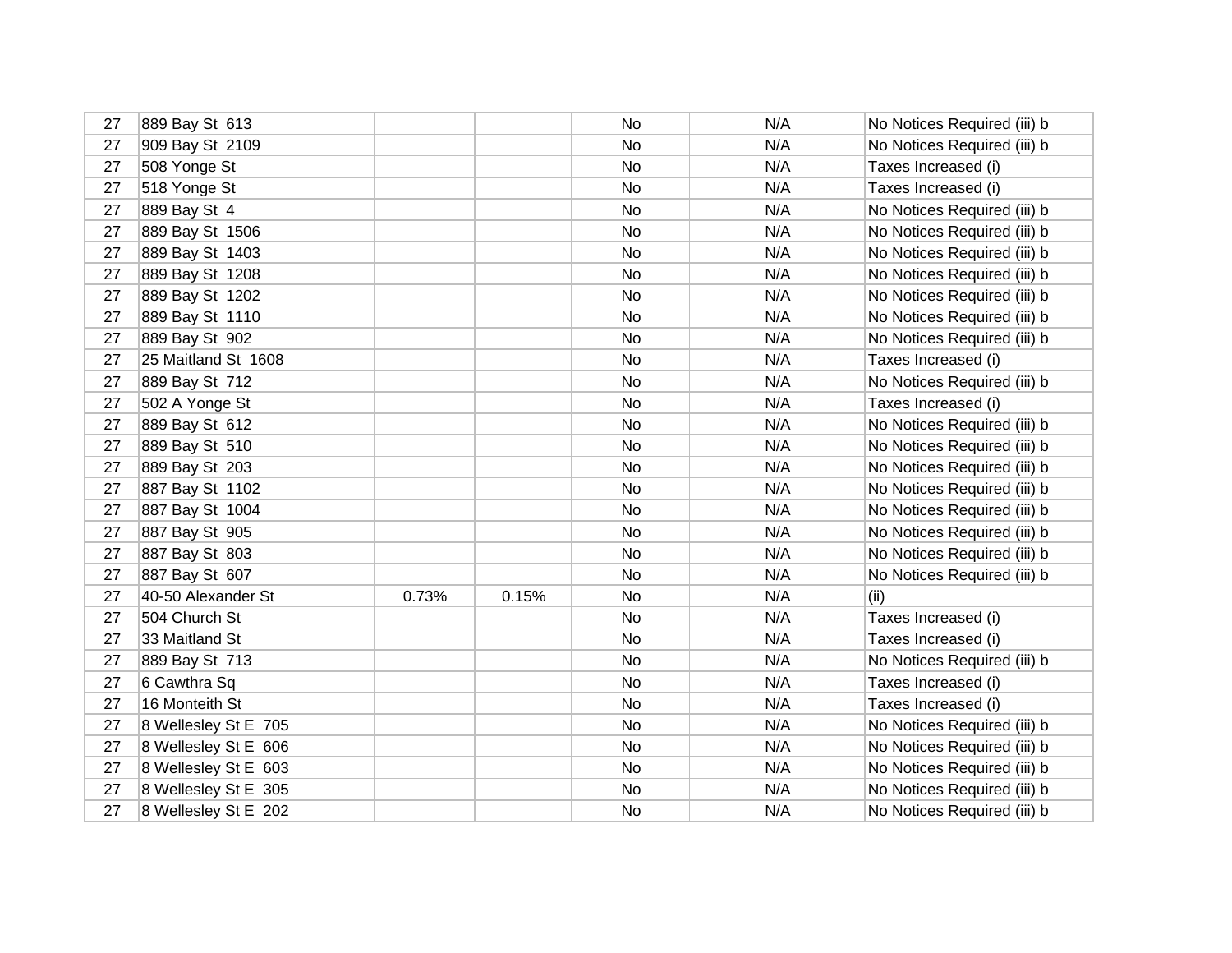| 27 | 889 Bay St 613       |       |       | No        | N/A | No Notices Required (iii) b |
|----|----------------------|-------|-------|-----------|-----|-----------------------------|
| 27 | 909 Bay St 2109      |       |       | No        | N/A | No Notices Required (iii) b |
| 27 | 508 Yonge St         |       |       | No        | N/A | Taxes Increased (i)         |
| 27 | 518 Yonge St         |       |       | No        | N/A | Taxes Increased (i)         |
| 27 | 889 Bay St 4         |       |       | No.       | N/A | No Notices Required (iii) b |
| 27 | 889 Bay St 1506      |       |       | No        | N/A | No Notices Required (iii) b |
| 27 | 889 Bay St 1403      |       |       | <b>No</b> | N/A | No Notices Required (iii) b |
| 27 | 889 Bay St 1208      |       |       | No        | N/A | No Notices Required (iii) b |
| 27 | 889 Bay St 1202      |       |       | No        | N/A | No Notices Required (iii) b |
| 27 | 889 Bay St 1110      |       |       | No        | N/A | No Notices Required (iii) b |
| 27 | 889 Bay St 902       |       |       | No        | N/A | No Notices Required (iii) b |
| 27 | 25 Maitland St 1608  |       |       | No        | N/A | Taxes Increased (i)         |
| 27 | 889 Bay St 712       |       |       | No        | N/A | No Notices Required (iii) b |
| 27 | 502 A Yonge St       |       |       | No        | N/A | Taxes Increased (i)         |
| 27 | 889 Bay St 612       |       |       | No        | N/A | No Notices Required (iii) b |
| 27 | 889 Bay St 510       |       |       | No        | N/A | No Notices Required (iii) b |
| 27 | 889 Bay St 203       |       |       | No        | N/A | No Notices Required (iii) b |
| 27 | 887 Bay St 1102      |       |       | No        | N/A | No Notices Required (iii) b |
| 27 | 887 Bay St 1004      |       |       | No        | N/A | No Notices Required (iii) b |
| 27 | 887 Bay St 905       |       |       | No        | N/A | No Notices Required (iii) b |
| 27 | 887 Bay St 803       |       |       | No        | N/A | No Notices Required (iii) b |
| 27 | 887 Bay St 607       |       |       | No.       | N/A | No Notices Required (iii) b |
| 27 | 40-50 Alexander St   | 0.73% | 0.15% | No        | N/A | (ii)                        |
| 27 | 504 Church St        |       |       | No.       | N/A | Taxes Increased (i)         |
| 27 | 33 Maitland St       |       |       | No        | N/A | Taxes Increased (i)         |
| 27 | 889 Bay St 713       |       |       | No        | N/A | No Notices Required (iii) b |
| 27 | 6 Cawthra Sq         |       |       | No        | N/A | Taxes Increased (i)         |
| 27 | 16 Monteith St       |       |       | No.       | N/A | Taxes Increased (i)         |
| 27 | 8 Wellesley St E 705 |       |       | No        | N/A | No Notices Required (iii) b |
| 27 | 8 Wellesley St E 606 |       |       | No        | N/A | No Notices Required (iii) b |
| 27 | 8 Wellesley St E 603 |       |       | No        | N/A | No Notices Required (iii) b |
| 27 | 8 Wellesley St E 305 |       |       | No        | N/A | No Notices Required (iii) b |
| 27 | 8 Wellesley St E 202 |       |       | No.       | N/A | No Notices Required (iii) b |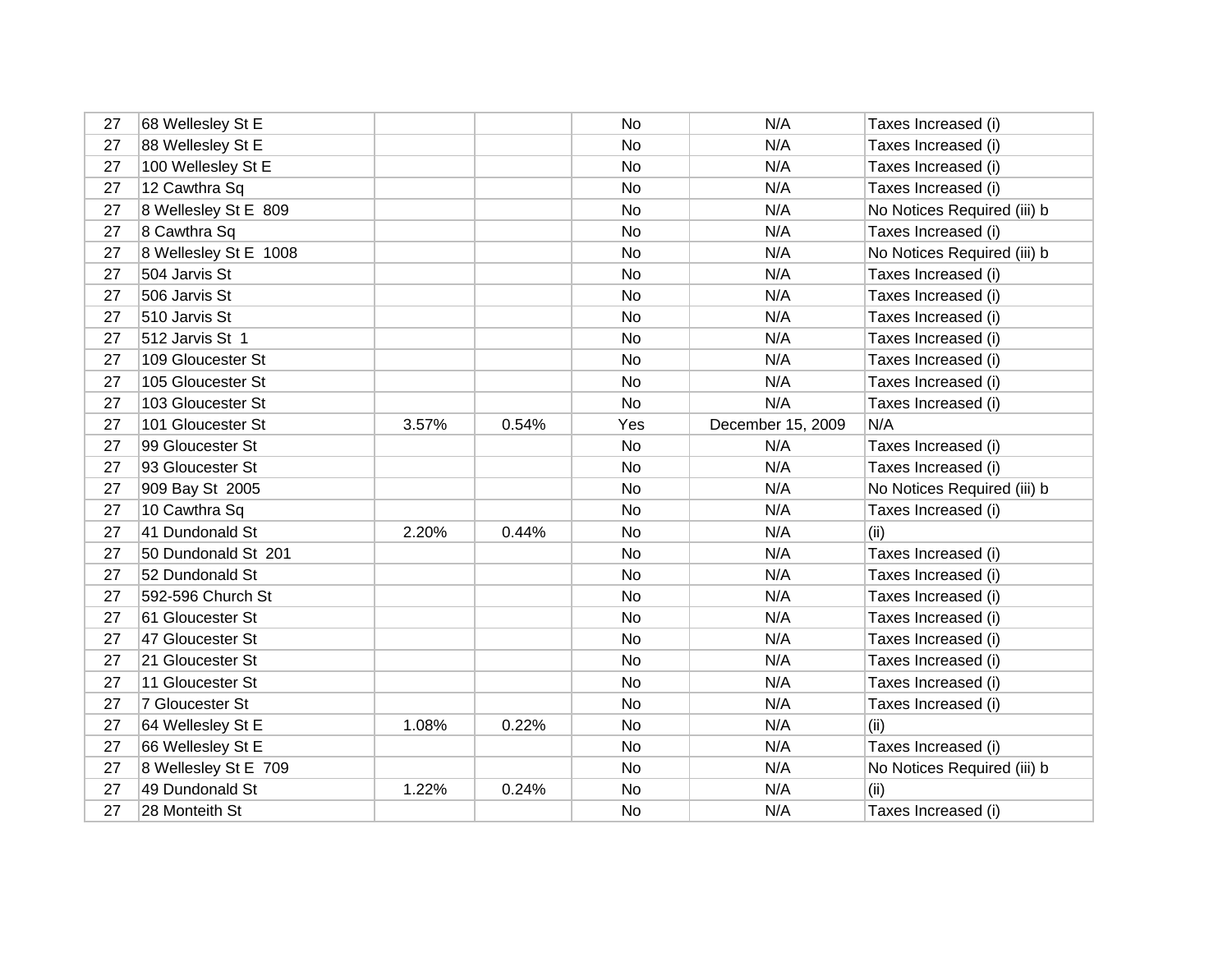| 27 | 68 Wellesley St E     |       |       | No  | N/A               | Taxes Increased (i)         |
|----|-----------------------|-------|-------|-----|-------------------|-----------------------------|
| 27 | 88 Wellesley St E     |       |       | No  | N/A               | Taxes Increased (i)         |
| 27 | 100 Wellesley St E    |       |       | No  | N/A               | Taxes Increased (i)         |
| 27 | 12 Cawthra Sq         |       |       | No  | N/A               | Taxes Increased (i)         |
| 27 | 8 Wellesley St E 809  |       |       | No  | N/A               | No Notices Required (iii) b |
| 27 | 8 Cawthra Sq          |       |       | No  | N/A               | Taxes Increased (i)         |
| 27 | 8 Wellesley St E 1008 |       |       | No  | N/A               | No Notices Required (iii) b |
| 27 | 504 Jarvis St         |       |       | No  | N/A               | Taxes Increased (i)         |
| 27 | 506 Jarvis St         |       |       | No  | N/A               | Taxes Increased (i)         |
| 27 | 510 Jarvis St         |       |       | No  | N/A               | Taxes Increased (i)         |
| 27 | 512 Jarvis St 1       |       |       | No  | N/A               | Taxes Increased (i)         |
| 27 | 109 Gloucester St     |       |       | No  | N/A               | Taxes Increased (i)         |
| 27 | 105 Gloucester St     |       |       | No  | N/A               | Taxes Increased (i)         |
| 27 | 103 Gloucester St     |       |       | No  | N/A               | Taxes Increased (i)         |
| 27 | 101 Gloucester St     | 3.57% | 0.54% | Yes | December 15, 2009 | N/A                         |
| 27 | 99 Gloucester St      |       |       | No. | N/A               | Taxes Increased (i)         |
| 27 | 93 Gloucester St      |       |       | No  | N/A               | Taxes Increased (i)         |
| 27 | 909 Bay St 2005       |       |       | No  | N/A               | No Notices Required (iii) b |
| 27 | 10 Cawthra Sq         |       |       | No  | N/A               | Taxes Increased (i)         |
| 27 | 41 Dundonald St       | 2.20% | 0.44% | No  | N/A               | (ii)                        |
| 27 | 50 Dundonald St 201   |       |       | No  | N/A               | Taxes Increased (i)         |
| 27 | 52 Dundonald St       |       |       | No  | N/A               | Taxes Increased (i)         |
| 27 | 592-596 Church St     |       |       | No  | N/A               | Taxes Increased (i)         |
| 27 | 61 Gloucester St      |       |       | No  | N/A               | Taxes Increased (i)         |
| 27 | 47 Gloucester St      |       |       | No  | N/A               | Taxes Increased (i)         |
| 27 | 21 Gloucester St      |       |       | No  | N/A               | Taxes Increased (i)         |
| 27 | 11 Gloucester St      |       |       | No  | N/A               | Taxes Increased (i)         |
| 27 | 7 Gloucester St       |       |       | No  | N/A               | Taxes Increased (i)         |
| 27 | 64 Wellesley St E     | 1.08% | 0.22% | No  | N/A               | (ii)                        |
| 27 | 66 Wellesley St E     |       |       | No  | N/A               | Taxes Increased (i)         |
| 27 | 8 Wellesley St E 709  |       |       | No. | N/A               | No Notices Required (iii) b |
| 27 | 49 Dundonald St       | 1.22% | 0.24% | No  | N/A               | (ii)                        |
| 27 | 28 Monteith St        |       |       | No  | N/A               | Taxes Increased (i)         |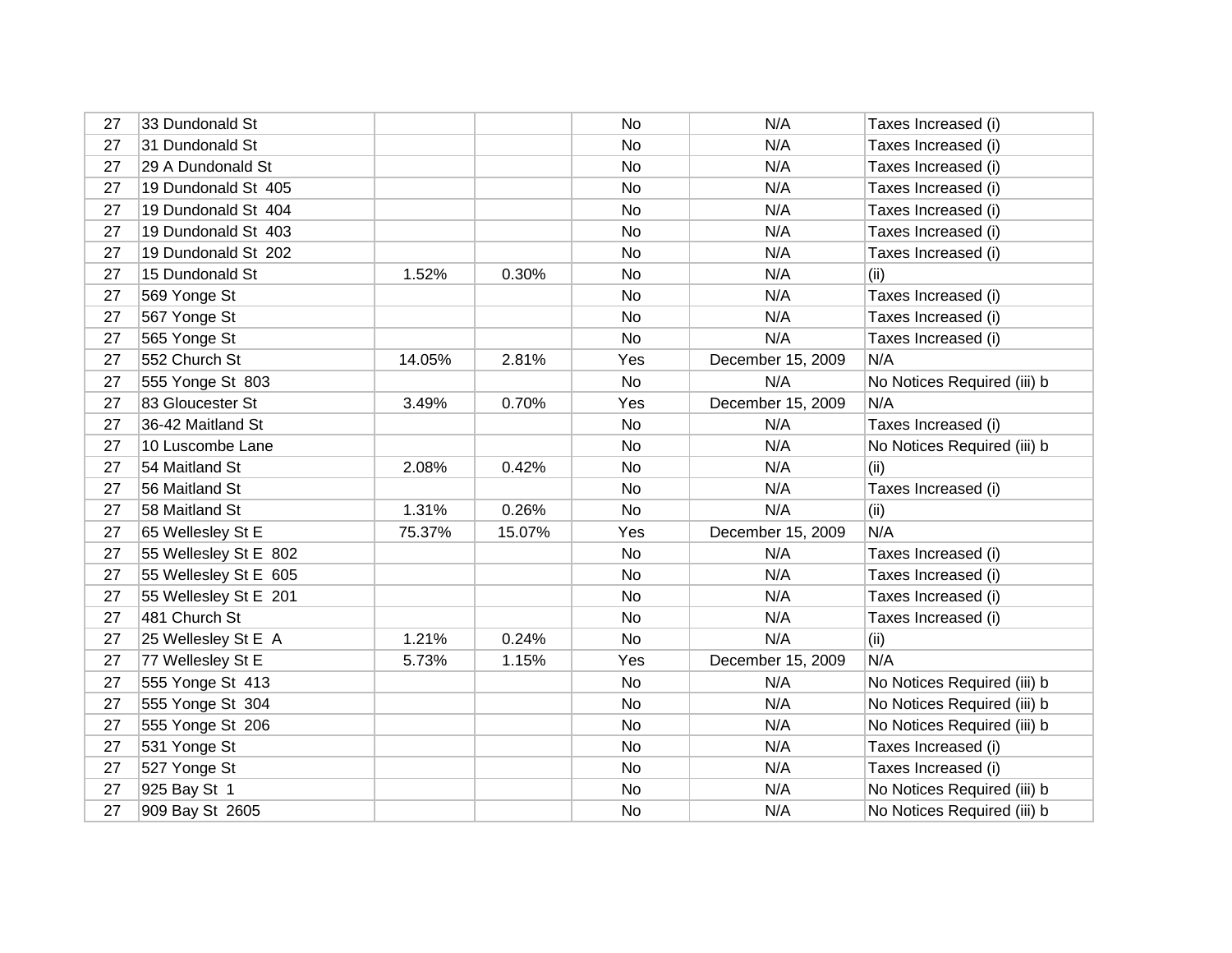| 27 | 33 Dundonald St       |        |        | No  | N/A               | Taxes Increased (i)         |
|----|-----------------------|--------|--------|-----|-------------------|-----------------------------|
| 27 | 31 Dundonald St       |        |        | No  | N/A               | Taxes Increased (i)         |
| 27 | 29 A Dundonald St     |        |        | No  | N/A               | Taxes Increased (i)         |
| 27 | 19 Dundonald St 405   |        |        | No  | N/A               | Taxes Increased (i)         |
| 27 | 19 Dundonald St 404   |        |        | No. | N/A               | Taxes Increased (i)         |
| 27 | 19 Dundonald St 403   |        |        | No  | N/A               | Taxes Increased (i)         |
| 27 | 19 Dundonald St 202   |        |        | No. | N/A               | Taxes Increased (i)         |
| 27 | 15 Dundonald St       | 1.52%  | 0.30%  | No  | N/A               | (ii)                        |
| 27 | 569 Yonge St          |        |        | No  | N/A               | Taxes Increased (i)         |
| 27 | 567 Yonge St          |        |        | No  | N/A               | Taxes Increased (i)         |
| 27 | 565 Yonge St          |        |        | No  | N/A               | Taxes Increased (i)         |
| 27 | 552 Church St         | 14.05% | 2.81%  | Yes | December 15, 2009 | N/A                         |
| 27 | 555 Yonge St 803      |        |        | No  | N/A               | No Notices Required (iii) b |
| 27 | 83 Gloucester St      | 3.49%  | 0.70%  | Yes | December 15, 2009 | N/A                         |
| 27 | 36-42 Maitland St     |        |        | No  | N/A               | Taxes Increased (i)         |
| 27 | 10 Luscombe Lane      |        |        | No  | N/A               | No Notices Required (iii) b |
| 27 | 54 Maitland St        | 2.08%  | 0.42%  | No  | N/A               | (ii)                        |
| 27 | 56 Maitland St        |        |        | No  | N/A               | Taxes Increased (i)         |
| 27 | 58 Maitland St        | 1.31%  | 0.26%  | No  | N/A               | (ii)                        |
| 27 | 65 Wellesley St E     | 75.37% | 15.07% | Yes | December 15, 2009 | N/A                         |
| 27 | 55 Wellesley St E 802 |        |        | No  | N/A               | Taxes Increased (i)         |
| 27 | 55 Wellesley St E 605 |        |        | No  | N/A               | Taxes Increased (i)         |
| 27 | 55 Wellesley St E 201 |        |        | No  | N/A               | Taxes Increased (i)         |
| 27 | 481 Church St         |        |        | No. | N/A               | Taxes Increased (i)         |
| 27 | 25 Wellesley St E A   | 1.21%  | 0.24%  | No  | N/A               | (ii)                        |
| 27 | 77 Wellesley St E     | 5.73%  | 1.15%  | Yes | December 15, 2009 | N/A                         |
| 27 | 555 Yonge St 413      |        |        | No  | N/A               | No Notices Required (iii) b |
| 27 | 555 Yonge St 304      |        |        | No. | N/A               | No Notices Required (iii) b |
| 27 | 555 Yonge St 206      |        |        | No  | N/A               | No Notices Required (iii) b |
| 27 | 531 Yonge St          |        |        | No  | N/A               | Taxes Increased (i)         |
| 27 | 527 Yonge St          |        |        | No. | N/A               | Taxes Increased (i)         |
| 27 | 925 Bay St 1          |        |        | No  | N/A               | No Notices Required (iii) b |
| 27 | 909 Bay St 2605       |        |        | No  | N/A               | No Notices Required (iii) b |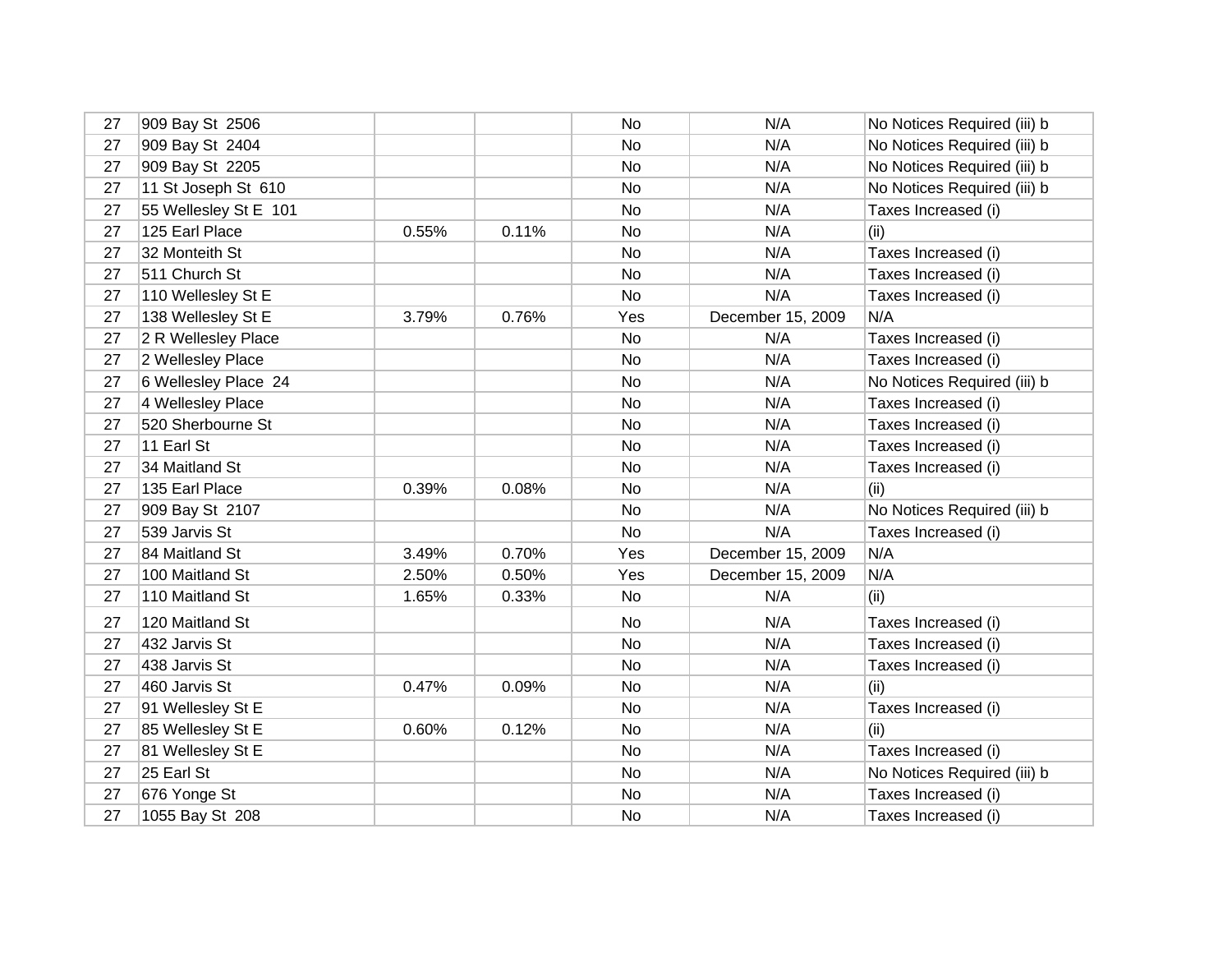| 27 | 909 Bay St 2506       |       |       | No  | N/A               | No Notices Required (iii) b |
|----|-----------------------|-------|-------|-----|-------------------|-----------------------------|
| 27 | 909 Bay St 2404       |       |       | No  | N/A               | No Notices Required (iii) b |
| 27 | 909 Bay St 2205       |       |       | No  | N/A               | No Notices Required (iii) b |
| 27 | 11 St Joseph St 610   |       |       | No  | N/A               | No Notices Required (iii) b |
| 27 | 55 Wellesley St E 101 |       |       | No  | N/A               | Taxes Increased (i)         |
| 27 | 125 Earl Place        | 0.55% | 0.11% | No  | N/A               | (ii)                        |
| 27 | 32 Monteith St        |       |       | No  | N/A               | Taxes Increased (i)         |
| 27 | 511 Church St         |       |       | No  | N/A               | Taxes Increased (i)         |
| 27 | 110 Wellesley St E    |       |       | No  | N/A               | Taxes Increased (i)         |
| 27 | 138 Wellesley St E    | 3.79% | 0.76% | Yes | December 15, 2009 | N/A                         |
| 27 | 2 R Wellesley Place   |       |       | No  | N/A               | Taxes Increased (i)         |
| 27 | 2 Wellesley Place     |       |       | No  | N/A               | Taxes Increased (i)         |
| 27 | 6 Wellesley Place 24  |       |       | No  | N/A               | No Notices Required (iii) b |
| 27 | 4 Wellesley Place     |       |       | No  | N/A               | Taxes Increased (i)         |
| 27 | 520 Sherbourne St     |       |       | No  | N/A               | Taxes Increased (i)         |
| 27 | 11 Earl St            |       |       | No  | N/A               | Taxes Increased (i)         |
| 27 | 34 Maitland St        |       |       | No  | N/A               | Taxes Increased (i)         |
| 27 | 135 Earl Place        | 0.39% | 0.08% | No  | N/A               | (ii)                        |
| 27 | 909 Bay St 2107       |       |       | No  | N/A               | No Notices Required (iii) b |
| 27 | 539 Jarvis St         |       |       | No  | N/A               | Taxes Increased (i)         |
| 27 | 84 Maitland St        | 3.49% | 0.70% | Yes | December 15, 2009 | N/A                         |
| 27 | 100 Maitland St       | 2.50% | 0.50% | Yes | December 15, 2009 | N/A                         |
| 27 | 110 Maitland St       | 1.65% | 0.33% | No  | N/A               | (ii)                        |
| 27 | 120 Maitland St       |       |       | No  | N/A               | Taxes Increased (i)         |
| 27 | 432 Jarvis St         |       |       | No  | N/A               | Taxes Increased (i)         |
| 27 | 438 Jarvis St         |       |       | No  | N/A               | Taxes Increased (i)         |
| 27 | 460 Jarvis St         | 0.47% | 0.09% | No  | N/A               | (i)                         |
| 27 | 91 Wellesley St E     |       |       | No  | N/A               | Taxes Increased (i)         |
| 27 | 85 Wellesley St E     | 0.60% | 0.12% | No  | N/A               | (ii)                        |
| 27 | 81 Wellesley St E     |       |       | No  | N/A               | Taxes Increased (i)         |
| 27 | 25 Earl St            |       |       | No  | N/A               | No Notices Required (iii) b |
| 27 | 676 Yonge St          |       |       | No  | N/A               | Taxes Increased (i)         |
| 27 | 1055 Bay St 208       |       |       | No  | N/A               | Taxes Increased (i)         |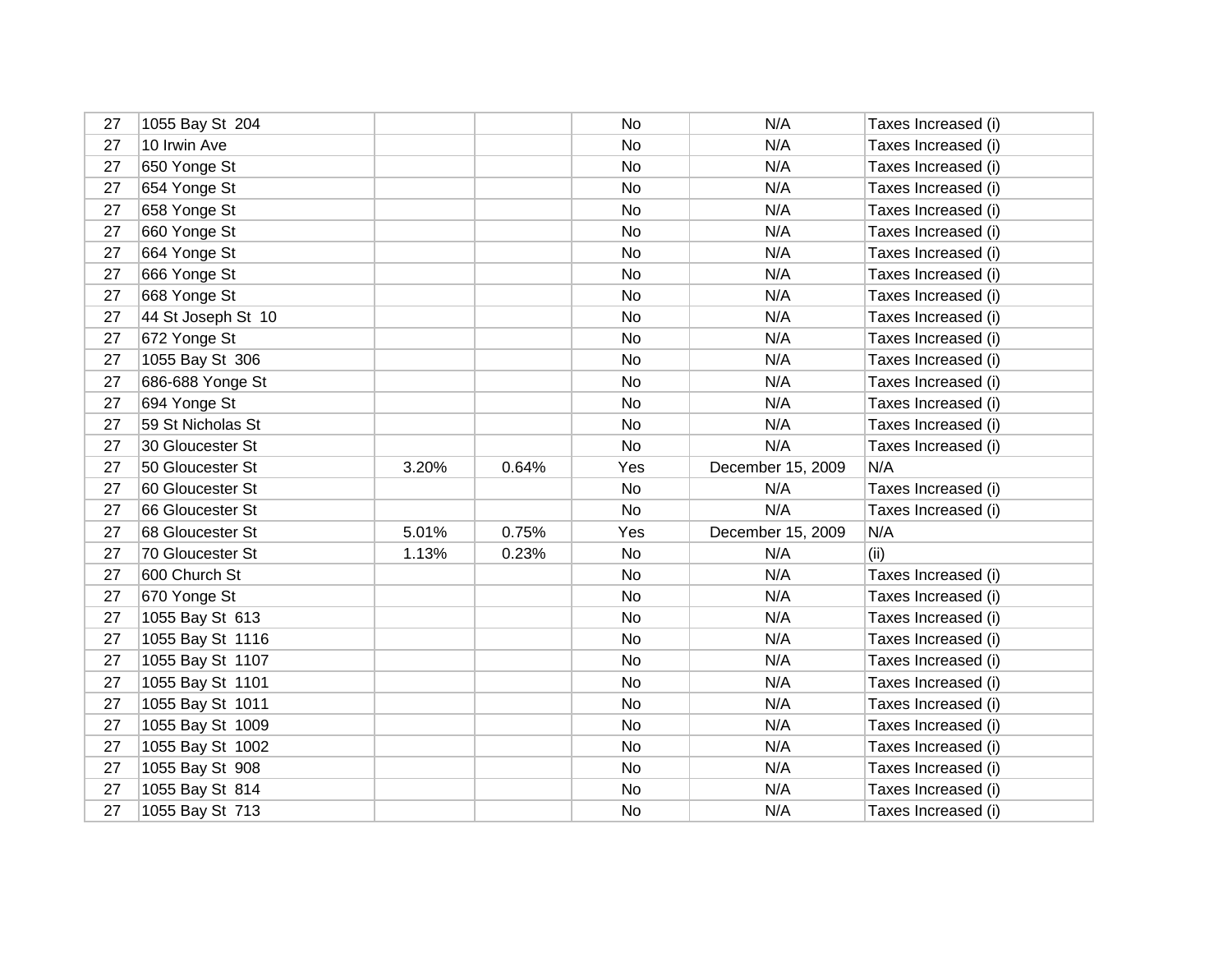| 27 | 1055 Bay St 204    |       |       | No  | N/A               | Taxes Increased (i) |
|----|--------------------|-------|-------|-----|-------------------|---------------------|
| 27 | 10 Irwin Ave       |       |       | No  | N/A               | Taxes Increased (i) |
| 27 | 650 Yonge St       |       |       | No  | N/A               | Taxes Increased (i) |
| 27 | 654 Yonge St       |       |       | No  | N/A               | Taxes Increased (i) |
| 27 | 658 Yonge St       |       |       | No  | N/A               | Taxes Increased (i) |
| 27 | 660 Yonge St       |       |       | No  | N/A               | Taxes Increased (i) |
| 27 | 664 Yonge St       |       |       | No  | N/A               | Taxes Increased (i) |
| 27 | 666 Yonge St       |       |       | No  | N/A               | Taxes Increased (i) |
| 27 | 668 Yonge St       |       |       | No  | N/A               | Taxes Increased (i) |
| 27 | 44 St Joseph St 10 |       |       | No  | N/A               | Taxes Increased (i) |
| 27 | 672 Yonge St       |       |       | No  | N/A               | Taxes Increased (i) |
| 27 | 1055 Bay St 306    |       |       | No  | N/A               | Taxes Increased (i) |
| 27 | 686-688 Yonge St   |       |       | No  | N/A               | Taxes Increased (i) |
| 27 | 694 Yonge St       |       |       | No  | N/A               | Taxes Increased (i) |
| 27 | 59 St Nicholas St  |       |       | No  | N/A               | Taxes Increased (i) |
| 27 | 30 Gloucester St   |       |       | No  | N/A               | Taxes Increased (i) |
| 27 | 50 Gloucester St   | 3.20% | 0.64% | Yes | December 15, 2009 | N/A                 |
| 27 | 60 Gloucester St   |       |       | No  | N/A               | Taxes Increased (i) |
| 27 | 66 Gloucester St   |       |       | No  | N/A               | Taxes Increased (i) |
| 27 | 68 Gloucester St   | 5.01% | 0.75% | Yes | December 15, 2009 | N/A                 |
| 27 | 70 Gloucester St   | 1.13% | 0.23% | No  | N/A               | (ii)                |
| 27 | 600 Church St      |       |       | No  | N/A               | Taxes Increased (i) |
| 27 | 670 Yonge St       |       |       | No  | N/A               | Taxes Increased (i) |
| 27 | 1055 Bay St 613    |       |       | No  | N/A               | Taxes Increased (i) |
| 27 | 1055 Bay St 1116   |       |       | No  | N/A               | Taxes Increased (i) |
| 27 | 1055 Bay St 1107   |       |       | No  | N/A               | Taxes Increased (i) |
| 27 | 1055 Bay St 1101   |       |       | No  | N/A               | Taxes Increased (i) |
| 27 | 1055 Bay St 1011   |       |       | No  | N/A               | Taxes Increased (i) |
| 27 | 1055 Bay St 1009   |       |       | No  | N/A               | Taxes Increased (i) |
| 27 | 1055 Bay St 1002   |       |       | No  | N/A               | Taxes Increased (i) |
| 27 | 1055 Bay St 908    |       |       | No  | N/A               | Taxes Increased (i) |
| 27 | 1055 Bay St 814    |       |       | No  | N/A               | Taxes Increased (i) |
| 27 | 1055 Bay St 713    |       |       | No  | N/A               | Taxes Increased (i) |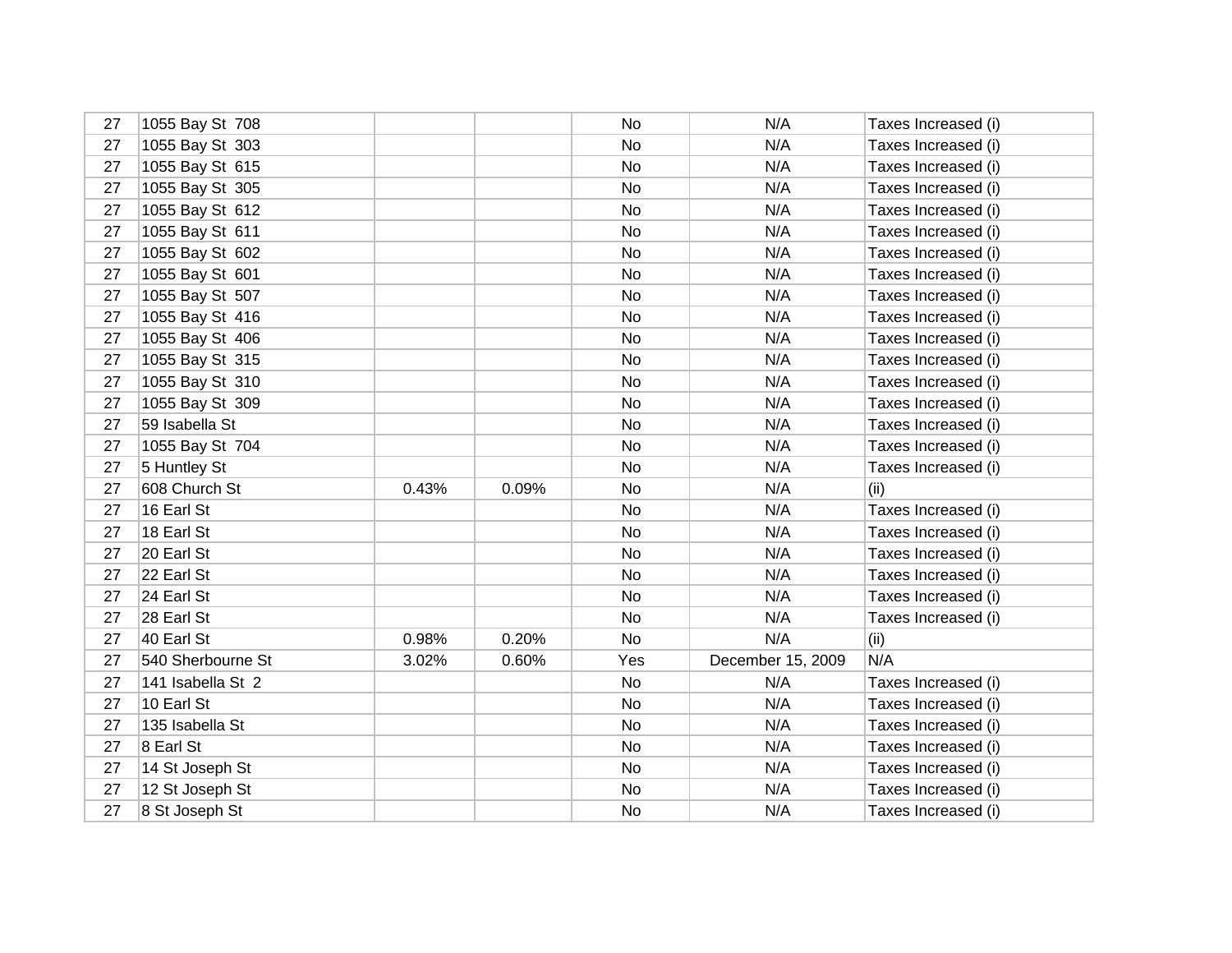| 27 | 1055 Bay St 708   |       |       | No  | N/A               | Taxes Increased (i) |
|----|-------------------|-------|-------|-----|-------------------|---------------------|
| 27 | 1055 Bay St 303   |       |       | No  | N/A               | Taxes Increased (i) |
| 27 | 1055 Bay St 615   |       |       | No  | N/A               | Taxes Increased (i) |
| 27 | 1055 Bay St 305   |       |       | No  | N/A               | Taxes Increased (i) |
| 27 | 1055 Bay St 612   |       |       | No  | N/A               | Taxes Increased (i) |
| 27 | 1055 Bay St 611   |       |       | No  | N/A               | Taxes Increased (i) |
| 27 | 1055 Bay St 602   |       |       | No  | N/A               | Taxes Increased (i) |
| 27 | 1055 Bay St 601   |       |       | No  | N/A               | Taxes Increased (i) |
| 27 | 1055 Bay St 507   |       |       | No  | N/A               | Taxes Increased (i) |
| 27 | 1055 Bay St 416   |       |       | No  | N/A               | Taxes Increased (i) |
| 27 | 1055 Bay St 406   |       |       | No  | N/A               | Taxes Increased (i) |
| 27 | 1055 Bay St 315   |       |       | No  | N/A               | Taxes Increased (i) |
| 27 | 1055 Bay St 310   |       |       | No  | N/A               | Taxes Increased (i) |
| 27 | 1055 Bay St 309   |       |       | No  | N/A               | Taxes Increased (i) |
| 27 | 59 Isabella St    |       |       | No  | N/A               | Taxes Increased (i) |
| 27 | 1055 Bay St 704   |       |       | No  | N/A               | Taxes Increased (i) |
| 27 | 5 Huntley St      |       |       | No  | N/A               | Taxes Increased (i) |
| 27 | 608 Church St     | 0.43% | 0.09% | No  | N/A               | (ii)                |
| 27 | 16 Earl St        |       |       | No  | N/A               | Taxes Increased (i) |
| 27 | 18 Earl St        |       |       | No  | N/A               | Taxes Increased (i) |
| 27 | 20 Earl St        |       |       | No  | N/A               | Taxes Increased (i) |
| 27 | 22 Earl St        |       |       | No  | N/A               | Taxes Increased (i) |
| 27 | 24 Earl St        |       |       | No  | N/A               | Taxes Increased (i) |
| 27 | 28 Earl St        |       |       | No  | N/A               | Taxes Increased (i) |
| 27 | 40 Earl St        | 0.98% | 0.20% | No  | N/A               | (ii)                |
| 27 | 540 Sherbourne St | 3.02% | 0.60% | Yes | December 15, 2009 | N/A                 |
| 27 | 141 Isabella St 2 |       |       | No  | N/A               | Taxes Increased (i) |
| 27 | 10 Earl St        |       |       | No  | N/A               | Taxes Increased (i) |
| 27 | 135 Isabella St   |       |       | No  | N/A               | Taxes Increased (i) |
| 27 | 8 Earl St         |       |       | No  | N/A               | Taxes Increased (i) |
| 27 | 14 St Joseph St   |       |       | No  | N/A               | Taxes Increased (i) |
| 27 | 12 St Joseph St   |       |       | No  | N/A               | Taxes Increased (i) |
| 27 | 8 St Joseph St    |       |       | No  | N/A               | Taxes Increased (i) |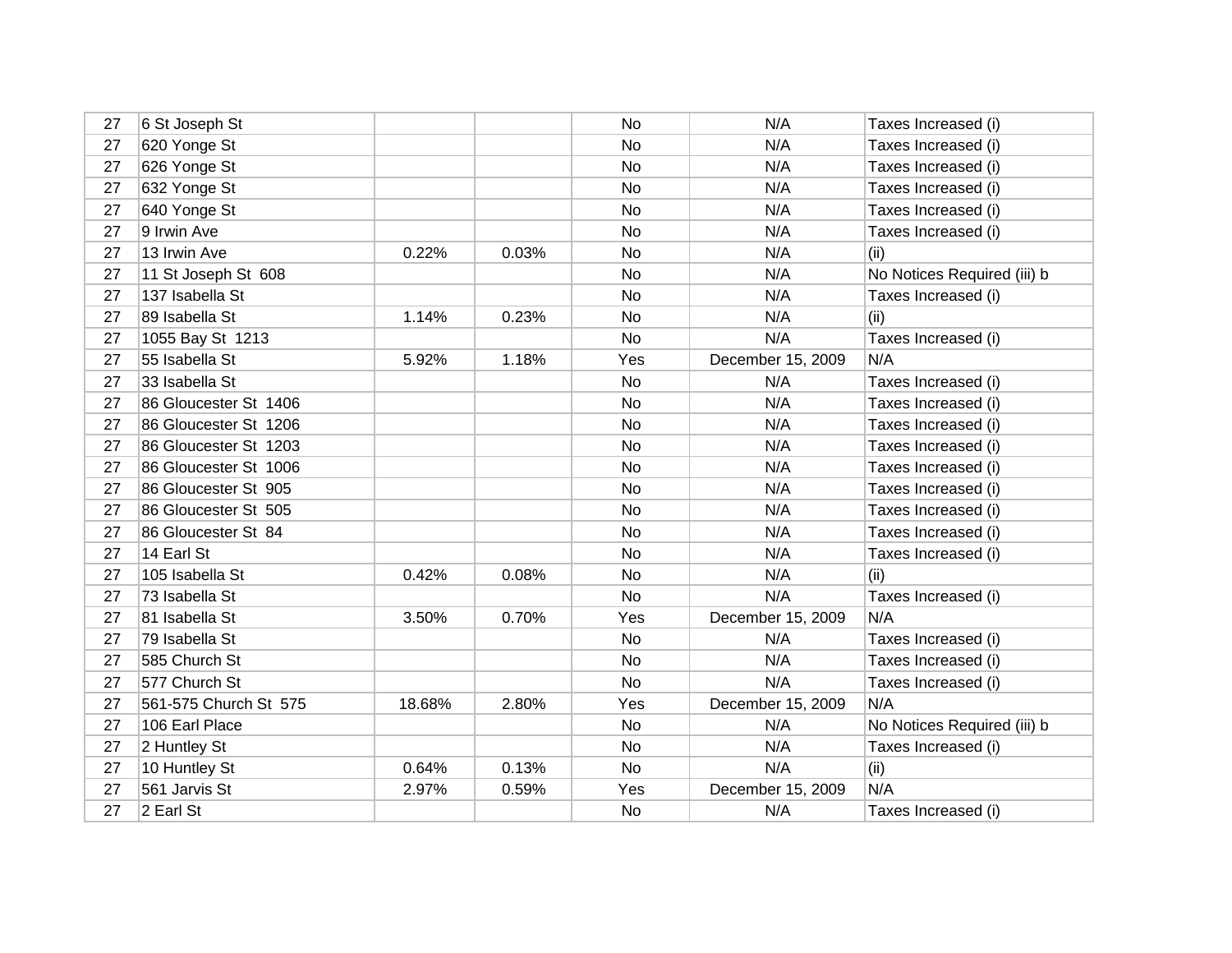| 27 | 6 St Joseph St        |        |       | No  | N/A               | Taxes Increased (i)         |
|----|-----------------------|--------|-------|-----|-------------------|-----------------------------|
| 27 | 620 Yonge St          |        |       | No  | N/A               | Taxes Increased (i)         |
| 27 | 626 Yonge St          |        |       | No  | N/A               | Taxes Increased (i)         |
| 27 | 632 Yonge St          |        |       | No  | N/A               | Taxes Increased (i)         |
| 27 | 640 Yonge St          |        |       | No  | N/A               | Taxes Increased (i)         |
| 27 | 9 Irwin Ave           |        |       | No  | N/A               | Taxes Increased (i)         |
| 27 | 13 Irwin Ave          | 0.22%  | 0.03% | No  | N/A               | (ii)                        |
| 27 | 11 St Joseph St 608   |        |       | No  | N/A               | No Notices Required (iii) b |
| 27 | 137 Isabella St       |        |       | No  | N/A               | Taxes Increased (i)         |
| 27 | 89 Isabella St        | 1.14%  | 0.23% | No  | N/A               | (ii)                        |
| 27 | 1055 Bay St 1213      |        |       | No  | N/A               | Taxes Increased (i)         |
| 27 | 55 Isabella St        | 5.92%  | 1.18% | Yes | December 15, 2009 | N/A                         |
| 27 | 33 Isabella St        |        |       | No  | N/A               | Taxes Increased (i)         |
| 27 | 86 Gloucester St 1406 |        |       | No  | N/A               | Taxes Increased (i)         |
| 27 | 86 Gloucester St 1206 |        |       | No  | N/A               | Taxes Increased (i)         |
| 27 | 86 Gloucester St 1203 |        |       | No  | N/A               | Taxes Increased (i)         |
| 27 | 86 Gloucester St 1006 |        |       | No  | N/A               | Taxes Increased (i)         |
| 27 | 86 Gloucester St 905  |        |       | No  | N/A               | Taxes Increased (i)         |
| 27 | 86 Gloucester St 505  |        |       | No  | N/A               | Taxes Increased (i)         |
| 27 | 86 Gloucester St 84   |        |       | No  | N/A               | Taxes Increased (i)         |
| 27 | 14 Earl St            |        |       | No  | N/A               | Taxes Increased (i)         |
| 27 | 105 Isabella St       | 0.42%  | 0.08% | No  | N/A               | (ii)                        |
| 27 | 73 Isabella St        |        |       | No  | N/A               | Taxes Increased (i)         |
| 27 | 81 Isabella St        | 3.50%  | 0.70% | Yes | December 15, 2009 | N/A                         |
| 27 | 79 Isabella St        |        |       | No  | N/A               | Taxes Increased (i)         |
| 27 | 585 Church St         |        |       | No  | N/A               | Taxes Increased (i)         |
| 27 | 577 Church St         |        |       | No  | N/A               | Taxes Increased (i)         |
| 27 | 561-575 Church St 575 | 18.68% | 2.80% | Yes | December 15, 2009 | N/A                         |
| 27 | 106 Earl Place        |        |       | No  | N/A               | No Notices Required (iii) b |
| 27 | 2 Huntley St          |        |       | No  | N/A               | Taxes Increased (i)         |
| 27 | 10 Huntley St         | 0.64%  | 0.13% | No  | N/A               | (ii)                        |
| 27 | 561 Jarvis St         | 2.97%  | 0.59% | Yes | December 15, 2009 | N/A                         |
| 27 | 2 Earl St             |        |       | No  | N/A               | Taxes Increased (i)         |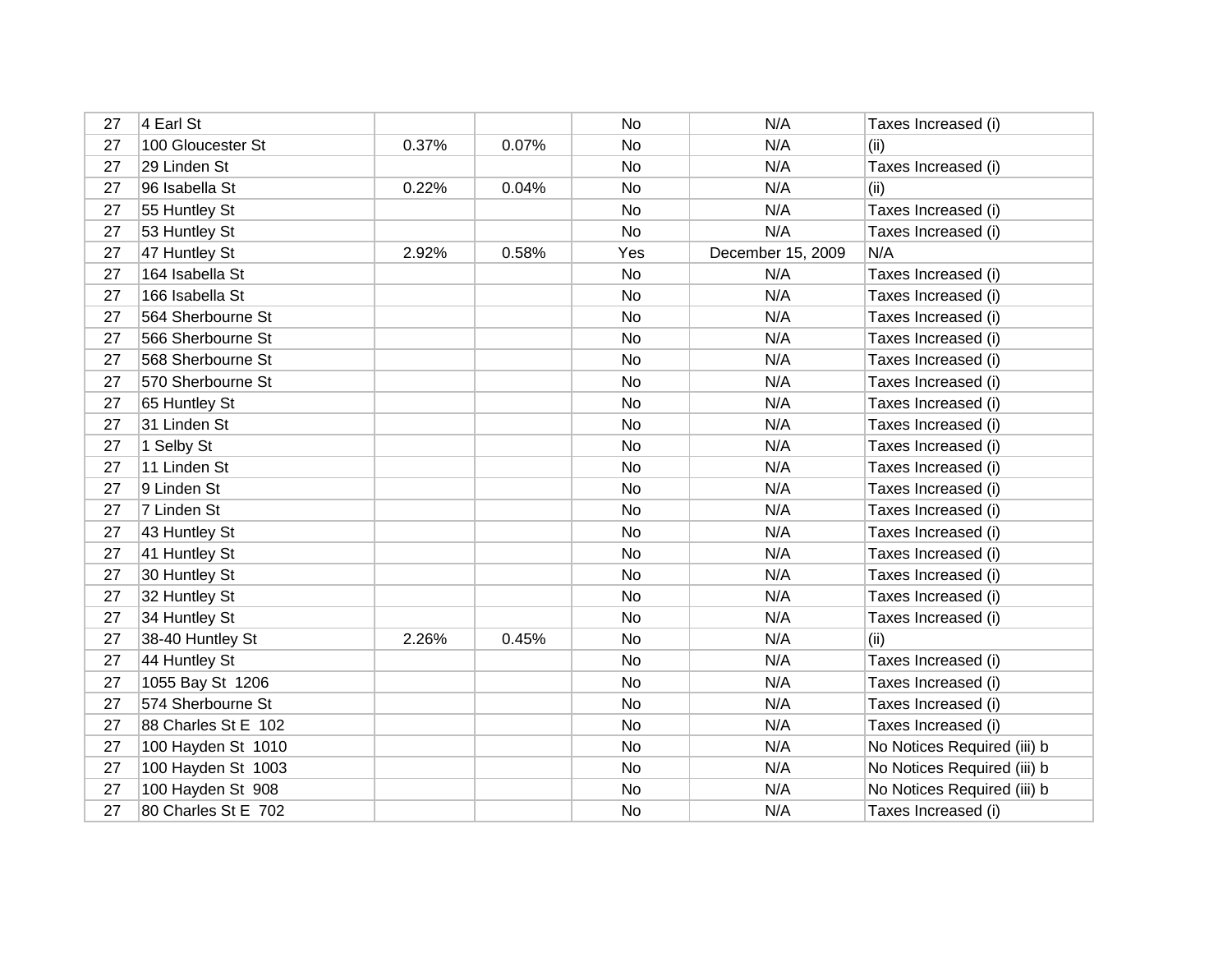| 27 | 4 Earl St           |       |       | No        | N/A               | Taxes Increased (i)         |
|----|---------------------|-------|-------|-----------|-------------------|-----------------------------|
| 27 | 100 Gloucester St   | 0.37% | 0.07% | No        | N/A               | (ii)                        |
| 27 | 29 Linden St        |       |       | No        | N/A               | Taxes Increased (i)         |
| 27 | 96 Isabella St      | 0.22% | 0.04% | No        | N/A               | (ii)                        |
| 27 | 55 Huntley St       |       |       | No        | N/A               | Taxes Increased (i)         |
| 27 | 53 Huntley St       |       |       | No        | N/A               | Taxes Increased (i)         |
| 27 | 47 Huntley St       | 2.92% | 0.58% | Yes       | December 15, 2009 | N/A                         |
| 27 | 164 Isabella St     |       |       | No        | N/A               | Taxes Increased (i)         |
| 27 | 166 Isabella St     |       |       | No        | N/A               | Taxes Increased (i)         |
| 27 | 564 Sherbourne St   |       |       | No        | N/A               | Taxes Increased (i)         |
| 27 | 566 Sherbourne St   |       |       | No        | N/A               | Taxes Increased (i)         |
| 27 | 568 Sherbourne St   |       |       | No        | N/A               | Taxes Increased (i)         |
| 27 | 570 Sherbourne St   |       |       | No        | N/A               | Taxes Increased (i)         |
| 27 | 65 Huntley St       |       |       | No        | N/A               | Taxes Increased (i)         |
| 27 | 31 Linden St        |       |       | No        | N/A               | Taxes Increased (i)         |
| 27 | 1 Selby St          |       |       | No        | N/A               | Taxes Increased (i)         |
| 27 | 11 Linden St        |       |       | No        | N/A               | Taxes Increased (i)         |
| 27 | 9 Linden St         |       |       | No        | N/A               | Taxes Increased (i)         |
| 27 | 7 Linden St         |       |       | No        | N/A               | Taxes Increased (i)         |
| 27 | 43 Huntley St       |       |       | No        | N/A               | Taxes Increased (i)         |
| 27 | 41 Huntley St       |       |       | <b>No</b> | N/A               | Taxes Increased (i)         |
| 27 | 30 Huntley St       |       |       | No        | N/A               | Taxes Increased (i)         |
| 27 | 32 Huntley St       |       |       | No        | N/A               | Taxes Increased (i)         |
| 27 | 34 Huntley St       |       |       | No        | N/A               | Taxes Increased (i)         |
| 27 | 38-40 Huntley St    | 2.26% | 0.45% | No        | N/A               | (ii)                        |
| 27 | 44 Huntley St       |       |       | No        | N/A               | Taxes Increased (i)         |
| 27 | 1055 Bay St 1206    |       |       | No        | N/A               | Taxes Increased (i)         |
| 27 | 574 Sherbourne St   |       |       | No        | N/A               | Taxes Increased (i)         |
| 27 | 88 Charles St E 102 |       |       | No        | N/A               | Taxes Increased (i)         |
| 27 | 100 Hayden St 1010  |       |       | No        | N/A               | No Notices Required (iii) b |
| 27 | 100 Hayden St 1003  |       |       | No        | N/A               | No Notices Required (iii) b |
| 27 | 100 Hayden St 908   |       |       | No        | N/A               | No Notices Required (iii) b |
| 27 | 80 Charles St E 702 |       |       | No        | N/A               | Taxes Increased (i)         |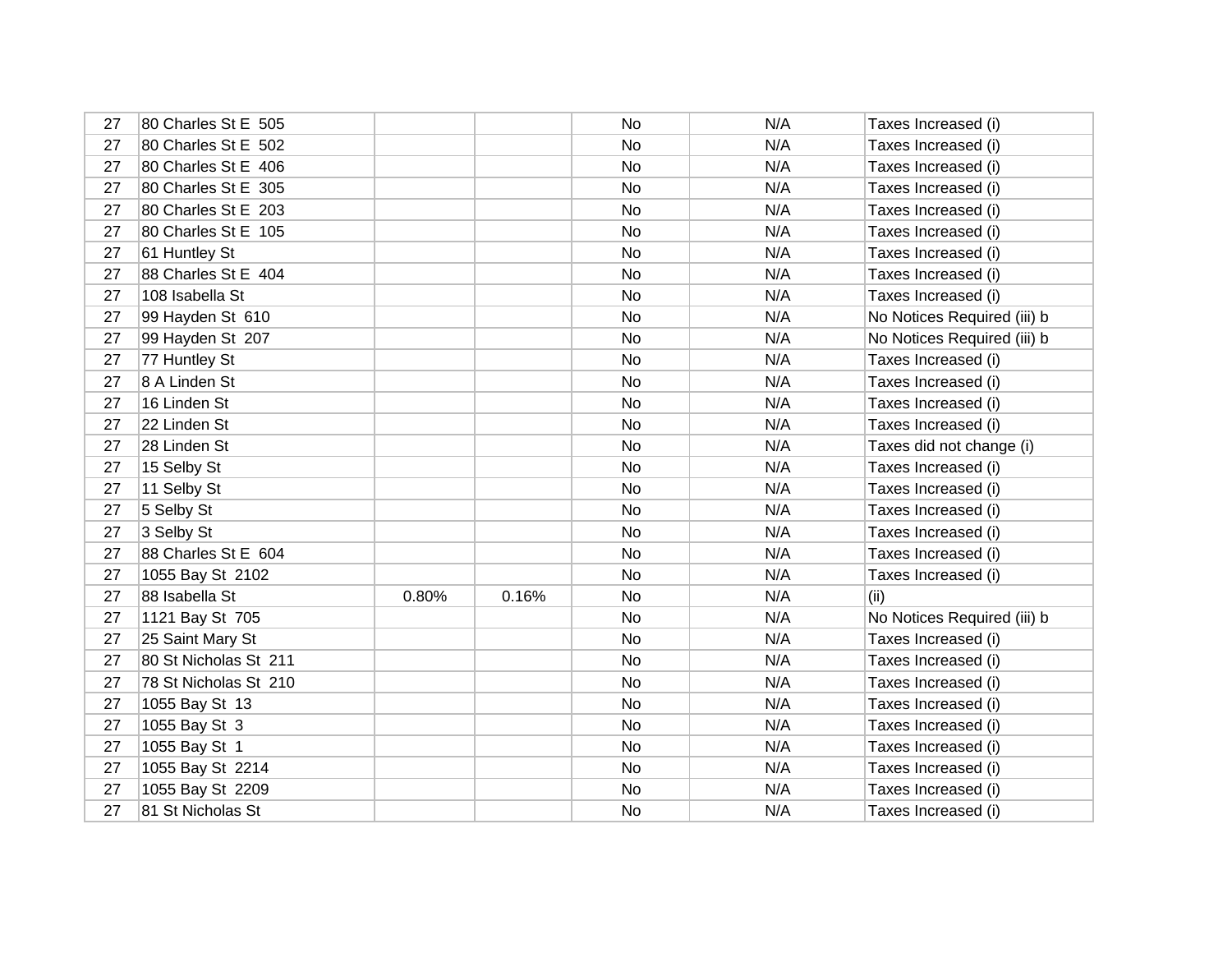| 27 | 80 Charles St E 505   |       |       | No | N/A | Taxes Increased (i)         |
|----|-----------------------|-------|-------|----|-----|-----------------------------|
| 27 | 80 Charles St E 502   |       |       | No | N/A | Taxes Increased (i)         |
| 27 | 80 Charles St E 406   |       |       | No | N/A | Taxes Increased (i)         |
| 27 | 80 Charles St E 305   |       |       | No | N/A | Taxes Increased (i)         |
| 27 | 80 Charles St E 203   |       |       | No | N/A | Taxes Increased (i)         |
| 27 | 80 Charles St E 105   |       |       | No | N/A | Taxes Increased (i)         |
| 27 | 61 Huntley St         |       |       | No | N/A | Taxes Increased (i)         |
| 27 | 88 Charles St E 404   |       |       | No | N/A | Taxes Increased (i)         |
| 27 | 108 Isabella St       |       |       | No | N/A | Taxes Increased (i)         |
| 27 | 99 Hayden St 610      |       |       | No | N/A | No Notices Required (iii) b |
| 27 | 99 Hayden St 207      |       |       | No | N/A | No Notices Required (iii) b |
| 27 | 77 Huntley St         |       |       | No | N/A | Taxes Increased (i)         |
| 27 | 8 A Linden St         |       |       | No | N/A | Taxes Increased (i)         |
| 27 | 16 Linden St          |       |       | No | N/A | Taxes Increased (i)         |
| 27 | 22 Linden St          |       |       | No | N/A | Taxes Increased (i)         |
| 27 | 28 Linden St          |       |       | No | N/A | Taxes did not change (i)    |
| 27 | 15 Selby St           |       |       | No | N/A | Taxes Increased (i)         |
| 27 | 11 Selby St           |       |       | No | N/A | Taxes Increased (i)         |
| 27 | 5 Selby St            |       |       | No | N/A | Taxes Increased (i)         |
| 27 | 3 Selby St            |       |       | No | N/A | Taxes Increased (i)         |
| 27 | 88 Charles St E 604   |       |       | No | N/A | Taxes Increased (i)         |
| 27 | 1055 Bay St 2102      |       |       | No | N/A | Taxes Increased (i)         |
| 27 | 88 Isabella St        | 0.80% | 0.16% | No | N/A | (ii)                        |
| 27 | 1121 Bay St 705       |       |       | No | N/A | No Notices Required (iii) b |
| 27 | 25 Saint Mary St      |       |       | No | N/A | Taxes Increased (i)         |
| 27 | 80 St Nicholas St 211 |       |       | No | N/A | Taxes Increased (i)         |
| 27 | 78 St Nicholas St 210 |       |       | No | N/A | Taxes Increased (i)         |
| 27 | 1055 Bay St 13        |       |       | No | N/A | Taxes Increased (i)         |
| 27 | 1055 Bay St 3         |       |       | No | N/A | Taxes Increased (i)         |
| 27 | 1055 Bay St 1         |       |       | No | N/A | Taxes Increased (i)         |
| 27 | 1055 Bay St 2214      |       |       | No | N/A | Taxes Increased (i)         |
| 27 | 1055 Bay St 2209      |       |       | No | N/A | Taxes Increased (i)         |
| 27 | 81 St Nicholas St     |       |       | No | N/A | Taxes Increased (i)         |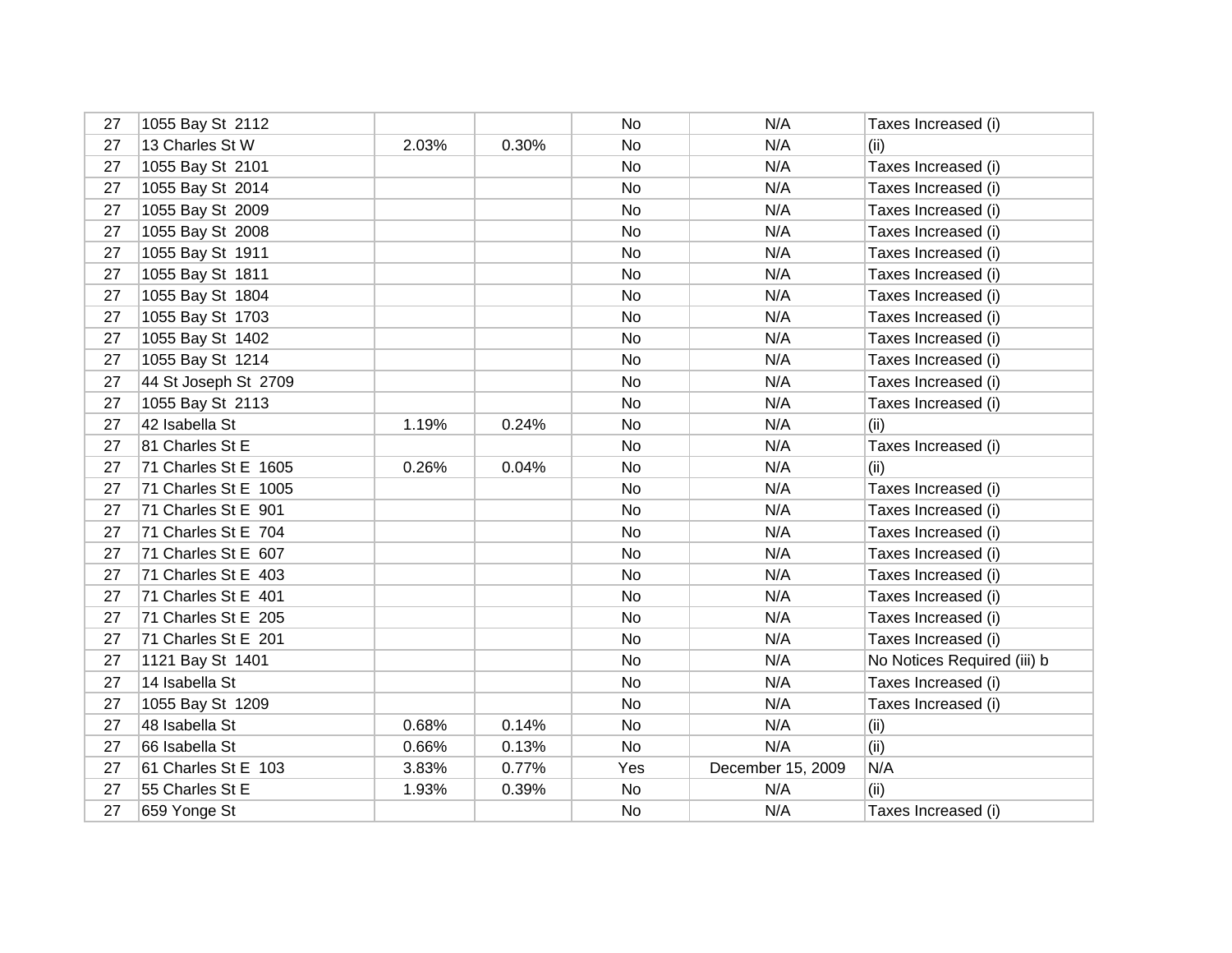| 27 | 1055 Bay St 2112     |       |       | No        | N/A               | Taxes Increased (i)         |
|----|----------------------|-------|-------|-----------|-------------------|-----------------------------|
| 27 | 13 Charles St W      | 2.03% | 0.30% | No        | N/A               | (ii)                        |
| 27 | 1055 Bay St 2101     |       |       | No        | N/A               | Taxes Increased (i)         |
| 27 | 1055 Bay St 2014     |       |       | No        | N/A               | Taxes Increased (i)         |
| 27 | 1055 Bay St 2009     |       |       | No        | N/A               | Taxes Increased (i)         |
| 27 | 1055 Bay St 2008     |       |       | No        | N/A               | Taxes Increased (i)         |
| 27 | 1055 Bay St 1911     |       |       | No        | N/A               | Taxes Increased (i)         |
| 27 | 1055 Bay St 1811     |       |       | No        | N/A               | Taxes Increased (i)         |
| 27 | 1055 Bay St 1804     |       |       | <b>No</b> | N/A               | Taxes Increased (i)         |
| 27 | 1055 Bay St 1703     |       |       | No        | N/A               | Taxes Increased (i)         |
| 27 | 1055 Bay St 1402     |       |       | No        | N/A               | Taxes Increased (i)         |
| 27 | 1055 Bay St 1214     |       |       | No        | N/A               | Taxes Increased (i)         |
| 27 | 44 St Joseph St 2709 |       |       | No        | N/A               | Taxes Increased (i)         |
| 27 | 1055 Bay St 2113     |       |       | <b>No</b> | N/A               | Taxes Increased (i)         |
| 27 | 42 Isabella St       | 1.19% | 0.24% | No        | N/A               | (ii)                        |
| 27 | 81 Charles St E      |       |       | No        | N/A               | Taxes Increased (i)         |
| 27 | 71 Charles St E 1605 | 0.26% | 0.04% | No        | N/A               | (ii)                        |
| 27 | 71 Charles St E 1005 |       |       | No        | N/A               | Taxes Increased (i)         |
| 27 | 71 Charles St E 901  |       |       | No        | N/A               | Taxes Increased (i)         |
| 27 | 71 Charles St E 704  |       |       | No        | N/A               | Taxes Increased (i)         |
| 27 | 71 Charles St E 607  |       |       | No        | N/A               | Taxes Increased (i)         |
| 27 | 71 Charles St E 403  |       |       | No        | N/A               | Taxes Increased (i)         |
| 27 | 71 Charles St E 401  |       |       | No        | N/A               | Taxes Increased (i)         |
| 27 | 71 Charles St E 205  |       |       | No        | N/A               | Taxes Increased (i)         |
| 27 | 71 Charles St E 201  |       |       | No        | N/A               | Taxes Increased (i)         |
| 27 | 1121 Bay St 1401     |       |       | No        | N/A               | No Notices Required (iii) b |
| 27 | 14 Isabella St       |       |       | No        | N/A               | Taxes Increased (i)         |
| 27 | 1055 Bay St 1209     |       |       | No        | N/A               | Taxes Increased (i)         |
| 27 | 48 Isabella St       | 0.68% | 0.14% | No        | N/A               | (ii)                        |
| 27 | 66 Isabella St       | 0.66% | 0.13% | No        | N/A               | (ii)                        |
| 27 | 61 Charles St E 103  | 3.83% | 0.77% | Yes       | December 15, 2009 | N/A                         |
| 27 | 55 Charles St E      | 1.93% | 0.39% | No        | N/A               | (ii)                        |
| 27 | 659 Yonge St         |       |       | No        | N/A               | Taxes Increased (i)         |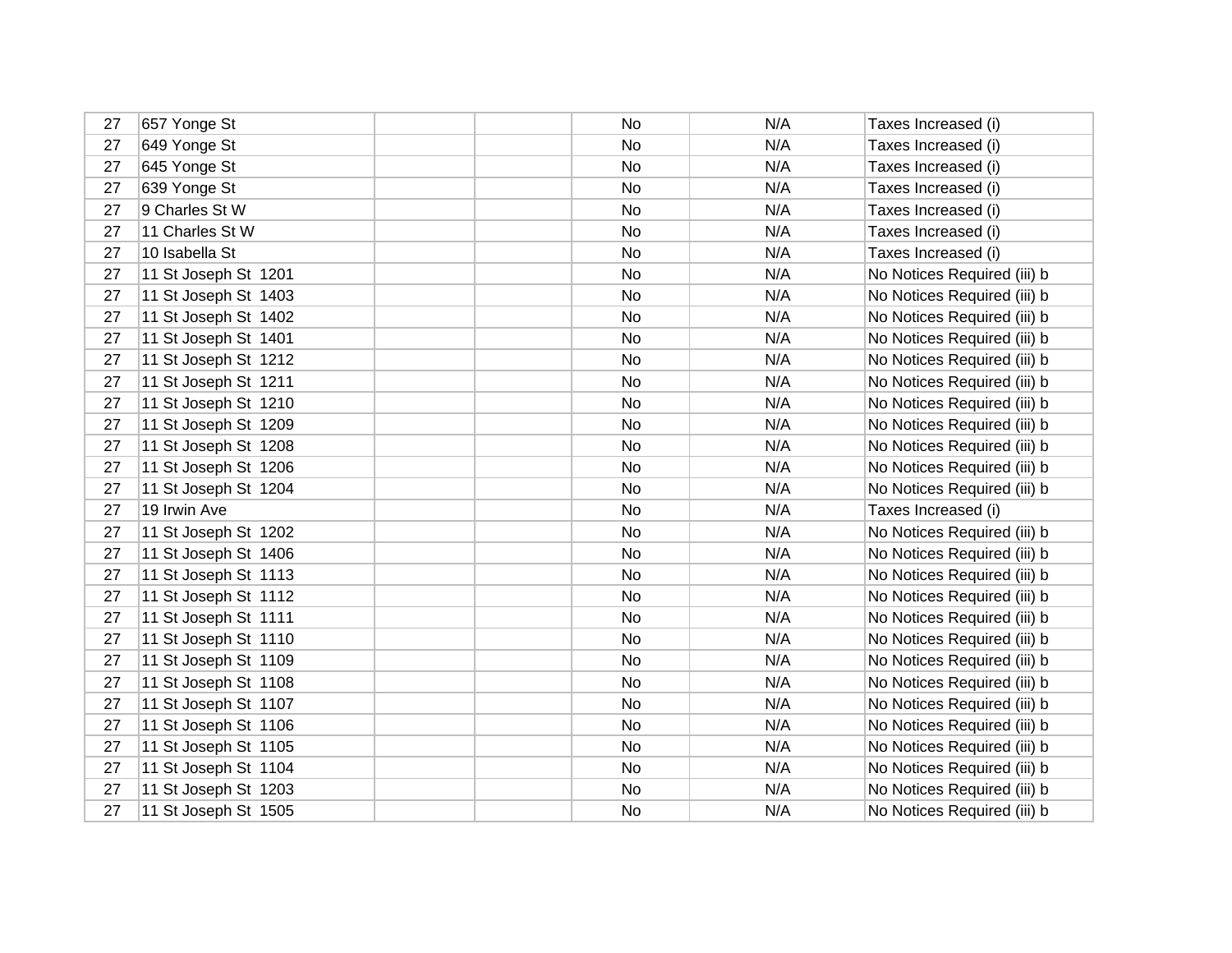| 27 | 657 Yonge St         | No | N/A | Taxes Increased (i)         |
|----|----------------------|----|-----|-----------------------------|
| 27 | 649 Yonge St         | No | N/A | Taxes Increased (i)         |
| 27 | 645 Yonge St         | No | N/A | Taxes Increased (i)         |
| 27 | 639 Yonge St         | No | N/A | Taxes Increased (i)         |
| 27 | 9 Charles St W       | No | N/A | Taxes Increased (i)         |
| 27 | 11 Charles St W      | No | N/A | Taxes Increased (i)         |
| 27 | 10 Isabella St       | No | N/A | Taxes Increased (i)         |
| 27 | 11 St Joseph St 1201 | No | N/A | No Notices Required (iii) b |
| 27 | 11 St Joseph St 1403 | No | N/A | No Notices Required (iii) b |
| 27 | 11 St Joseph St 1402 | No | N/A | No Notices Required (iii) b |
| 27 | 11 St Joseph St 1401 | No | N/A | No Notices Required (iii) b |
| 27 | 11 St Joseph St 1212 | No | N/A | No Notices Required (iii) b |
| 27 | 11 St Joseph St 1211 | No | N/A | No Notices Required (iii) b |
| 27 | 11 St Joseph St 1210 | No | N/A | No Notices Required (iii) b |
| 27 | 11 St Joseph St 1209 | No | N/A | No Notices Required (iii) b |
| 27 | 11 St Joseph St 1208 | No | N/A | No Notices Required (iii) b |
| 27 | 11 St Joseph St 1206 | No | N/A | No Notices Required (iii) b |
| 27 | 11 St Joseph St 1204 | No | N/A | No Notices Required (iii) b |
| 27 | 19 Irwin Ave         | No | N/A | Taxes Increased (i)         |
| 27 | 11 St Joseph St 1202 | No | N/A | No Notices Required (iii) b |
| 27 | 11 St Joseph St 1406 | No | N/A | No Notices Required (iii) b |
| 27 | 11 St Joseph St 1113 | No | N/A | No Notices Required (iii) b |
| 27 | 11 St Joseph St 1112 | No | N/A | No Notices Required (iii) b |
| 27 | 11 St Joseph St 1111 | No | N/A | No Notices Required (iii) b |
| 27 | 11 St Joseph St 1110 | No | N/A | No Notices Required (iii) b |
| 27 | 11 St Joseph St 1109 | No | N/A | No Notices Required (iii) b |
| 27 | 11 St Joseph St 1108 | No | N/A | No Notices Required (iii) b |
| 27 | 11 St Joseph St 1107 | No | N/A | No Notices Required (iii) b |
| 27 | 11 St Joseph St 1106 | No | N/A | No Notices Required (iii) b |
| 27 | 11 St Joseph St 1105 | No | N/A | No Notices Required (iii) b |
| 27 | 11 St Joseph St 1104 | No | N/A | No Notices Required (iii) b |
| 27 | 11 St Joseph St 1203 | No | N/A | No Notices Required (iii) b |
| 27 | 11 St Joseph St 1505 | No | N/A | No Notices Required (iii) b |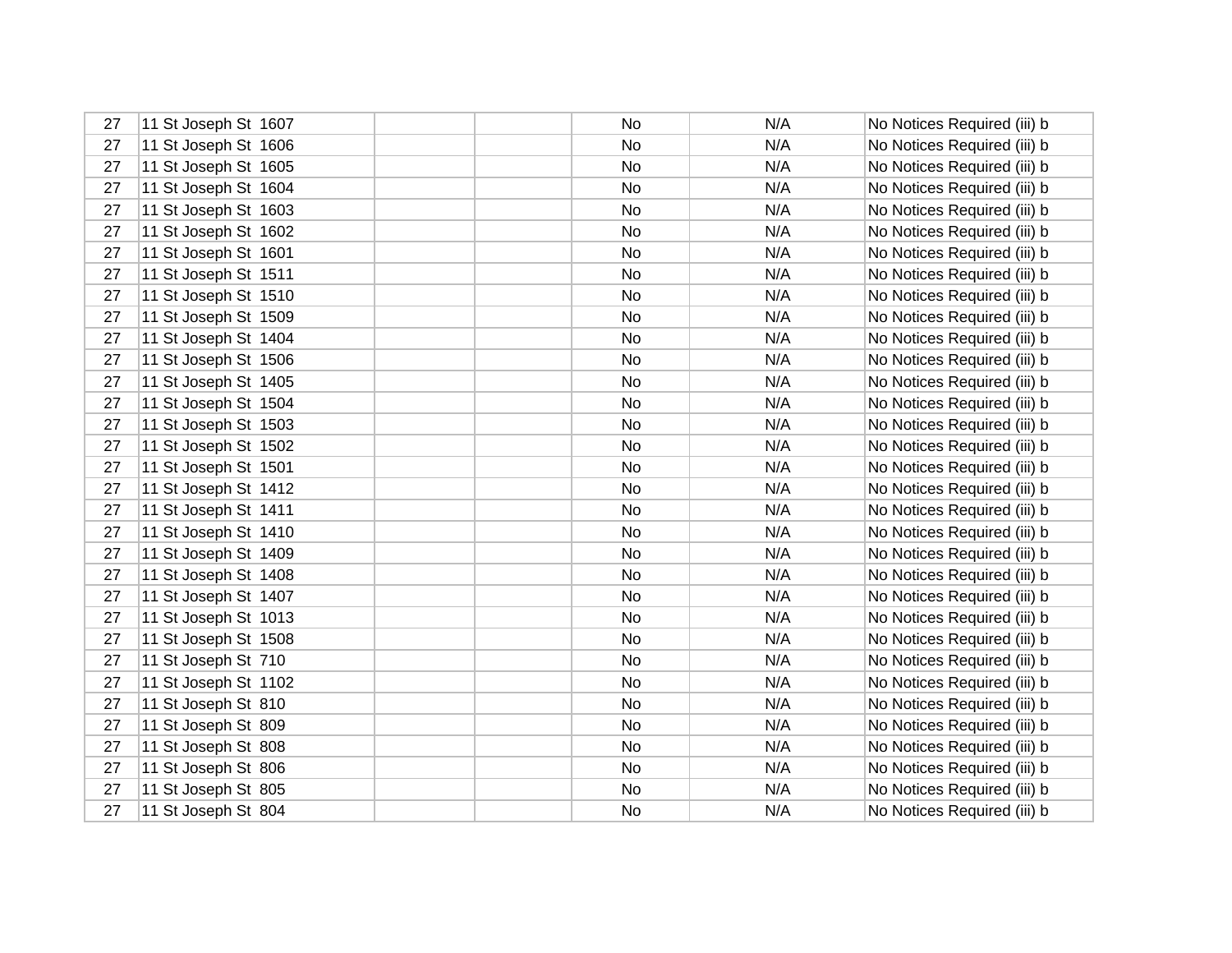| 27 | 11 St Joseph St 1607 | No. | N/A | No Notices Required (iii) b |
|----|----------------------|-----|-----|-----------------------------|
| 27 | 11 St Joseph St 1606 | No  | N/A | No Notices Required (iii) b |
| 27 | 11 St Joseph St 1605 | No  | N/A | No Notices Required (iii) b |
| 27 | 11 St Joseph St 1604 | No  | N/A | No Notices Required (iii) b |
| 27 | 11 St Joseph St 1603 | No  | N/A | No Notices Required (iii) b |
| 27 | 11 St Joseph St 1602 | No  | N/A | No Notices Required (iii) b |
| 27 | 11 St Joseph St 1601 | No. | N/A | No Notices Required (iii) b |
| 27 | 11 St Joseph St 1511 | No  | N/A | No Notices Required (iii) b |
| 27 | 11 St Joseph St 1510 | No  | N/A | No Notices Required (iii) b |
| 27 | 11 St Joseph St 1509 | No  | N/A | No Notices Required (iii) b |
| 27 | 11 St Joseph St 1404 | No  | N/A | No Notices Required (iii) b |
| 27 | 11 St Joseph St 1506 | No  | N/A | No Notices Required (iii) b |
| 27 | 11 St Joseph St 1405 | No  | N/A | No Notices Required (iii) b |
| 27 | 11 St Joseph St 1504 | No  | N/A | No Notices Required (iii) b |
| 27 | 11 St Joseph St 1503 | No  | N/A | No Notices Required (iii) b |
| 27 | 11 St Joseph St 1502 | No  | N/A | No Notices Required (iii) b |
| 27 | 11 St Joseph St 1501 | No  | N/A | No Notices Required (iii) b |
| 27 | 11 St Joseph St 1412 | No  | N/A | No Notices Required (iii) b |
| 27 | 11 St Joseph St 1411 | No  | N/A | No Notices Required (iii) b |
| 27 | 11 St Joseph St 1410 | No  | N/A | No Notices Required (iii) b |
| 27 | 11 St Joseph St 1409 | No  | N/A | No Notices Required (iii) b |
| 27 | 11 St Joseph St 1408 | No  | N/A | No Notices Required (iii) b |
| 27 | 11 St Joseph St 1407 | No  | N/A | No Notices Required (iii) b |
| 27 | 11 St Joseph St 1013 | No  | N/A | No Notices Required (iii) b |
| 27 | 11 St Joseph St 1508 | No  | N/A | No Notices Required (iii) b |
| 27 | 11 St Joseph St 710  | No. | N/A | No Notices Required (iii) b |
| 27 | 11 St Joseph St 1102 | No  | N/A | No Notices Required (iii) b |
| 27 | 11 St Joseph St 810  | No. | N/A | No Notices Required (iii) b |
| 27 | 11 St Joseph St 809  | No  | N/A | No Notices Required (iii) b |
| 27 | 11 St Joseph St 808  | No  | N/A | No Notices Required (iii) b |
| 27 | 11 St Joseph St 806  | No  | N/A | No Notices Required (iii) b |
| 27 | 11 St Joseph St 805  | No  | N/A | No Notices Required (iii) b |
| 27 | 11 St Joseph St 804  | No  | N/A | No Notices Required (iii) b |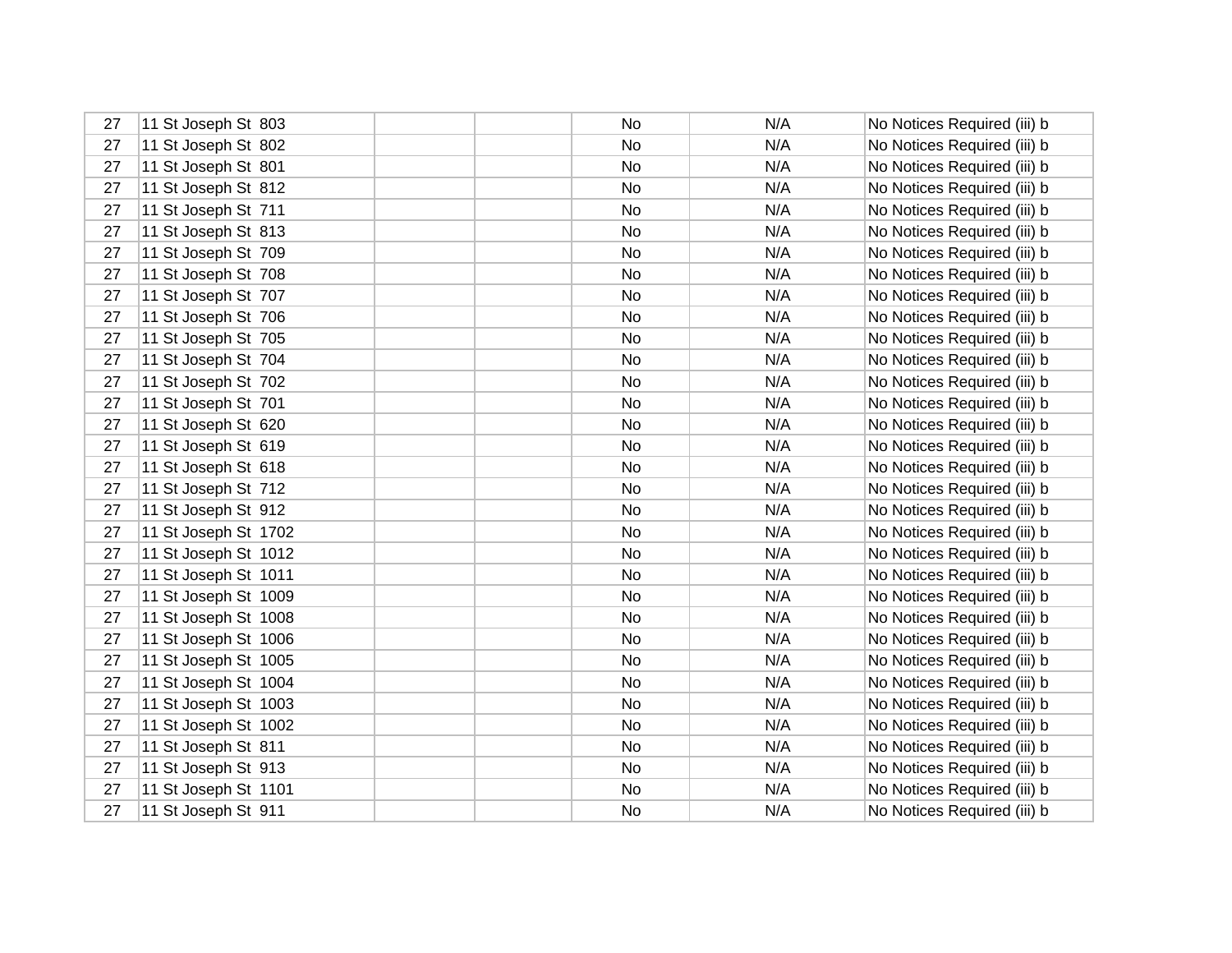| 27 | 11 St Joseph St 803  | No.       | N/A | No Notices Required (iii) b |
|----|----------------------|-----------|-----|-----------------------------|
| 27 | 11 St Joseph St 802  | <b>No</b> | N/A | No Notices Required (iii) b |
| 27 | 11 St Joseph St 801  | No        | N/A | No Notices Required (iii) b |
| 27 | 11 St Joseph St 812  | No        | N/A | No Notices Required (iii) b |
| 27 | 11 St Joseph St 711  | No        | N/A | No Notices Required (iii) b |
| 27 | 11 St Joseph St 813  | No        | N/A | No Notices Required (iii) b |
| 27 | 11 St Joseph St 709  | No        | N/A | No Notices Required (iii) b |
| 27 | 11 St Joseph St 708  | No        | N/A | No Notices Required (iii) b |
| 27 | 11 St Joseph St 707  | No        | N/A | No Notices Required (iii) b |
| 27 | 11 St Joseph St 706  | No        | N/A | No Notices Required (iii) b |
| 27 | 11 St Joseph St 705  | No        | N/A | No Notices Required (iii) b |
| 27 | 11 St Joseph St 704  | No        | N/A | No Notices Required (iii) b |
| 27 | 11 St Joseph St 702  | No        | N/A | No Notices Required (iii) b |
| 27 | 11 St Joseph St 701  | No        | N/A | No Notices Required (iii) b |
| 27 | 11 St Joseph St 620  | No        | N/A | No Notices Required (iii) b |
| 27 | 11 St Joseph St 619  | No        | N/A | No Notices Required (iii) b |
| 27 | 11 St Joseph St 618  | No        | N/A | No Notices Required (iii) b |
| 27 | 11 St Joseph St 712  | No        | N/A | No Notices Required (iii) b |
| 27 | 11 St Joseph St 912  | No        | N/A | No Notices Required (iii) b |
| 27 | 11 St Joseph St 1702 | No        | N/A | No Notices Required (iii) b |
| 27 | 11 St Joseph St 1012 | No        | N/A | No Notices Required (iii) b |
| 27 | 11 St Joseph St 1011 | No        | N/A | No Notices Required (iii) b |
| 27 | 11 St Joseph St 1009 | No        | N/A | No Notices Required (iii) b |
| 27 | 11 St Joseph St 1008 | No        | N/A | No Notices Required (iii) b |
| 27 | 11 St Joseph St 1006 | No        | N/A | No Notices Required (iii) b |
| 27 | 11 St Joseph St 1005 | No        | N/A | No Notices Required (iii) b |
| 27 | 11 St Joseph St 1004 | No        | N/A | No Notices Required (iii) b |
| 27 | 11 St Joseph St 1003 | No        | N/A | No Notices Required (iii) b |
| 27 | 11 St Joseph St 1002 | No        | N/A | No Notices Required (iii) b |
| 27 | 11 St Joseph St 811  | No        | N/A | No Notices Required (iii) b |
| 27 | 11 St Joseph St 913  | No        | N/A | No Notices Required (iii) b |
| 27 | 11 St Joseph St 1101 | No        | N/A | No Notices Required (iii) b |
| 27 | 11 St Joseph St 911  | No        | N/A | No Notices Required (iii) b |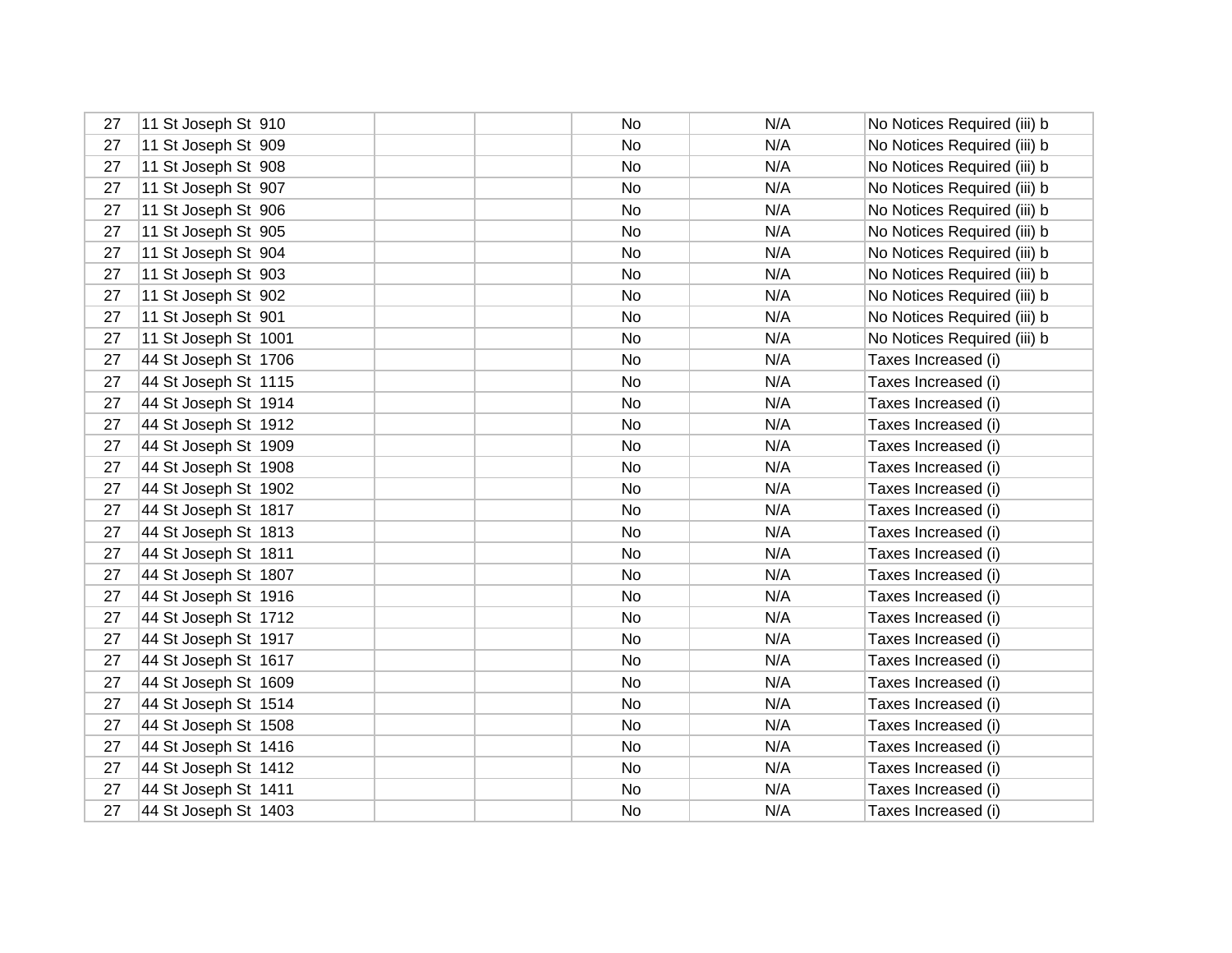| 27 | 11 St Joseph St 910  | No | N/A | No Notices Required (iii) b |
|----|----------------------|----|-----|-----------------------------|
| 27 | 11 St Joseph St 909  | No | N/A | No Notices Required (iii) b |
| 27 | 11 St Joseph St 908  | No | N/A | No Notices Required (iii) b |
| 27 | 11 St Joseph St 907  | No | N/A | No Notices Required (iii) b |
| 27 | 11 St Joseph St 906  | No | N/A | No Notices Required (iii) b |
| 27 | 11 St Joseph St 905  | No | N/A | No Notices Required (iii) b |
| 27 | 11 St Joseph St 904  | No | N/A | No Notices Required (iii) b |
| 27 | 11 St Joseph St 903  | No | N/A | No Notices Required (iii) b |
| 27 | 11 St Joseph St 902  | No | N/A | No Notices Required (iii) b |
| 27 | 11 St Joseph St 901  | No | N/A | No Notices Required (iii) b |
| 27 | 11 St Joseph St 1001 | No | N/A | No Notices Required (iii) b |
| 27 | 44 St Joseph St 1706 | No | N/A | Taxes Increased (i)         |
| 27 | 44 St Joseph St 1115 | No | N/A | Taxes Increased (i)         |
| 27 | 44 St Joseph St 1914 | No | N/A | Taxes Increased (i)         |
| 27 | 44 St Joseph St 1912 | No | N/A | Taxes Increased (i)         |
| 27 | 44 St Joseph St 1909 | No | N/A | Taxes Increased (i)         |
| 27 | 44 St Joseph St 1908 | No | N/A | Taxes Increased (i)         |
| 27 | 44 St Joseph St 1902 | No | N/A | Taxes Increased (i)         |
| 27 | 44 St Joseph St 1817 | No | N/A | Taxes Increased (i)         |
| 27 | 44 St Joseph St 1813 | No | N/A | Taxes Increased (i)         |
| 27 | 44 St Joseph St 1811 | No | N/A | Taxes Increased (i)         |
| 27 | 44 St Joseph St 1807 | No | N/A | Taxes Increased (i)         |
| 27 | 44 St Joseph St 1916 | No | N/A | Taxes Increased (i)         |
| 27 | 44 St Joseph St 1712 | No | N/A | Taxes Increased (i)         |
| 27 | 44 St Joseph St 1917 | No | N/A | Taxes Increased (i)         |
| 27 | 44 St Joseph St 1617 | No | N/A | Taxes Increased (i)         |
| 27 | 44 St Joseph St 1609 | No | N/A | Taxes Increased (i)         |
| 27 | 44 St Joseph St 1514 | No | N/A | Taxes Increased (i)         |
| 27 | 44 St Joseph St 1508 | No | N/A | Taxes Increased (i)         |
| 27 | 44 St Joseph St 1416 | No | N/A | Taxes Increased (i)         |
| 27 | 44 St Joseph St 1412 | No | N/A | Taxes Increased (i)         |
| 27 | 44 St Joseph St 1411 | No | N/A | Taxes Increased (i)         |
| 27 | 44 St Joseph St 1403 | No | N/A | Taxes Increased (i)         |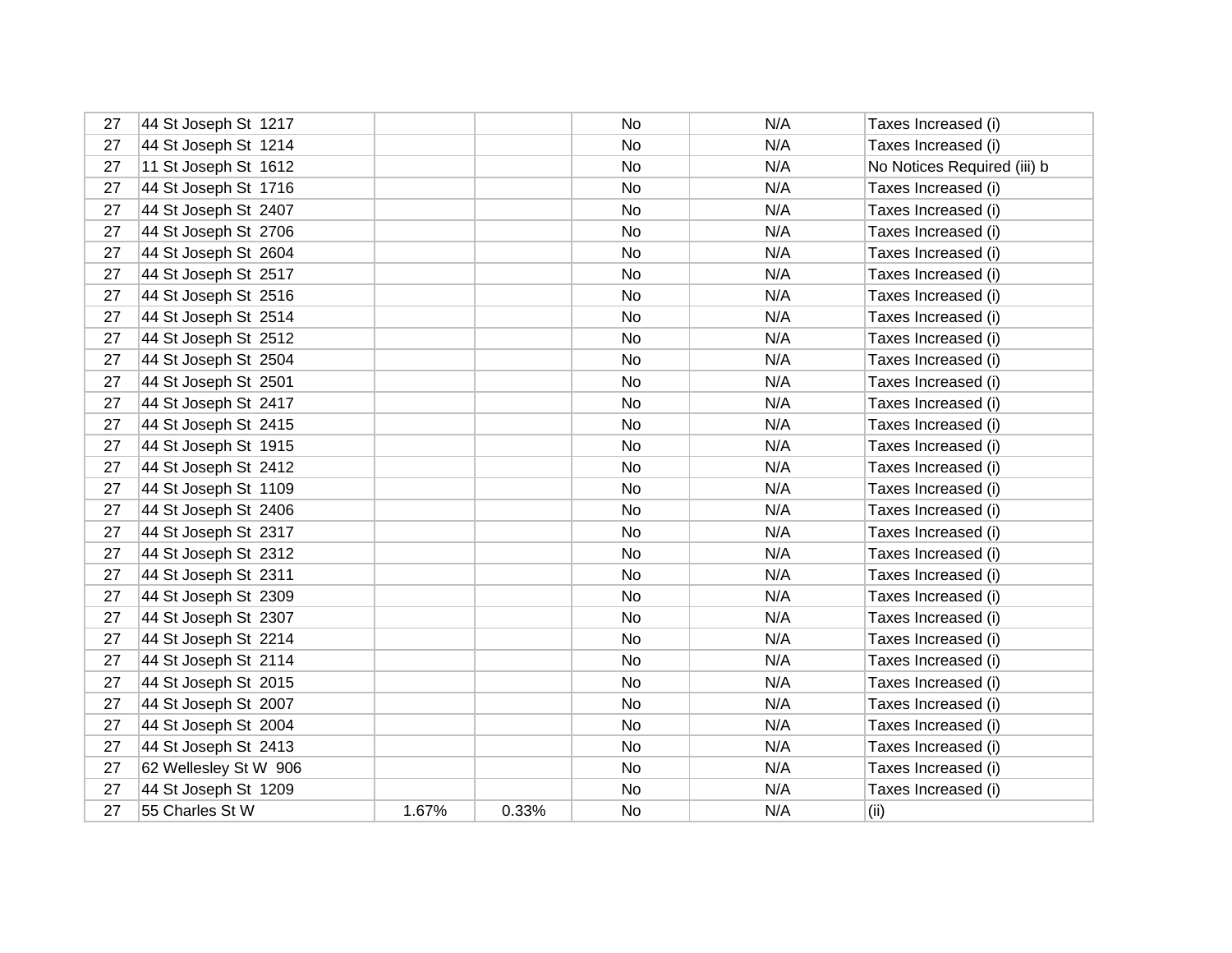| 27 | 44 St Joseph St 1217  |       |       | No | N/A | Taxes Increased (i)         |
|----|-----------------------|-------|-------|----|-----|-----------------------------|
| 27 | 44 St Joseph St 1214  |       |       | No | N/A | Taxes Increased (i)         |
| 27 | 11 St Joseph St 1612  |       |       | No | N/A | No Notices Required (iii) b |
| 27 | 44 St Joseph St 1716  |       |       | No | N/A | Taxes Increased (i)         |
| 27 | 44 St Joseph St 2407  |       |       | No | N/A | Taxes Increased (i)         |
| 27 | 44 St Joseph St 2706  |       |       | No | N/A | Taxes Increased (i)         |
| 27 | 44 St Joseph St 2604  |       |       | No | N/A | Taxes Increased (i)         |
| 27 | 44 St Joseph St 2517  |       |       | No | N/A | Taxes Increased (i)         |
| 27 | 44 St Joseph St 2516  |       |       | No | N/A | Taxes Increased (i)         |
| 27 | 44 St Joseph St 2514  |       |       | No | N/A | Taxes Increased (i)         |
| 27 | 44 St Joseph St 2512  |       |       | No | N/A | Taxes Increased (i)         |
| 27 | 44 St Joseph St 2504  |       |       | No | N/A | Taxes Increased (i)         |
| 27 | 44 St Joseph St 2501  |       |       | No | N/A | Taxes Increased (i)         |
| 27 | 44 St Joseph St 2417  |       |       | No | N/A | Taxes Increased (i)         |
| 27 | 44 St Joseph St 2415  |       |       | No | N/A | Taxes Increased (i)         |
| 27 | 44 St Joseph St 1915  |       |       | No | N/A | Taxes Increased (i)         |
| 27 | 44 St Joseph St 2412  |       |       | No | N/A | Taxes Increased (i)         |
| 27 | 44 St Joseph St 1109  |       |       | No | N/A | Taxes Increased (i)         |
| 27 | 44 St Joseph St 2406  |       |       | No | N/A | Taxes Increased (i)         |
| 27 | 44 St Joseph St 2317  |       |       | No | N/A | Taxes Increased (i)         |
| 27 | 44 St Joseph St 2312  |       |       | No | N/A | Taxes Increased (i)         |
| 27 | 44 St Joseph St 2311  |       |       | No | N/A | Taxes Increased (i)         |
| 27 | 44 St Joseph St 2309  |       |       | No | N/A | Taxes Increased (i)         |
| 27 | 44 St Joseph St 2307  |       |       | No | N/A | Taxes Increased (i)         |
| 27 | 44 St Joseph St 2214  |       |       | No | N/A | Taxes Increased (i)         |
| 27 | 44 St Joseph St 2114  |       |       | No | N/A | Taxes Increased (i)         |
| 27 | 44 St Joseph St 2015  |       |       | No | N/A | Taxes Increased (i)         |
| 27 | 44 St Joseph St 2007  |       |       | No | N/A | Taxes Increased (i)         |
| 27 | 44 St Joseph St 2004  |       |       | No | N/A | Taxes Increased (i)         |
| 27 | 44 St Joseph St 2413  |       |       | No | N/A | Taxes Increased (i)         |
| 27 | 62 Wellesley St W 906 |       |       | No | N/A | Taxes Increased (i)         |
| 27 | 44 St Joseph St 1209  |       |       | No | N/A | Taxes Increased (i)         |
| 27 | 55 Charles St W       | 1.67% | 0.33% | No | N/A | (ii)                        |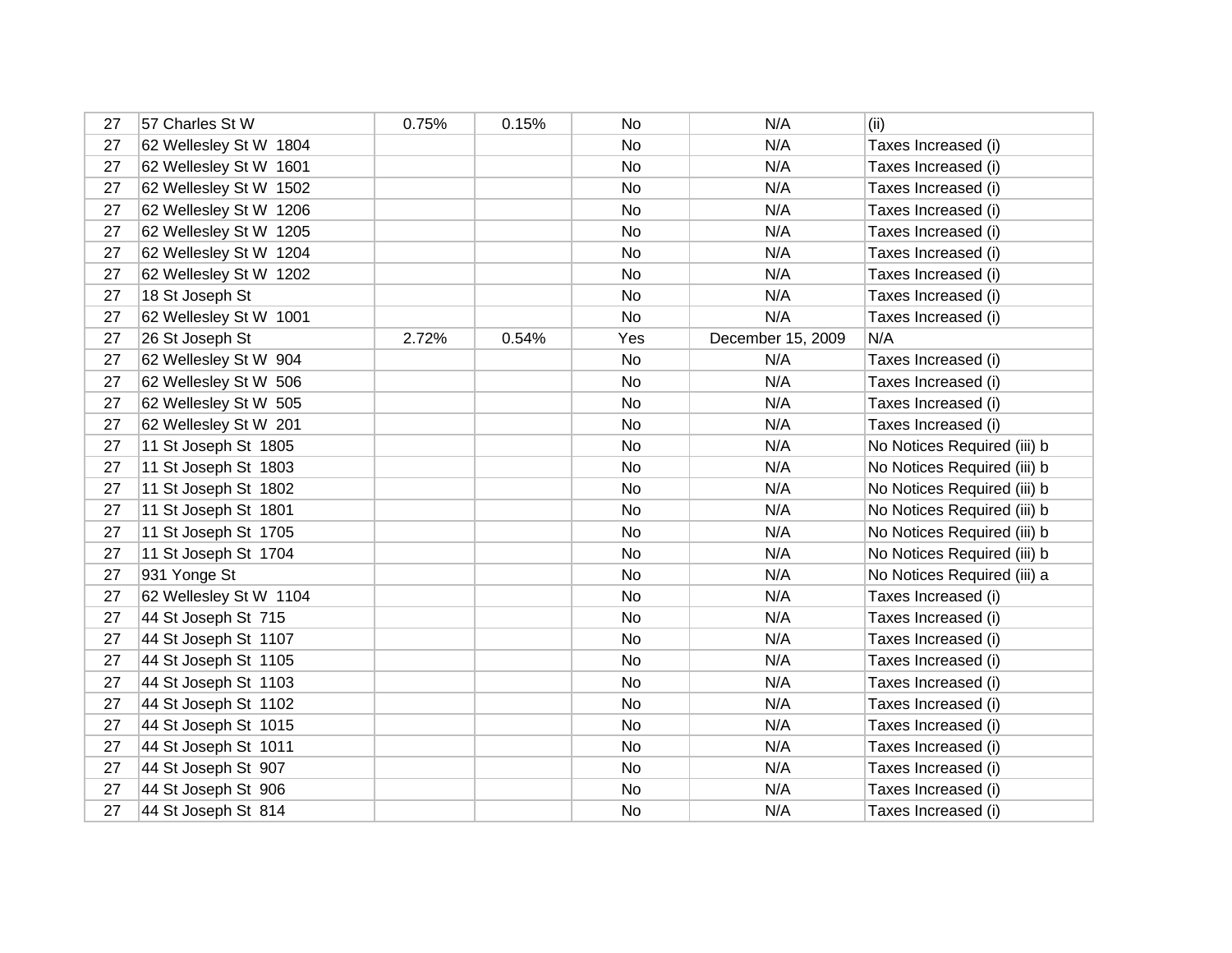| 27 | 57 Charles St W        | 0.75% | 0.15% | No  | N/A               | (ii)                        |
|----|------------------------|-------|-------|-----|-------------------|-----------------------------|
| 27 | 62 Wellesley St W 1804 |       |       | No  | N/A               | Taxes Increased (i)         |
| 27 | 62 Wellesley St W 1601 |       |       | No  | N/A               | Taxes Increased (i)         |
| 27 | 62 Wellesley St W 1502 |       |       | No  | N/A               | Taxes Increased (i)         |
| 27 | 62 Wellesley St W 1206 |       |       | No  | N/A               | Taxes Increased (i)         |
| 27 | 62 Wellesley St W 1205 |       |       | No  | N/A               | Taxes Increased (i)         |
| 27 | 62 Wellesley St W 1204 |       |       | No  | N/A               | Taxes Increased (i)         |
| 27 | 62 Wellesley St W 1202 |       |       | No  | N/A               | Taxes Increased (i)         |
| 27 | 18 St Joseph St        |       |       | No  | N/A               | Taxes Increased (i)         |
| 27 | 62 Wellesley St W 1001 |       |       | No  | N/A               | Taxes Increased (i)         |
| 27 | 26 St Joseph St        | 2.72% | 0.54% | Yes | December 15, 2009 | N/A                         |
| 27 | 62 Wellesley St W 904  |       |       | No  | N/A               | Taxes Increased (i)         |
| 27 | 62 Wellesley St W 506  |       |       | No  | N/A               | Taxes Increased (i)         |
| 27 | 62 Wellesley St W 505  |       |       | No  | N/A               | Taxes Increased (i)         |
| 27 | 62 Wellesley St W 201  |       |       | No  | N/A               | Taxes Increased (i)         |
| 27 | 11 St Joseph St 1805   |       |       | No  | N/A               | No Notices Required (iii) b |
| 27 | 11 St Joseph St 1803   |       |       | No  | N/A               | No Notices Required (iii) b |
| 27 | 11 St Joseph St 1802   |       |       | No  | N/A               | No Notices Required (iii) b |
| 27 | 11 St Joseph St 1801   |       |       | No  | N/A               | No Notices Required (iii) b |
| 27 | 11 St Joseph St 1705   |       |       | No  | N/A               | No Notices Required (iii) b |
| 27 | 11 St Joseph St 1704   |       |       | No  | N/A               | No Notices Required (iii) b |
| 27 | 931 Yonge St           |       |       | No  | N/A               | No Notices Required (iii) a |
| 27 | 62 Wellesley St W 1104 |       |       | No  | N/A               | Taxes Increased (i)         |
| 27 | 44 St Joseph St 715    |       |       | No  | N/A               | Taxes Increased (i)         |
| 27 | 44 St Joseph St 1107   |       |       | No  | N/A               | Taxes Increased (i)         |
| 27 | 44 St Joseph St 1105   |       |       | No  | N/A               | Taxes Increased (i)         |
| 27 | 44 St Joseph St 1103   |       |       | No  | N/A               | Taxes Increased (i)         |
| 27 | 44 St Joseph St 1102   |       |       | No  | N/A               | Taxes Increased (i)         |
| 27 | 44 St Joseph St 1015   |       |       | No  | N/A               | Taxes Increased (i)         |
| 27 | 44 St Joseph St 1011   |       |       | No  | N/A               | Taxes Increased (i)         |
| 27 | 44 St Joseph St 907    |       |       | No  | N/A               | Taxes Increased (i)         |
| 27 | 44 St Joseph St 906    |       |       | No  | N/A               | Taxes Increased (i)         |
| 27 | 44 St Joseph St 814    |       |       | No  | N/A               | Taxes Increased (i)         |